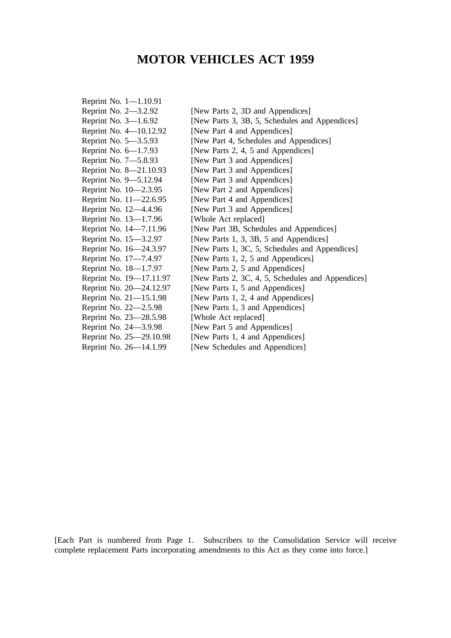# **MOTOR VEHICLES ACT 1959**

| Reprint No. 1-1.10.91   |                                                   |
|-------------------------|---------------------------------------------------|
| Reprint No. 2-3.2.92    | [New Parts 2, 3D and Appendices]                  |
| Reprint No. 3-1.6.92    | [New Parts 3, 3B, 5, Schedules and Appendices]    |
| Reprint No. 4-10.12.92  | [New Part 4 and Appendices]                       |
| Reprint No. 5-3.5.93    | [New Part 4, Schedules and Appendices]            |
| Reprint No. 6–1.7.93    | [New Parts 2, 4, 5 and Appendices]                |
| Reprint No. 7-5.8.93    | [New Part 3 and Appendices]                       |
| Reprint No. 8-21.10.93  | [New Part 3 and Appendices]                       |
| Reprint No. 9-5.12.94   | [New Part 3 and Appendices]                       |
| Reprint No. 10-2.3.95   | [New Part 2 and Appendices]                       |
| Reprint No. 11–22.6.95  | [New Part 4 and Appendices]                       |
| Reprint No. 12–4.4.96   | [New Part 3 and Appendices]                       |
| Reprint No. 13-1.7.96   | [Whole Act replaced]                              |
| Reprint No. 14–7.11.96  | [New Part 3B, Schedules and Appendices]           |
| Reprint No. 15-3.2.97   | [New Parts 1, 3, 3B, 5 and Appendices]            |
| Reprint No. 16–24.3.97  | [New Parts 1, 3C, 5, Schedules and Appendices]    |
| Reprint No. 17-7.4.97   | [New Parts 1, 2, 5 and Appendices]                |
| Reprint No. 18-1.7.97   | [New Parts 2, 5 and Appendices]                   |
| Reprint No. 19-17.11.97 | [New Parts 2, 3C, 4, 5, Schedules and Appendices] |
| Reprint No. 20-24.12.97 | [New Parts 1, 5 and Appendices]                   |
| Reprint No. 21-15.1.98  | [New Parts 1, 2, 4 and Appendices]                |
| Reprint No. 22-2.5.98   | [New Parts 1, 3 and Appendices]                   |
| Reprint No. 23–28.5.98  | [Whole Act replaced]                              |
| Reprint No. 24-3.9.98   | [New Part 5 and Appendices]                       |
| Reprint No. 25–29.10.98 | [New Parts 1, 4 and Appendices]                   |
| Reprint No. 26-14.1.99  | [New Schedules and Appendices]                    |

[Each Part is numbered from Page 1. Subscribers to the Consolidation Service will receive complete replacement Parts incorporating amendments to this Act as they come into force.]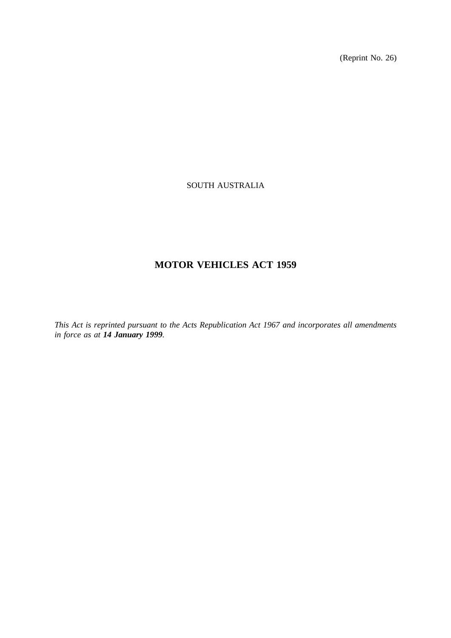(Reprint No. 26)

# SOUTH AUSTRALIA

# **MOTOR VEHICLES ACT 1959**

*This Act is reprinted pursuant to the Acts Republication Act 1967 and incorporates all amendments in force as at 14 January 1999.*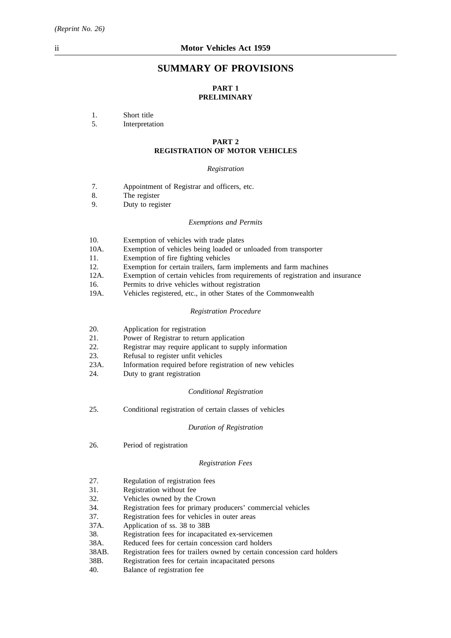# **SUMMARY OF PROVISIONS**

# **PART 1 PRELIMINARY**

1. Short title

5. Interpretation

# **PART 2 REGISTRATION OF MOTOR VEHICLES**

# *Registration*

- 7. Appointment of Registrar and officers, etc.
- 8. The register
- 9. Duty to register

#### *Exemptions and Permits*

| 10.        | Exemption of vehicles with trade plates                                       |
|------------|-------------------------------------------------------------------------------|
| 10A.       | Exemption of vehicles being loaded or unloaded from transporter               |
| 11.        | Exemption of fire fighting vehicles                                           |
| 12.        | Exemption for certain trailers, farm implements and farm machines             |
| 12A.       | Exemption of certain vehicles from requirements of registration and insurance |
| 16.        | Permits to drive vehicles without registration                                |
| $10\Delta$ | Vehicles registered etc. in other States of the Commonwealth                  |

19A. Vehicles registered, etc., in other States of the Commonwealth

#### *Registration Procedure*

- 20. Application for registration
- 21. Power of Registrar to return application
- 22. Registrar may require applicant to supply information
- 23. Refusal to register unfit vehicles
- 23A. Information required before registration of new vehicles
- 24. Duty to grant registration

#### *Conditional Registration*

25. Conditional registration of certain classes of vehicles

#### *Duration of Registration*

26. Period of registration

#### *Registration Fees*

- 27. Regulation of registration fees
- 31. Registration without fee
- 32. Vehicles owned by the Crown
- 34. Registration fees for primary producers' commercial vehicles
- 37. Registration fees for vehicles in outer areas
- 37A. Application of ss. 38 to 38B
- 38. Registration fees for incapacitated ex-servicemen
- 38A. Reduced fees for certain concession card holders
- 38AB. Registration fees for trailers owned by certain concession card holders
- 38B. Registration fees for certain incapacitated persons
- 40. Balance of registration fee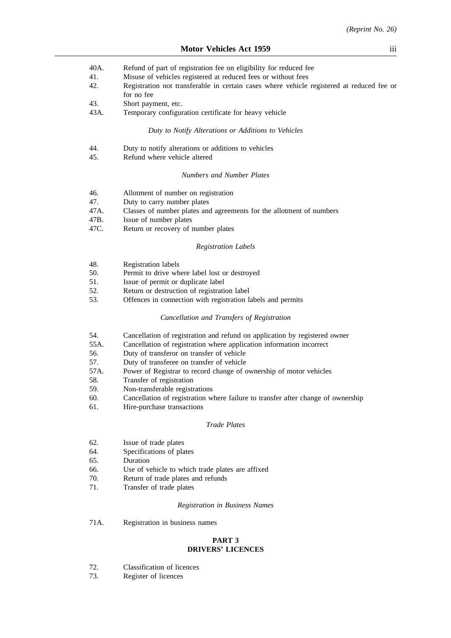- 40A. Refund of part of registration fee on eligibility for reduced fee
- 41. Misuse of vehicles registered at reduced fees or without fees
- 42. Registration not transferable in certain cases where vehicle registered at reduced fee or for no fee
- 43. Short payment, etc.
- 43A. Temporary configuration certificate for heavy vehicle

#### *Duty to Notify Alterations or Additions to Vehicles*

- 44. Duty to notify alterations or additions to vehicles
- 45. Refund where vehicle altered

# *Numbers and Number Plates*

| Allotment of number on registration                                  |
|----------------------------------------------------------------------|
| Duty to carry number plates                                          |
| Classes of number plates and agreements for the allotment of numbers |
| Issue of number plates                                               |
| Return or recovery of number plates                                  |
|                                                                      |

#### *Registration Labels*

| -48. | Registration labels                           |
|------|-----------------------------------------------|
| -50. | Permit to drive where label lost or destroyed |

- 51. Issue of permit or duplicate label
- 52. Return or destruction of registration label
- 53. Offences in connection with registration labels and permits

#### *Cancellation and Transfers of Registration*

- 54. Cancellation of registration and refund on application by registered owner
- 55A. Cancellation of registration where application information incorrect
- 56. Duty of transferor on transfer of vehicle
- 57. Duty of transferee on transfer of vehicle
- 57A. Power of Registrar to record change of ownership of motor vehicles
- 58. Transfer of registration
- 59. Non-transferable registrations
- 60. Cancellation of registration where failure to transfer after change of ownership
- 61. Hire-purchase transactions

#### *Trade Plates*

- 62. Issue of trade plates
- 64. Specifications of plates
- 65. Duration
- 66. Use of vehicle to which trade plates are affixed
- 70. Return of trade plates and refunds
- 71. Transfer of trade plates

#### *Registration in Business Names*

71A. Registration in business names

#### **PART 3 DRIVERS' LICENCES**

- 72. Classification of licences
- 73. Register of licences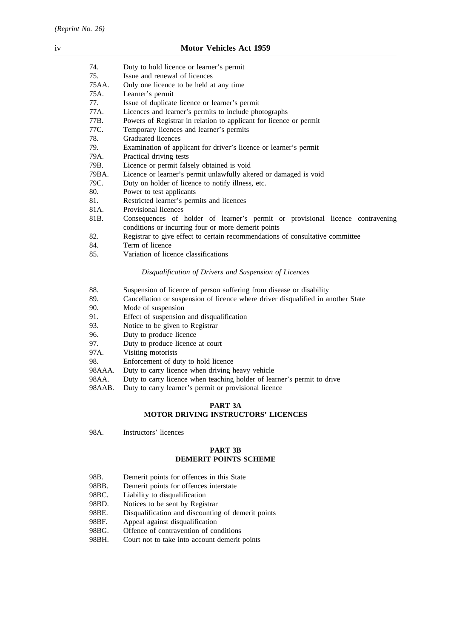| 74.   | Duty to hold licence or learner's permit                                       |
|-------|--------------------------------------------------------------------------------|
| 75.   | Issue and renewal of licences                                                  |
| 75AA. | Only one licence to be held at any time                                        |
| 75A.  | Learner's permit                                                               |
| 77.   | Issue of duplicate licence or learner's permit                                 |
| 77A.  | Licences and learner's permits to include photographs                          |
| 77B.  | Powers of Registrar in relation to applicant for licence or permit             |
| 77C.  | Temporary licences and learner's permits                                       |
| 78.   | Graduated licences                                                             |
| 79.   | Examination of applicant for driver's licence or learner's permit              |
| 79A.  | Practical driving tests                                                        |
| 79B.  | Licence or permit falsely obtained is void                                     |
| 79BA. | Licence or learner's permit unlawfully altered or damaged is void              |
| 79C.  | Duty on holder of licence to notify illness, etc.                              |
| 80.   | Power to test applicants                                                       |
| 81.   | Restricted learner's permits and licences                                      |
| 81A.  | Provisional licences                                                           |
| 81B.  | Consequences of holder of learner's permit or provisional licence contravening |
|       | conditions or incurring four or more demerit points                            |
| 82.   | Registrar to give effect to certain recommendations of consultative committee  |
| 84.   | Term of licence                                                                |
| 85.   | Variation of licence classifications                                           |

#### *Disqualification of Drivers and Suspension of Licences*

| 88. |  |  |  | Suspension of licence of person suffering from disease or disability |
|-----|--|--|--|----------------------------------------------------------------------|
|     |  |  |  |                                                                      |

- 89. Cancellation or suspension of licence where driver disqualified in another State
- 90. Mode of suspension
- 91. Effect of suspension and disqualification
- 93. Notice to be given to Registrar
- 96. Duty to produce licence<br>97. Duty to produce licence
- Duty to produce licence at court
- 97A. Visiting motorists
- 98. Enforcement of duty to hold licence
- 98AAA. Duty to carry licence when driving heavy vehicle
- 98AA. Duty to carry licence when teaching holder of learner's permit to drive
- 98AAB. Duty to carry learner's permit or provisional licence

# **PART 3A MOTOR DRIVING INSTRUCTORS' LICENCES**

98A. Instructors' licences

## **PART 3B DEMERIT POINTS SCHEME**

- 98B. Demerit points for offences in this State
- 98BB. Demerit points for offences interstate
- 98BC. Liability to disqualification
- 98BD. Notices to be sent by Registrar
- 98BE. Disqualification and discounting of demerit points
- 98BF. Appeal against disqualification
- 98BG. Offence of contravention of conditions
- 98BH. Court not to take into account demerit points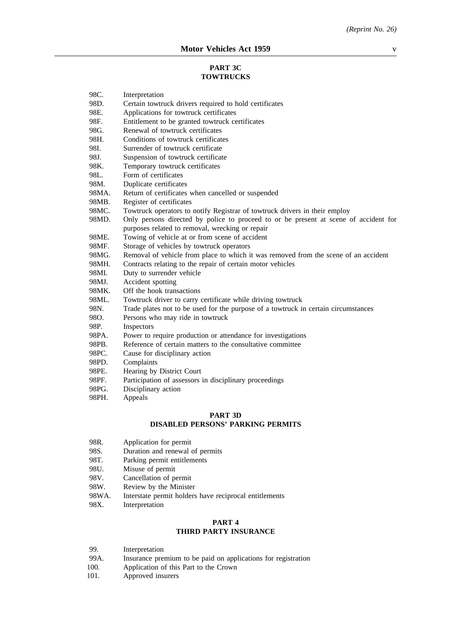# **PART 3C TOWTRUCKS**

| 98C.  | Interpretation                                                                       |
|-------|--------------------------------------------------------------------------------------|
| 98D.  | Certain towtruck drivers required to hold certificates                               |
| 98E.  | Applications for towtruck certificates                                               |
| 98F.  | Entitlement to be granted towtruck certificates                                      |
| 98G.  | Renewal of towtruck certificates                                                     |
| 98H.  | Conditions of towtruck certificates                                                  |
| 98I.  | Surrender of towtruck certificate                                                    |
| 98J.  | Suspension of towtruck certificate                                                   |
| 98K.  | Temporary towtruck certificates                                                      |
| 98L.  | Form of certificates                                                                 |
| 98M.  | Duplicate certificates                                                               |
| 98MA. | Return of certificates when cancelled or suspended                                   |
| 98MB. | Register of certificates                                                             |
| 98MC. | Towtruck operators to notify Registrar of towtruck drivers in their employ           |
| 98MD. | Only persons directed by police to proceed to or be present at scene of accident for |
|       | purposes related to removal, wrecking or repair                                      |
| 98ME. | Towing of vehicle at or from scene of accident                                       |
| 98MF. | Storage of vehicles by towtruck operators                                            |
| 98MG. | Removal of vehicle from place to which it was removed from the scene of an accident  |
| 98MH. | Contracts relating to the repair of certain motor vehicles                           |
| 98MI. | Duty to surrender vehicle                                                            |
| 98MJ. | Accident spotting                                                                    |
| 98MK. | Off the hook transactions                                                            |
| 98ML. | Towtruck driver to carry certificate while driving towtruck                          |
| 98N.  | Trade plates not to be used for the purpose of a towtruck in certain circumstances   |
| 98O.  | Persons who may ride in towtruck                                                     |
| 98P.  | Inspectors                                                                           |
| 98PA. | Power to require production or attendance for investigations                         |
| 98PB. | Reference of certain matters to the consultative committee                           |
| 98PC. | Cause for disciplinary action                                                        |
| 98PD. | Complaints                                                                           |
| 98PE. | Hearing by District Court                                                            |
| 98PF. | Participation of assessors in disciplinary proceedings                               |
| 98PG. | Disciplinary action                                                                  |

98PH. Appeals

# **PART 3D DISABLED PERSONS' PARKING PERMITS**

- 98R. Application for permit
- 98S. Duration and renewal of permits<br>98T. Parking permit entitlements
- 98T. Parking permit entitlements<br>98U. Misuse of permit
- Misuse of permit
- 98V. Cancellation of permit
- 98W. Review by the Minister
- 98WA. Interstate permit holders have reciprocal entitlements
- 98X. Interpretation

# **PART 4 THIRD PARTY INSURANCE**

| 99.  | Interpretation                                                |
|------|---------------------------------------------------------------|
| 99A. | Insurance premium to be paid on applications for registration |
| 100. | Application of this Part to the Crown                         |
| 101. | Approved insurers                                             |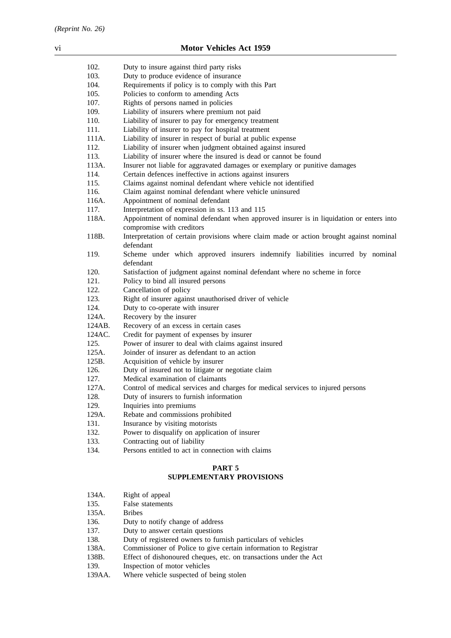| 102.   | Duty to insure against third party risks                                                                             |
|--------|----------------------------------------------------------------------------------------------------------------------|
| 103.   | Duty to produce evidence of insurance                                                                                |
| 104.   | Requirements if policy is to comply with this Part                                                                   |
| 105.   | Policies to conform to amending Acts                                                                                 |
| 107.   | Rights of persons named in policies                                                                                  |
| 109.   | Liability of insurers where premium not paid                                                                         |
| 110.   | Liability of insurer to pay for emergency treatment                                                                  |
| 111.   | Liability of insurer to pay for hospital treatment                                                                   |
| 111A.  | Liability of insurer in respect of burial at public expense                                                          |
| 112.   | Liability of insurer when judgment obtained against insured                                                          |
| 113.   | Liability of insurer where the insured is dead or cannot be found                                                    |
| 113A.  | Insurer not liable for aggravated damages or exemplary or punitive damages                                           |
| 114.   | Certain defences ineffective in actions against insurers                                                             |
| 115.   | Claims against nominal defendant where vehicle not identified                                                        |
| 116.   | Claim against nominal defendant where vehicle uninsured                                                              |
| 116A.  | Appointment of nominal defendant                                                                                     |
| 117.   | Interpretation of expression in ss. 113 and 115                                                                      |
| 118A.  | Appointment of nominal defendant when approved insurer is in liquidation or enters into<br>compromise with creditors |
| 118B.  | Interpretation of certain provisions where claim made or action brought against nominal<br>defendant                 |
| 119.   | Scheme under which approved insurers indemnify liabilities incurred by nominal<br>defendant                          |
| 120.   | Satisfaction of judgment against nominal defendant where no scheme in force                                          |
| 121.   | Policy to bind all insured persons                                                                                   |
| 122.   | Cancellation of policy                                                                                               |
| 123.   | Right of insurer against unauthorised driver of vehicle                                                              |
| 124.   | Duty to co-operate with insurer                                                                                      |
| 124A.  | Recovery by the insurer                                                                                              |
| 124AB. | Recovery of an excess in certain cases                                                                               |
| 124AC. | Credit for payment of expenses by insurer                                                                            |
| 125.   | Power of insurer to deal with claims against insured                                                                 |
| 125A.  | Joinder of insurer as defendant to an action                                                                         |
| 125B.  | Acquisition of vehicle by insurer                                                                                    |
| 126.   | Duty of insured not to litigate or negotiate claim                                                                   |
| 127.   | Medical examination of claimants                                                                                     |
| 127A.  | Control of medical services and charges for medical services to injured persons                                      |
| 128.   | Duty of insurers to furnish information                                                                              |
| 129.   | Inquiries into premiums                                                                                              |
| 129A.  | Rebate and commissions prohibited                                                                                    |
| 131.   | Insurance by visiting motorists                                                                                      |
| 132.   | Power to disqualify on application of insurer                                                                        |
| 133.   | Contracting out of liability                                                                                         |
| 134.   | Persons entitled to act in connection with claims                                                                    |
|        |                                                                                                                      |

# **PART 5**

# **SUPPLEMENTARY PROVISIONS**

| 134A.  | Right of appeal                                                   |
|--------|-------------------------------------------------------------------|
| 135.   | False statements                                                  |
| 135A.  | <b>Bribes</b>                                                     |
| 136.   | Duty to notify change of address                                  |
| 137.   | Duty to answer certain questions                                  |
| 138.   | Duty of registered owners to furnish particulars of vehicles      |
| 138A.  | Commissioner of Police to give certain information to Registrar   |
| 138B.  | Effect of dishonoured cheques, etc. on transactions under the Act |
| 139.   | Inspection of motor vehicles                                      |
| 139AA. | Where vehicle suspected of being stolen                           |
|        |                                                                   |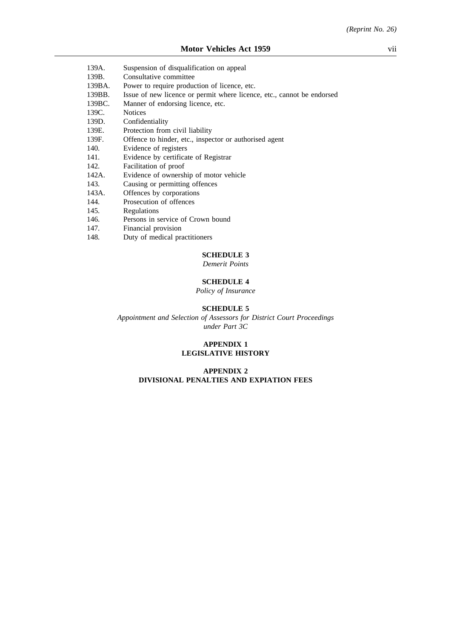| 139A.  | Suspension of disqualification on appeal                               |
|--------|------------------------------------------------------------------------|
| 139B.  | Consultative committee                                                 |
| 139BA. | Power to require production of licence, etc.                           |
| 139BB. | Issue of new licence or permit where licence, etc., cannot be endorsed |
| 139BC. | Manner of endorsing licence, etc.                                      |
| 139C.  | <b>Notices</b>                                                         |
| 139D.  | Confidentiality                                                        |
| 139E.  | Protection from civil liability                                        |
| 139F.  | Offence to hinder, etc., inspector or authorised agent                 |
| 140.   | Evidence of registers                                                  |
| 141.   | Evidence by certificate of Registrar                                   |
| 142.   | Facilitation of proof                                                  |
| 142A.  | Evidence of ownership of motor vehicle                                 |
| 143.   | Causing or permitting offences                                         |
| 143A.  | Offences by corporations                                               |
| 144.   | Prosecution of offences                                                |
| 145.   | Regulations                                                            |
| 146.   | Persons in service of Crown bound                                      |
| 147.   | Financial provision                                                    |

148. Duty of medical practitioners

# **SCHEDULE 3**

*Demerit Points*

# **SCHEDULE 4**

*Policy of Insurance*

## **SCHEDULE 5**

*Appointment and Selection of Assessors for District Court Proceedings under Part 3C*

#### **APPENDIX 1 LEGISLATIVE HISTORY**

# **APPENDIX 2 DIVISIONAL PENALTIES AND EXPIATION FEES**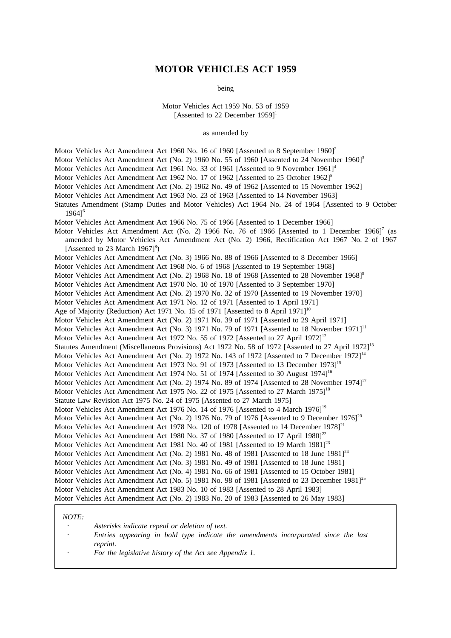# **MOTOR VEHICLES ACT 1959**

being

Motor Vehicles Act 1959 No. 53 of 1959 [Assented to 22 December 1959]<sup>1</sup>

as amended by

Motor Vehicles Act Amendment Act 1960 No. 16 of 1960 [Assented to 8 September 1960]<sup>2</sup> Motor Vehicles Act Amendment Act (No. 2) 1960 No. 55 of 1960 [Assented to 24 November 1960]<sup>3</sup> Motor Vehicles Act Amendment Act 1961 No. 33 of 1961 [Assented to 9 November 1961]<sup>4</sup> Motor Vehicles Act Amendment Act 1962 No. 17 of 1962 [Assented to 25 October 1962]<sup>5</sup> Motor Vehicles Act Amendment Act (No. 2) 1962 No. 49 of 1962 [Assented to 15 November 1962] Motor Vehicles Act Amendment Act 1963 No. 23 of 1963 [Assented to 14 November 1963] Statutes Amendment (Stamp Duties and Motor Vehicles) Act 1964 No. 24 of 1964 [Assented to 9 October 1964]6 Motor Vehicles Act Amendment Act 1966 No. 75 of 1966 [Assented to 1 December 1966] Motor Vehicles Act Amendment Act (No. 2) 1966 No. 76 of 1966 [Assented to 1 December 1966]<sup>7</sup> (as amended by Motor Vehicles Act Amendment Act (No. 2) 1966, Rectification Act 1967 No. 2 of 1967 [Assented to 23 March  $1967$ ]<sup>8</sup>) Motor Vehicles Act Amendment Act (No. 3) 1966 No. 88 of 1966 [Assented to 8 December 1966] Motor Vehicles Act Amendment Act 1968 No. 6 of 1968 [Assented to 19 September 1968] Motor Vehicles Act Amendment Act (No. 2) 1968 No. 18 of 1968 [Assented to 28 November 1968]<sup>9</sup> Motor Vehicles Act Amendment Act 1970 No. 10 of 1970 [Assented to 3 September 1970] Motor Vehicles Act Amendment Act (No. 2) 1970 No. 32 of 1970 [Assented to 19 November 1970] Motor Vehicles Act Amendment Act 1971 No. 12 of 1971 [Assented to 1 April 1971] Age of Majority (Reduction) Act 1971 No. 15 of 1971 [Assented to 8 April 1971]<sup>10</sup> Motor Vehicles Act Amendment Act (No. 2) 1971 No. 39 of 1971 [Assented to 29 April 1971] Motor Vehicles Act Amendment Act (No. 3) 1971 No. 79 of 1971 [Assented to 18 November 1971]<sup>11</sup> Motor Vehicles Act Amendment Act 1972 No. 55 of 1972 [Assented to 27 April 1972]<sup>12</sup> Statutes Amendment (Miscellaneous Provisions) Act 1972 No. 58 of 1972 [Assented to 27 April 1972]<sup>13</sup> Motor Vehicles Act Amendment Act (No. 2) 1972 No. 143 of 1972 [Assented to 7 December 1972]<sup>14</sup> Motor Vehicles Act Amendment Act 1973 No. 91 of 1973 [Assented to 13 December 1973]<sup>15</sup> Motor Vehicles Act Amendment Act 1974 No. 51 of 1974 [Assented to 30 August 1974]<sup>16</sup> Motor Vehicles Act Amendment Act (No. 2) 1974 No. 89 of 1974 [Assented to 28 November 1974]<sup>17</sup> Motor Vehicles Act Amendment Act 1975 No. 22 of 1975 [Assented to 27 March 1975]<sup>18</sup> Statute Law Revision Act 1975 No. 24 of 1975 [Assented to 27 March 1975] Motor Vehicles Act Amendment Act 1976 No. 14 of 1976 [Assented to 4 March 1976]<sup>19</sup> Motor Vehicles Act Amendment Act (No. 2) 1976 No. 79 of 1976 [Assented to 9 December 1976]<sup>20</sup> Motor Vehicles Act Amendment Act 1978 No. 120 of 1978 [Assented to 14 December 1978]<sup>21</sup> Motor Vehicles Act Amendment Act 1980 No. 37 of 1980 [Assented to 17 April 1980]<sup>22</sup> Motor Vehicles Act Amendment Act 1981 No. 40 of 1981 [Assented to 19 March 1981]<sup>23</sup> Motor Vehicles Act Amendment Act (No. 2) 1981 No. 48 of 1981 [Assented to 18 June 1981]<sup>24</sup> Motor Vehicles Act Amendment Act (No. 3) 1981 No. 49 of 1981 [Assented to 18 June 1981] Motor Vehicles Act Amendment Act (No. 4) 1981 No. 66 of 1981 [Assented to 15 October 1981] Motor Vehicles Act Amendment Act (No. 5) 1981 No. 98 of 1981 [Assented to 23 December 1981]<sup>25</sup> Motor Vehicles Act Amendment Act 1983 No. 10 of 1983 [Assented to 28 April 1983] Motor Vehicles Act Amendment Act (No. 2) 1983 No. 20 of 1983 [Assented to 26 May 1983]

#### *NOTE:*

| Asterisks indicate repeal or deletion of text.                                     |
|------------------------------------------------------------------------------------|
| Entries appearing in bold type indicate the amendments incorporated since the last |
| reprint.                                                                           |
| For the legislative history of the Act see Appendix 1.                             |
|                                                                                    |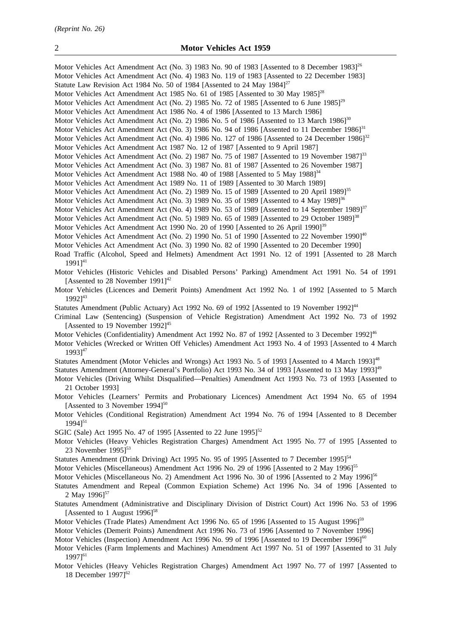18 December 1997]<sup>62</sup>

Motor Vehicles Act Amendment Act (No. 3) 1983 No. 90 of 1983 [Assented to 8 December 1983]<sup>26</sup> Motor Vehicles Act Amendment Act (No. 4) 1983 No. 119 of 1983 [Assented to 22 December 1983] Statute Law Revision Act 1984 No. 50 of 1984 [Assented to 24 May 1984]<sup>27</sup> Motor Vehicles Act Amendment Act 1985 No. 61 of 1985 [Assented to 30 May 1985]<sup>28</sup> Motor Vehicles Act Amendment Act (No. 2) 1985 No. 72 of 1985 [Assented to 6 June 1985]<sup>29</sup> Motor Vehicles Act Amendment Act 1986 No. 4 of 1986 [Assented to 13 March 1986] Motor Vehicles Act Amendment Act (No. 2) 1986 No. 5 of 1986 [Assented to 13 March 1986]<sup>30</sup> Motor Vehicles Act Amendment Act (No. 3) 1986 No. 94 of 1986 [Assented to 11 December 1986]<sup>31</sup> Motor Vehicles Act Amendment Act (No. 4) 1986 No. 127 of 1986 [Assented to 24 December 1986]<sup>32</sup> Motor Vehicles Act Amendment Act 1987 No. 12 of 1987 [Assented to 9 April 1987] Motor Vehicles Act Amendment Act (No. 2) 1987 No. 75 of 1987 [Assented to 19 November 1987]<sup>33</sup> Motor Vehicles Act Amendment Act (No. 3) 1987 No. 81 of 1987 [Assented to 26 November 1987] Motor Vehicles Act Amendment Act 1988 No. 40 of 1988 [Assented to 5 May 1988]<sup>34</sup> Motor Vehicles Act Amendment Act 1989 No. 11 of 1989 [Assented to 30 March 1989] Motor Vehicles Act Amendment Act (No. 2) 1989 No. 15 of 1989 [Assented to 20 April 1989]<sup>35</sup> Motor Vehicles Act Amendment Act (No. 3) 1989 No. 35 of 1989 [Assented to 4 May 1989]<sup>36</sup> Motor Vehicles Act Amendment Act (No. 4) 1989 No. 53 of 1989 [Assented to 14 September 1989]<sup>37</sup> Motor Vehicles Act Amendment Act (No. 5) 1989 No. 65 of 1989 [Assented to 29 October 1989]<sup>38</sup> Motor Vehicles Act Amendment Act 1990 No. 20 of 1990 [Assented to 26 April 1990]<sup>39</sup> Motor Vehicles Act Amendment Act (No. 2) 1990 No. 51 of 1990 [Assented to 22 November 1990]<sup>40</sup> Motor Vehicles Act Amendment Act (No. 3) 1990 No. 82 of 1990 [Assented to 20 December 1990] Road Traffic (Alcohol, Speed and Helmets) Amendment Act 1991 No. 12 of 1991 [Assented to 28 March  $19911^{41}$ Motor Vehicles (Historic Vehicles and Disabled Persons' Parking) Amendment Act 1991 No. 54 of 1991 [Assented to 28 November 1991]<sup>42</sup> Motor Vehicles (Licences and Demerit Points) Amendment Act 1992 No. 1 of 1992 [Assented to 5 March 19921<sup>43</sup> Statutes Amendment (Public Actuary) Act 1992 No. 69 of 1992 [Assented to 19 November 1992]<sup>44</sup> Criminal Law (Sentencing) (Suspension of Vehicle Registration) Amendment Act 1992 No. 73 of 1992 [Assented to 19 November 1992]<sup>45</sup> Motor Vehicles (Confidentiality) Amendment Act 1992 No. 87 of 1992 [Assented to 3 December 1992]<sup>46</sup> Motor Vehicles (Wrecked or Written Off Vehicles) Amendment Act 1993 No. 4 of 1993 [Assented to 4 March 19931<sup>47</sup> Statutes Amendment (Motor Vehicles and Wrongs) Act 1993 No. 5 of 1993 [Assented to 4 March 1993]<sup>48</sup> Statutes Amendment (Attorney-General's Portfolio) Act 1993 No. 34 of 1993 [Assented to 13 May 1993]<sup>49</sup> Motor Vehicles (Driving Whilst Disqualified—Penalties) Amendment Act 1993 No. 73 of 1993 [Assented to 21 October 1993] Motor Vehicles (Learners' Permits and Probationary Licences) Amendment Act 1994 No. 65 of 1994 [Assented to 3 November  $1994$ ]<sup>50</sup> Motor Vehicles (Conditional Registration) Amendment Act 1994 No. 76 of 1994 [Assented to 8 December  $19941^{51}$ SGIC (Sale) Act 1995 No. 47 of 1995 [Assented to 22 June 1995]<sup>52</sup> Motor Vehicles (Heavy Vehicles Registration Charges) Amendment Act 1995 No. 77 of 1995 [Assented to 23 November 1995]<sup>53</sup> Statutes Amendment (Drink Driving) Act 1995 No. 95 of 1995 [Assented to 7 December 1995]<sup>54</sup> Motor Vehicles (Miscellaneous) Amendment Act 1996 No. 29 of 1996 [Assented to 2 May 1996]<sup>55</sup> Motor Vehicles (Miscellaneous No. 2) Amendment Act 1996 No. 30 of 1996 [Assented to 2 May 1996]<sup>56</sup> Statutes Amendment and Repeal (Common Expiation Scheme) Act 1996 No. 34 of 1996 [Assented to 2 May 1996]<sup>57</sup> Statutes Amendment (Administrative and Disciplinary Division of District Court) Act 1996 No. 53 of 1996 [Assented to 1 August  $1996$ ]<sup>58</sup> Motor Vehicles (Trade Plates) Amendment Act 1996 No. 65 of 1996 [Assented to 15 August 1996]<sup>59</sup> Motor Vehicles (Demerit Points) Amendment Act 1996 No. 73 of 1996 [Assented to 7 November 1996] Motor Vehicles (Inspection) Amendment Act 1996 No. 99 of 1996 [Assented to 19 December 1996]<sup>60</sup> Motor Vehicles (Farm Implements and Machines) Amendment Act 1997 No. 51 of 1997 [Assented to 31 July 1997]<sup>61</sup> Motor Vehicles (Heavy Vehicles Registration Charges) Amendment Act 1997 No. 77 of 1997 [Assented to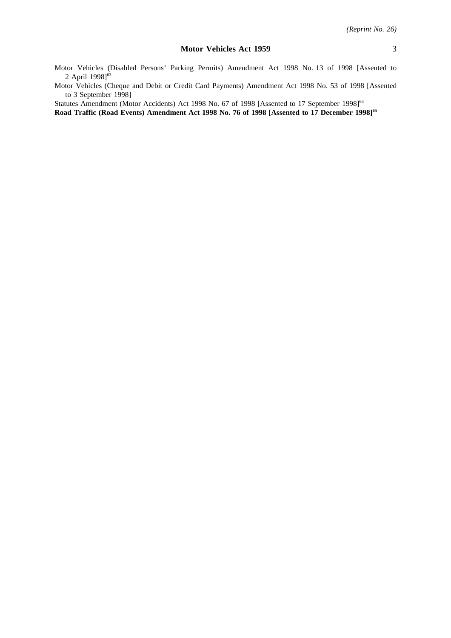Motor Vehicles (Disabled Persons' Parking Permits) Amendment Act 1998 No. 13 of 1998 [Assented to 2 April 1998]<sup>63</sup>

Motor Vehicles (Cheque and Debit or Credit Card Payments) Amendment Act 1998 No. 53 of 1998 [Assented to 3 September 1998]

Statutes Amendment (Motor Accidents) Act 1998 No. 67 of 1998 [Assented to 17 September 1998]<sup>64</sup> Road Traffic (Road Events) Amendment Act 1998 No. 76 of 1998 [Assented to 17 December 1998]<sup>65</sup>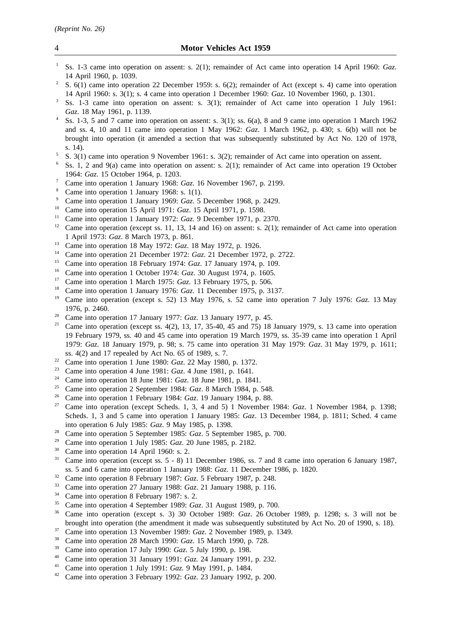- <sup>1</sup> Ss. 1-3 came into operation on assent: s. 2(1); remainder of Act came into operation 14 April 1960: *Gaz*. 14 April 1960, p. 1039.
- <sup>2</sup> S.  $6(1)$  came into operation 22 December 1959: s.  $6(2)$ ; remainder of Act (except s. 4) came into operation 14 April 1960: s. 3(1); s. 4 came into operation 1 December 1960: *Gaz*. 10 November 1960, p. 1301.
- <sup>3</sup> Ss. 1-3 came into operation on assent: s. 3(1); remainder of Act came into operation 1 July 1961: *Gaz*. 18 May 1961, p. 1139.
- Ss. 1-3, 5 and 7 came into operation on assent: s.  $3(1)$ ; ss.  $6(a)$ , 8 and 9 came into operation 1 March 1962 and ss. 4, 10 and 11 came into operation 1 May 1962: *Gaz*. 1 March 1962, p. 430; s. 6(b) will not be brought into operation (it amended a section that was subsequently substituted by Act No. 120 of 1978, s. 14).
- <sup>5</sup> S. 3(1) came into operation 9 November 1961: s. 3(2); remainder of Act came into operation on assent.
- <sup>6</sup> Ss. 1, 2 and 9(a) came into operation on assent: s. 2(1); remainder of Act came into operation 19 October 1964: *Gaz*. 15 October 1964, p. 1203.
- <sup>7</sup> Came into operation 1 January 1968: *Gaz*. 16 November 1967, p. 2199.
- <sup>8</sup> Came into operation 1 January 1968: s. 1(1).<br><sup>9</sup> Came into operation 1 January 1969: Gaz. 5.
- <sup>9</sup> Came into operation 1 January 1969: *Gaz*. 5 December 1968, p. 2429.
- <sup>10</sup> Came into operation 15 April 1971: *Gaz*. 15 April 1971, p. 1598.
- <sup>11</sup> Came into operation 1 January 1972: *Gaz*. 9 December 1971, p. 2370.
- <sup>12</sup> Came into operation (except ss. 11, 13, 14 and 16) on assent: s. 2(1); remainder of Act came into operation 1 April 1973: *Gaz*. 8 March 1973, p. 861.
- <sup>13</sup> Came into operation 18 May 1972: *Gaz*. 18 May 1972, p. 1926.
- <sup>14</sup> Came into operation 21 December 1972: *Gaz*. 21 December 1972, p. 2722.
- <sup>15</sup> Came into operation 18 February 1974: *Gaz*. 17 January 1974, p. 109.<br><sup>16</sup> Came into operation 1 October 1974: *Gaz*. <sup>20</sup> August 1974, p. 1605.
- <sup>16</sup> Came into operation 1 October 1974: *Gaz.* 30 August 1974, p. 1605.<br><sup>17</sup> Came into operation 1 March 1975: *Caz.* 13 February 1975, p. 506.
- <sup>17</sup> Came into operation 1 March 1975: *Gaz*. 13 February 1975, p. 506.<br><sup>18</sup> Came into operation 1 January 1976: *Caz*. 11 December 1975, p. 31
- <sup>18</sup> Came into operation 1 January 1976: *Gaz*. 11 December 1975, p. 3137.
- <sup>19</sup> Came into operation (except s. 52) 13 May 1976, s. 52 came into operation 7 July 1976: *Gaz*. 13 May 1976, p. 2460.
- <sup>20</sup> Came into operation 17 January 1977: *Gaz*. 13 January 1977, p. 45.<br><sup>21</sup> Came into operation (greent ss  $A(2)$ , 13, 17, 25, 40, 45 and 75), 18
- <sup>21</sup> Came into operation (except ss. 4(2), 13, 17, 35-40, 45 and 75) 18 January 1979, s. 13 came into operation 19 February 1979, ss. 40 and 45 came into operation 19 March 1979, ss. 35-39 came into operation 1 April 1979: *Gaz*. 18 January 1979, p. 98; s. 75 came into operation 31 May 1979: *Gaz*. 31 May 1979, p. 1611; ss. 4(2) and 17 repealed by Act No. 65 of 1989, s. 7.
- <sup>22</sup> Came into operation 1 June 1980: *Gaz*. 22 May 1980, p. 1372.
- <sup>23</sup> Came into operation 4 June 1981: *Gaz*. 4 June 1981, p. 1641.
- <sup>24</sup> Came into operation 18 June 1981: *Gaz*. 18 June 1981, p. 1841.<br><sup>25</sup> Came into operation 2 Sontamber 1984: *Gaz*. 8 March 1984, p.
- <sup>25</sup> Came into operation 2 September 1984: *Gaz*. 8 March 1984, p. 548.<br><sup>26</sup> Came into aggregation 1 February 1984: *Gaz*. 19 January 1984, p. 88.
- <sup>26</sup> Came into operation 1 February 1984: *Gaz*. 19 January 1984, p. 88.
- <sup>27</sup> Came into operation (except Scheds. 1, 3, 4 and 5) 1 November 1984: *Gaz*. 1 November 1984, p. 1398; Scheds. 1, 3 and 5 came into operation 1 January 1985: *Gaz*. 13 December 1984, p. 1811; Sched. 4 came into operation 6 July 1985: *Gaz*. 9 May 1985, p. 1398.
- <sup>28</sup> Came into operation 5 September 1985: *Gaz*. 5 September 1985, p. 700.
- <sup>29</sup> Came into operation 1 July 1985: *Gaz*. 20 June 1985, p. 2182.<br><sup>30</sup> Came into operation 14 April 1960:  $\frac{2}{3}$
- <sup>30</sup> Came into operation 14 April 1960: s. 2.<br><sup>31</sup> Came into operation (except ss.  $\frac{5}{2}$ , 8) 11
- <sup>31</sup> Came into operation (except ss. 5 8) 11 December 1986, ss. 7 and 8 came into operation 6 January 1987, ss. 5 and 6 came into operation 1 January 1988: *Gaz*. 11 December 1986, p. 1820.
- <sup>32</sup> Came into operation 8 February 1987: *Gaz.* 5 February 1987, p. 248.<br><sup>33</sup> Came into operation 27 January 1988: *Gaz*. 21 January 1988, p. 116.
- <sup>33</sup> Came into operation 27 January 1988: *Gaz*. 21 January 1988, p. 116.<br><sup>34</sup> Came into operation 8 February 1987: s. 2
- <sup>34</sup> Came into operation 8 February 1987: s. 2.<br><sup>35</sup> Came into approxima 4 September 1989: Cap
- <sup>35</sup> Came into operation 4 September 1989: *Gaz*. 31 August 1989, p. 700.
- <sup>36</sup> Came into operation (except s. 3) 30 October 1989: *Gaz*. 26 October 1989, p. 1298; s. 3 will not be brought into operation (the amendment it made was subsequently substituted by Act No. 20 of 1990, s. 18).
- <sup>37</sup> Came into operation 13 November 1989: *Gaz*. 2 November 1989, p. 1349.
- <sup>38</sup> Came into operation 28 March 1990: *Gaz*. 15 March 1990, p. 728.
- <sup>39</sup> Came into operation 17 July 1990: *Gaz*. 5 July 1990, p. 198.
- <sup>40</sup> Came into operation 31 January 1991: *Gaz.* 24 January 1991, p. 232.
- <sup>41</sup> Came into operation 1 July 1991: *Gaz.* 9 May 1991, p. 1484.
- <sup>42</sup> Came into operation 3 February 1992: *Gaz*. 23 January 1992, p. 200.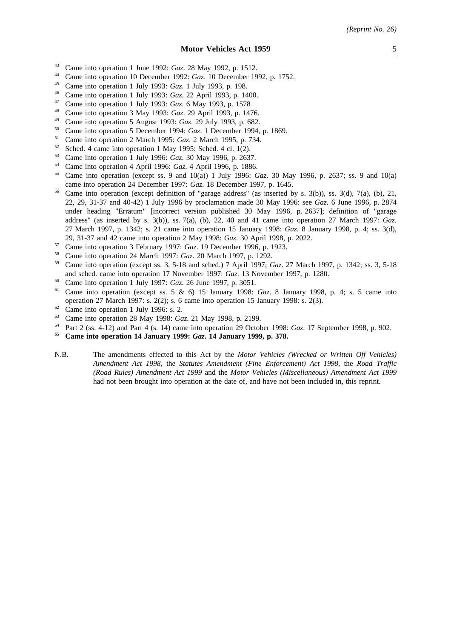- <sup>43</sup> Came into operation 1 June 1992: *Gaz*. 28 May 1992, p. 1512.
- <sup>44</sup> Came into operation 10 December 1992: *Gaz*. 10 December 1992, p. 1752.
- <sup>45</sup> Came into operation 1 July 1993: *Gaz*. 1 July 1993, p. 198.
- <sup>46</sup> Came into operation 1 July 1993: *Gaz*. 22 April 1993, p. 1400.
- <sup>47</sup> Came into operation 1 July 1993: *Gaz*. 6 May 1993, p. 1578
- <sup>48</sup> Came into operation 3 May 1993: *Gaz*. 29 April 1993, p. 1476.
- <sup>49</sup> Came into operation 5 August 1993: *Gaz*. 29 July 1993, p. 682.
- <sup>50</sup> Came into operation 5 December 1994: *Gaz*. 1 December 1994, p. 1869.<br><sup>51</sup> Came into operation 2 March 1995: *Gaz*. 2 March 1995, p. 734.
- <sup>51</sup> Came into operation 2 March 1995: *Gaz*. 2 March 1995, p. 734.<br><sup>52</sup> School 4 came into operation 1 May 1995; School 4 el 1(2)
- <sup>52</sup> Sched. 4 came into operation 1 May 1995: Sched. 4 cl. 1(2).
- <sup>53</sup> Came into operation 1 July 1996: *Gaz*. 30 May 1996, p. 2637.
- <sup>54</sup> Came into operation 4 April 1996: *Gaz*. 4 April 1996, p. 1886.
- <sup>55</sup> Came into operation (except ss. 9 and 10(a)) 1 July 1996: *Gaz*. 30 May 1996, p. 2637; ss. 9 and 10(a) came into operation 24 December 1997: *Gaz*. 18 December 1997, p. 1645.
- Came into operation (except definition of "garage address" (as inserted by s. 3(b)), ss. 3(d), 7(a), (b), 21, 22, 29, 31-37 and 40-42) 1 July 1996 by proclamation made 30 May 1996: see *Gaz*. 6 June 1996, p. 2874 under heading "Erratum" [incorrect version published 30 May 1996, p. 2637]; definition of "garage address" (as inserted by s. 3(b)), ss. 7(a), (b), 22, 40 and 41 came into operation 27 March 1997: *Gaz*. 27 March 1997, p. 1342; s. 21 came into operation 15 January 1998: *Gaz*. 8 January 1998, p. 4; ss. 3(d), 29, 31-37 and 42 came into operation 2 May 1998: *Gaz*. 30 April 1998, p. 2022.
- 
- <sup>57</sup> Came into operation 3 February 1997: *Gaz*. 19 December 1996, p. 1923.<br><sup>58</sup> Came into operation 24 March 1997: *Gaz*. 20 March 1997, p. 1292 <sup>58</sup> Came into operation 24 March 1997: *Gaz*. 20 March 1997, p. 1292.
- <sup>59</sup> Came into operation (except ss. 3, 5-18 and sched.) 7 April 1997; *Gaz*. 27 March 1997, p. 1342; ss. 3, 5-18 and sched. came into operation 17 November 1997: *Gaz*. 13 November 1997, p. 1280.
- <sup>60</sup> Came into operation 1 July 1997: *Gaz*. 26 June 1997, p. 3051.
- <sup>61</sup> Came into operation (except ss. 5 & 6) 15 January 1998: *Gaz*. 8 January 1998, p. 4; s. 5 came into operation 27 March 1997: s. 2(2); s. 6 came into operation 15 January 1998: s. 2(3).
- $^{62}$  Came into operation 1 July 1996: s. 2.<br> $^{63}$  Came into operation 28 May 1008: Ca
- <sup>63</sup> Came into operation 28 May 1998: *Gaz*. 21 May 1998, p. 2199.
- <sup>64</sup> Part 2 (ss. 4-12) and Part 4 (s. 14) came into operation 29 October 1998: *Gaz*. 17 September 1998, p. 902.
- **<sup>65</sup> Came into operation 14 January 1999:** *Gaz***. 14 January 1999, p. 378.**
- N.B. The amendments effected to this Act by the *Motor Vehicles (Wrecked or Written Off Vehicles) Amendment Act 1998*, the *Statutes Amendment (Fine Enforcement) Act 1998*, the *Road Traffic (Road Rules) Amendment Act 1999* and the *Motor Vehicles (Miscellaneous) Amendment Act 1999* had not been brought into operation at the date of, and have not been included in, this reprint.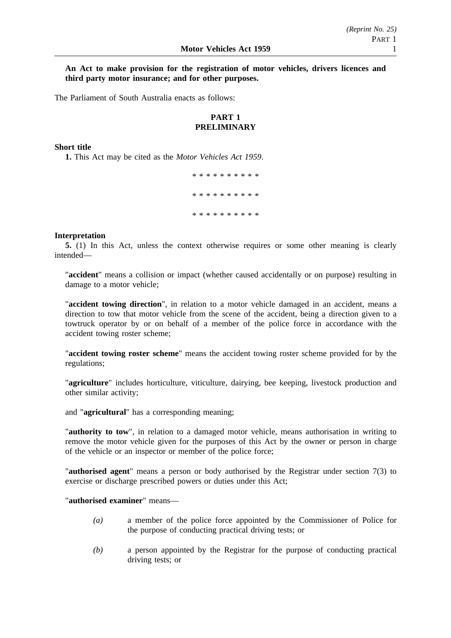# **An Act to make provision for the registration of motor vehicles, drivers licences and third party motor insurance; and for other purposes.**

The Parliament of South Australia enacts as follows:

# **PART 1 PRELIMINARY**

# **Short title**

**1.** This Act may be cited as the *Motor Vehicles Act 1959*.

\*\*\*\*\*\*\*\*\*\* \*\*\*\*\*\*\*\*\*\* \*\*\*\*\*\*\*\*\*\*

# **Interpretation**

**5.** (1) In this Act, unless the context otherwise requires or some other meaning is clearly intended—

"**accident**" means a collision or impact (whether caused accidentally or on purpose) resulting in damage to a motor vehicle;

"**accident towing direction**", in relation to a motor vehicle damaged in an accident, means a direction to tow that motor vehicle from the scene of the accident, being a direction given to a towtruck operator by or on behalf of a member of the police force in accordance with the accident towing roster scheme;

"**accident towing roster scheme**" means the accident towing roster scheme provided for by the regulations;

"**agriculture**" includes horticulture, viticulture, dairying, bee keeping, livestock production and other similar activity;

and "**agricultural**" has a corresponding meaning;

"**authority to tow**", in relation to a damaged motor vehicle, means authorisation in writing to remove the motor vehicle given for the purposes of this Act by the owner or person in charge of the vehicle or an inspector or member of the police force;

"**authorised agent**" means a person or body authorised by the Registrar under section 7(3) to exercise or discharge prescribed powers or duties under this Act;

"**authorised examiner**" means—

- *(a)* a member of the police force appointed by the Commissioner of Police for the purpose of conducting practical driving tests; or
- *(b)* a person appointed by the Registrar for the purpose of conducting practical driving tests; or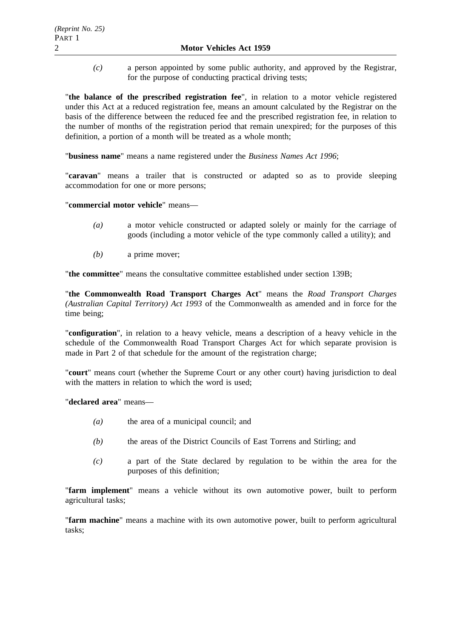*(c)* a person appointed by some public authority, and approved by the Registrar, for the purpose of conducting practical driving tests;

"**the balance of the prescribed registration fee**", in relation to a motor vehicle registered under this Act at a reduced registration fee, means an amount calculated by the Registrar on the basis of the difference between the reduced fee and the prescribed registration fee, in relation to the number of months of the registration period that remain unexpired; for the purposes of this definition, a portion of a month will be treated as a whole month;

"**business name**" means a name registered under the *Business Names Act 1996*;

"**caravan**" means a trailer that is constructed or adapted so as to provide sleeping accommodation for one or more persons;

"**commercial motor vehicle**" means—

- *(a)* a motor vehicle constructed or adapted solely or mainly for the carriage of goods (including a motor vehicle of the type commonly called a utility); and
- *(b)* a prime mover;

"**the committee**" means the consultative committee established under section 139B;

"**the Commonwealth Road Transport Charges Act**" means the *Road Transport Charges (Australian Capital Territory) Act 1993* of the Commonwealth as amended and in force for the time being;

"**configuration**", in relation to a heavy vehicle, means a description of a heavy vehicle in the schedule of the Commonwealth Road Transport Charges Act for which separate provision is made in Part 2 of that schedule for the amount of the registration charge;

"**court**" means court (whether the Supreme Court or any other court) having jurisdiction to deal with the matters in relation to which the word is used;

"**declared area**" means—

- *(a)* the area of a municipal council; and
- *(b)* the areas of the District Councils of East Torrens and Stirling; and
- *(c)* a part of the State declared by regulation to be within the area for the purposes of this definition;

"**farm implement**" means a vehicle without its own automotive power, built to perform agricultural tasks;

"**farm machine**" means a machine with its own automotive power, built to perform agricultural tasks;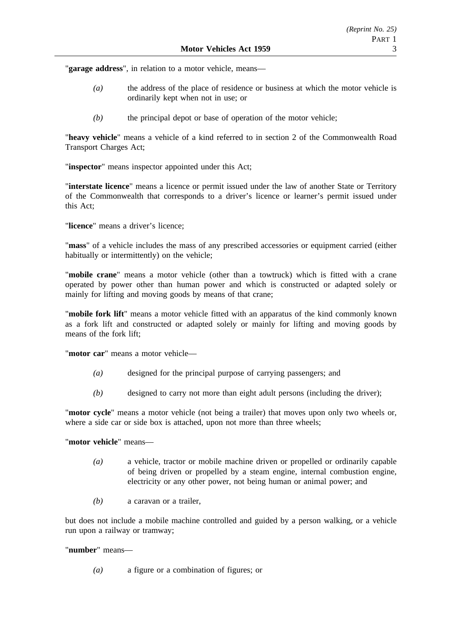"**garage address**", in relation to a motor vehicle, means—

- *(a)* the address of the place of residence or business at which the motor vehicle is ordinarily kept when not in use; or
- *(b)* the principal depot or base of operation of the motor vehicle;

"**heavy vehicle**" means a vehicle of a kind referred to in section 2 of the Commonwealth Road Transport Charges Act;

"**inspector**" means inspector appointed under this Act;

"**interstate licence**" means a licence or permit issued under the law of another State or Territory of the Commonwealth that corresponds to a driver's licence or learner's permit issued under this Act;

"**licence**" means a driver's licence;

"**mass**" of a vehicle includes the mass of any prescribed accessories or equipment carried (either habitually or intermittently) on the vehicle;

"**mobile crane**" means a motor vehicle (other than a towtruck) which is fitted with a crane operated by power other than human power and which is constructed or adapted solely or mainly for lifting and moving goods by means of that crane;

"**mobile fork lift**" means a motor vehicle fitted with an apparatus of the kind commonly known as a fork lift and constructed or adapted solely or mainly for lifting and moving goods by means of the fork lift;

"**motor car**" means a motor vehicle—

- *(a)* designed for the principal purpose of carrying passengers; and
- *(b)* designed to carry not more than eight adult persons (including the driver);

"**motor cycle**" means a motor vehicle (not being a trailer) that moves upon only two wheels or, where a side car or side box is attached, upon not more than three wheels;

"**motor vehicle**" means—

- *(a)* a vehicle, tractor or mobile machine driven or propelled or ordinarily capable of being driven or propelled by a steam engine, internal combustion engine, electricity or any other power, not being human or animal power; and
- *(b)* a caravan or a trailer,

but does not include a mobile machine controlled and guided by a person walking, or a vehicle run upon a railway or tramway;

"**number**" means—

*(a)* a figure or a combination of figures; or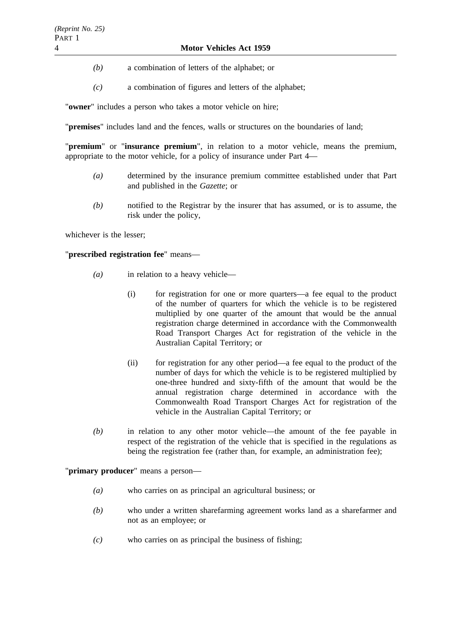- *(b)* a combination of letters of the alphabet; or
- *(c)* a combination of figures and letters of the alphabet;

"**owner**" includes a person who takes a motor vehicle on hire;

"**premises**" includes land and the fences, walls or structures on the boundaries of land;

"**premium**" or "**insurance premium**", in relation to a motor vehicle, means the premium, appropriate to the motor vehicle, for a policy of insurance under Part 4—

- *(a)* determined by the insurance premium committee established under that Part and published in the *Gazette*; or
- *(b)* notified to the Registrar by the insurer that has assumed, or is to assume, the risk under the policy,

whichever is the lesser;

# "**prescribed registration fee**" means—

- *(a)* in relation to a heavy vehicle—
	- (i) for registration for one or more quarters—a fee equal to the product of the number of quarters for which the vehicle is to be registered multiplied by one quarter of the amount that would be the annual registration charge determined in accordance with the Commonwealth Road Transport Charges Act for registration of the vehicle in the Australian Capital Territory; or
	- (ii) for registration for any other period—a fee equal to the product of the number of days for which the vehicle is to be registered multiplied by one-three hundred and sixty-fifth of the amount that would be the annual registration charge determined in accordance with the Commonwealth Road Transport Charges Act for registration of the vehicle in the Australian Capital Territory; or
- *(b)* in relation to any other motor vehicle—the amount of the fee payable in respect of the registration of the vehicle that is specified in the regulations as being the registration fee (rather than, for example, an administration fee);

"**primary producer**" means a person—

- *(a)* who carries on as principal an agricultural business; or
- *(b)* who under a written sharefarming agreement works land as a sharefarmer and not as an employee; or
- *(c)* who carries on as principal the business of fishing;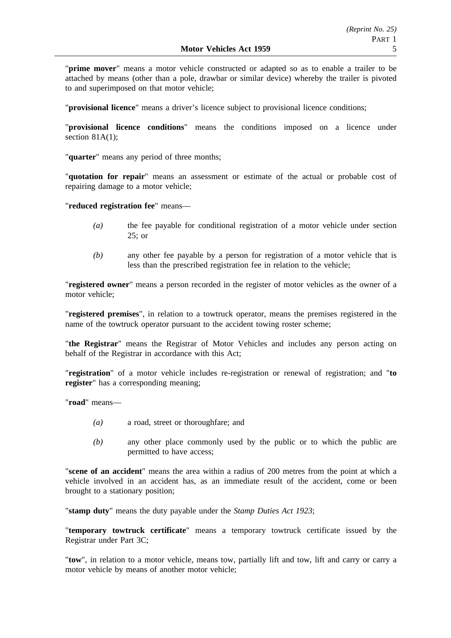"**prime mover**" means a motor vehicle constructed or adapted so as to enable a trailer to be attached by means (other than a pole, drawbar or similar device) whereby the trailer is pivoted to and superimposed on that motor vehicle;

"**provisional licence**" means a driver's licence subject to provisional licence conditions;

"**provisional licence conditions**" means the conditions imposed on a licence under section 81A(1):

"**quarter**" means any period of three months;

"**quotation for repair**" means an assessment or estimate of the actual or probable cost of repairing damage to a motor vehicle;

"**reduced registration fee**" means—

- *(a)* the fee payable for conditional registration of a motor vehicle under section 25; or
- *(b)* any other fee payable by a person for registration of a motor vehicle that is less than the prescribed registration fee in relation to the vehicle;

"**registered owner**" means a person recorded in the register of motor vehicles as the owner of a motor vehicle;

"**registered premises**", in relation to a towtruck operator, means the premises registered in the name of the towtruck operator pursuant to the accident towing roster scheme;

"**the Registrar**" means the Registrar of Motor Vehicles and includes any person acting on behalf of the Registrar in accordance with this Act;

"**registration**" of a motor vehicle includes re-registration or renewal of registration; and "**to register**" has a corresponding meaning;

"**road**" means—

- *(a)* a road, street or thoroughfare; and
- *(b)* any other place commonly used by the public or to which the public are permitted to have access;

"**scene of an accident**" means the area within a radius of 200 metres from the point at which a vehicle involved in an accident has, as an immediate result of the accident, come or been brought to a stationary position;

"**stamp duty**" means the duty payable under the *Stamp Duties Act 1923*;

"**temporary towtruck certificate**" means a temporary towtruck certificate issued by the Registrar under Part 3C;

"**tow**", in relation to a motor vehicle, means tow, partially lift and tow, lift and carry or carry a motor vehicle by means of another motor vehicle;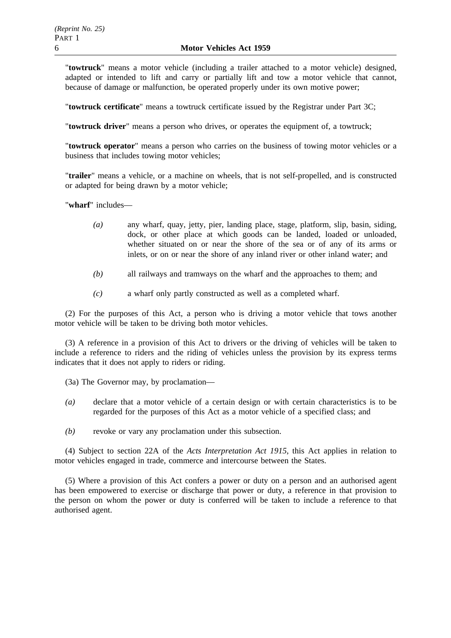"**towtruck**" means a motor vehicle (including a trailer attached to a motor vehicle) designed, adapted or intended to lift and carry or partially lift and tow a motor vehicle that cannot, because of damage or malfunction, be operated properly under its own motive power;

"**towtruck certificate**" means a towtruck certificate issued by the Registrar under Part 3C;

"**towtruck driver**" means a person who drives, or operates the equipment of, a towtruck;

"**towtruck operator**" means a person who carries on the business of towing motor vehicles or a business that includes towing motor vehicles;

"**trailer**" means a vehicle, or a machine on wheels, that is not self-propelled, and is constructed or adapted for being drawn by a motor vehicle;

"**wharf**" includes—

- *(a)* any wharf, quay, jetty, pier, landing place, stage, platform, slip, basin, siding, dock, or other place at which goods can be landed, loaded or unloaded, whether situated on or near the shore of the sea or of any of its arms or inlets, or on or near the shore of any inland river or other inland water; and
- *(b)* all railways and tramways on the wharf and the approaches to them; and
- *(c)* a wharf only partly constructed as well as a completed wharf.

(2) For the purposes of this Act, a person who is driving a motor vehicle that tows another motor vehicle will be taken to be driving both motor vehicles.

(3) A reference in a provision of this Act to drivers or the driving of vehicles will be taken to include a reference to riders and the riding of vehicles unless the provision by its express terms indicates that it does not apply to riders or riding.

(3a) The Governor may, by proclamation—

- *(a)* declare that a motor vehicle of a certain design or with certain characteristics is to be regarded for the purposes of this Act as a motor vehicle of a specified class; and
- *(b)* revoke or vary any proclamation under this subsection.

(4) Subject to section 22A of the *Acts Interpretation Act 1915*, this Act applies in relation to motor vehicles engaged in trade, commerce and intercourse between the States.

(5) Where a provision of this Act confers a power or duty on a person and an authorised agent has been empowered to exercise or discharge that power or duty, a reference in that provision to the person on whom the power or duty is conferred will be taken to include a reference to that authorised agent.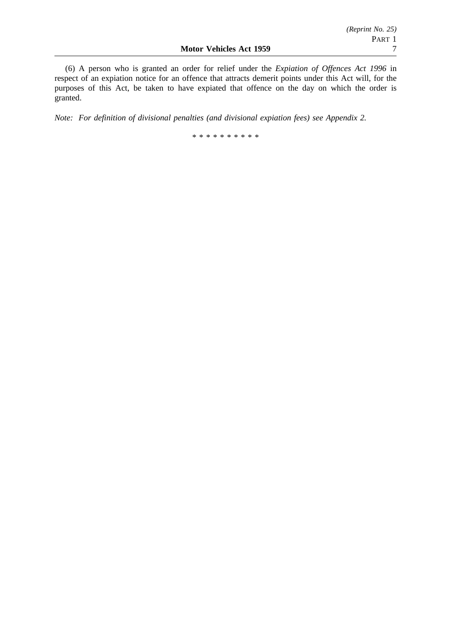(6) A person who is granted an order for relief under the *Expiation of Offences Act 1996* in respect of an expiation notice for an offence that attracts demerit points under this Act will, for the purposes of this Act, be taken to have expiated that offence on the day on which the order is granted.

*Note: For definition of divisional penalties (and divisional expiation fees) see Appendix 2.*

\*\*\*\*\*\*\*\*\*\*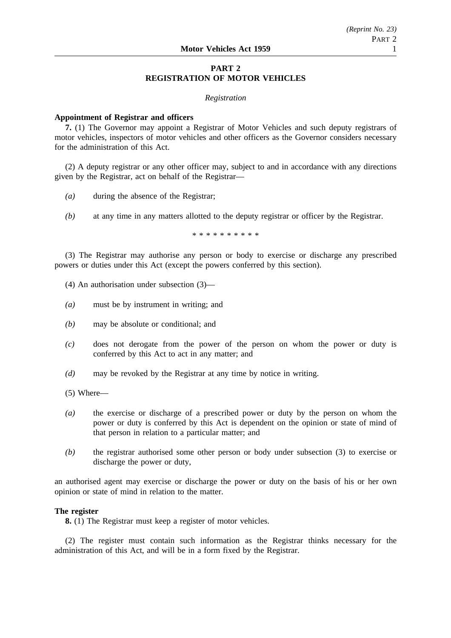# **PART 2 REGISTRATION OF MOTOR VEHICLES**

#### *Registration*

#### **Appointment of Registrar and officers**

**7.** (1) The Governor may appoint a Registrar of Motor Vehicles and such deputy registrars of motor vehicles, inspectors of motor vehicles and other officers as the Governor considers necessary for the administration of this Act.

(2) A deputy registrar or any other officer may, subject to and in accordance with any directions given by the Registrar, act on behalf of the Registrar—

- *(a)* during the absence of the Registrar;
- *(b)* at any time in any matters allotted to the deputy registrar or officer by the Registrar.

\*\*\*\*\*\*\*\*\*\*

(3) The Registrar may authorise any person or body to exercise or discharge any prescribed powers or duties under this Act (except the powers conferred by this section).

- (4) An authorisation under subsection (3)—
- *(a)* must be by instrument in writing; and
- *(b)* may be absolute or conditional; and
- *(c)* does not derogate from the power of the person on whom the power or duty is conferred by this Act to act in any matter; and
- *(d)* may be revoked by the Registrar at any time by notice in writing.
- (5) Where—
- *(a)* the exercise or discharge of a prescribed power or duty by the person on whom the power or duty is conferred by this Act is dependent on the opinion or state of mind of that person in relation to a particular matter; and
- *(b)* the registrar authorised some other person or body under subsection (3) to exercise or discharge the power or duty,

an authorised agent may exercise or discharge the power or duty on the basis of his or her own opinion or state of mind in relation to the matter.

# **The register**

**8.** (1) The Registrar must keep a register of motor vehicles.

(2) The register must contain such information as the Registrar thinks necessary for the administration of this Act, and will be in a form fixed by the Registrar.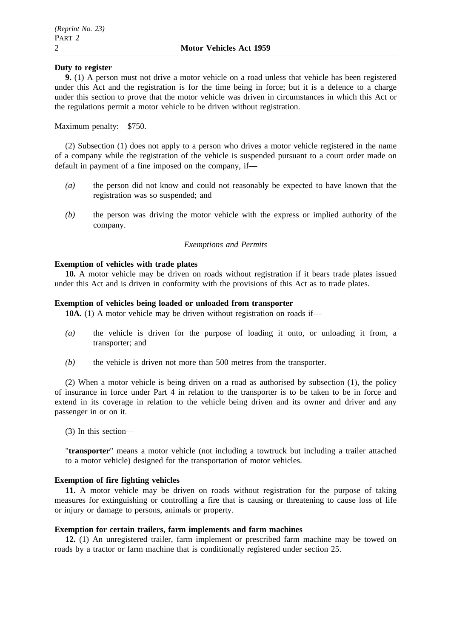# **Duty to register**

**9.** (1) A person must not drive a motor vehicle on a road unless that vehicle has been registered under this Act and the registration is for the time being in force; but it is a defence to a charge under this section to prove that the motor vehicle was driven in circumstances in which this Act or the regulations permit a motor vehicle to be driven without registration.

Maximum penalty: \$750.

(2) Subsection (1) does not apply to a person who drives a motor vehicle registered in the name of a company while the registration of the vehicle is suspended pursuant to a court order made on default in payment of a fine imposed on the company, if—

- *(a)* the person did not know and could not reasonably be expected to have known that the registration was so suspended; and
- *(b)* the person was driving the motor vehicle with the express or implied authority of the company.

# *Exemptions and Permits*

# **Exemption of vehicles with trade plates**

**10.** A motor vehicle may be driven on roads without registration if it bears trade plates issued under this Act and is driven in conformity with the provisions of this Act as to trade plates.

# **Exemption of vehicles being loaded or unloaded from transporter**

**10A.** (1) A motor vehicle may be driven without registration on roads if—

- *(a)* the vehicle is driven for the purpose of loading it onto, or unloading it from, a transporter; and
- *(b)* the vehicle is driven not more than 500 metres from the transporter.

(2) When a motor vehicle is being driven on a road as authorised by subsection (1), the policy of insurance in force under Part 4 in relation to the transporter is to be taken to be in force and extend in its coverage in relation to the vehicle being driven and its owner and driver and any passenger in or on it.

(3) In this section—

"**transporter**" means a motor vehicle (not including a towtruck but including a trailer attached to a motor vehicle) designed for the transportation of motor vehicles.

# **Exemption of fire fighting vehicles**

**11.** A motor vehicle may be driven on roads without registration for the purpose of taking measures for extinguishing or controlling a fire that is causing or threatening to cause loss of life or injury or damage to persons, animals or property.

# **Exemption for certain trailers, farm implements and farm machines**

**12.** (1) An unregistered trailer, farm implement or prescribed farm machine may be towed on roads by a tractor or farm machine that is conditionally registered under section 25.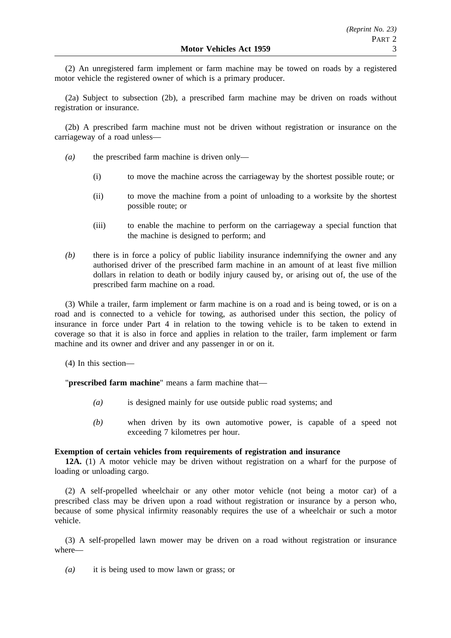(2) An unregistered farm implement or farm machine may be towed on roads by a registered motor vehicle the registered owner of which is a primary producer.

(2a) Subject to subsection (2b), a prescribed farm machine may be driven on roads without registration or insurance.

(2b) A prescribed farm machine must not be driven without registration or insurance on the carriageway of a road unless—

- *(a)* the prescribed farm machine is driven only—
	- (i) to move the machine across the carriageway by the shortest possible route; or
	- (ii) to move the machine from a point of unloading to a worksite by the shortest possible route; or
	- (iii) to enable the machine to perform on the carriageway a special function that the machine is designed to perform; and
- *(b)* there is in force a policy of public liability insurance indemnifying the owner and any authorised driver of the prescribed farm machine in an amount of at least five million dollars in relation to death or bodily injury caused by, or arising out of, the use of the prescribed farm machine on a road.

(3) While a trailer, farm implement or farm machine is on a road and is being towed, or is on a road and is connected to a vehicle for towing, as authorised under this section, the policy of insurance in force under Part 4 in relation to the towing vehicle is to be taken to extend in coverage so that it is also in force and applies in relation to the trailer, farm implement or farm machine and its owner and driver and any passenger in or on it.

(4) In this section—

"**prescribed farm machine**" means a farm machine that—

- *(a)* is designed mainly for use outside public road systems; and
- *(b)* when driven by its own automotive power, is capable of a speed not exceeding 7 kilometres per hour.

# **Exemption of certain vehicles from requirements of registration and insurance**

**12A.** (1) A motor vehicle may be driven without registration on a wharf for the purpose of loading or unloading cargo.

(2) A self-propelled wheelchair or any other motor vehicle (not being a motor car) of a prescribed class may be driven upon a road without registration or insurance by a person who, because of some physical infirmity reasonably requires the use of a wheelchair or such a motor vehicle.

(3) A self-propelled lawn mower may be driven on a road without registration or insurance where—

*(a)* it is being used to mow lawn or grass; or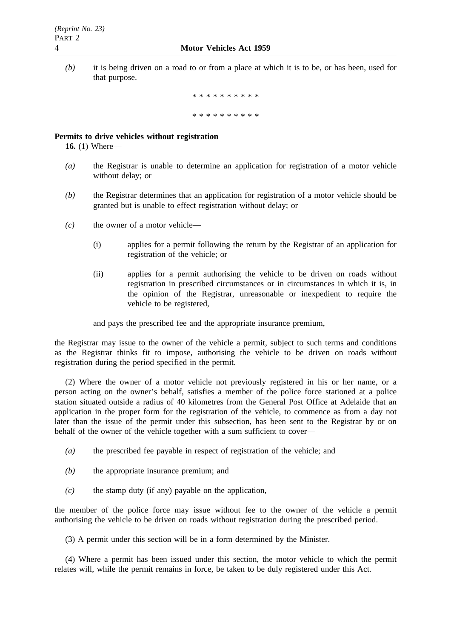*(b)* it is being driven on a road to or from a place at which it is to be, or has been, used for that purpose.

> \*\*\*\*\*\*\*\*\*\* \*\*\*\*\*\*\*\*\*\*\*\*\*

# **Permits to drive vehicles without registration**

**16.** (1) Where—

- *(a)* the Registrar is unable to determine an application for registration of a motor vehicle without delay; or
- *(b)* the Registrar determines that an application for registration of a motor vehicle should be granted but is unable to effect registration without delay; or
- *(c)* the owner of a motor vehicle—
	- (i) applies for a permit following the return by the Registrar of an application for registration of the vehicle; or
	- (ii) applies for a permit authorising the vehicle to be driven on roads without registration in prescribed circumstances or in circumstances in which it is, in the opinion of the Registrar, unreasonable or inexpedient to require the vehicle to be registered,

and pays the prescribed fee and the appropriate insurance premium,

the Registrar may issue to the owner of the vehicle a permit, subject to such terms and conditions as the Registrar thinks fit to impose, authorising the vehicle to be driven on roads without registration during the period specified in the permit.

(2) Where the owner of a motor vehicle not previously registered in his or her name, or a person acting on the owner's behalf, satisfies a member of the police force stationed at a police station situated outside a radius of 40 kilometres from the General Post Office at Adelaide that an application in the proper form for the registration of the vehicle, to commence as from a day not later than the issue of the permit under this subsection, has been sent to the Registrar by or on behalf of the owner of the vehicle together with a sum sufficient to cover—

- *(a)* the prescribed fee payable in respect of registration of the vehicle; and
- *(b)* the appropriate insurance premium; and
- *(c)* the stamp duty (if any) payable on the application,

the member of the police force may issue without fee to the owner of the vehicle a permit authorising the vehicle to be driven on roads without registration during the prescribed period.

(3) A permit under this section will be in a form determined by the Minister.

(4) Where a permit has been issued under this section, the motor vehicle to which the permit relates will, while the permit remains in force, be taken to be duly registered under this Act.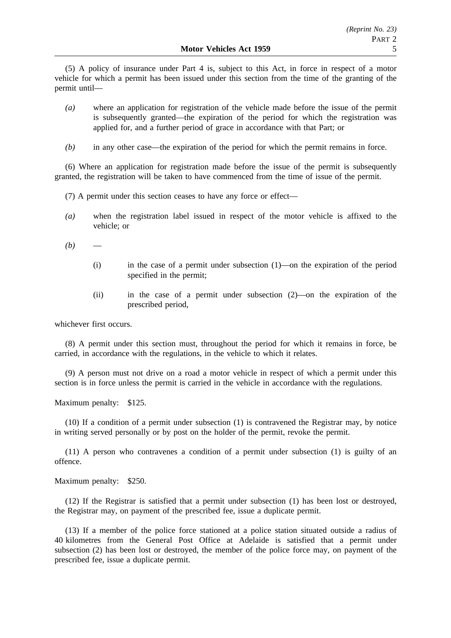(5) A policy of insurance under Part 4 is, subject to this Act, in force in respect of a motor vehicle for which a permit has been issued under this section from the time of the granting of the permit until—

- *(a)* where an application for registration of the vehicle made before the issue of the permit is subsequently granted—the expiration of the period for which the registration was applied for, and a further period of grace in accordance with that Part; or
- *(b)* in any other case—the expiration of the period for which the permit remains in force.

(6) Where an application for registration made before the issue of the permit is subsequently granted, the registration will be taken to have commenced from the time of issue of the permit.

- (7) A permit under this section ceases to have any force or effect—
- *(a)* when the registration label issued in respect of the motor vehicle is affixed to the vehicle; or
- $(b)$ 
	- (i) in the case of a permit under subsection (1)—on the expiration of the period specified in the permit;
	- (ii) in the case of a permit under subsection (2)—on the expiration of the prescribed period,

whichever first occurs.

(8) A permit under this section must, throughout the period for which it remains in force, be carried, in accordance with the regulations, in the vehicle to which it relates.

(9) A person must not drive on a road a motor vehicle in respect of which a permit under this section is in force unless the permit is carried in the vehicle in accordance with the regulations.

Maximum penalty: \$125.

(10) If a condition of a permit under subsection (1) is contravened the Registrar may, by notice in writing served personally or by post on the holder of the permit, revoke the permit.

(11) A person who contravenes a condition of a permit under subsection (1) is guilty of an offence.

Maximum penalty: \$250.

(12) If the Registrar is satisfied that a permit under subsection (1) has been lost or destroyed, the Registrar may, on payment of the prescribed fee, issue a duplicate permit.

(13) If a member of the police force stationed at a police station situated outside a radius of 40 kilometres from the General Post Office at Adelaide is satisfied that a permit under subsection (2) has been lost or destroyed, the member of the police force may, on payment of the prescribed fee, issue a duplicate permit.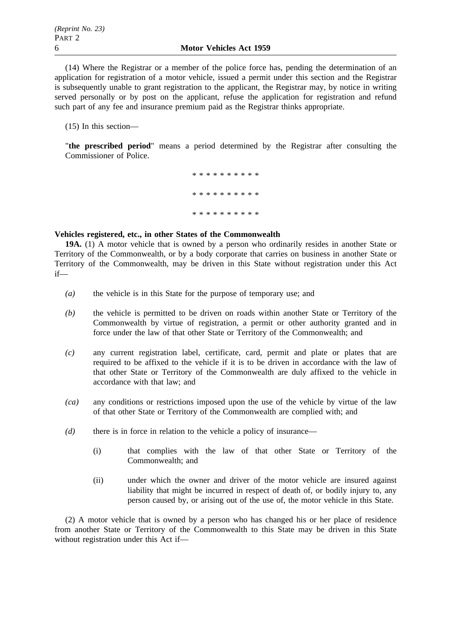(14) Where the Registrar or a member of the police force has, pending the determination of an application for registration of a motor vehicle, issued a permit under this section and the Registrar is subsequently unable to grant registration to the applicant, the Registrar may, by notice in writing served personally or by post on the applicant, refuse the application for registration and refund such part of any fee and insurance premium paid as the Registrar thinks appropriate.

(15) In this section—

"**the prescribed period**" means a period determined by the Registrar after consulting the Commissioner of Police.

> \*\*\*\*\*\*\*\*\*\* \*\*\*\*\*\*\*\*\*\* \*\*\*\*\*\*\*\*\*\*

#### **Vehicles registered, etc., in other States of the Commonwealth**

**19A.** (1) A motor vehicle that is owned by a person who ordinarily resides in another State or Territory of the Commonwealth, or by a body corporate that carries on business in another State or Territory of the Commonwealth, may be driven in this State without registration under this Act if—

- *(a)* the vehicle is in this State for the purpose of temporary use; and
- *(b)* the vehicle is permitted to be driven on roads within another State or Territory of the Commonwealth by virtue of registration, a permit or other authority granted and in force under the law of that other State or Territory of the Commonwealth; and
- *(c)* any current registration label, certificate, card, permit and plate or plates that are required to be affixed to the vehicle if it is to be driven in accordance with the law of that other State or Territory of the Commonwealth are duly affixed to the vehicle in accordance with that law; and
- *(ca)* any conditions or restrictions imposed upon the use of the vehicle by virtue of the law of that other State or Territory of the Commonwealth are complied with; and
- *(d)* there is in force in relation to the vehicle a policy of insurance—
	- (i) that complies with the law of that other State or Territory of the Commonwealth; and
	- (ii) under which the owner and driver of the motor vehicle are insured against liability that might be incurred in respect of death of, or bodily injury to, any person caused by, or arising out of the use of, the motor vehicle in this State.

(2) A motor vehicle that is owned by a person who has changed his or her place of residence from another State or Territory of the Commonwealth to this State may be driven in this State without registration under this Act if—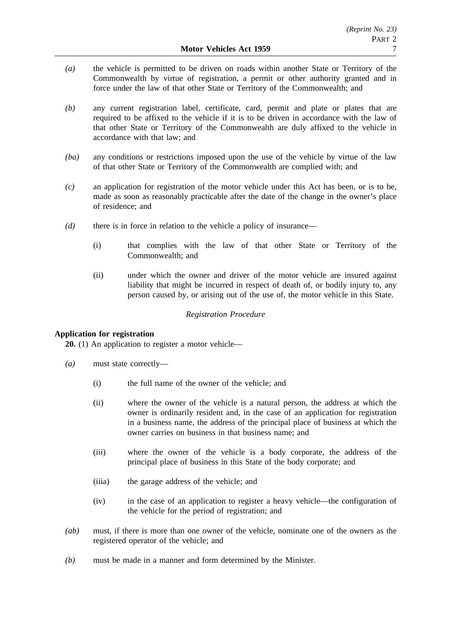- *(a)* the vehicle is permitted to be driven on roads within another State or Territory of the Commonwealth by virtue of registration, a permit or other authority granted and in force under the law of that other State or Territory of the Commonwealth; and
- *(b)* any current registration label, certificate, card, permit and plate or plates that are required to be affixed to the vehicle if it is to be driven in accordance with the law of that other State or Territory of the Commonwealth are duly affixed to the vehicle in accordance with that law; and
- *(ba)* any conditions or restrictions imposed upon the use of the vehicle by virtue of the law of that other State or Territory of the Commonwealth are complied with; and
- *(c)* an application for registration of the motor vehicle under this Act has been, or is to be, made as soon as reasonably practicable after the date of the change in the owner's place of residence; and
- *(d)* there is in force in relation to the vehicle a policy of insurance—
	- (i) that complies with the law of that other State or Territory of the Commonwealth; and
	- (ii) under which the owner and driver of the motor vehicle are insured against liability that might be incurred in respect of death of, or bodily injury to, any person caused by, or arising out of the use of, the motor vehicle in this State.

# *Registration Procedure*

# **Application for registration**

**20.** (1) An application to register a motor vehicle—

- *(a)* must state correctly—
	- (i) the full name of the owner of the vehicle; and
	- (ii) where the owner of the vehicle is a natural person, the address at which the owner is ordinarily resident and, in the case of an application for registration in a business name, the address of the principal place of business at which the owner carries on business in that business name; and
	- (iii) where the owner of the vehicle is a body corporate, the address of the principal place of business in this State of the body corporate; and
	- (iiia) the garage address of the vehicle; and
	- (iv) in the case of an application to register a heavy vehicle—the configuration of the vehicle for the period of registration; and
- *(ab)* must, if there is more than one owner of the vehicle, nominate one of the owners as the registered operator of the vehicle; and
- *(b)* must be made in a manner and form determined by the Minister.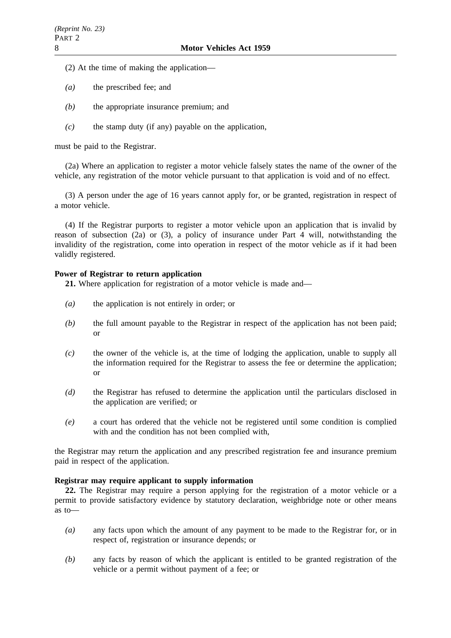- (2) At the time of making the application—
- *(a)* the prescribed fee; and
- *(b)* the appropriate insurance premium; and
- *(c)* the stamp duty (if any) payable on the application,

must be paid to the Registrar.

(2a) Where an application to register a motor vehicle falsely states the name of the owner of the vehicle, any registration of the motor vehicle pursuant to that application is void and of no effect.

(3) A person under the age of 16 years cannot apply for, or be granted, registration in respect of a motor vehicle.

(4) If the Registrar purports to register a motor vehicle upon an application that is invalid by reason of subsection (2a) or (3), a policy of insurance under Part 4 will, notwithstanding the invalidity of the registration, come into operation in respect of the motor vehicle as if it had been validly registered.

# **Power of Registrar to return application**

21. Where application for registration of a motor vehicle is made and—

- *(a)* the application is not entirely in order; or
- *(b)* the full amount payable to the Registrar in respect of the application has not been paid; or
- *(c)* the owner of the vehicle is, at the time of lodging the application, unable to supply all the information required for the Registrar to assess the fee or determine the application; or
- *(d)* the Registrar has refused to determine the application until the particulars disclosed in the application are verified; or
- *(e)* a court has ordered that the vehicle not be registered until some condition is complied with and the condition has not been complied with,

the Registrar may return the application and any prescribed registration fee and insurance premium paid in respect of the application.

# **Registrar may require applicant to supply information**

**22.** The Registrar may require a person applying for the registration of a motor vehicle or a permit to provide satisfactory evidence by statutory declaration, weighbridge note or other means as to—

- *(a)* any facts upon which the amount of any payment to be made to the Registrar for, or in respect of, registration or insurance depends; or
- *(b)* any facts by reason of which the applicant is entitled to be granted registration of the vehicle or a permit without payment of a fee; or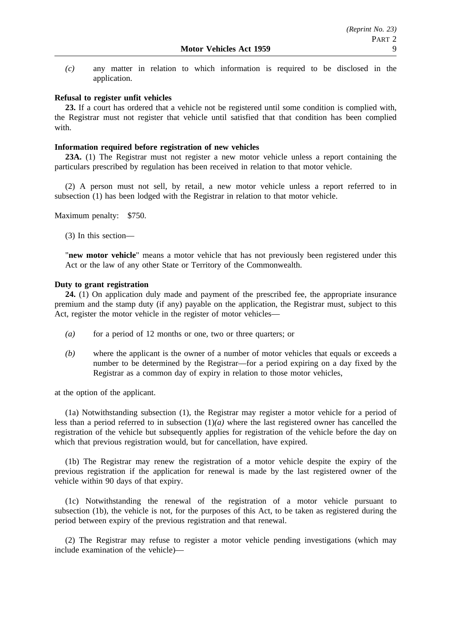*(c)* any matter in relation to which information is required to be disclosed in the application.

# **Refusal to register unfit vehicles**

**23.** If a court has ordered that a vehicle not be registered until some condition is complied with, the Registrar must not register that vehicle until satisfied that that condition has been complied with.

# **Information required before registration of new vehicles**

**23A.** (1) The Registrar must not register a new motor vehicle unless a report containing the particulars prescribed by regulation has been received in relation to that motor vehicle.

(2) A person must not sell, by retail, a new motor vehicle unless a report referred to in subsection (1) has been lodged with the Registrar in relation to that motor vehicle.

Maximum penalty: \$750.

(3) In this section—

"**new motor vehicle**" means a motor vehicle that has not previously been registered under this Act or the law of any other State or Territory of the Commonwealth.

# **Duty to grant registration**

**24.** (1) On application duly made and payment of the prescribed fee, the appropriate insurance premium and the stamp duty (if any) payable on the application, the Registrar must, subject to this Act, register the motor vehicle in the register of motor vehicles—

- *(a)* for a period of 12 months or one, two or three quarters; or
- *(b)* where the applicant is the owner of a number of motor vehicles that equals or exceeds a number to be determined by the Registrar—for a period expiring on a day fixed by the Registrar as a common day of expiry in relation to those motor vehicles,

at the option of the applicant.

(1a) Notwithstanding subsection (1), the Registrar may register a motor vehicle for a period of less than a period referred to in subsection (1)*(a)* where the last registered owner has cancelled the registration of the vehicle but subsequently applies for registration of the vehicle before the day on which that previous registration would, but for cancellation, have expired.

(1b) The Registrar may renew the registration of a motor vehicle despite the expiry of the previous registration if the application for renewal is made by the last registered owner of the vehicle within 90 days of that expiry.

(1c) Notwithstanding the renewal of the registration of a motor vehicle pursuant to subsection (1b), the vehicle is not, for the purposes of this Act, to be taken as registered during the period between expiry of the previous registration and that renewal.

(2) The Registrar may refuse to register a motor vehicle pending investigations (which may include examination of the vehicle)—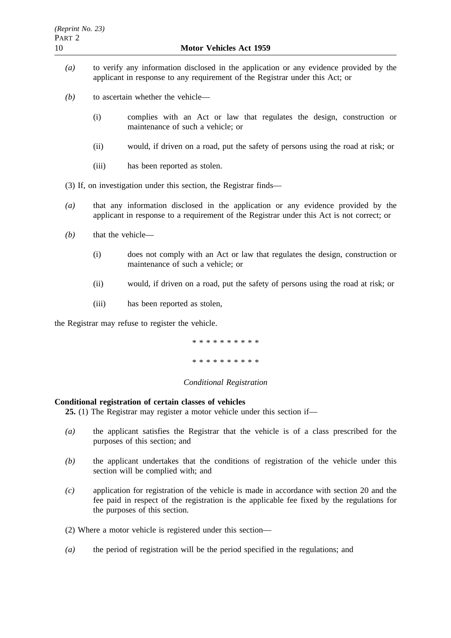- *(a)* to verify any information disclosed in the application or any evidence provided by the applicant in response to any requirement of the Registrar under this Act; or
- *(b)* to ascertain whether the vehicle—
	- (i) complies with an Act or law that regulates the design, construction or maintenance of such a vehicle; or
	- (ii) would, if driven on a road, put the safety of persons using the road at risk; or
	- (iii) has been reported as stolen.
- (3) If, on investigation under this section, the Registrar finds—
- *(a)* that any information disclosed in the application or any evidence provided by the applicant in response to a requirement of the Registrar under this Act is not correct; or
- *(b)* that the vehicle—
	- (i) does not comply with an Act or law that regulates the design, construction or maintenance of such a vehicle; or
	- (ii) would, if driven on a road, put the safety of persons using the road at risk; or
	- (iii) has been reported as stolen,

the Registrar may refuse to register the vehicle.

\*\*\*\*\*\*\*\*\*\*

\*\*\*\*\*\*\*\*\*\*

# *Conditional Registration*

# **Conditional registration of certain classes of vehicles**

**25.** (1) The Registrar may register a motor vehicle under this section if—

- *(a)* the applicant satisfies the Registrar that the vehicle is of a class prescribed for the purposes of this section; and
- *(b)* the applicant undertakes that the conditions of registration of the vehicle under this section will be complied with; and
- *(c)* application for registration of the vehicle is made in accordance with section 20 and the fee paid in respect of the registration is the applicable fee fixed by the regulations for the purposes of this section.
- (2) Where a motor vehicle is registered under this section—
- *(a)* the period of registration will be the period specified in the regulations; and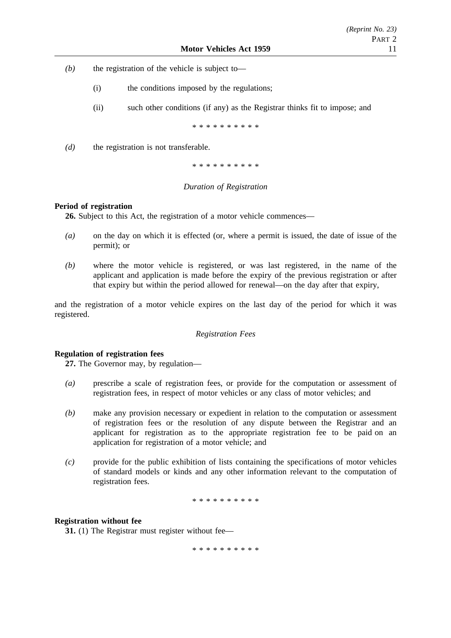- *(b)* the registration of the vehicle is subject to—
	- (i) the conditions imposed by the regulations;
	- (ii) such other conditions (if any) as the Registrar thinks fit to impose; and

\*\*\*\*\*\*\*\*\*\*

*(d)* the registration is not transferable.

\*\*\*\*\*\*\*\*\*\*

# *Duration of Registration*

#### **Period of registration**

**26.** Subject to this Act, the registration of a motor vehicle commences—

- *(a)* on the day on which it is effected (or, where a permit is issued, the date of issue of the permit); or
- *(b)* where the motor vehicle is registered, or was last registered, in the name of the applicant and application is made before the expiry of the previous registration or after that expiry but within the period allowed for renewal—on the day after that expiry,

and the registration of a motor vehicle expires on the last day of the period for which it was registered.

## *Registration Fees*

# **Regulation of registration fees**

**27.** The Governor may, by regulation—

- *(a)* prescribe a scale of registration fees, or provide for the computation or assessment of registration fees, in respect of motor vehicles or any class of motor vehicles; and
- *(b)* make any provision necessary or expedient in relation to the computation or assessment of registration fees or the resolution of any dispute between the Registrar and an applicant for registration as to the appropriate registration fee to be paid on an application for registration of a motor vehicle; and
- *(c)* provide for the public exhibition of lists containing the specifications of motor vehicles of standard models or kinds and any other information relevant to the computation of registration fees.

\*\*\*\*\*\*\*\*\*\*

#### **Registration without fee**

**31.** (1) The Registrar must register without fee—

\*\*\*\*\*\*\*\*\*\*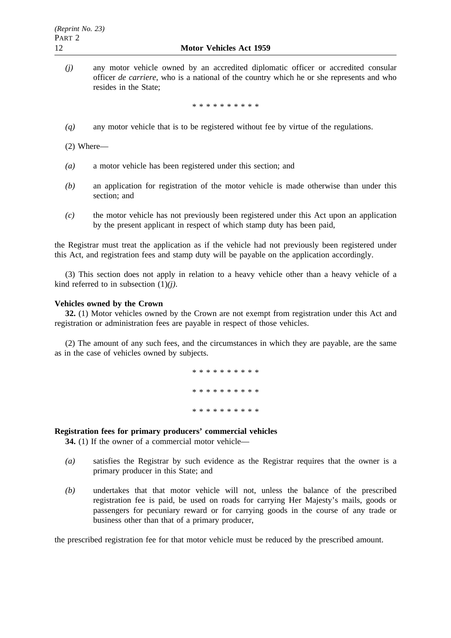*(j)* any motor vehicle owned by an accredited diplomatic officer or accredited consular officer *de carriere*, who is a national of the country which he or she represents and who resides in the State;

\*\*\*\*\*\*\*\*\*\*

*(q)* any motor vehicle that is to be registered without fee by virtue of the regulations.

(2) Where—

- *(a)* a motor vehicle has been registered under this section; and
- *(b)* an application for registration of the motor vehicle is made otherwise than under this section; and
- *(c)* the motor vehicle has not previously been registered under this Act upon an application by the present applicant in respect of which stamp duty has been paid,

the Registrar must treat the application as if the vehicle had not previously been registered under this Act, and registration fees and stamp duty will be payable on the application accordingly.

(3) This section does not apply in relation to a heavy vehicle other than a heavy vehicle of a kind referred to in subsection (1)*(j)*.

# **Vehicles owned by the Crown**

**32.** (1) Motor vehicles owned by the Crown are not exempt from registration under this Act and registration or administration fees are payable in respect of those vehicles.

(2) The amount of any such fees, and the circumstances in which they are payable, are the same as in the case of vehicles owned by subjects.

> \*\*\*\*\*\*\*\*\*\* \*\*\*\*\*\*\*\*\*\* \*\*\*\*\*\*\*\*\*\*

# **Registration fees for primary producers' commercial vehicles**

**34.** (1) If the owner of a commercial motor vehicle—

- *(a)* satisfies the Registrar by such evidence as the Registrar requires that the owner is a primary producer in this State; and
- *(b)* undertakes that that motor vehicle will not, unless the balance of the prescribed registration fee is paid, be used on roads for carrying Her Majesty's mails, goods or passengers for pecuniary reward or for carrying goods in the course of any trade or business other than that of a primary producer,

the prescribed registration fee for that motor vehicle must be reduced by the prescribed amount.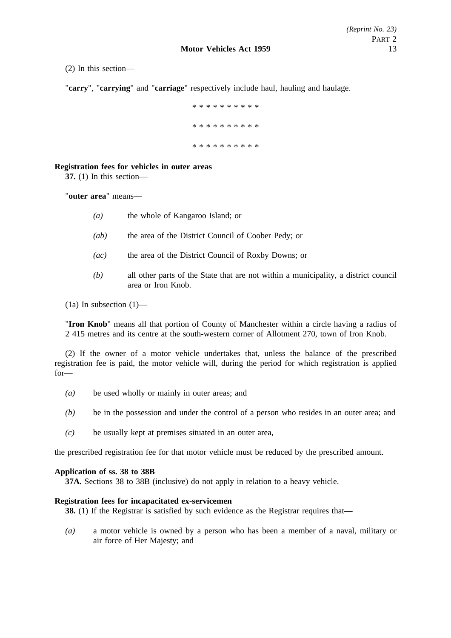(2) In this section—

"**carry**", "**carrying**" and "**carriage**" respectively include haul, hauling and haulage.

\*\*\*\*\*\*\*\*\*\* \*\*\*\*\*\*\*\*\*\* \*\*\*\*\*\*\*\*\*\*

# **Registration fees for vehicles in outer areas**

**37.** (1) In this section—

"**outer area**" means—

- *(a)* the whole of Kangaroo Island; or
- *(ab)* the area of the District Council of Coober Pedy; or
- *(ac)* the area of the District Council of Roxby Downs; or
- *(b)* all other parts of the State that are not within a municipality, a district council area or Iron Knob.
- $(1a)$  In subsection  $(1)$ —

"**Iron Knob**" means all that portion of County of Manchester within a circle having a radius of 2 415 metres and its centre at the south-western corner of Allotment 270, town of Iron Knob.

(2) If the owner of a motor vehicle undertakes that, unless the balance of the prescribed registration fee is paid, the motor vehicle will, during the period for which registration is applied for—

- *(a)* be used wholly or mainly in outer areas; and
- *(b)* be in the possession and under the control of a person who resides in an outer area; and
- *(c)* be usually kept at premises situated in an outer area,

the prescribed registration fee for that motor vehicle must be reduced by the prescribed amount.

# **Application of ss. 38 to 38B**

**37A.** Sections 38 to 38B (inclusive) do not apply in relation to a heavy vehicle.

# **Registration fees for incapacitated ex-servicemen**

**38.** (1) If the Registrar is satisfied by such evidence as the Registrar requires that—

*(a)* a motor vehicle is owned by a person who has been a member of a naval, military or air force of Her Majesty; and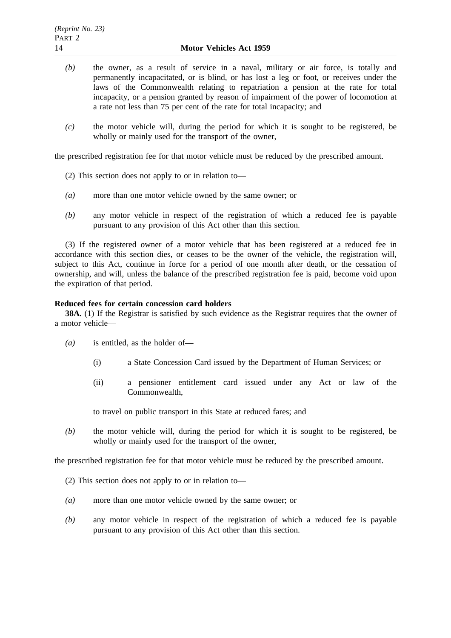- *(b)* the owner, as a result of service in a naval, military or air force, is totally and permanently incapacitated, or is blind, or has lost a leg or foot, or receives under the laws of the Commonwealth relating to repatriation a pension at the rate for total incapacity, or a pension granted by reason of impairment of the power of locomotion at a rate not less than 75 per cent of the rate for total incapacity; and
- *(c)* the motor vehicle will, during the period for which it is sought to be registered, be wholly or mainly used for the transport of the owner,

the prescribed registration fee for that motor vehicle must be reduced by the prescribed amount.

- (2) This section does not apply to or in relation to—
- *(a)* more than one motor vehicle owned by the same owner; or
- *(b)* any motor vehicle in respect of the registration of which a reduced fee is payable pursuant to any provision of this Act other than this section.

(3) If the registered owner of a motor vehicle that has been registered at a reduced fee in accordance with this section dies, or ceases to be the owner of the vehicle, the registration will, subject to this Act, continue in force for a period of one month after death, or the cessation of ownership, and will, unless the balance of the prescribed registration fee is paid, become void upon the expiration of that period.

# **Reduced fees for certain concession card holders**

**38A.** (1) If the Registrar is satisfied by such evidence as the Registrar requires that the owner of a motor vehicle—

- *(a)* is entitled, as the holder of—
	- (i) a State Concession Card issued by the Department of Human Services; or
	- (ii) a pensioner entitlement card issued under any Act or law of the Commonwealth,

to travel on public transport in this State at reduced fares; and

*(b)* the motor vehicle will, during the period for which it is sought to be registered, be wholly or mainly used for the transport of the owner,

the prescribed registration fee for that motor vehicle must be reduced by the prescribed amount.

(2) This section does not apply to or in relation to—

- *(a)* more than one motor vehicle owned by the same owner; or
- *(b)* any motor vehicle in respect of the registration of which a reduced fee is payable pursuant to any provision of this Act other than this section.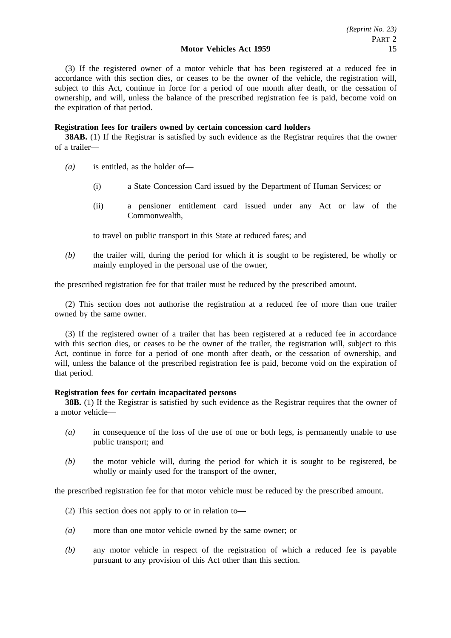(3) If the registered owner of a motor vehicle that has been registered at a reduced fee in accordance with this section dies, or ceases to be the owner of the vehicle, the registration will, subject to this Act, continue in force for a period of one month after death, or the cessation of ownership, and will, unless the balance of the prescribed registration fee is paid, become void on the expiration of that period.

# **Registration fees for trailers owned by certain concession card holders**

**38AB.** (1) If the Registrar is satisfied by such evidence as the Registrar requires that the owner of a trailer—

- *(a)* is entitled, as the holder of—
	- (i) a State Concession Card issued by the Department of Human Services; or
	- (ii) a pensioner entitlement card issued under any Act or law of the Commonwealth,

to travel on public transport in this State at reduced fares; and

*(b)* the trailer will, during the period for which it is sought to be registered, be wholly or mainly employed in the personal use of the owner,

the prescribed registration fee for that trailer must be reduced by the prescribed amount.

(2) This section does not authorise the registration at a reduced fee of more than one trailer owned by the same owner.

(3) If the registered owner of a trailer that has been registered at a reduced fee in accordance with this section dies, or ceases to be the owner of the trailer, the registration will, subject to this Act, continue in force for a period of one month after death, or the cessation of ownership, and will, unless the balance of the prescribed registration fee is paid, become void on the expiration of that period.

# **Registration fees for certain incapacitated persons**

**38B.** (1) If the Registrar is satisfied by such evidence as the Registrar requires that the owner of a motor vehicle—

- *(a)* in consequence of the loss of the use of one or both legs, is permanently unable to use public transport; and
- *(b)* the motor vehicle will, during the period for which it is sought to be registered, be wholly or mainly used for the transport of the owner,

the prescribed registration fee for that motor vehicle must be reduced by the prescribed amount.

- (2) This section does not apply to or in relation to—
- *(a)* more than one motor vehicle owned by the same owner; or
- *(b)* any motor vehicle in respect of the registration of which a reduced fee is payable pursuant to any provision of this Act other than this section.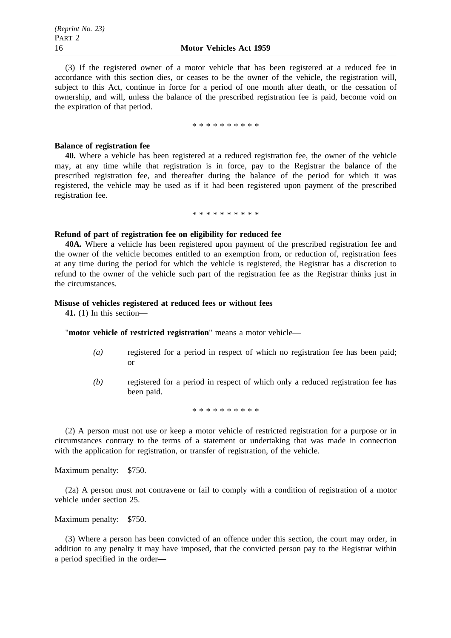(3) If the registered owner of a motor vehicle that has been registered at a reduced fee in accordance with this section dies, or ceases to be the owner of the vehicle, the registration will, subject to this Act, continue in force for a period of one month after death, or the cessation of ownership, and will, unless the balance of the prescribed registration fee is paid, become void on the expiration of that period.

\*\*\*\*\*\*\*\*\*\*

#### **Balance of registration fee**

**40.** Where a vehicle has been registered at a reduced registration fee, the owner of the vehicle may, at any time while that registration is in force, pay to the Registrar the balance of the prescribed registration fee, and thereafter during the balance of the period for which it was registered, the vehicle may be used as if it had been registered upon payment of the prescribed registration fee.

\*\*\*\*\*\*\*\*\*\*

#### **Refund of part of registration fee on eligibility for reduced fee**

**40A.** Where a vehicle has been registered upon payment of the prescribed registration fee and the owner of the vehicle becomes entitled to an exemption from, or reduction of, registration fees at any time during the period for which the vehicle is registered, the Registrar has a discretion to refund to the owner of the vehicle such part of the registration fee as the Registrar thinks just in the circumstances.

# **Misuse of vehicles registered at reduced fees or without fees**

**41.** (1) In this section—

"**motor vehicle of restricted registration**" means a motor vehicle—

- *(a)* registered for a period in respect of which no registration fee has been paid; or
- *(b)* registered for a period in respect of which only a reduced registration fee has been paid.

\*\*\*\*\*\*\*\*\*\*

(2) A person must not use or keep a motor vehicle of restricted registration for a purpose or in circumstances contrary to the terms of a statement or undertaking that was made in connection with the application for registration, or transfer of registration, of the vehicle.

Maximum penalty: \$750.

(2a) A person must not contravene or fail to comply with a condition of registration of a motor vehicle under section 25.

Maximum penalty: \$750.

(3) Where a person has been convicted of an offence under this section, the court may order, in addition to any penalty it may have imposed, that the convicted person pay to the Registrar within a period specified in the order—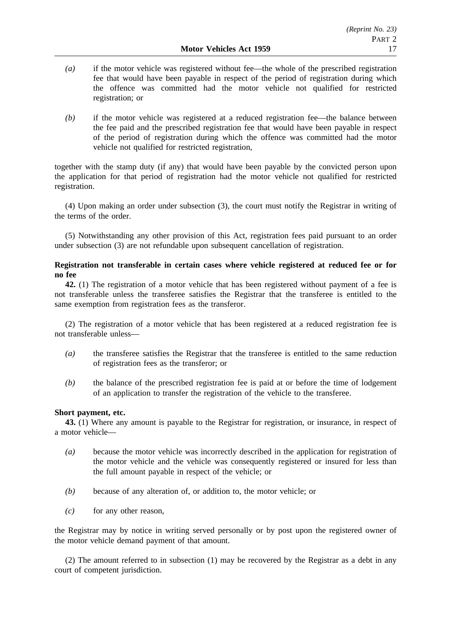- *(a)* if the motor vehicle was registered without fee—the whole of the prescribed registration fee that would have been payable in respect of the period of registration during which the offence was committed had the motor vehicle not qualified for restricted registration; or
- *(b)* if the motor vehicle was registered at a reduced registration fee—the balance between the fee paid and the prescribed registration fee that would have been payable in respect of the period of registration during which the offence was committed had the motor vehicle not qualified for restricted registration,

together with the stamp duty (if any) that would have been payable by the convicted person upon the application for that period of registration had the motor vehicle not qualified for restricted registration.

(4) Upon making an order under subsection (3), the court must notify the Registrar in writing of the terms of the order.

(5) Notwithstanding any other provision of this Act, registration fees paid pursuant to an order under subsection (3) are not refundable upon subsequent cancellation of registration.

# **Registration not transferable in certain cases where vehicle registered at reduced fee or for no fee**

**42.** (1) The registration of a motor vehicle that has been registered without payment of a fee is not transferable unless the transferee satisfies the Registrar that the transferee is entitled to the same exemption from registration fees as the transferor.

(2) The registration of a motor vehicle that has been registered at a reduced registration fee is not transferable unless—

- *(a)* the transferee satisfies the Registrar that the transferee is entitled to the same reduction of registration fees as the transferor; or
- *(b)* the balance of the prescribed registration fee is paid at or before the time of lodgement of an application to transfer the registration of the vehicle to the transferee.

# **Short payment, etc.**

**43.** (1) Where any amount is payable to the Registrar for registration, or insurance, in respect of a motor vehicle—

- *(a)* because the motor vehicle was incorrectly described in the application for registration of the motor vehicle and the vehicle was consequently registered or insured for less than the full amount payable in respect of the vehicle; or
- *(b)* because of any alteration of, or addition to, the motor vehicle; or
- *(c)* for any other reason,

the Registrar may by notice in writing served personally or by post upon the registered owner of the motor vehicle demand payment of that amount.

(2) The amount referred to in subsection (1) may be recovered by the Registrar as a debt in any court of competent jurisdiction.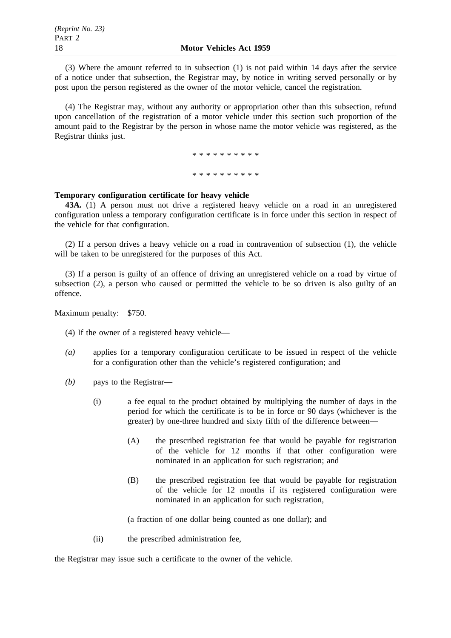(3) Where the amount referred to in subsection (1) is not paid within 14 days after the service of a notice under that subsection, the Registrar may, by notice in writing served personally or by post upon the person registered as the owner of the motor vehicle, cancel the registration.

(4) The Registrar may, without any authority or appropriation other than this subsection, refund upon cancellation of the registration of a motor vehicle under this section such proportion of the amount paid to the Registrar by the person in whose name the motor vehicle was registered, as the Registrar thinks just.

\*\*\*\*\*\*\*\*\*\*

\*\*\*\*\*\*\*\*\*\*

## **Temporary configuration certificate for heavy vehicle**

**43A.** (1) A person must not drive a registered heavy vehicle on a road in an unregistered configuration unless a temporary configuration certificate is in force under this section in respect of the vehicle for that configuration.

(2) If a person drives a heavy vehicle on a road in contravention of subsection (1), the vehicle will be taken to be unregistered for the purposes of this Act.

(3) If a person is guilty of an offence of driving an unregistered vehicle on a road by virtue of subsection (2), a person who caused or permitted the vehicle to be so driven is also guilty of an offence.

Maximum penalty: \$750.

(4) If the owner of a registered heavy vehicle—

- *(a)* applies for a temporary configuration certificate to be issued in respect of the vehicle for a configuration other than the vehicle's registered configuration; and
- *(b)* pays to the Registrar—
	- (i) a fee equal to the product obtained by multiplying the number of days in the period for which the certificate is to be in force or 90 days (whichever is the greater) by one-three hundred and sixty fifth of the difference between—
		- (A) the prescribed registration fee that would be payable for registration of the vehicle for 12 months if that other configuration were nominated in an application for such registration; and
		- (B) the prescribed registration fee that would be payable for registration of the vehicle for 12 months if its registered configuration were nominated in an application for such registration,

(a fraction of one dollar being counted as one dollar); and

(ii) the prescribed administration fee,

the Registrar may issue such a certificate to the owner of the vehicle.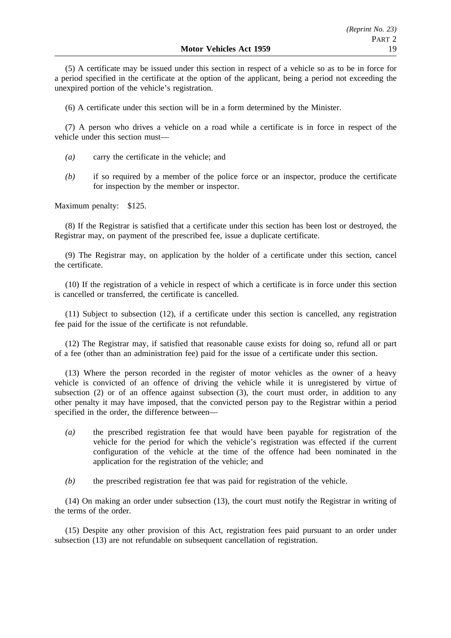(5) A certificate may be issued under this section in respect of a vehicle so as to be in force for a period specified in the certificate at the option of the applicant, being a period not exceeding the unexpired portion of the vehicle's registration.

(6) A certificate under this section will be in a form determined by the Minister.

(7) A person who drives a vehicle on a road while a certificate is in force in respect of the vehicle under this section must—

- *(a)* carry the certificate in the vehicle; and
- *(b)* if so required by a member of the police force or an inspector, produce the certificate for inspection by the member or inspector.

Maximum penalty: \$125.

(8) If the Registrar is satisfied that a certificate under this section has been lost or destroyed, the Registrar may, on payment of the prescribed fee, issue a duplicate certificate.

(9) The Registrar may, on application by the holder of a certificate under this section, cancel the certificate.

(10) If the registration of a vehicle in respect of which a certificate is in force under this section is cancelled or transferred, the certificate is cancelled.

(11) Subject to subsection (12), if a certificate under this section is cancelled, any registration fee paid for the issue of the certificate is not refundable.

(12) The Registrar may, if satisfied that reasonable cause exists for doing so, refund all or part of a fee (other than an administration fee) paid for the issue of a certificate under this section.

(13) Where the person recorded in the register of motor vehicles as the owner of a heavy vehicle is convicted of an offence of driving the vehicle while it is unregistered by virtue of subsection (2) or of an offence against subsection (3), the court must order, in addition to any other penalty it may have imposed, that the convicted person pay to the Registrar within a period specified in the order, the difference between—

- *(a)* the prescribed registration fee that would have been payable for registration of the vehicle for the period for which the vehicle's registration was effected if the current configuration of the vehicle at the time of the offence had been nominated in the application for the registration of the vehicle; and
- *(b)* the prescribed registration fee that was paid for registration of the vehicle.

(14) On making an order under subsection (13), the court must notify the Registrar in writing of the terms of the order.

(15) Despite any other provision of this Act, registration fees paid pursuant to an order under subsection (13) are not refundable on subsequent cancellation of registration.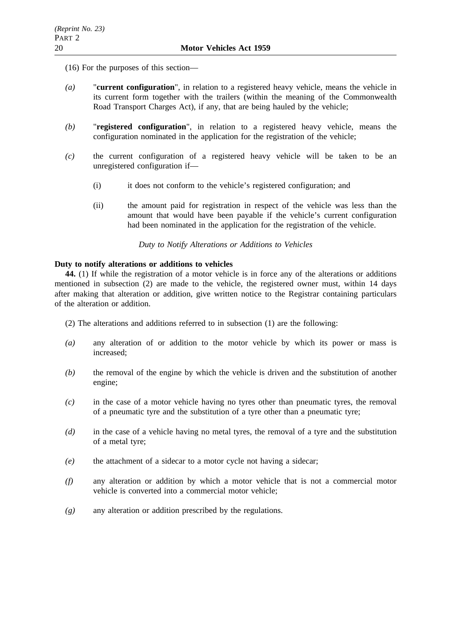(16) For the purposes of this section—

- *(a)* "**current configuration**", in relation to a registered heavy vehicle, means the vehicle in its current form together with the trailers (within the meaning of the Commonwealth Road Transport Charges Act), if any, that are being hauled by the vehicle;
- *(b)* "**registered configuration**", in relation to a registered heavy vehicle, means the configuration nominated in the application for the registration of the vehicle;
- *(c)* the current configuration of a registered heavy vehicle will be taken to be an unregistered configuration if—
	- (i) it does not conform to the vehicle's registered configuration; and
	- (ii) the amount paid for registration in respect of the vehicle was less than the amount that would have been payable if the vehicle's current configuration had been nominated in the application for the registration of the vehicle.

*Duty to Notify Alterations or Additions to Vehicles*

# **Duty to notify alterations or additions to vehicles**

**44.** (1) If while the registration of a motor vehicle is in force any of the alterations or additions mentioned in subsection (2) are made to the vehicle, the registered owner must, within 14 days after making that alteration or addition, give written notice to the Registrar containing particulars of the alteration or addition.

- (2) The alterations and additions referred to in subsection (1) are the following:
- *(a)* any alteration of or addition to the motor vehicle by which its power or mass is increased;
- *(b)* the removal of the engine by which the vehicle is driven and the substitution of another engine;
- *(c)* in the case of a motor vehicle having no tyres other than pneumatic tyres, the removal of a pneumatic tyre and the substitution of a tyre other than a pneumatic tyre;
- *(d)* in the case of a vehicle having no metal tyres, the removal of a tyre and the substitution of a metal tyre;
- *(e)* the attachment of a sidecar to a motor cycle not having a sidecar;
- *(f)* any alteration or addition by which a motor vehicle that is not a commercial motor vehicle is converted into a commercial motor vehicle;
- *(g)* any alteration or addition prescribed by the regulations.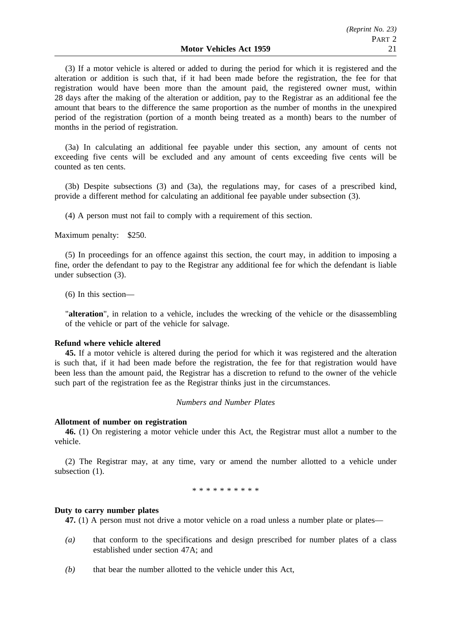(3) If a motor vehicle is altered or added to during the period for which it is registered and the alteration or addition is such that, if it had been made before the registration, the fee for that registration would have been more than the amount paid, the registered owner must, within 28 days after the making of the alteration or addition, pay to the Registrar as an additional fee the amount that bears to the difference the same proportion as the number of months in the unexpired period of the registration (portion of a month being treated as a month) bears to the number of months in the period of registration.

(3a) In calculating an additional fee payable under this section, any amount of cents not exceeding five cents will be excluded and any amount of cents exceeding five cents will be counted as ten cents.

(3b) Despite subsections (3) and (3a), the regulations may, for cases of a prescribed kind, provide a different method for calculating an additional fee payable under subsection (3).

(4) A person must not fail to comply with a requirement of this section.

Maximum penalty: \$250.

(5) In proceedings for an offence against this section, the court may, in addition to imposing a fine, order the defendant to pay to the Registrar any additional fee for which the defendant is liable under subsection (3).

(6) In this section—

"**alteration**", in relation to a vehicle, includes the wrecking of the vehicle or the disassembling of the vehicle or part of the vehicle for salvage.

# **Refund where vehicle altered**

**45.** If a motor vehicle is altered during the period for which it was registered and the alteration is such that, if it had been made before the registration, the fee for that registration would have been less than the amount paid, the Registrar has a discretion to refund to the owner of the vehicle such part of the registration fee as the Registrar thinks just in the circumstances.

# *Numbers and Number Plates*

#### **Allotment of number on registration**

**46.** (1) On registering a motor vehicle under this Act, the Registrar must allot a number to the vehicle.

(2) The Registrar may, at any time, vary or amend the number allotted to a vehicle under subsection  $(1)$ .

\*\*\*\*\*\*\*\*\*\*

#### **Duty to carry number plates**

**47.** (1) A person must not drive a motor vehicle on a road unless a number plate or plates—

- *(a)* that conform to the specifications and design prescribed for number plates of a class established under section 47A; and
- *(b)* that bear the number allotted to the vehicle under this Act,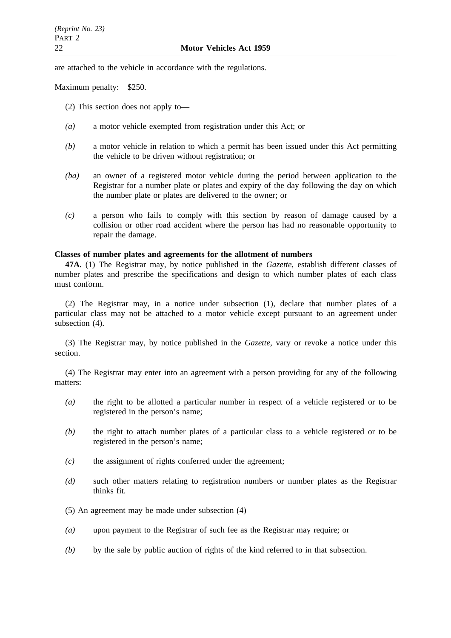are attached to the vehicle in accordance with the regulations.

Maximum penalty: \$250.

- (2) This section does not apply to—
- *(a)* a motor vehicle exempted from registration under this Act; or
- *(b)* a motor vehicle in relation to which a permit has been issued under this Act permitting the vehicle to be driven without registration; or
- *(ba)* an owner of a registered motor vehicle during the period between application to the Registrar for a number plate or plates and expiry of the day following the day on which the number plate or plates are delivered to the owner; or
- *(c)* a person who fails to comply with this section by reason of damage caused by a collision or other road accident where the person has had no reasonable opportunity to repair the damage.

# **Classes of number plates and agreements for the allotment of numbers**

**47A.** (1) The Registrar may, by notice published in the *Gazette*, establish different classes of number plates and prescribe the specifications and design to which number plates of each class must conform.

(2) The Registrar may, in a notice under subsection (1), declare that number plates of a particular class may not be attached to a motor vehicle except pursuant to an agreement under subsection (4).

(3) The Registrar may, by notice published in the *Gazette*, vary or revoke a notice under this section.

(4) The Registrar may enter into an agreement with a person providing for any of the following matters:

- *(a)* the right to be allotted a particular number in respect of a vehicle registered or to be registered in the person's name;
- *(b)* the right to attach number plates of a particular class to a vehicle registered or to be registered in the person's name;
- *(c)* the assignment of rights conferred under the agreement;
- *(d)* such other matters relating to registration numbers or number plates as the Registrar thinks fit.
- (5) An agreement may be made under subsection (4)—
- *(a)* upon payment to the Registrar of such fee as the Registrar may require; or
- *(b)* by the sale by public auction of rights of the kind referred to in that subsection.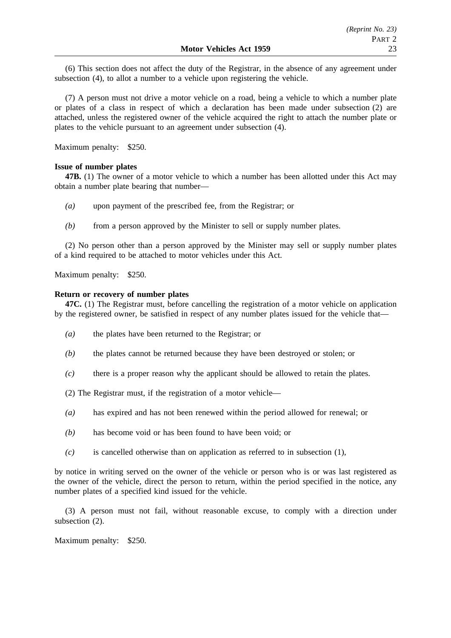(6) This section does not affect the duty of the Registrar, in the absence of any agreement under subsection (4), to allot a number to a vehicle upon registering the vehicle.

(7) A person must not drive a motor vehicle on a road, being a vehicle to which a number plate or plates of a class in respect of which a declaration has been made under subsection (2) are attached, unless the registered owner of the vehicle acquired the right to attach the number plate or plates to the vehicle pursuant to an agreement under subsection (4).

Maximum penalty: \$250.

# **Issue of number plates**

**47B.** (1) The owner of a motor vehicle to which a number has been allotted under this Act may obtain a number plate bearing that number—

- *(a)* upon payment of the prescribed fee, from the Registrar; or
- *(b)* from a person approved by the Minister to sell or supply number plates.

(2) No person other than a person approved by the Minister may sell or supply number plates of a kind required to be attached to motor vehicles under this Act.

Maximum penalty: \$250.

# **Return or recovery of number plates**

**47C.** (1) The Registrar must, before cancelling the registration of a motor vehicle on application by the registered owner, be satisfied in respect of any number plates issued for the vehicle that—

- *(a)* the plates have been returned to the Registrar; or
- *(b)* the plates cannot be returned because they have been destroyed or stolen; or
- *(c)* there is a proper reason why the applicant should be allowed to retain the plates.
- (2) The Registrar must, if the registration of a motor vehicle—
- *(a)* has expired and has not been renewed within the period allowed for renewal; or
- *(b)* has become void or has been found to have been void; or
- *(c)* is cancelled otherwise than on application as referred to in subsection (1),

by notice in writing served on the owner of the vehicle or person who is or was last registered as the owner of the vehicle, direct the person to return, within the period specified in the notice, any number plates of a specified kind issued for the vehicle.

(3) A person must not fail, without reasonable excuse, to comply with a direction under subsection (2).

Maximum penalty: \$250.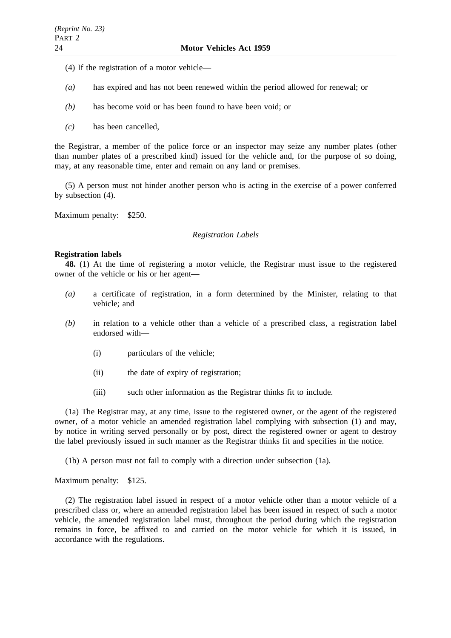- (4) If the registration of a motor vehicle—
- *(a)* has expired and has not been renewed within the period allowed for renewal; or
- *(b)* has become void or has been found to have been void; or
- *(c)* has been cancelled,

the Registrar, a member of the police force or an inspector may seize any number plates (other than number plates of a prescribed kind) issued for the vehicle and, for the purpose of so doing, may, at any reasonable time, enter and remain on any land or premises.

(5) A person must not hinder another person who is acting in the exercise of a power conferred by subsection (4).

Maximum penalty: \$250.

#### *Registration Labels*

#### **Registration labels**

**48.** (1) At the time of registering a motor vehicle, the Registrar must issue to the registered owner of the vehicle or his or her agent—

- *(a)* a certificate of registration, in a form determined by the Minister, relating to that vehicle; and
- *(b)* in relation to a vehicle other than a vehicle of a prescribed class, a registration label endorsed with—
	- (i) particulars of the vehicle;
	- (ii) the date of expiry of registration;
	- (iii) such other information as the Registrar thinks fit to include.

(1a) The Registrar may, at any time, issue to the registered owner, or the agent of the registered owner, of a motor vehicle an amended registration label complying with subsection (1) and may, by notice in writing served personally or by post, direct the registered owner or agent to destroy the label previously issued in such manner as the Registrar thinks fit and specifies in the notice.

(1b) A person must not fail to comply with a direction under subsection (1a).

Maximum penalty: \$125.

(2) The registration label issued in respect of a motor vehicle other than a motor vehicle of a prescribed class or, where an amended registration label has been issued in respect of such a motor vehicle, the amended registration label must, throughout the period during which the registration remains in force, be affixed to and carried on the motor vehicle for which it is issued, in accordance with the regulations.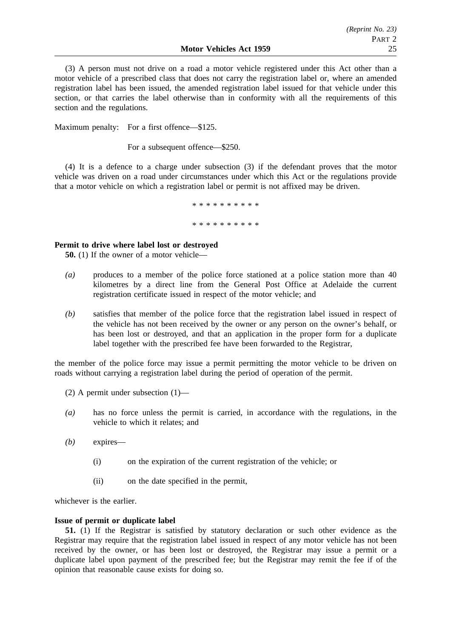(3) A person must not drive on a road a motor vehicle registered under this Act other than a motor vehicle of a prescribed class that does not carry the registration label or, where an amended registration label has been issued, the amended registration label issued for that vehicle under this section, or that carries the label otherwise than in conformity with all the requirements of this section and the regulations.

Maximum penalty: For a first offence—\$125.

For a subsequent offence—\$250.

(4) It is a defence to a charge under subsection (3) if the defendant proves that the motor vehicle was driven on a road under circumstances under which this Act or the regulations provide that a motor vehicle on which a registration label or permit is not affixed may be driven.

\*\*\*\*\*\*\*\*\*\*

\*\*\*\*\*\*\*\*\*\*

# **Permit to drive where label lost or destroyed**

**50.** (1) If the owner of a motor vehicle—

- *(a)* produces to a member of the police force stationed at a police station more than 40 kilometres by a direct line from the General Post Office at Adelaide the current registration certificate issued in respect of the motor vehicle; and
- *(b)* satisfies that member of the police force that the registration label issued in respect of the vehicle has not been received by the owner or any person on the owner's behalf, or has been lost or destroyed, and that an application in the proper form for a duplicate label together with the prescribed fee have been forwarded to the Registrar,

the member of the police force may issue a permit permitting the motor vehicle to be driven on roads without carrying a registration label during the period of operation of the permit.

- (2) A permit under subsection (1)—
- *(a)* has no force unless the permit is carried, in accordance with the regulations, in the vehicle to which it relates; and
- *(b)* expires—
	- (i) on the expiration of the current registration of the vehicle; or
	- (ii) on the date specified in the permit,

whichever is the earlier.

## **Issue of permit or duplicate label**

**51.** (1) If the Registrar is satisfied by statutory declaration or such other evidence as the Registrar may require that the registration label issued in respect of any motor vehicle has not been received by the owner, or has been lost or destroyed, the Registrar may issue a permit or a duplicate label upon payment of the prescribed fee; but the Registrar may remit the fee if of the opinion that reasonable cause exists for doing so.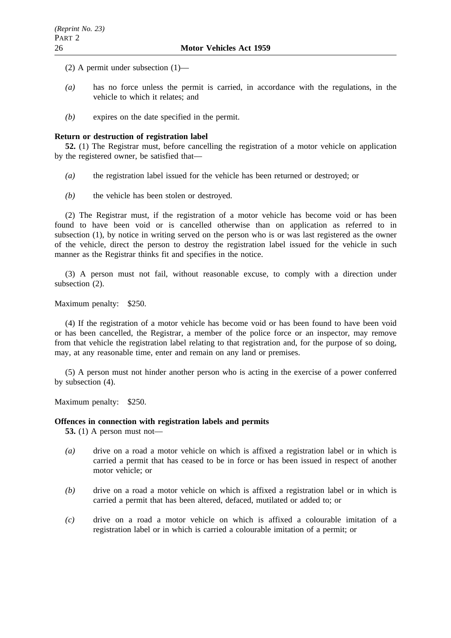(2) A permit under subsection (1)—

- *(a)* has no force unless the permit is carried, in accordance with the regulations, in the vehicle to which it relates; and
- *(b)* expires on the date specified in the permit.

## **Return or destruction of registration label**

**52.** (1) The Registrar must, before cancelling the registration of a motor vehicle on application by the registered owner, be satisfied that—

- *(a)* the registration label issued for the vehicle has been returned or destroyed; or
- *(b)* the vehicle has been stolen or destroyed.

(2) The Registrar must, if the registration of a motor vehicle has become void or has been found to have been void or is cancelled otherwise than on application as referred to in subsection (1), by notice in writing served on the person who is or was last registered as the owner of the vehicle, direct the person to destroy the registration label issued for the vehicle in such manner as the Registrar thinks fit and specifies in the notice.

(3) A person must not fail, without reasonable excuse, to comply with a direction under subsection (2).

Maximum penalty: \$250.

(4) If the registration of a motor vehicle has become void or has been found to have been void or has been cancelled, the Registrar, a member of the police force or an inspector, may remove from that vehicle the registration label relating to that registration and, for the purpose of so doing, may, at any reasonable time, enter and remain on any land or premises.

(5) A person must not hinder another person who is acting in the exercise of a power conferred by subsection (4).

Maximum penalty: \$250.

## **Offences in connection with registration labels and permits**

**53.** (1) A person must not—

- *(a)* drive on a road a motor vehicle on which is affixed a registration label or in which is carried a permit that has ceased to be in force or has been issued in respect of another motor vehicle; or
- *(b)* drive on a road a motor vehicle on which is affixed a registration label or in which is carried a permit that has been altered, defaced, mutilated or added to; or
- *(c)* drive on a road a motor vehicle on which is affixed a colourable imitation of a registration label or in which is carried a colourable imitation of a permit; or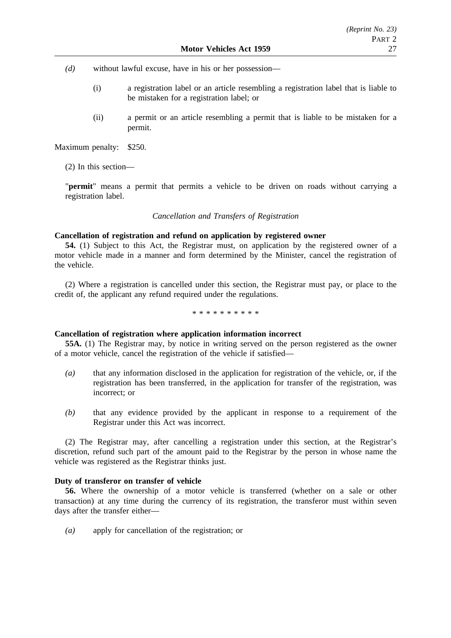*(d)* without lawful excuse, have in his or her possession—

- (i) a registration label or an article resembling a registration label that is liable to be mistaken for a registration label; or
- (ii) a permit or an article resembling a permit that is liable to be mistaken for a permit.

Maximum penalty: \$250.

(2) In this section—

"**permit**" means a permit that permits a vehicle to be driven on roads without carrying a registration label.

#### *Cancellation and Transfers of Registration*

## **Cancellation of registration and refund on application by registered owner**

**54.** (1) Subject to this Act, the Registrar must, on application by the registered owner of a motor vehicle made in a manner and form determined by the Minister, cancel the registration of the vehicle.

(2) Where a registration is cancelled under this section, the Registrar must pay, or place to the credit of, the applicant any refund required under the regulations.

\*\*\*\*\*\*\*\*\*\*

#### **Cancellation of registration where application information incorrect**

**55A.** (1) The Registrar may, by notice in writing served on the person registered as the owner of a motor vehicle, cancel the registration of the vehicle if satisfied—

- *(a)* that any information disclosed in the application for registration of the vehicle, or, if the registration has been transferred, in the application for transfer of the registration, was incorrect; or
- *(b)* that any evidence provided by the applicant in response to a requirement of the Registrar under this Act was incorrect.

(2) The Registrar may, after cancelling a registration under this section, at the Registrar's discretion, refund such part of the amount paid to the Registrar by the person in whose name the vehicle was registered as the Registrar thinks just.

# **Duty of transferor on transfer of vehicle**

**56.** Where the ownership of a motor vehicle is transferred (whether on a sale or other transaction) at any time during the currency of its registration, the transferor must within seven days after the transfer either—

*(a)* apply for cancellation of the registration; or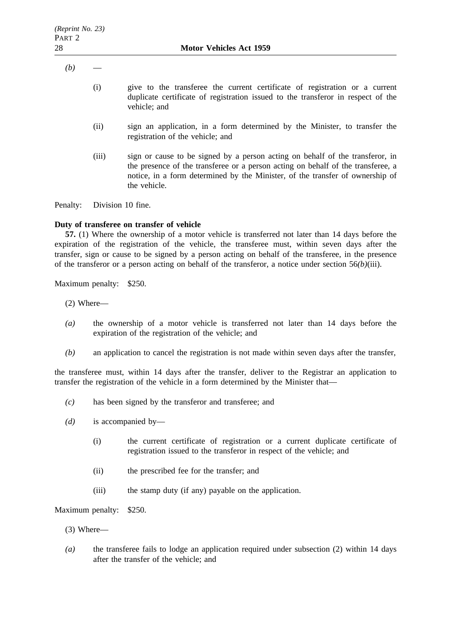- $(b)$ 
	- (i) give to the transferee the current certificate of registration or a current duplicate certificate of registration issued to the transferor in respect of the vehicle; and
	- (ii) sign an application, in a form determined by the Minister, to transfer the registration of the vehicle; and
	- (iii) sign or cause to be signed by a person acting on behalf of the transferor, in the presence of the transferee or a person acting on behalf of the transferee, a notice, in a form determined by the Minister, of the transfer of ownership of the vehicle.

Penalty: Division 10 fine.

#### **Duty of transferee on transfer of vehicle**

**57.** (1) Where the ownership of a motor vehicle is transferred not later than 14 days before the expiration of the registration of the vehicle, the transferee must, within seven days after the transfer, sign or cause to be signed by a person acting on behalf of the transferee, in the presence of the transferor or a person acting on behalf of the transferor, a notice under section 56*(b)*(iii).

Maximum penalty: \$250.

- (2) Where—
- *(a)* the ownership of a motor vehicle is transferred not later than 14 days before the expiration of the registration of the vehicle; and
- *(b)* an application to cancel the registration is not made within seven days after the transfer,

the transferee must, within 14 days after the transfer, deliver to the Registrar an application to transfer the registration of the vehicle in a form determined by the Minister that—

- *(c)* has been signed by the transferor and transferee; and
- *(d)* is accompanied by—
	- (i) the current certificate of registration or a current duplicate certificate of registration issued to the transferor in respect of the vehicle; and
	- (ii) the prescribed fee for the transfer; and
	- (iii) the stamp duty (if any) payable on the application.

Maximum penalty: \$250.

- (3) Where—
- *(a)* the transferee fails to lodge an application required under subsection (2) within 14 days after the transfer of the vehicle; and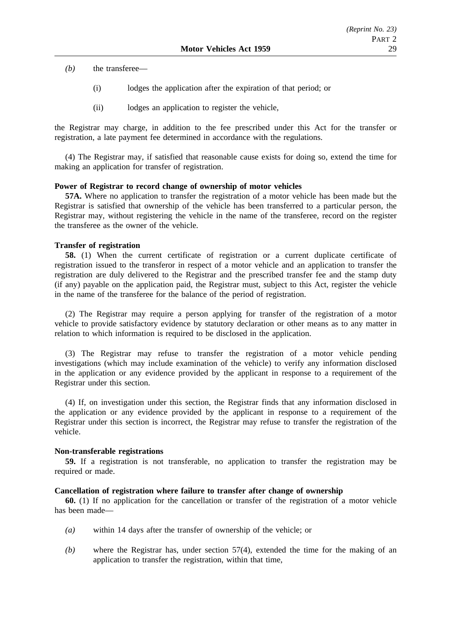*(b)* the transferee—

- (i) lodges the application after the expiration of that period; or
- (ii) lodges an application to register the vehicle,

the Registrar may charge, in addition to the fee prescribed under this Act for the transfer or registration, a late payment fee determined in accordance with the regulations.

(4) The Registrar may, if satisfied that reasonable cause exists for doing so, extend the time for making an application for transfer of registration.

## **Power of Registrar to record change of ownership of motor vehicles**

**57A.** Where no application to transfer the registration of a motor vehicle has been made but the Registrar is satisfied that ownership of the vehicle has been transferred to a particular person, the Registrar may, without registering the vehicle in the name of the transferee, record on the register the transferee as the owner of the vehicle.

# **Transfer of registration**

**58.** (1) When the current certificate of registration or a current duplicate certificate of registration issued to the transferor in respect of a motor vehicle and an application to transfer the registration are duly delivered to the Registrar and the prescribed transfer fee and the stamp duty (if any) payable on the application paid, the Registrar must, subject to this Act, register the vehicle in the name of the transferee for the balance of the period of registration.

(2) The Registrar may require a person applying for transfer of the registration of a motor vehicle to provide satisfactory evidence by statutory declaration or other means as to any matter in relation to which information is required to be disclosed in the application.

(3) The Registrar may refuse to transfer the registration of a motor vehicle pending investigations (which may include examination of the vehicle) to verify any information disclosed in the application or any evidence provided by the applicant in response to a requirement of the Registrar under this section.

(4) If, on investigation under this section, the Registrar finds that any information disclosed in the application or any evidence provided by the applicant in response to a requirement of the Registrar under this section is incorrect, the Registrar may refuse to transfer the registration of the vehicle.

# **Non-transferable registrations**

**59.** If a registration is not transferable, no application to transfer the registration may be required or made.

## **Cancellation of registration where failure to transfer after change of ownership**

**60.** (1) If no application for the cancellation or transfer of the registration of a motor vehicle has been made—

- *(a)* within 14 days after the transfer of ownership of the vehicle; or
- *(b)* where the Registrar has, under section 57(4), extended the time for the making of an application to transfer the registration, within that time,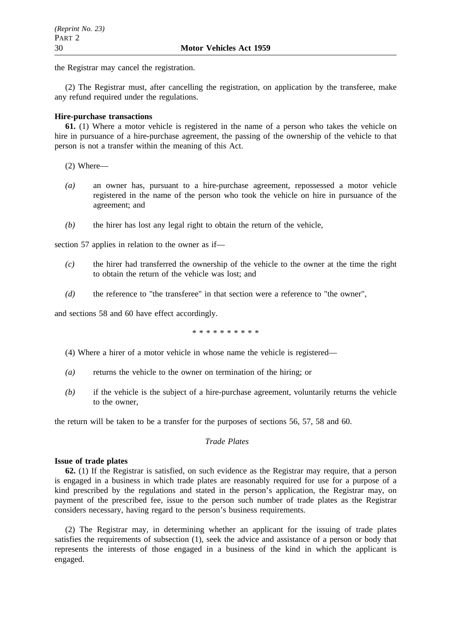the Registrar may cancel the registration.

(2) The Registrar must, after cancelling the registration, on application by the transferee, make any refund required under the regulations.

# **Hire-purchase transactions**

**61.** (1) Where a motor vehicle is registered in the name of a person who takes the vehicle on hire in pursuance of a hire-purchase agreement, the passing of the ownership of the vehicle to that person is not a transfer within the meaning of this Act.

- (2) Where—
- *(a)* an owner has, pursuant to a hire-purchase agreement, repossessed a motor vehicle registered in the name of the person who took the vehicle on hire in pursuance of the agreement; and
- *(b)* the hirer has lost any legal right to obtain the return of the vehicle,

section 57 applies in relation to the owner as if—

- *(c)* the hirer had transferred the ownership of the vehicle to the owner at the time the right to obtain the return of the vehicle was lost; and
- *(d)* the reference to "the transferee" in that section were a reference to "the owner",

and sections 58 and 60 have effect accordingly.

\*\*\*\*\*\*\*\*\*\*

- (4) Where a hirer of a motor vehicle in whose name the vehicle is registered—
- *(a)* returns the vehicle to the owner on termination of the hiring; or
- *(b)* if the vehicle is the subject of a hire-purchase agreement, voluntarily returns the vehicle to the owner,

the return will be taken to be a transfer for the purposes of sections 56, 57, 58 and 60.

# *Trade Plates*

## **Issue of trade plates**

**62.** (1) If the Registrar is satisfied, on such evidence as the Registrar may require, that a person is engaged in a business in which trade plates are reasonably required for use for a purpose of a kind prescribed by the regulations and stated in the person's application, the Registrar may, on payment of the prescribed fee, issue to the person such number of trade plates as the Registrar considers necessary, having regard to the person's business requirements.

(2) The Registrar may, in determining whether an applicant for the issuing of trade plates satisfies the requirements of subsection (1), seek the advice and assistance of a person or body that represents the interests of those engaged in a business of the kind in which the applicant is engaged.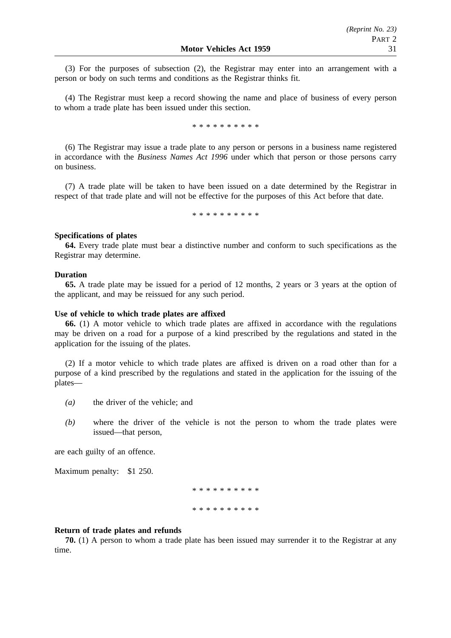(3) For the purposes of subsection (2), the Registrar may enter into an arrangement with a person or body on such terms and conditions as the Registrar thinks fit.

(4) The Registrar must keep a record showing the name and place of business of every person to whom a trade plate has been issued under this section.

\*\*\*\*\*\*\*\*\*\*

(6) The Registrar may issue a trade plate to any person or persons in a business name registered in accordance with the *Business Names Act 1996* under which that person or those persons carry on business.

(7) A trade plate will be taken to have been issued on a date determined by the Registrar in respect of that trade plate and will not be effective for the purposes of this Act before that date.

\*\*\*\*\*\*\*\*\*\*

#### **Specifications of plates**

**64.** Every trade plate must bear a distinctive number and conform to such specifications as the Registrar may determine.

#### **Duration**

**65.** A trade plate may be issued for a period of 12 months, 2 years or 3 years at the option of the applicant, and may be reissued for any such period.

#### **Use of vehicle to which trade plates are affixed**

**66.** (1) A motor vehicle to which trade plates are affixed in accordance with the regulations may be driven on a road for a purpose of a kind prescribed by the regulations and stated in the application for the issuing of the plates.

(2) If a motor vehicle to which trade plates are affixed is driven on a road other than for a purpose of a kind prescribed by the regulations and stated in the application for the issuing of the plates—

- *(a)* the driver of the vehicle; and
- *(b)* where the driver of the vehicle is not the person to whom the trade plates were issued—that person,

are each guilty of an offence.

Maximum penalty: \$1 250.

\*\*\*\*\*\*\*\*\*\* \*\*\*\*\*\*\*\*\*\*

#### **Return of trade plates and refunds**

**70.** (1) A person to whom a trade plate has been issued may surrender it to the Registrar at any time.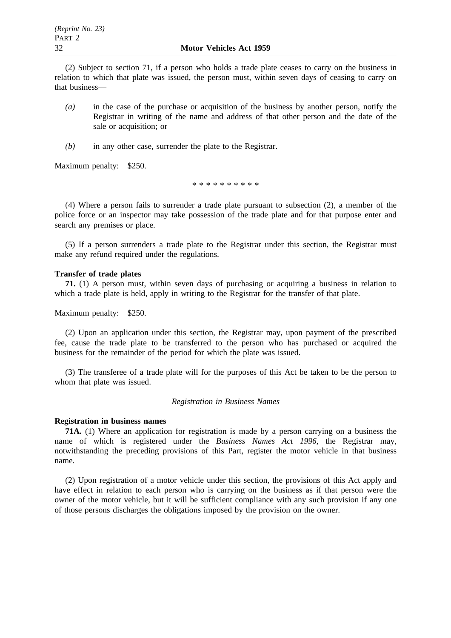(2) Subject to section 71, if a person who holds a trade plate ceases to carry on the business in relation to which that plate was issued, the person must, within seven days of ceasing to carry on that business—

- *(a)* in the case of the purchase or acquisition of the business by another person, notify the Registrar in writing of the name and address of that other person and the date of the sale or acquisition; or
- *(b)* in any other case, surrender the plate to the Registrar.

Maximum penalty: \$250.

\*\*\*\*\*\*\*\*\*\*

(4) Where a person fails to surrender a trade plate pursuant to subsection (2), a member of the police force or an inspector may take possession of the trade plate and for that purpose enter and search any premises or place.

(5) If a person surrenders a trade plate to the Registrar under this section, the Registrar must make any refund required under the regulations.

#### **Transfer of trade plates**

**71.** (1) A person must, within seven days of purchasing or acquiring a business in relation to which a trade plate is held, apply in writing to the Registrar for the transfer of that plate.

Maximum penalty: \$250.

(2) Upon an application under this section, the Registrar may, upon payment of the prescribed fee, cause the trade plate to be transferred to the person who has purchased or acquired the business for the remainder of the period for which the plate was issued.

(3) The transferee of a trade plate will for the purposes of this Act be taken to be the person to whom that plate was issued.

#### *Registration in Business Names*

#### **Registration in business names**

**71A.** (1) Where an application for registration is made by a person carrying on a business the name of which is registered under the *Business Names Act 1996*, the Registrar may, notwithstanding the preceding provisions of this Part, register the motor vehicle in that business name.

(2) Upon registration of a motor vehicle under this section, the provisions of this Act apply and have effect in relation to each person who is carrying on the business as if that person were the owner of the motor vehicle, but it will be sufficient compliance with any such provision if any one of those persons discharges the obligations imposed by the provision on the owner.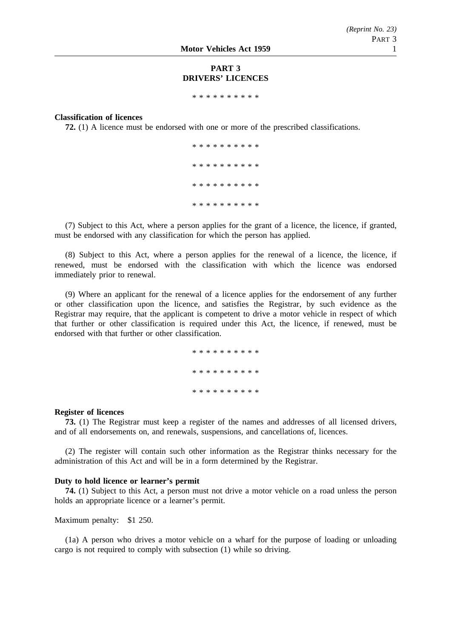# **PART 3 DRIVERS' LICENCES**

\*\*\*\*\*\*\*\*\*\*

## **Classification of licences**

**72.** (1) A licence must be endorsed with one or more of the prescribed classifications.

\*\*\*\*\*\*\*\*\*\* \*\*\*\*\*\*\*\*\*\* \*\*\*\*\*\*\*\*\*\* \*\*\*\*\*\*\*\*\*\*

(7) Subject to this Act, where a person applies for the grant of a licence, the licence, if granted, must be endorsed with any classification for which the person has applied.

(8) Subject to this Act, where a person applies for the renewal of a licence, the licence, if renewed, must be endorsed with the classification with which the licence was endorsed immediately prior to renewal.

(9) Where an applicant for the renewal of a licence applies for the endorsement of any further or other classification upon the licence, and satisfies the Registrar, by such evidence as the Registrar may require, that the applicant is competent to drive a motor vehicle in respect of which that further or other classification is required under this Act, the licence, if renewed, must be endorsed with that further or other classification.

> \*\*\*\*\*\*\*\*\*\* \*\*\*\*\*\*\*\*\*\* \*\*\*\*\*\*\*\*\*\*

#### **Register of licences**

**73.** (1) The Registrar must keep a register of the names and addresses of all licensed drivers, and of all endorsements on, and renewals, suspensions, and cancellations of, licences.

(2) The register will contain such other information as the Registrar thinks necessary for the administration of this Act and will be in a form determined by the Registrar.

#### **Duty to hold licence or learner's permit**

**74.** (1) Subject to this Act, a person must not drive a motor vehicle on a road unless the person holds an appropriate licence or a learner's permit.

Maximum penalty: \$1 250.

(1a) A person who drives a motor vehicle on a wharf for the purpose of loading or unloading cargo is not required to comply with subsection (1) while so driving.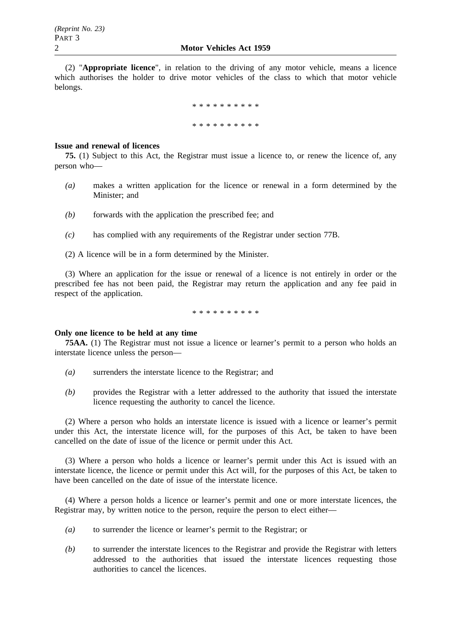(2) "**Appropriate licence**", in relation to the driving of any motor vehicle, means a licence which authorises the holder to drive motor vehicles of the class to which that motor vehicle belongs.

> \*\*\*\*\*\*\*\*\*\* \*\*\*\*\*\*\*\*\*\*

#### **Issue and renewal of licences**

**75.** (1) Subject to this Act, the Registrar must issue a licence to, or renew the licence of, any person who—

- *(a)* makes a written application for the licence or renewal in a form determined by the Minister; and
- *(b)* forwards with the application the prescribed fee; and
- *(c)* has complied with any requirements of the Registrar under section 77B.
- (2) A licence will be in a form determined by the Minister.

(3) Where an application for the issue or renewal of a licence is not entirely in order or the prescribed fee has not been paid, the Registrar may return the application and any fee paid in respect of the application.

\*\*\*\*\*\*\*\*\*\*

## **Only one licence to be held at any time**

**75AA.** (1) The Registrar must not issue a licence or learner's permit to a person who holds an interstate licence unless the person—

- *(a)* surrenders the interstate licence to the Registrar; and
- *(b)* provides the Registrar with a letter addressed to the authority that issued the interstate licence requesting the authority to cancel the licence.

(2) Where a person who holds an interstate licence is issued with a licence or learner's permit under this Act, the interstate licence will, for the purposes of this Act, be taken to have been cancelled on the date of issue of the licence or permit under this Act.

(3) Where a person who holds a licence or learner's permit under this Act is issued with an interstate licence, the licence or permit under this Act will, for the purposes of this Act, be taken to have been cancelled on the date of issue of the interstate licence.

(4) Where a person holds a licence or learner's permit and one or more interstate licences, the Registrar may, by written notice to the person, require the person to elect either—

- *(a)* to surrender the licence or learner's permit to the Registrar; or
- *(b)* to surrender the interstate licences to the Registrar and provide the Registrar with letters addressed to the authorities that issued the interstate licences requesting those authorities to cancel the licences.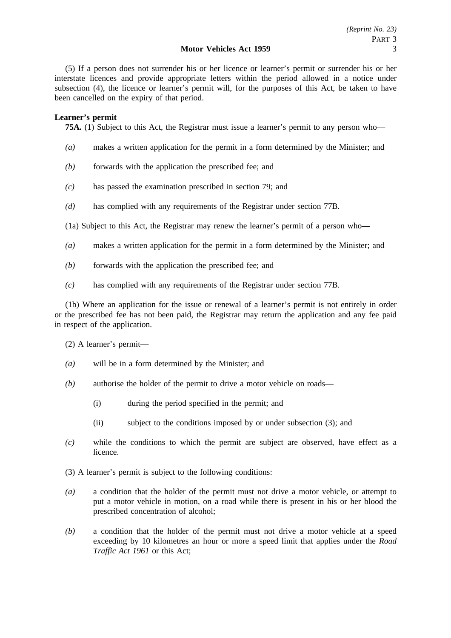(5) If a person does not surrender his or her licence or learner's permit or surrender his or her interstate licences and provide appropriate letters within the period allowed in a notice under subsection (4), the licence or learner's permit will, for the purposes of this Act, be taken to have been cancelled on the expiry of that period.

# **Learner's permit**

**75A.** (1) Subject to this Act, the Registrar must issue a learner's permit to any person who—

- *(a)* makes a written application for the permit in a form determined by the Minister; and
- *(b)* forwards with the application the prescribed fee; and
- *(c)* has passed the examination prescribed in section 79; and
- *(d)* has complied with any requirements of the Registrar under section 77B.

(1a) Subject to this Act, the Registrar may renew the learner's permit of a person who—

- *(a)* makes a written application for the permit in a form determined by the Minister; and
- *(b)* forwards with the application the prescribed fee; and
- *(c)* has complied with any requirements of the Registrar under section 77B.

(1b) Where an application for the issue or renewal of a learner's permit is not entirely in order or the prescribed fee has not been paid, the Registrar may return the application and any fee paid in respect of the application.

(2) A learner's permit—

- *(a)* will be in a form determined by the Minister; and
- *(b)* authorise the holder of the permit to drive a motor vehicle on roads—
	- (i) during the period specified in the permit; and
	- (ii) subject to the conditions imposed by or under subsection (3); and
- *(c)* while the conditions to which the permit are subject are observed, have effect as a licence.
- (3) A learner's permit is subject to the following conditions:
- *(a)* a condition that the holder of the permit must not drive a motor vehicle, or attempt to put a motor vehicle in motion, on a road while there is present in his or her blood the prescribed concentration of alcohol;
- *(b)* a condition that the holder of the permit must not drive a motor vehicle at a speed exceeding by 10 kilometres an hour or more a speed limit that applies under the *Road Traffic Act 1961* or this Act;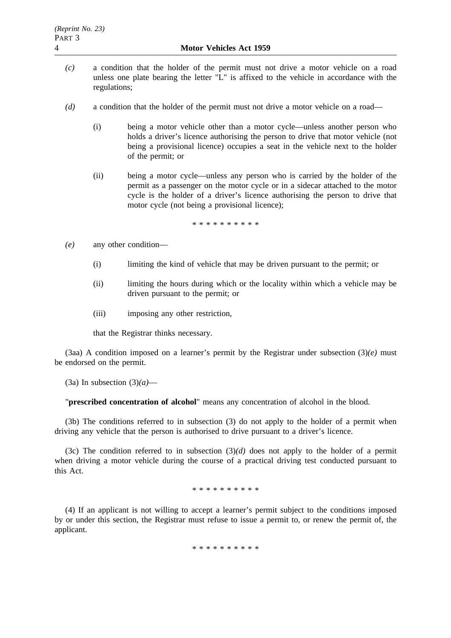- *(c)* a condition that the holder of the permit must not drive a motor vehicle on a road unless one plate bearing the letter "L" is affixed to the vehicle in accordance with the regulations;
- *(d)* a condition that the holder of the permit must not drive a motor vehicle on a road—
	- (i) being a motor vehicle other than a motor cycle—unless another person who holds a driver's licence authorising the person to drive that motor vehicle (not being a provisional licence) occupies a seat in the vehicle next to the holder of the permit; or
	- (ii) being a motor cycle—unless any person who is carried by the holder of the permit as a passenger on the motor cycle or in a sidecar attached to the motor cycle is the holder of a driver's licence authorising the person to drive that motor cycle (not being a provisional licence);

\*\*\*\*\*\*\*\*\*\*

- *(e)* any other condition—
	- (i) limiting the kind of vehicle that may be driven pursuant to the permit; or
	- (ii) limiting the hours during which or the locality within which a vehicle may be driven pursuant to the permit; or
	- (iii) imposing any other restriction,

that the Registrar thinks necessary.

(3aa) A condition imposed on a learner's permit by the Registrar under subsection  $(3)(e)$  must be endorsed on the permit.

(3a) In subsection (3)*(a)*—

"**prescribed concentration of alcohol**" means any concentration of alcohol in the blood.

(3b) The conditions referred to in subsection (3) do not apply to the holder of a permit when driving any vehicle that the person is authorised to drive pursuant to a driver's licence.

(3c) The condition referred to in subsection (3)*(d)* does not apply to the holder of a permit when driving a motor vehicle during the course of a practical driving test conducted pursuant to this Act.

\*\*\*\*\*\*\*\*\*\*

(4) If an applicant is not willing to accept a learner's permit subject to the conditions imposed by or under this section, the Registrar must refuse to issue a permit to, or renew the permit of, the applicant.

\* \* \* \* \* \* \* \* \*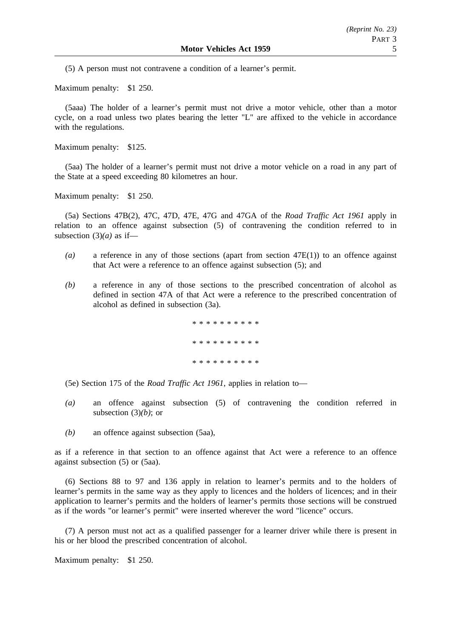(5) A person must not contravene a condition of a learner's permit.

Maximum penalty: \$1 250.

(5aaa) The holder of a learner's permit must not drive a motor vehicle, other than a motor cycle, on a road unless two plates bearing the letter "L" are affixed to the vehicle in accordance with the regulations.

Maximum penalty: \$125.

(5aa) The holder of a learner's permit must not drive a motor vehicle on a road in any part of the State at a speed exceeding 80 kilometres an hour.

Maximum penalty: \$1 250.

(5a) Sections 47B(2), 47C, 47D, 47E, 47G and 47GA of the *Road Traffic Act 1961* apply in relation to an offence against subsection (5) of contravening the condition referred to in subsection  $(3)(a)$  as if-

- *(a)* a reference in any of those sections (apart from section 47E(1)) to an offence against that Act were a reference to an offence against subsection (5); and
- *(b)* a reference in any of those sections to the prescribed concentration of alcohol as defined in section 47A of that Act were a reference to the prescribed concentration of alcohol as defined in subsection (3a).

.<br>بال مال مال مال مال مال مال مال مال مال \*\*\*\*\*\*\*\*\*\* \*\*\*\*\*\*\*\*\*\*

(5e) Section 175 of the *Road Traffic Act 1961*, applies in relation to—

- *(a)* an offence against subsection (5) of contravening the condition referred in subsection (3)*(b)*; or
- *(b)* an offence against subsection (5aa),

as if a reference in that section to an offence against that Act were a reference to an offence against subsection (5) or (5aa).

(6) Sections 88 to 97 and 136 apply in relation to learner's permits and to the holders of learner's permits in the same way as they apply to licences and the holders of licences; and in their application to learner's permits and the holders of learner's permits those sections will be construed as if the words "or learner's permit" were inserted wherever the word "licence" occurs.

(7) A person must not act as a qualified passenger for a learner driver while there is present in his or her blood the prescribed concentration of alcohol.

Maximum penalty: \$1 250.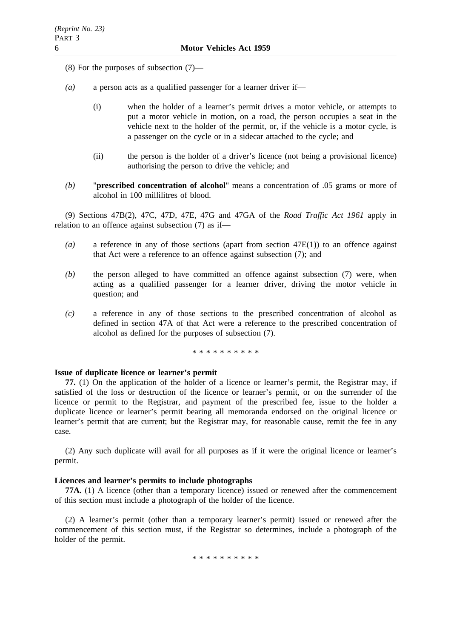- (8) For the purposes of subsection (7)—
- *(a)* a person acts as a qualified passenger for a learner driver if—
	- (i) when the holder of a learner's permit drives a motor vehicle, or attempts to put a motor vehicle in motion, on a road, the person occupies a seat in the vehicle next to the holder of the permit, or, if the vehicle is a motor cycle, is a passenger on the cycle or in a sidecar attached to the cycle; and
	- (ii) the person is the holder of a driver's licence (not being a provisional licence) authorising the person to drive the vehicle; and
- *(b)* "**prescribed concentration of alcohol**" means a concentration of .05 grams or more of alcohol in 100 millilitres of blood.

(9) Sections 47B(2), 47C, 47D, 47E, 47G and 47GA of the *Road Traffic Act 1961* apply in relation to an offence against subsection (7) as if—

- *(a)* a reference in any of those sections (apart from section 47E(1)) to an offence against that Act were a reference to an offence against subsection (7); and
- *(b)* the person alleged to have committed an offence against subsection (7) were, when acting as a qualified passenger for a learner driver, driving the motor vehicle in question; and
- *(c)* a reference in any of those sections to the prescribed concentration of alcohol as defined in section 47A of that Act were a reference to the prescribed concentration of alcohol as defined for the purposes of subsection (7).

\*\*\*\*\*\*\*\*\*\*

#### **Issue of duplicate licence or learner's permit**

**77.** (1) On the application of the holder of a licence or learner's permit, the Registrar may, if satisfied of the loss or destruction of the licence or learner's permit, or on the surrender of the licence or permit to the Registrar, and payment of the prescribed fee, issue to the holder a duplicate licence or learner's permit bearing all memoranda endorsed on the original licence or learner's permit that are current; but the Registrar may, for reasonable cause, remit the fee in any case.

(2) Any such duplicate will avail for all purposes as if it were the original licence or learner's permit.

#### **Licences and learner's permits to include photographs**

**77A.** (1) A licence (other than a temporary licence) issued or renewed after the commencement of this section must include a photograph of the holder of the licence.

(2) A learner's permit (other than a temporary learner's permit) issued or renewed after the commencement of this section must, if the Registrar so determines, include a photograph of the holder of the permit.

\*\*\*\*\*\*\*\*\*\*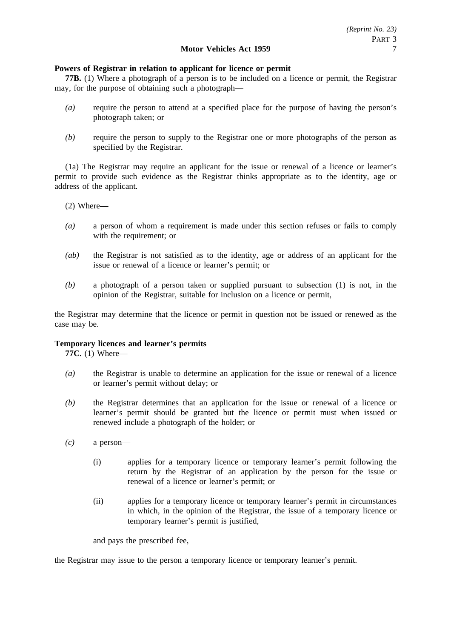# **Powers of Registrar in relation to applicant for licence or permit**

**77B.** (1) Where a photograph of a person is to be included on a licence or permit, the Registrar may, for the purpose of obtaining such a photograph—

- *(a)* require the person to attend at a specified place for the purpose of having the person's photograph taken; or
- *(b)* require the person to supply to the Registrar one or more photographs of the person as specified by the Registrar.

(1a) The Registrar may require an applicant for the issue or renewal of a licence or learner's permit to provide such evidence as the Registrar thinks appropriate as to the identity, age or address of the applicant.

(2) Where—

- *(a)* a person of whom a requirement is made under this section refuses or fails to comply with the requirement; or
- *(ab)* the Registrar is not satisfied as to the identity, age or address of an applicant for the issue or renewal of a licence or learner's permit; or
- *(b)* a photograph of a person taken or supplied pursuant to subsection (1) is not, in the opinion of the Registrar, suitable for inclusion on a licence or permit,

the Registrar may determine that the licence or permit in question not be issued or renewed as the case may be.

# **Temporary licences and learner's permits**

**77C.** (1) Where—

- *(a)* the Registrar is unable to determine an application for the issue or renewal of a licence or learner's permit without delay; or
- *(b)* the Registrar determines that an application for the issue or renewal of a licence or learner's permit should be granted but the licence or permit must when issued or renewed include a photograph of the holder; or
- *(c)* a person—
	- (i) applies for a temporary licence or temporary learner's permit following the return by the Registrar of an application by the person for the issue or renewal of a licence or learner's permit; or
	- (ii) applies for a temporary licence or temporary learner's permit in circumstances in which, in the opinion of the Registrar, the issue of a temporary licence or temporary learner's permit is justified,

and pays the prescribed fee,

the Registrar may issue to the person a temporary licence or temporary learner's permit.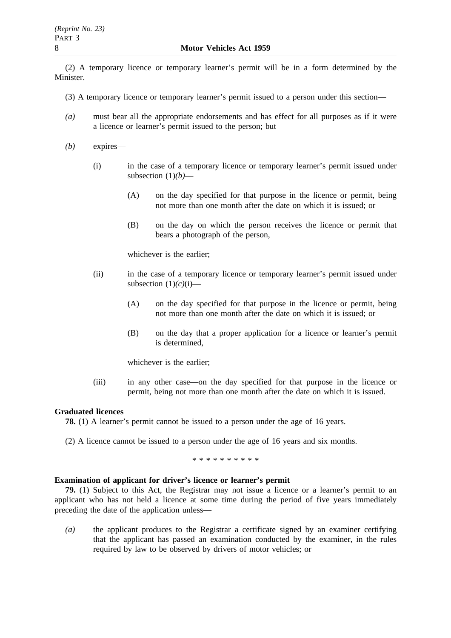(2) A temporary licence or temporary learner's permit will be in a form determined by the Minister.

- (3) A temporary licence or temporary learner's permit issued to a person under this section—
- *(a)* must bear all the appropriate endorsements and has effect for all purposes as if it were a licence or learner's permit issued to the person; but
- *(b)* expires—
	- (i) in the case of a temporary licence or temporary learner's permit issued under subsection (1)*(b)*—
		- (A) on the day specified for that purpose in the licence or permit, being not more than one month after the date on which it is issued; or
		- (B) on the day on which the person receives the licence or permit that bears a photograph of the person,

whichever is the earlier;

- (ii) in the case of a temporary licence or temporary learner's permit issued under subsection  $(1)(c)(i)$ —
	- (A) on the day specified for that purpose in the licence or permit, being not more than one month after the date on which it is issued; or
	- (B) on the day that a proper application for a licence or learner's permit is determined,

whichever is the earlier;

(iii) in any other case—on the day specified for that purpose in the licence or permit, being not more than one month after the date on which it is issued.

## **Graduated licences**

**78.** (1) A learner's permit cannot be issued to a person under the age of 16 years.

(2) A licence cannot be issued to a person under the age of 16 years and six months.

\*\*\*\*\*\*\*\*\*\*

## **Examination of applicant for driver's licence or learner's permit**

**79.** (1) Subject to this Act, the Registrar may not issue a licence or a learner's permit to an applicant who has not held a licence at some time during the period of five years immediately preceding the date of the application unless—

*(a)* the applicant produces to the Registrar a certificate signed by an examiner certifying that the applicant has passed an examination conducted by the examiner, in the rules required by law to be observed by drivers of motor vehicles; or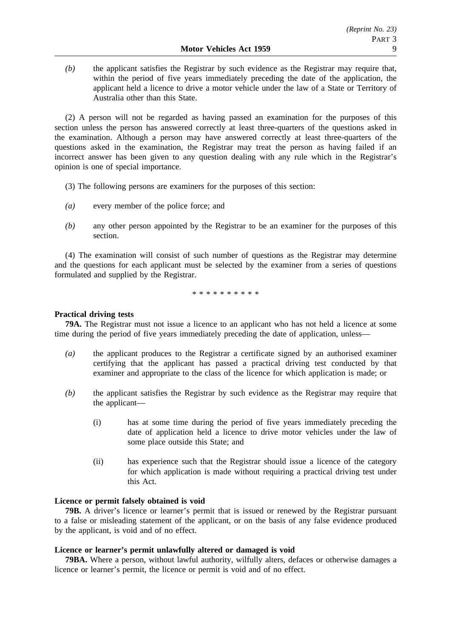*(b)* the applicant satisfies the Registrar by such evidence as the Registrar may require that, within the period of five years immediately preceding the date of the application, the applicant held a licence to drive a motor vehicle under the law of a State or Territory of Australia other than this State.

(2) A person will not be regarded as having passed an examination for the purposes of this section unless the person has answered correctly at least three-quarters of the questions asked in the examination. Although a person may have answered correctly at least three-quarters of the questions asked in the examination, the Registrar may treat the person as having failed if an incorrect answer has been given to any question dealing with any rule which in the Registrar's opinion is one of special importance.

- (3) The following persons are examiners for the purposes of this section:
- *(a)* every member of the police force; and
- *(b)* any other person appointed by the Registrar to be an examiner for the purposes of this section.

(4) The examination will consist of such number of questions as the Registrar may determine and the questions for each applicant must be selected by the examiner from a series of questions formulated and supplied by the Registrar.

\*\*\*\*\*\*\*\*\*\*

# **Practical driving tests**

**79A.** The Registrar must not issue a licence to an applicant who has not held a licence at some time during the period of five years immediately preceding the date of application, unless—

- *(a)* the applicant produces to the Registrar a certificate signed by an authorised examiner certifying that the applicant has passed a practical driving test conducted by that examiner and appropriate to the class of the licence for which application is made; or
- *(b)* the applicant satisfies the Registrar by such evidence as the Registrar may require that the applicant—
	- (i) has at some time during the period of five years immediately preceding the date of application held a licence to drive motor vehicles under the law of some place outside this State; and
	- (ii) has experience such that the Registrar should issue a licence of the category for which application is made without requiring a practical driving test under this Act.

# **Licence or permit falsely obtained is void**

**79B.** A driver's licence or learner's permit that is issued or renewed by the Registrar pursuant to a false or misleading statement of the applicant, or on the basis of any false evidence produced by the applicant, is void and of no effect.

## **Licence or learner's permit unlawfully altered or damaged is void**

**79BA.** Where a person, without lawful authority, wilfully alters, defaces or otherwise damages a licence or learner's permit, the licence or permit is void and of no effect.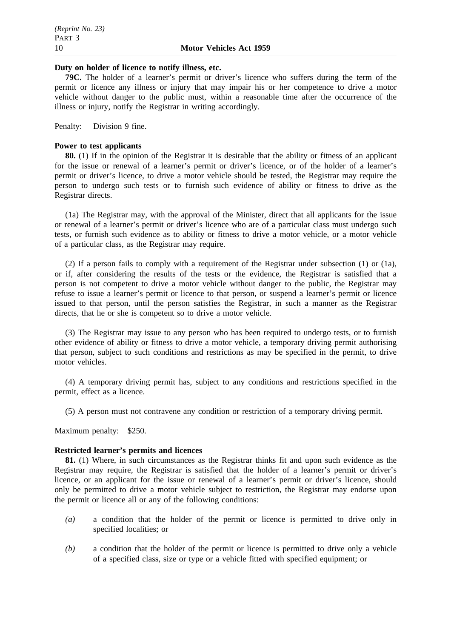#### **Duty on holder of licence to notify illness, etc.**

**79C.** The holder of a learner's permit or driver's licence who suffers during the term of the permit or licence any illness or injury that may impair his or her competence to drive a motor vehicle without danger to the public must, within a reasonable time after the occurrence of the illness or injury, notify the Registrar in writing accordingly.

Penalty: Division 9 fine.

## **Power to test applicants**

**80.** (1) If in the opinion of the Registrar it is desirable that the ability or fitness of an applicant for the issue or renewal of a learner's permit or driver's licence, or of the holder of a learner's permit or driver's licence, to drive a motor vehicle should be tested, the Registrar may require the person to undergo such tests or to furnish such evidence of ability or fitness to drive as the Registrar directs.

(1a) The Registrar may, with the approval of the Minister, direct that all applicants for the issue or renewal of a learner's permit or driver's licence who are of a particular class must undergo such tests, or furnish such evidence as to ability or fitness to drive a motor vehicle, or a motor vehicle of a particular class, as the Registrar may require.

(2) If a person fails to comply with a requirement of the Registrar under subsection (1) or (1a), or if, after considering the results of the tests or the evidence, the Registrar is satisfied that a person is not competent to drive a motor vehicle without danger to the public, the Registrar may refuse to issue a learner's permit or licence to that person, or suspend a learner's permit or licence issued to that person, until the person satisfies the Registrar, in such a manner as the Registrar directs, that he or she is competent so to drive a motor vehicle.

(3) The Registrar may issue to any person who has been required to undergo tests, or to furnish other evidence of ability or fitness to drive a motor vehicle, a temporary driving permit authorising that person, subject to such conditions and restrictions as may be specified in the permit, to drive motor vehicles.

(4) A temporary driving permit has, subject to any conditions and restrictions specified in the permit, effect as a licence.

(5) A person must not contravene any condition or restriction of a temporary driving permit.

Maximum penalty: \$250.

## **Restricted learner's permits and licences**

**81.** (1) Where, in such circumstances as the Registrar thinks fit and upon such evidence as the Registrar may require, the Registrar is satisfied that the holder of a learner's permit or driver's licence, or an applicant for the issue or renewal of a learner's permit or driver's licence, should only be permitted to drive a motor vehicle subject to restriction, the Registrar may endorse upon the permit or licence all or any of the following conditions:

- *(a)* a condition that the holder of the permit or licence is permitted to drive only in specified localities; or
- *(b)* a condition that the holder of the permit or licence is permitted to drive only a vehicle of a specified class, size or type or a vehicle fitted with specified equipment; or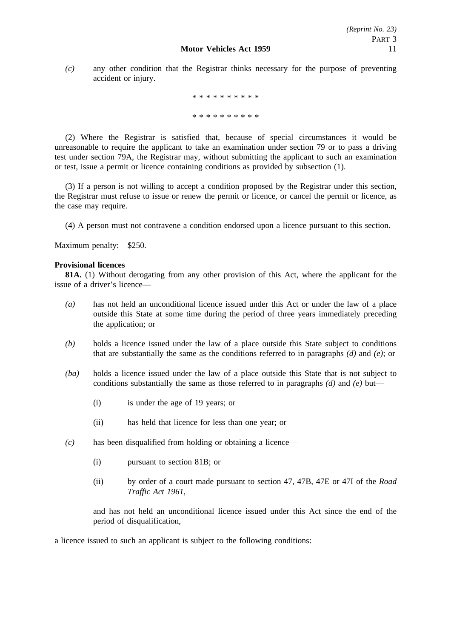*(c)* any other condition that the Registrar thinks necessary for the purpose of preventing accident or injury.

> \*\*\*\*\*\*\*\*\*\* \*\*\*\*\*\*\*\*\*\*

(2) Where the Registrar is satisfied that, because of special circumstances it would be unreasonable to require the applicant to take an examination under section 79 or to pass a driving test under section 79A, the Registrar may, without submitting the applicant to such an examination or test, issue a permit or licence containing conditions as provided by subsection (1).

(3) If a person is not willing to accept a condition proposed by the Registrar under this section, the Registrar must refuse to issue or renew the permit or licence, or cancel the permit or licence, as the case may require.

(4) A person must not contravene a condition endorsed upon a licence pursuant to this section.

Maximum penalty: \$250.

## **Provisional licences**

**81A.** (1) Without derogating from any other provision of this Act, where the applicant for the issue of a driver's licence—

- *(a)* has not held an unconditional licence issued under this Act or under the law of a place outside this State at some time during the period of three years immediately preceding the application; or
- *(b)* holds a licence issued under the law of a place outside this State subject to conditions that are substantially the same as the conditions referred to in paragraphs *(d)* and *(e)*; or
- *(ba)* holds a licence issued under the law of a place outside this State that is not subject to conditions substantially the same as those referred to in paragraphs *(d)* and *(e)* but—
	- (i) is under the age of 19 years; or
	- (ii) has held that licence for less than one year; or
- *(c)* has been disqualified from holding or obtaining a licence—
	- (i) pursuant to section 81B; or
	- (ii) by order of a court made pursuant to section 47, 47B, 47E or 47I of the *Road Traffic Act 1961*,

and has not held an unconditional licence issued under this Act since the end of the period of disqualification,

a licence issued to such an applicant is subject to the following conditions: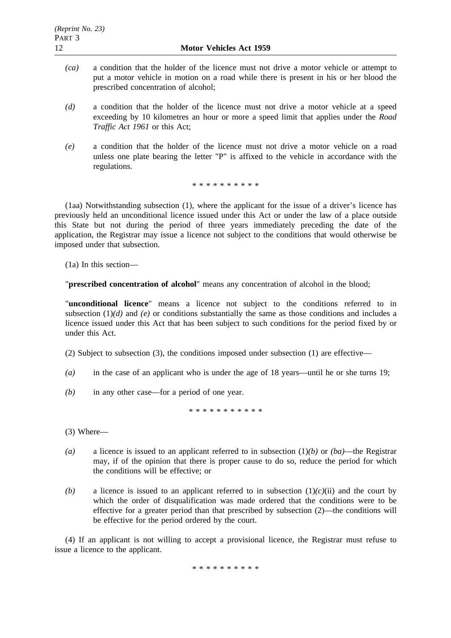- *(ca)* a condition that the holder of the licence must not drive a motor vehicle or attempt to put a motor vehicle in motion on a road while there is present in his or her blood the prescribed concentration of alcohol;
- *(d)* a condition that the holder of the licence must not drive a motor vehicle at a speed exceeding by 10 kilometres an hour or more a speed limit that applies under the *Road Traffic Act 1961* or this Act;
- *(e)* a condition that the holder of the licence must not drive a motor vehicle on a road unless one plate bearing the letter "P" is affixed to the vehicle in accordance with the regulations.

\*\*\*\*\*\*\*\*\*\*

(1aa) Notwithstanding subsection (1), where the applicant for the issue of a driver's licence has previously held an unconditional licence issued under this Act or under the law of a place outside this State but not during the period of three years immediately preceding the date of the application, the Registrar may issue a licence not subject to the conditions that would otherwise be imposed under that subsection.

(1a) In this section—

"**prescribed concentration of alcohol**" means any concentration of alcohol in the blood;

"**unconditional licence**" means a licence not subject to the conditions referred to in subsection  $(1)(d)$  and  $(e)$  or conditions substantially the same as those conditions and includes a licence issued under this Act that has been subject to such conditions for the period fixed by or under this Act.

(2) Subject to subsection (3), the conditions imposed under subsection (1) are effective—

- *(a)* in the case of an applicant who is under the age of 18 years—until he or she turns 19;
- *(b)* in any other case—for a period of one year.

\*\*\*\*\*\*\*\*\*\*\*

(3) Where—

- *(a)* a licence is issued to an applicant referred to in subsection (1)*(b)* or *(ba)*—the Registrar may, if of the opinion that there is proper cause to do so, reduce the period for which the conditions will be effective; or
- *(b)* a licence is issued to an applicant referred to in subsection  $(1)(c)(ii)$  and the court by which the order of disqualification was made ordered that the conditions were to be effective for a greater period than that prescribed by subsection (2)—the conditions will be effective for the period ordered by the court.

(4) If an applicant is not willing to accept a provisional licence, the Registrar must refuse to issue a licence to the applicant.

\*\*\*\*\*\*\*\*\*\*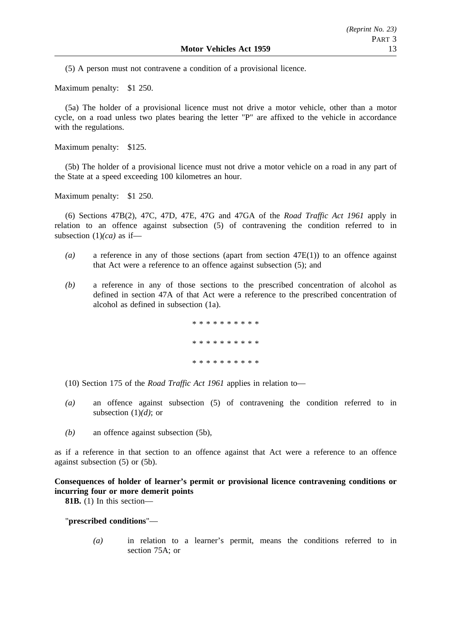(5) A person must not contravene a condition of a provisional licence.

Maximum penalty: \$1 250.

(5a) The holder of a provisional licence must not drive a motor vehicle, other than a motor cycle, on a road unless two plates bearing the letter "P" are affixed to the vehicle in accordance with the regulations.

Maximum penalty: \$125.

(5b) The holder of a provisional licence must not drive a motor vehicle on a road in any part of the State at a speed exceeding 100 kilometres an hour.

Maximum penalty: \$1 250.

(6) Sections 47B(2), 47C, 47D, 47E, 47G and 47GA of the *Road Traffic Act 1961* apply in relation to an offence against subsection (5) of contravening the condition referred to in subsection (1)*(ca)* as if—

- *(a)* a reference in any of those sections (apart from section 47E(1)) to an offence against that Act were a reference to an offence against subsection (5); and
- *(b)* a reference in any of those sections to the prescribed concentration of alcohol as defined in section 47A of that Act were a reference to the prescribed concentration of alcohol as defined in subsection (1a).

.<br>مله مله مله مله مله مله مله مله مله مله \*\*\*\*\*\*\*\*\*\* \*\*\*\*\*\*\*\*\*\*

(10) Section 175 of the *Road Traffic Act 1961* applies in relation to—

- *(a)* an offence against subsection (5) of contravening the condition referred to in subsection (1)*(d)*; or
- *(b)* an offence against subsection (5b),

as if a reference in that section to an offence against that Act were a reference to an offence against subsection (5) or (5b).

**Consequences of holder of learner's permit or provisional licence contravening conditions or incurring four or more demerit points**

**81B.** (1) In this section—

"**prescribed conditions**"—

*(a)* in relation to a learner's permit, means the conditions referred to in section 75A; or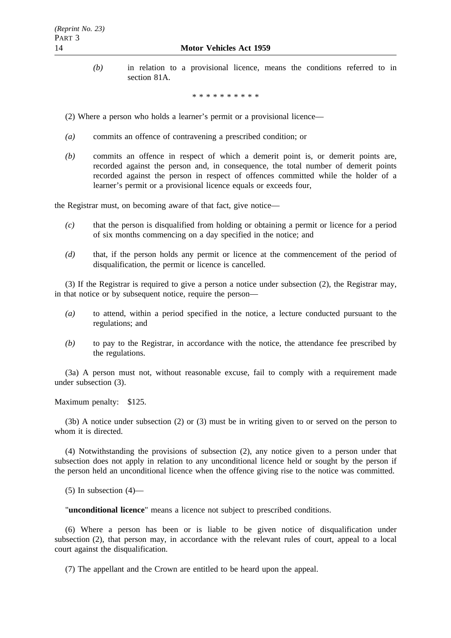*(b)* in relation to a provisional licence, means the conditions referred to in section 81A.

\*\*\*\*\*\*\*\*\*\*

- (2) Where a person who holds a learner's permit or a provisional licence—
- *(a)* commits an offence of contravening a prescribed condition; or
- *(b)* commits an offence in respect of which a demerit point is, or demerit points are, recorded against the person and, in consequence, the total number of demerit points recorded against the person in respect of offences committed while the holder of a learner's permit or a provisional licence equals or exceeds four,

the Registrar must, on becoming aware of that fact, give notice—

- *(c)* that the person is disqualified from holding or obtaining a permit or licence for a period of six months commencing on a day specified in the notice; and
- *(d)* that, if the person holds any permit or licence at the commencement of the period of disqualification, the permit or licence is cancelled.

(3) If the Registrar is required to give a person a notice under subsection (2), the Registrar may, in that notice or by subsequent notice, require the person—

- *(a)* to attend, within a period specified in the notice, a lecture conducted pursuant to the regulations; and
- *(b)* to pay to the Registrar, in accordance with the notice, the attendance fee prescribed by the regulations.

(3a) A person must not, without reasonable excuse, fail to comply with a requirement made under subsection (3).

Maximum penalty: \$125.

(3b) A notice under subsection (2) or (3) must be in writing given to or served on the person to whom it is directed.

(4) Notwithstanding the provisions of subsection (2), any notice given to a person under that subsection does not apply in relation to any unconditional licence held or sought by the person if the person held an unconditional licence when the offence giving rise to the notice was committed.

 $(5)$  In subsection  $(4)$ —

"**unconditional licence**" means a licence not subject to prescribed conditions.

(6) Where a person has been or is liable to be given notice of disqualification under subsection (2), that person may, in accordance with the relevant rules of court, appeal to a local court against the disqualification.

(7) The appellant and the Crown are entitled to be heard upon the appeal.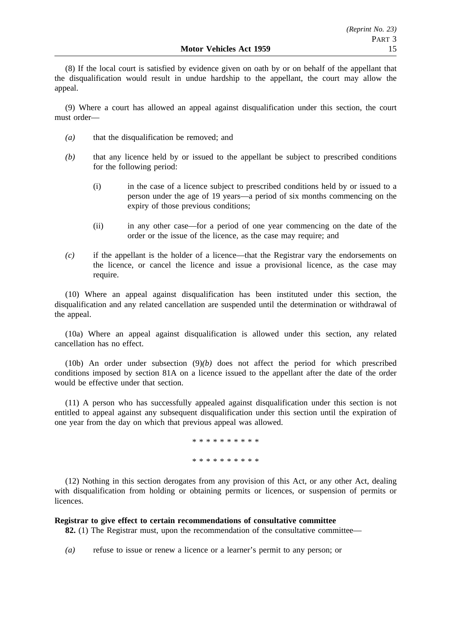(8) If the local court is satisfied by evidence given on oath by or on behalf of the appellant that the disqualification would result in undue hardship to the appellant, the court may allow the appeal.

(9) Where a court has allowed an appeal against disqualification under this section, the court must order—

- *(a)* that the disqualification be removed; and
- *(b)* that any licence held by or issued to the appellant be subject to prescribed conditions for the following period:
	- (i) in the case of a licence subject to prescribed conditions held by or issued to a person under the age of 19 years—a period of six months commencing on the expiry of those previous conditions;
	- (ii) in any other case—for a period of one year commencing on the date of the order or the issue of the licence, as the case may require; and
- *(c)* if the appellant is the holder of a licence—that the Registrar vary the endorsements on the licence, or cancel the licence and issue a provisional licence, as the case may require.

(10) Where an appeal against disqualification has been instituted under this section, the disqualification and any related cancellation are suspended until the determination or withdrawal of the appeal.

(10a) Where an appeal against disqualification is allowed under this section, any related cancellation has no effect.

(10b) An order under subsection (9)*(b)* does not affect the period for which prescribed conditions imposed by section 81A on a licence issued to the appellant after the date of the order would be effective under that section.

(11) A person who has successfully appealed against disqualification under this section is not entitled to appeal against any subsequent disqualification under this section until the expiration of one year from the day on which that previous appeal was allowed.

> \*\*\*\*\*\*\*\*\*\* \*\*\*\*\*\*\*\*\*\*

(12) Nothing in this section derogates from any provision of this Act, or any other Act, dealing with disqualification from holding or obtaining permits or licences, or suspension of permits or licences.

## **Registrar to give effect to certain recommendations of consultative committee**

**82.** (1) The Registrar must, upon the recommendation of the consultative committee—

*(a)* refuse to issue or renew a licence or a learner's permit to any person; or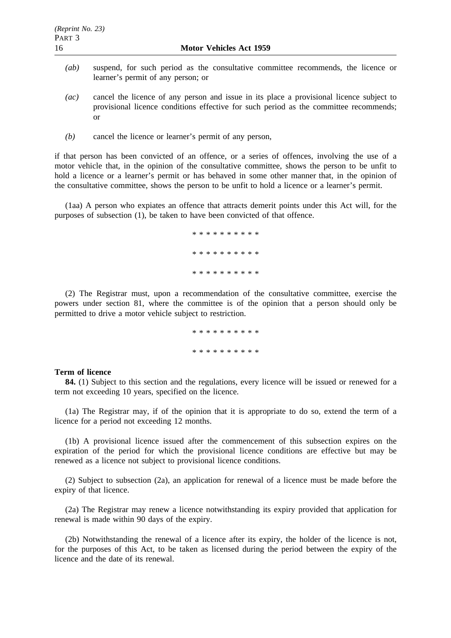- *(ab)* suspend, for such period as the consultative committee recommends, the licence or learner's permit of any person; or
- *(ac)* cancel the licence of any person and issue in its place a provisional licence subject to provisional licence conditions effective for such period as the committee recommends; or
- *(b)* cancel the licence or learner's permit of any person,

if that person has been convicted of an offence, or a series of offences, involving the use of a motor vehicle that, in the opinion of the consultative committee, shows the person to be unfit to hold a licence or a learner's permit or has behaved in some other manner that, in the opinion of the consultative committee, shows the person to be unfit to hold a licence or a learner's permit.

(1aa) A person who expiates an offence that attracts demerit points under this Act will, for the purposes of subsection (1), be taken to have been convicted of that offence.

> \*\*\*\*\*\*\*\*\*\* \*\*\*\*\*\*\*\*\*\* \*\*\*\*\*\*\*\*\*\*

(2) The Registrar must, upon a recommendation of the consultative committee, exercise the powers under section 81, where the committee is of the opinion that a person should only be permitted to drive a motor vehicle subject to restriction.

> \*\*\*\*\*\*\*\*\*\* \*\*\*\*\*\*\*\*\*\*

#### **Term of licence**

**84.** (1) Subject to this section and the regulations, every licence will be issued or renewed for a term not exceeding 10 years, specified on the licence.

(1a) The Registrar may, if of the opinion that it is appropriate to do so, extend the term of a licence for a period not exceeding 12 months.

(1b) A provisional licence issued after the commencement of this subsection expires on the expiration of the period for which the provisional licence conditions are effective but may be renewed as a licence not subject to provisional licence conditions.

(2) Subject to subsection (2a), an application for renewal of a licence must be made before the expiry of that licence.

(2a) The Registrar may renew a licence notwithstanding its expiry provided that application for renewal is made within 90 days of the expiry.

(2b) Notwithstanding the renewal of a licence after its expiry, the holder of the licence is not, for the purposes of this Act, to be taken as licensed during the period between the expiry of the licence and the date of its renewal.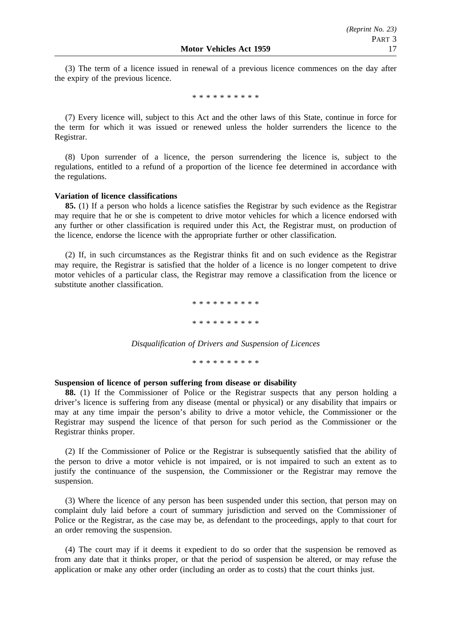(3) The term of a licence issued in renewal of a previous licence commences on the day after the expiry of the previous licence.

\*\*\*\*\*\*\*\*\*\*

(7) Every licence will, subject to this Act and the other laws of this State, continue in force for the term for which it was issued or renewed unless the holder surrenders the licence to the Registrar.

(8) Upon surrender of a licence, the person surrendering the licence is, subject to the regulations, entitled to a refund of a proportion of the licence fee determined in accordance with the regulations.

## **Variation of licence classifications**

**85.** (1) If a person who holds a licence satisfies the Registrar by such evidence as the Registrar may require that he or she is competent to drive motor vehicles for which a licence endorsed with any further or other classification is required under this Act, the Registrar must, on production of the licence, endorse the licence with the appropriate further or other classification.

(2) If, in such circumstances as the Registrar thinks fit and on such evidence as the Registrar may require, the Registrar is satisfied that the holder of a licence is no longer competent to drive motor vehicles of a particular class, the Registrar may remove a classification from the licence or substitute another classification.

> \*\*\*\*\*\*\*\*\*\* \*\*\*\*\*\*\*\*\*\*

*Disqualification of Drivers and Suspension of Licences*

\*\*\*\*\*\*\*\*\*\*

## **Suspension of licence of person suffering from disease or disability**

**88.** (1) If the Commissioner of Police or the Registrar suspects that any person holding a driver's licence is suffering from any disease (mental or physical) or any disability that impairs or may at any time impair the person's ability to drive a motor vehicle, the Commissioner or the Registrar may suspend the licence of that person for such period as the Commissioner or the Registrar thinks proper.

(2) If the Commissioner of Police or the Registrar is subsequently satisfied that the ability of the person to drive a motor vehicle is not impaired, or is not impaired to such an extent as to justify the continuance of the suspension, the Commissioner or the Registrar may remove the suspension.

(3) Where the licence of any person has been suspended under this section, that person may on complaint duly laid before a court of summary jurisdiction and served on the Commissioner of Police or the Registrar, as the case may be, as defendant to the proceedings, apply to that court for an order removing the suspension.

(4) The court may if it deems it expedient to do so order that the suspension be removed as from any date that it thinks proper, or that the period of suspension be altered, or may refuse the application or make any other order (including an order as to costs) that the court thinks just.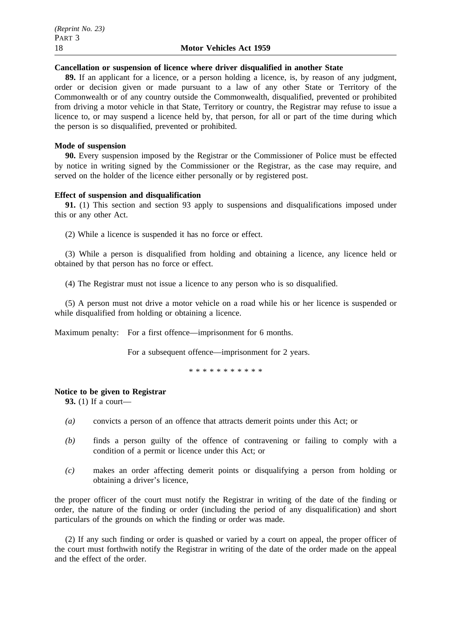#### **Cancellation or suspension of licence where driver disqualified in another State**

**89.** If an applicant for a licence, or a person holding a licence, is, by reason of any judgment, order or decision given or made pursuant to a law of any other State or Territory of the Commonwealth or of any country outside the Commonwealth, disqualified, prevented or prohibited from driving a motor vehicle in that State, Territory or country, the Registrar may refuse to issue a licence to, or may suspend a licence held by, that person, for all or part of the time during which the person is so disqualified, prevented or prohibited.

## **Mode of suspension**

**90.** Every suspension imposed by the Registrar or the Commissioner of Police must be effected by notice in writing signed by the Commissioner or the Registrar, as the case may require, and served on the holder of the licence either personally or by registered post.

## **Effect of suspension and disqualification**

**91.** (1) This section and section 93 apply to suspensions and disqualifications imposed under this or any other Act.

(2) While a licence is suspended it has no force or effect.

(3) While a person is disqualified from holding and obtaining a licence, any licence held or obtained by that person has no force or effect.

(4) The Registrar must not issue a licence to any person who is so disqualified.

(5) A person must not drive a motor vehicle on a road while his or her licence is suspended or while disqualified from holding or obtaining a licence.

Maximum penalty: For a first offence—imprisonment for 6 months.

For a subsequent offence—imprisonment for 2 years.

\*\*\*\*\*\*\*\*\*\*\*

## **Notice to be given to Registrar**

**93.** (1) If a court—

- *(a)* convicts a person of an offence that attracts demerit points under this Act; or
- *(b)* finds a person guilty of the offence of contravening or failing to comply with a condition of a permit or licence under this Act; or
- *(c)* makes an order affecting demerit points or disqualifying a person from holding or obtaining a driver's licence,

the proper officer of the court must notify the Registrar in writing of the date of the finding or order, the nature of the finding or order (including the period of any disqualification) and short particulars of the grounds on which the finding or order was made.

(2) If any such finding or order is quashed or varied by a court on appeal, the proper officer of the court must forthwith notify the Registrar in writing of the date of the order made on the appeal and the effect of the order.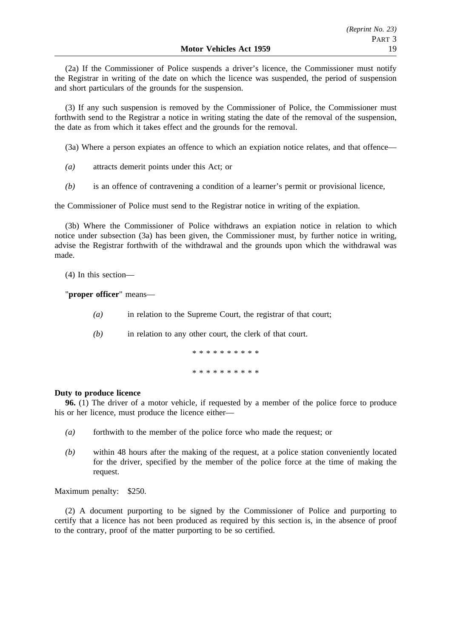(2a) If the Commissioner of Police suspends a driver's licence, the Commissioner must notify the Registrar in writing of the date on which the licence was suspended, the period of suspension and short particulars of the grounds for the suspension.

(3) If any such suspension is removed by the Commissioner of Police, the Commissioner must forthwith send to the Registrar a notice in writing stating the date of the removal of the suspension, the date as from which it takes effect and the grounds for the removal.

(3a) Where a person expiates an offence to which an expiation notice relates, and that offence—

- *(a)* attracts demerit points under this Act; or
- *(b)* is an offence of contravening a condition of a learner's permit or provisional licence,

the Commissioner of Police must send to the Registrar notice in writing of the expiation.

(3b) Where the Commissioner of Police withdraws an expiation notice in relation to which notice under subsection (3a) has been given, the Commissioner must, by further notice in writing, advise the Registrar forthwith of the withdrawal and the grounds upon which the withdrawal was made.

(4) In this section—

"**proper officer**" means—

- *(a)* in relation to the Supreme Court, the registrar of that court;
- *(b)* in relation to any other court, the clerk of that court.

\*\*\*\*\*\*\*\*\*\* \*\*\*\*\*\*\*\*\*\*

## **Duty to produce licence**

**96.** (1) The driver of a motor vehicle, if requested by a member of the police force to produce his or her licence, must produce the licence either—

- *(a)* forthwith to the member of the police force who made the request; or
- *(b)* within 48 hours after the making of the request, at a police station conveniently located for the driver, specified by the member of the police force at the time of making the request.

Maximum penalty: \$250.

(2) A document purporting to be signed by the Commissioner of Police and purporting to certify that a licence has not been produced as required by this section is, in the absence of proof to the contrary, proof of the matter purporting to be so certified.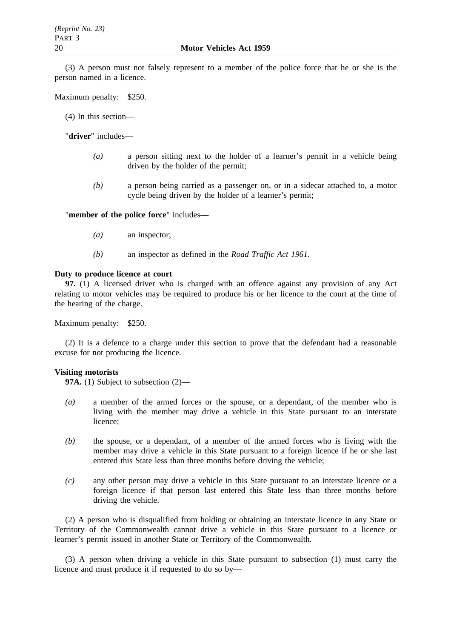(3) A person must not falsely represent to a member of the police force that he or she is the person named in a licence.

Maximum penalty: \$250.

(4) In this section—

"**driver**" includes—

- *(a)* a person sitting next to the holder of a learner's permit in a vehicle being driven by the holder of the permit;
- *(b)* a person being carried as a passenger on, or in a sidecar attached to, a motor cycle being driven by the holder of a learner's permit;

"**member of the police force**" includes—

- *(a)* an inspector;
- *(b)* an inspector as defined in the *Road Traffic Act 1961*.

#### **Duty to produce licence at court**

**97.** (1) A licensed driver who is charged with an offence against any provision of any Act relating to motor vehicles may be required to produce his or her licence to the court at the time of the hearing of the charge.

Maximum penalty: \$250.

(2) It is a defence to a charge under this section to prove that the defendant had a reasonable excuse for not producing the licence.

#### **Visiting motorists**

**97A.** (1) Subject to subsection (2)—

- *(a)* a member of the armed forces or the spouse, or a dependant, of the member who is living with the member may drive a vehicle in this State pursuant to an interstate licence;
- *(b)* the spouse, or a dependant, of a member of the armed forces who is living with the member may drive a vehicle in this State pursuant to a foreign licence if he or she last entered this State less than three months before driving the vehicle;
- *(c)* any other person may drive a vehicle in this State pursuant to an interstate licence or a foreign licence if that person last entered this State less than three months before driving the vehicle.

(2) A person who is disqualified from holding or obtaining an interstate licence in any State or Territory of the Commonwealth cannot drive a vehicle in this State pursuant to a licence or learner's permit issued in another State or Territory of the Commonwealth.

(3) A person when driving a vehicle in this State pursuant to subsection (1) must carry the licence and must produce it if requested to do so by—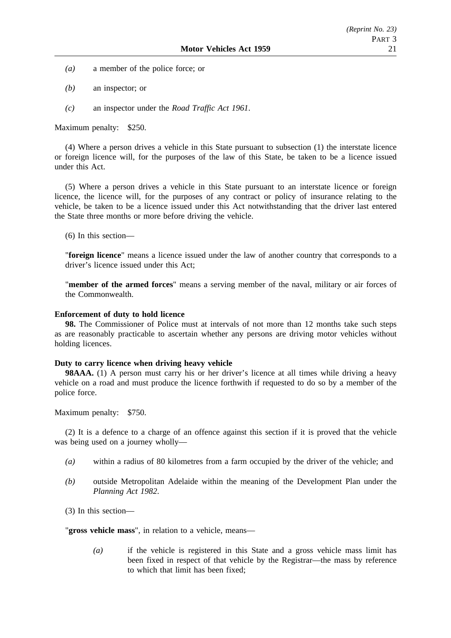- *(a)* a member of the police force; or
- *(b)* an inspector; or
- *(c)* an inspector under the *Road Traffic Act 1961*.

Maximum penalty: \$250.

(4) Where a person drives a vehicle in this State pursuant to subsection (1) the interstate licence or foreign licence will, for the purposes of the law of this State, be taken to be a licence issued under this Act.

(5) Where a person drives a vehicle in this State pursuant to an interstate licence or foreign licence, the licence will, for the purposes of any contract or policy of insurance relating to the vehicle, be taken to be a licence issued under this Act notwithstanding that the driver last entered the State three months or more before driving the vehicle.

(6) In this section—

"**foreign licence**" means a licence issued under the law of another country that corresponds to a driver's licence issued under this Act;

"**member of the armed forces**" means a serving member of the naval, military or air forces of the Commonwealth.

## **Enforcement of duty to hold licence**

**98.** The Commissioner of Police must at intervals of not more than 12 months take such steps as are reasonably practicable to ascertain whether any persons are driving motor vehicles without holding licences.

## **Duty to carry licence when driving heavy vehicle**

**98AAA.** (1) A person must carry his or her driver's licence at all times while driving a heavy vehicle on a road and must produce the licence forthwith if requested to do so by a member of the police force.

Maximum penalty: \$750.

(2) It is a defence to a charge of an offence against this section if it is proved that the vehicle was being used on a journey wholly—

- *(a)* within a radius of 80 kilometres from a farm occupied by the driver of the vehicle; and
- *(b)* outside Metropolitan Adelaide within the meaning of the Development Plan under the *Planning Act 1982*.

(3) In this section—

"**gross vehicle mass**", in relation to a vehicle, means—

*(a)* if the vehicle is registered in this State and a gross vehicle mass limit has been fixed in respect of that vehicle by the Registrar—the mass by reference to which that limit has been fixed;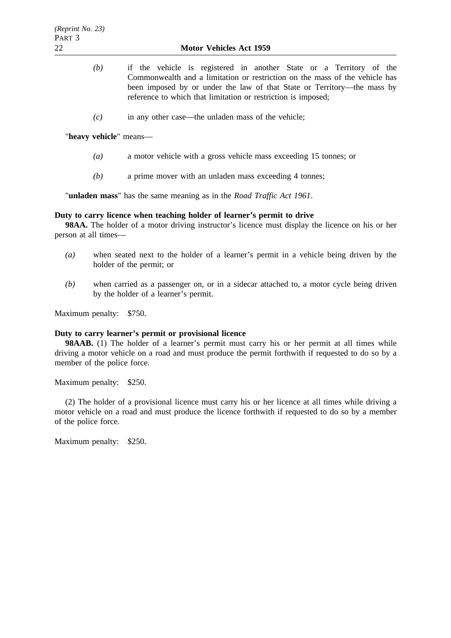- *(b)* if the vehicle is registered in another State or a Territory of the Commonwealth and a limitation or restriction on the mass of the vehicle has been imposed by or under the law of that State or Territory—the mass by reference to which that limitation or restriction is imposed;
- *(c)* in any other case—the unladen mass of the vehicle;

"**heavy vehicle**" means—

- *(a)* a motor vehicle with a gross vehicle mass exceeding 15 tonnes; or
- *(b)* a prime mover with an unladen mass exceeding 4 tonnes;

"**unladen mass**" has the same meaning as in the *Road Traffic Act 1961*.

## **Duty to carry licence when teaching holder of learner's permit to drive**

**98AA.** The holder of a motor driving instructor's licence must display the licence on his or her person at all times—

- *(a)* when seated next to the holder of a learner's permit in a vehicle being driven by the holder of the permit; or
- *(b)* when carried as a passenger on, or in a sidecar attached to, a motor cycle being driven by the holder of a learner's permit.

Maximum penalty: \$750.

#### **Duty to carry learner's permit or provisional licence**

**98AAB.** (1) The holder of a learner's permit must carry his or her permit at all times while driving a motor vehicle on a road and must produce the permit forthwith if requested to do so by a member of the police force.

Maximum penalty: \$250.

(2) The holder of a provisional licence must carry his or her licence at all times while driving a motor vehicle on a road and must produce the licence forthwith if requested to do so by a member of the police force.

Maximum penalty: \$250.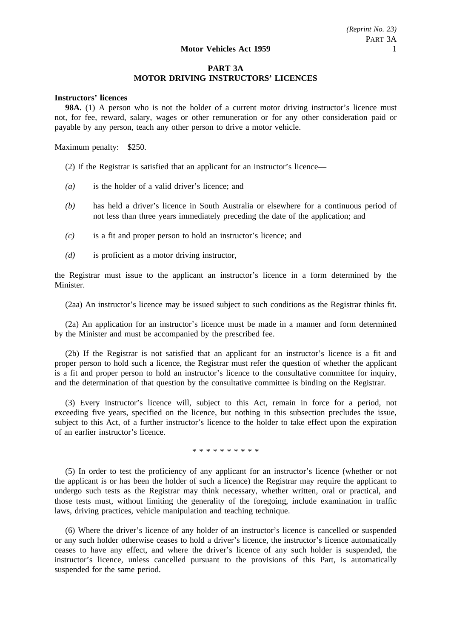# **PART 3A MOTOR DRIVING INSTRUCTORS' LICENCES**

## **Instructors' licences**

**98A.** (1) A person who is not the holder of a current motor driving instructor's licence must not, for fee, reward, salary, wages or other remuneration or for any other consideration paid or payable by any person, teach any other person to drive a motor vehicle.

Maximum penalty: \$250.

(2) If the Registrar is satisfied that an applicant for an instructor's licence—

- *(a)* is the holder of a valid driver's licence; and
- *(b)* has held a driver's licence in South Australia or elsewhere for a continuous period of not less than three years immediately preceding the date of the application; and
- *(c)* is a fit and proper person to hold an instructor's licence; and
- *(d)* is proficient as a motor driving instructor,

the Registrar must issue to the applicant an instructor's licence in a form determined by the Minister.

(2aa) An instructor's licence may be issued subject to such conditions as the Registrar thinks fit.

(2a) An application for an instructor's licence must be made in a manner and form determined by the Minister and must be accompanied by the prescribed fee.

(2b) If the Registrar is not satisfied that an applicant for an instructor's licence is a fit and proper person to hold such a licence, the Registrar must refer the question of whether the applicant is a fit and proper person to hold an instructor's licence to the consultative committee for inquiry, and the determination of that question by the consultative committee is binding on the Registrar.

(3) Every instructor's licence will, subject to this Act, remain in force for a period, not exceeding five years, specified on the licence, but nothing in this subsection precludes the issue, subject to this Act, of a further instructor's licence to the holder to take effect upon the expiration of an earlier instructor's licence.

## \*\*\*\*\*\*\*\*\*\*

(5) In order to test the proficiency of any applicant for an instructor's licence (whether or not the applicant is or has been the holder of such a licence) the Registrar may require the applicant to undergo such tests as the Registrar may think necessary, whether written, oral or practical, and those tests must, without limiting the generality of the foregoing, include examination in traffic laws, driving practices, vehicle manipulation and teaching technique.

(6) Where the driver's licence of any holder of an instructor's licence is cancelled or suspended or any such holder otherwise ceases to hold a driver's licence, the instructor's licence automatically ceases to have any effect, and where the driver's licence of any such holder is suspended, the instructor's licence, unless cancelled pursuant to the provisions of this Part, is automatically suspended for the same period.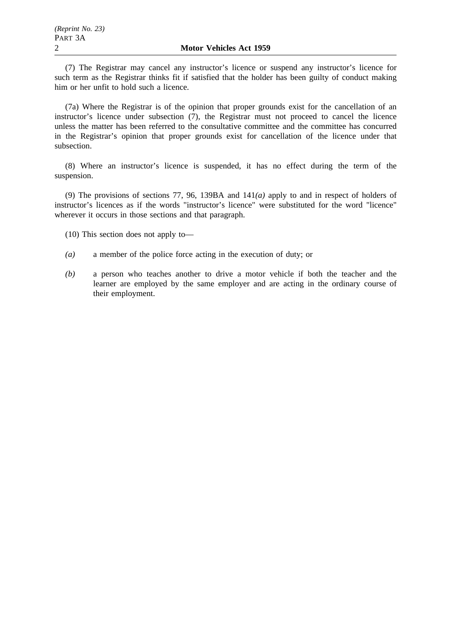(7) The Registrar may cancel any instructor's licence or suspend any instructor's licence for such term as the Registrar thinks fit if satisfied that the holder has been guilty of conduct making him or her unfit to hold such a licence.

(7a) Where the Registrar is of the opinion that proper grounds exist for the cancellation of an instructor's licence under subsection (7), the Registrar must not proceed to cancel the licence unless the matter has been referred to the consultative committee and the committee has concurred in the Registrar's opinion that proper grounds exist for cancellation of the licence under that subsection.

(8) Where an instructor's licence is suspended, it has no effect during the term of the suspension.

(9) The provisions of sections 77, 96, 139BA and 141*(a)* apply to and in respect of holders of instructor's licences as if the words "instructor's licence" were substituted for the word "licence" wherever it occurs in those sections and that paragraph.

(10) This section does not apply to—

- *(a)* a member of the police force acting in the execution of duty; or
- *(b)* a person who teaches another to drive a motor vehicle if both the teacher and the learner are employed by the same employer and are acting in the ordinary course of their employment.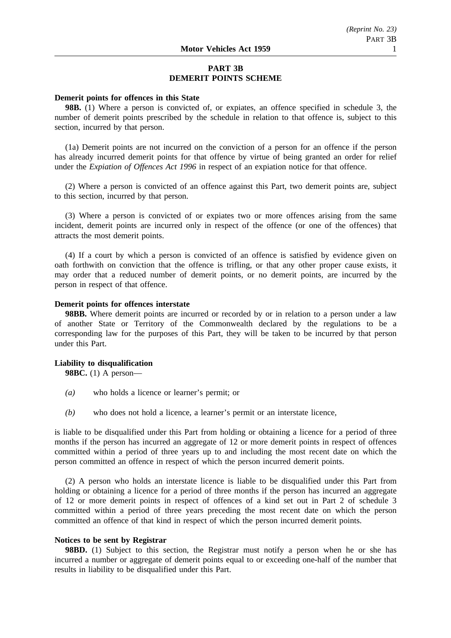# **PART 3B DEMERIT POINTS SCHEME**

#### **Demerit points for offences in this State**

**98B.** (1) Where a person is convicted of, or expiates, an offence specified in schedule 3, the number of demerit points prescribed by the schedule in relation to that offence is, subject to this section, incurred by that person.

(1a) Demerit points are not incurred on the conviction of a person for an offence if the person has already incurred demerit points for that offence by virtue of being granted an order for relief under the *Expiation of Offences Act 1996* in respect of an expiation notice for that offence.

(2) Where a person is convicted of an offence against this Part, two demerit points are, subject to this section, incurred by that person.

(3) Where a person is convicted of or expiates two or more offences arising from the same incident, demerit points are incurred only in respect of the offence (or one of the offences) that attracts the most demerit points.

(4) If a court by which a person is convicted of an offence is satisfied by evidence given on oath forthwith on conviction that the offence is trifling, or that any other proper cause exists, it may order that a reduced number of demerit points, or no demerit points, are incurred by the person in respect of that offence.

#### **Demerit points for offences interstate**

**98BB.** Where demerit points are incurred or recorded by or in relation to a person under a law of another State or Territory of the Commonwealth declared by the regulations to be a corresponding law for the purposes of this Part, they will be taken to be incurred by that person under this Part.

## **Liability to disqualification 98BC.** (1) A person—

- *(a)* who holds a licence or learner's permit; or
- *(b)* who does not hold a licence, a learner's permit or an interstate licence,

is liable to be disqualified under this Part from holding or obtaining a licence for a period of three months if the person has incurred an aggregate of 12 or more demerit points in respect of offences committed within a period of three years up to and including the most recent date on which the person committed an offence in respect of which the person incurred demerit points.

(2) A person who holds an interstate licence is liable to be disqualified under this Part from holding or obtaining a licence for a period of three months if the person has incurred an aggregate of 12 or more demerit points in respect of offences of a kind set out in Part 2 of schedule 3 committed within a period of three years preceding the most recent date on which the person committed an offence of that kind in respect of which the person incurred demerit points.

## **Notices to be sent by Registrar**

**98BD.** (1) Subject to this section, the Registrar must notify a person when he or she has incurred a number or aggregate of demerit points equal to or exceeding one-half of the number that results in liability to be disqualified under this Part.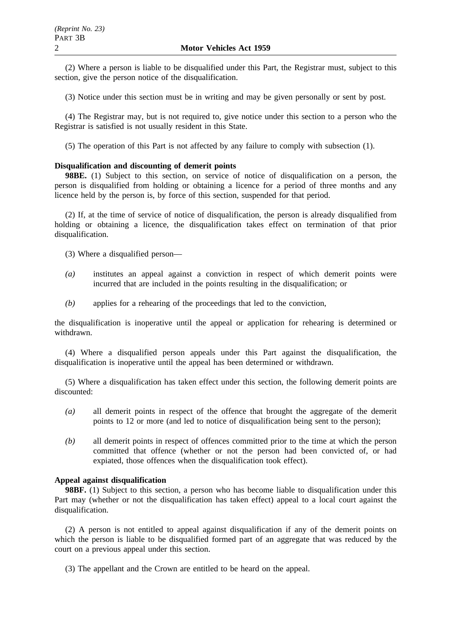(2) Where a person is liable to be disqualified under this Part, the Registrar must, subject to this section, give the person notice of the disqualification.

(3) Notice under this section must be in writing and may be given personally or sent by post.

(4) The Registrar may, but is not required to, give notice under this section to a person who the Registrar is satisfied is not usually resident in this State.

(5) The operation of this Part is not affected by any failure to comply with subsection (1).

## **Disqualification and discounting of demerit points**

**98BE.** (1) Subject to this section, on service of notice of disqualification on a person, the person is disqualified from holding or obtaining a licence for a period of three months and any licence held by the person is, by force of this section, suspended for that period.

(2) If, at the time of service of notice of disqualification, the person is already disqualified from holding or obtaining a licence, the disqualification takes effect on termination of that prior disqualification.

(3) Where a disqualified person—

- *(a)* institutes an appeal against a conviction in respect of which demerit points were incurred that are included in the points resulting in the disqualification; or
- *(b)* applies for a rehearing of the proceedings that led to the conviction,

the disqualification is inoperative until the appeal or application for rehearing is determined or withdrawn.

(4) Where a disqualified person appeals under this Part against the disqualification, the disqualification is inoperative until the appeal has been determined or withdrawn.

(5) Where a disqualification has taken effect under this section, the following demerit points are discounted:

- *(a)* all demerit points in respect of the offence that brought the aggregate of the demerit points to 12 or more (and led to notice of disqualification being sent to the person);
- *(b)* all demerit points in respect of offences committed prior to the time at which the person committed that offence (whether or not the person had been convicted of, or had expiated, those offences when the disqualification took effect).

# **Appeal against disqualification**

**98BF.** (1) Subject to this section, a person who has become liable to disqualification under this Part may (whether or not the disqualification has taken effect) appeal to a local court against the disqualification.

(2) A person is not entitled to appeal against disqualification if any of the demerit points on which the person is liable to be disqualified formed part of an aggregate that was reduced by the court on a previous appeal under this section.

(3) The appellant and the Crown are entitled to be heard on the appeal.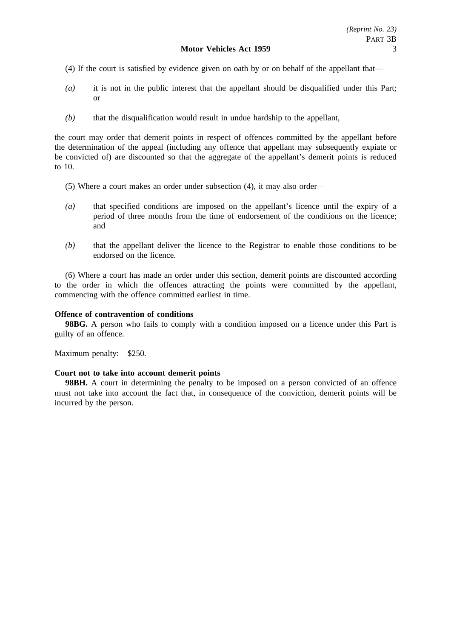- (4) If the court is satisfied by evidence given on oath by or on behalf of the appellant that—
- *(a)* it is not in the public interest that the appellant should be disqualified under this Part; or
- *(b)* that the disqualification would result in undue hardship to the appellant,

the court may order that demerit points in respect of offences committed by the appellant before the determination of the appeal (including any offence that appellant may subsequently expiate or be convicted of) are discounted so that the aggregate of the appellant's demerit points is reduced to 10.

- (5) Where a court makes an order under subsection (4), it may also order—
- *(a)* that specified conditions are imposed on the appellant's licence until the expiry of a period of three months from the time of endorsement of the conditions on the licence; and
- *(b)* that the appellant deliver the licence to the Registrar to enable those conditions to be endorsed on the licence.

(6) Where a court has made an order under this section, demerit points are discounted according to the order in which the offences attracting the points were committed by the appellant, commencing with the offence committed earliest in time.

## **Offence of contravention of conditions**

**98BG.** A person who fails to comply with a condition imposed on a licence under this Part is guilty of an offence.

Maximum penalty: \$250.

# **Court not to take into account demerit points**

**98BH.** A court in determining the penalty to be imposed on a person convicted of an offence must not take into account the fact that, in consequence of the conviction, demerit points will be incurred by the person.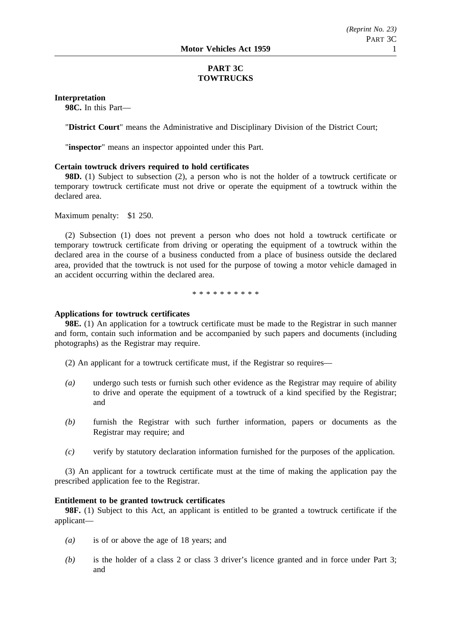# **PART 3C TOWTRUCKS**

**Interpretation**

**98C.** In this Part—

"**District Court**" means the Administrative and Disciplinary Division of the District Court;

"**inspector**" means an inspector appointed under this Part.

## **Certain towtruck drivers required to hold certificates**

**98D.** (1) Subject to subsection (2), a person who is not the holder of a towtruck certificate or temporary towtruck certificate must not drive or operate the equipment of a towtruck within the declared area.

Maximum penalty: \$1 250.

(2) Subsection (1) does not prevent a person who does not hold a towtruck certificate or temporary towtruck certificate from driving or operating the equipment of a towtruck within the declared area in the course of a business conducted from a place of business outside the declared area, provided that the towtruck is not used for the purpose of towing a motor vehicle damaged in an accident occurring within the declared area.

\*\*\*\*\*\*\*\*\*\*

#### **Applications for towtruck certificates**

**98E.** (1) An application for a towtruck certificate must be made to the Registrar in such manner and form, contain such information and be accompanied by such papers and documents (including photographs) as the Registrar may require.

(2) An applicant for a towtruck certificate must, if the Registrar so requires—

- *(a)* undergo such tests or furnish such other evidence as the Registrar may require of ability to drive and operate the equipment of a towtruck of a kind specified by the Registrar; and
- *(b)* furnish the Registrar with such further information, papers or documents as the Registrar may require; and
- *(c)* verify by statutory declaration information furnished for the purposes of the application.

(3) An applicant for a towtruck certificate must at the time of making the application pay the prescribed application fee to the Registrar.

#### **Entitlement to be granted towtruck certificates**

**98F.** (1) Subject to this Act, an applicant is entitled to be granted a towtruck certificate if the applicant—

- *(a)* is of or above the age of 18 years; and
- *(b)* is the holder of a class 2 or class 3 driver's licence granted and in force under Part 3; and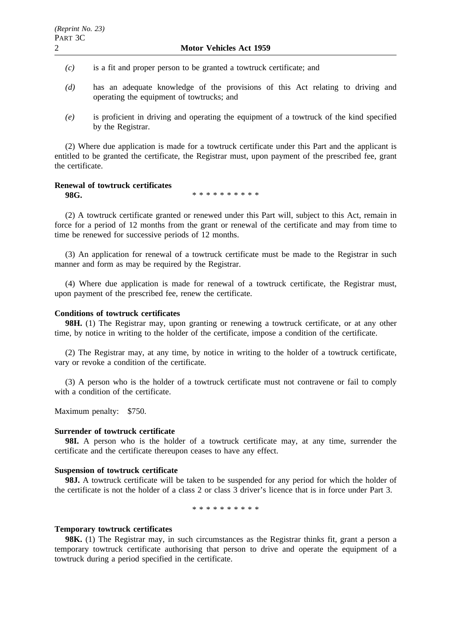- *(c)* is a fit and proper person to be granted a towtruck certificate; and
- *(d)* has an adequate knowledge of the provisions of this Act relating to driving and operating the equipment of towtrucks; and
- *(e)* is proficient in driving and operating the equipment of a towtruck of the kind specified by the Registrar.

(2) Where due application is made for a towtruck certificate under this Part and the applicant is entitled to be granted the certificate, the Registrar must, upon payment of the prescribed fee, grant the certificate.

# **Renewal of towtruck certificates**

**98G.** \*\*\*\*\*\*\*\*\*\*\*\*

(2) A towtruck certificate granted or renewed under this Part will, subject to this Act, remain in force for a period of 12 months from the grant or renewal of the certificate and may from time to time be renewed for successive periods of 12 months.

(3) An application for renewal of a towtruck certificate must be made to the Registrar in such manner and form as may be required by the Registrar.

(4) Where due application is made for renewal of a towtruck certificate, the Registrar must, upon payment of the prescribed fee, renew the certificate.

## **Conditions of towtruck certificates**

**98H.** (1) The Registrar may, upon granting or renewing a towtruck certificate, or at any other time, by notice in writing to the holder of the certificate, impose a condition of the certificate.

(2) The Registrar may, at any time, by notice in writing to the holder of a towtruck certificate, vary or revoke a condition of the certificate.

(3) A person who is the holder of a towtruck certificate must not contravene or fail to comply with a condition of the certificate.

Maximum penalty: \$750.

#### **Surrender of towtruck certificate**

**98I.** A person who is the holder of a towtruck certificate may, at any time, surrender the certificate and the certificate thereupon ceases to have any effect.

## **Suspension of towtruck certificate**

**98J.** A towtruck certificate will be taken to be suspended for any period for which the holder of the certificate is not the holder of a class 2 or class 3 driver's licence that is in force under Part 3.

\*\*\*\*\*\*\*\*\*\*

#### **Temporary towtruck certificates**

**98K.** (1) The Registrar may, in such circumstances as the Registrar thinks fit, grant a person a temporary towtruck certificate authorising that person to drive and operate the equipment of a towtruck during a period specified in the certificate.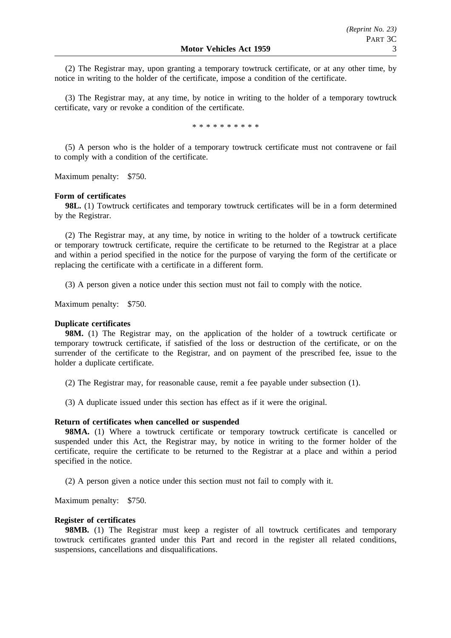(2) The Registrar may, upon granting a temporary towtruck certificate, or at any other time, by notice in writing to the holder of the certificate, impose a condition of the certificate.

(3) The Registrar may, at any time, by notice in writing to the holder of a temporary towtruck certificate, vary or revoke a condition of the certificate.

\*\*\*\*\*\*\*\*\*\*

(5) A person who is the holder of a temporary towtruck certificate must not contravene or fail to comply with a condition of the certificate.

Maximum penalty: \$750.

## **Form of certificates**

**98L.** (1) Towtruck certificates and temporary towtruck certificates will be in a form determined by the Registrar.

(2) The Registrar may, at any time, by notice in writing to the holder of a towtruck certificate or temporary towtruck certificate, require the certificate to be returned to the Registrar at a place and within a period specified in the notice for the purpose of varying the form of the certificate or replacing the certificate with a certificate in a different form.

(3) A person given a notice under this section must not fail to comply with the notice.

Maximum penalty: \$750.

## **Duplicate certificates**

**98M.** (1) The Registrar may, on the application of the holder of a towtruck certificate or temporary towtruck certificate, if satisfied of the loss or destruction of the certificate, or on the surrender of the certificate to the Registrar, and on payment of the prescribed fee, issue to the holder a duplicate certificate.

(2) The Registrar may, for reasonable cause, remit a fee payable under subsection (1).

(3) A duplicate issued under this section has effect as if it were the original.

## **Return of certificates when cancelled or suspended**

**98MA.** (1) Where a towtruck certificate or temporary towtruck certificate is cancelled or suspended under this Act, the Registrar may, by notice in writing to the former holder of the certificate, require the certificate to be returned to the Registrar at a place and within a period specified in the notice.

(2) A person given a notice under this section must not fail to comply with it.

Maximum penalty: \$750.

#### **Register of certificates**

**98MB.** (1) The Registrar must keep a register of all towtruck certificates and temporary towtruck certificates granted under this Part and record in the register all related conditions, suspensions, cancellations and disqualifications.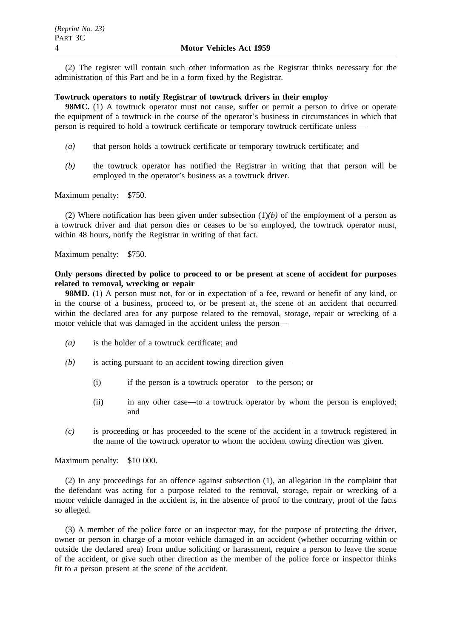(2) The register will contain such other information as the Registrar thinks necessary for the administration of this Part and be in a form fixed by the Registrar.

### **Towtruck operators to notify Registrar of towtruck drivers in their employ**

**98MC.** (1) A towtruck operator must not cause, suffer or permit a person to drive or operate the equipment of a towtruck in the course of the operator's business in circumstances in which that person is required to hold a towtruck certificate or temporary towtruck certificate unless—

- *(a)* that person holds a towtruck certificate or temporary towtruck certificate; and
- *(b)* the towtruck operator has notified the Registrar in writing that that person will be employed in the operator's business as a towtruck driver.

Maximum penalty: \$750.

(2) Where notification has been given under subsection  $(1)(b)$  of the employment of a person as a towtruck driver and that person dies or ceases to be so employed, the towtruck operator must, within 48 hours, notify the Registrar in writing of that fact.

Maximum penalty: \$750.

## **Only persons directed by police to proceed to or be present at scene of accident for purposes related to removal, wrecking or repair**

**98MD.** (1) A person must not, for or in expectation of a fee, reward or benefit of any kind, or in the course of a business, proceed to, or be present at, the scene of an accident that occurred within the declared area for any purpose related to the removal, storage, repair or wrecking of a motor vehicle that was damaged in the accident unless the person—

- *(a)* is the holder of a towtruck certificate; and
- *(b)* is acting pursuant to an accident towing direction given—
	- (i) if the person is a towtruck operator—to the person; or
	- (ii) in any other case—to a towtruck operator by whom the person is employed; and
- *(c)* is proceeding or has proceeded to the scene of the accident in a towtruck registered in the name of the towtruck operator to whom the accident towing direction was given.

Maximum penalty: \$10 000.

(2) In any proceedings for an offence against subsection (1), an allegation in the complaint that the defendant was acting for a purpose related to the removal, storage, repair or wrecking of a motor vehicle damaged in the accident is, in the absence of proof to the contrary, proof of the facts so alleged.

(3) A member of the police force or an inspector may, for the purpose of protecting the driver, owner or person in charge of a motor vehicle damaged in an accident (whether occurring within or outside the declared area) from undue soliciting or harassment, require a person to leave the scene of the accident, or give such other direction as the member of the police force or inspector thinks fit to a person present at the scene of the accident.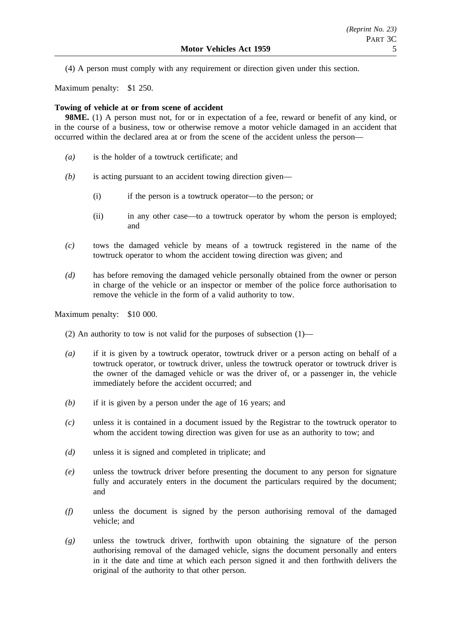(4) A person must comply with any requirement or direction given under this section.

Maximum penalty: \$1 250.

## **Towing of vehicle at or from scene of accident**

**98ME.** (1) A person must not, for or in expectation of a fee, reward or benefit of any kind, or in the course of a business, tow or otherwise remove a motor vehicle damaged in an accident that occurred within the declared area at or from the scene of the accident unless the person—

- *(a)* is the holder of a towtruck certificate; and
- *(b)* is acting pursuant to an accident towing direction given—
	- (i) if the person is a towtruck operator—to the person; or
	- (ii) in any other case—to a towtruck operator by whom the person is employed; and
- *(c)* tows the damaged vehicle by means of a towtruck registered in the name of the towtruck operator to whom the accident towing direction was given; and
- *(d)* has before removing the damaged vehicle personally obtained from the owner or person in charge of the vehicle or an inspector or member of the police force authorisation to remove the vehicle in the form of a valid authority to tow.

Maximum penalty: \$10 000.

- (2) An authority to tow is not valid for the purposes of subsection (1)—
- *(a)* if it is given by a towtruck operator, towtruck driver or a person acting on behalf of a towtruck operator, or towtruck driver, unless the towtruck operator or towtruck driver is the owner of the damaged vehicle or was the driver of, or a passenger in, the vehicle immediately before the accident occurred; and
- *(b)* if it is given by a person under the age of 16 years; and
- *(c)* unless it is contained in a document issued by the Registrar to the towtruck operator to whom the accident towing direction was given for use as an authority to tow; and
- *(d)* unless it is signed and completed in triplicate; and
- *(e)* unless the towtruck driver before presenting the document to any person for signature fully and accurately enters in the document the particulars required by the document; and
- *(f)* unless the document is signed by the person authorising removal of the damaged vehicle; and
- *(g)* unless the towtruck driver, forthwith upon obtaining the signature of the person authorising removal of the damaged vehicle, signs the document personally and enters in it the date and time at which each person signed it and then forthwith delivers the original of the authority to that other person.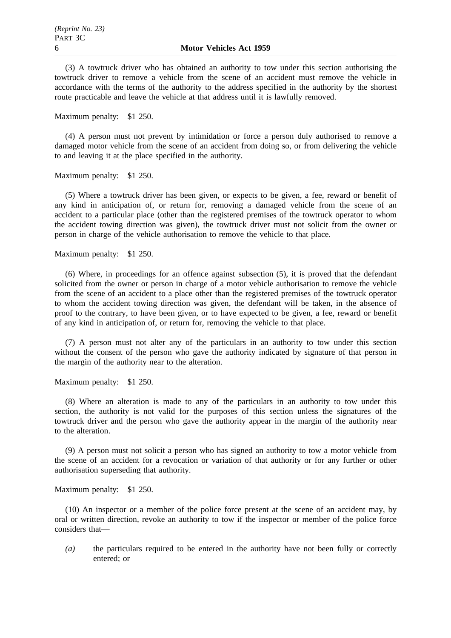(3) A towtruck driver who has obtained an authority to tow under this section authorising the towtruck driver to remove a vehicle from the scene of an accident must remove the vehicle in accordance with the terms of the authority to the address specified in the authority by the shortest route practicable and leave the vehicle at that address until it is lawfully removed.

Maximum penalty: \$1 250.

(4) A person must not prevent by intimidation or force a person duly authorised to remove a damaged motor vehicle from the scene of an accident from doing so, or from delivering the vehicle to and leaving it at the place specified in the authority.

Maximum penalty: \$1 250.

(5) Where a towtruck driver has been given, or expects to be given, a fee, reward or benefit of any kind in anticipation of, or return for, removing a damaged vehicle from the scene of an accident to a particular place (other than the registered premises of the towtruck operator to whom the accident towing direction was given), the towtruck driver must not solicit from the owner or person in charge of the vehicle authorisation to remove the vehicle to that place.

Maximum penalty: \$1 250.

(6) Where, in proceedings for an offence against subsection (5), it is proved that the defendant solicited from the owner or person in charge of a motor vehicle authorisation to remove the vehicle from the scene of an accident to a place other than the registered premises of the towtruck operator to whom the accident towing direction was given, the defendant will be taken, in the absence of proof to the contrary, to have been given, or to have expected to be given, a fee, reward or benefit of any kind in anticipation of, or return for, removing the vehicle to that place.

(7) A person must not alter any of the particulars in an authority to tow under this section without the consent of the person who gave the authority indicated by signature of that person in the margin of the authority near to the alteration.

Maximum penalty: \$1 250.

(8) Where an alteration is made to any of the particulars in an authority to tow under this section, the authority is not valid for the purposes of this section unless the signatures of the towtruck driver and the person who gave the authority appear in the margin of the authority near to the alteration.

(9) A person must not solicit a person who has signed an authority to tow a motor vehicle from the scene of an accident for a revocation or variation of that authority or for any further or other authorisation superseding that authority.

Maximum penalty: \$1 250.

(10) An inspector or a member of the police force present at the scene of an accident may, by oral or written direction, revoke an authority to tow if the inspector or member of the police force considers that—

*(a)* the particulars required to be entered in the authority have not been fully or correctly entered; or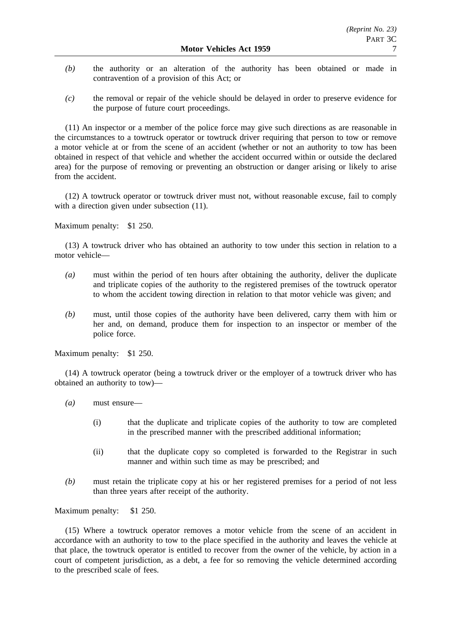- *(b)* the authority or an alteration of the authority has been obtained or made in contravention of a provision of this Act; or
- *(c)* the removal or repair of the vehicle should be delayed in order to preserve evidence for the purpose of future court proceedings.

(11) An inspector or a member of the police force may give such directions as are reasonable in the circumstances to a towtruck operator or towtruck driver requiring that person to tow or remove a motor vehicle at or from the scene of an accident (whether or not an authority to tow has been obtained in respect of that vehicle and whether the accident occurred within or outside the declared area) for the purpose of removing or preventing an obstruction or danger arising or likely to arise from the accident.

(12) A towtruck operator or towtruck driver must not, without reasonable excuse, fail to comply with a direction given under subsection  $(11)$ .

Maximum penalty: \$1 250.

(13) A towtruck driver who has obtained an authority to tow under this section in relation to a motor vehicle—

- *(a)* must within the period of ten hours after obtaining the authority, deliver the duplicate and triplicate copies of the authority to the registered premises of the towtruck operator to whom the accident towing direction in relation to that motor vehicle was given; and
- *(b)* must, until those copies of the authority have been delivered, carry them with him or her and, on demand, produce them for inspection to an inspector or member of the police force.

Maximum penalty: \$1 250.

(14) A towtruck operator (being a towtruck driver or the employer of a towtruck driver who has obtained an authority to tow)—

- *(a)* must ensure—
	- (i) that the duplicate and triplicate copies of the authority to tow are completed in the prescribed manner with the prescribed additional information;
	- (ii) that the duplicate copy so completed is forwarded to the Registrar in such manner and within such time as may be prescribed; and
- *(b)* must retain the triplicate copy at his or her registered premises for a period of not less than three years after receipt of the authority.

Maximum penalty: \$1 250.

(15) Where a towtruck operator removes a motor vehicle from the scene of an accident in accordance with an authority to tow to the place specified in the authority and leaves the vehicle at that place, the towtruck operator is entitled to recover from the owner of the vehicle, by action in a court of competent jurisdiction, as a debt, a fee for so removing the vehicle determined according to the prescribed scale of fees.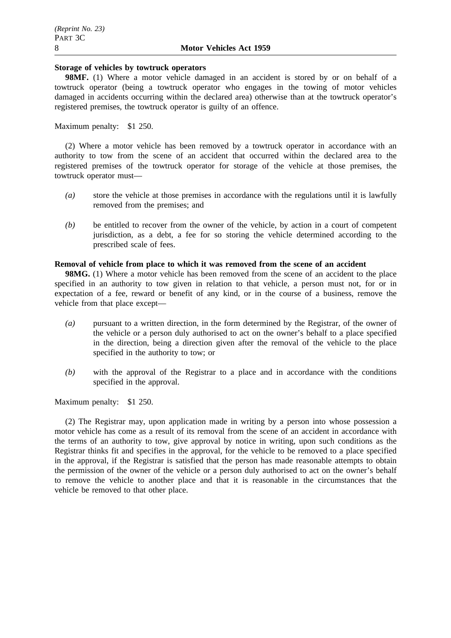## **Storage of vehicles by towtruck operators**

**98MF.** (1) Where a motor vehicle damaged in an accident is stored by or on behalf of a towtruck operator (being a towtruck operator who engages in the towing of motor vehicles damaged in accidents occurring within the declared area) otherwise than at the towtruck operator's registered premises, the towtruck operator is guilty of an offence.

# Maximum penalty: \$1 250.

(2) Where a motor vehicle has been removed by a towtruck operator in accordance with an authority to tow from the scene of an accident that occurred within the declared area to the registered premises of the towtruck operator for storage of the vehicle at those premises, the towtruck operator must—

- *(a)* store the vehicle at those premises in accordance with the regulations until it is lawfully removed from the premises; and
- *(b)* be entitled to recover from the owner of the vehicle, by action in a court of competent jurisdiction, as a debt, a fee for so storing the vehicle determined according to the prescribed scale of fees.

# **Removal of vehicle from place to which it was removed from the scene of an accident**

**98MG.** (1) Where a motor vehicle has been removed from the scene of an accident to the place specified in an authority to tow given in relation to that vehicle, a person must not, for or in expectation of a fee, reward or benefit of any kind, or in the course of a business, remove the vehicle from that place except—

- *(a)* pursuant to a written direction, in the form determined by the Registrar, of the owner of the vehicle or a person duly authorised to act on the owner's behalf to a place specified in the direction, being a direction given after the removal of the vehicle to the place specified in the authority to tow; or
- *(b)* with the approval of the Registrar to a place and in accordance with the conditions specified in the approval.

Maximum penalty: \$1 250.

(2) The Registrar may, upon application made in writing by a person into whose possession a motor vehicle has come as a result of its removal from the scene of an accident in accordance with the terms of an authority to tow, give approval by notice in writing, upon such conditions as the Registrar thinks fit and specifies in the approval, for the vehicle to be removed to a place specified in the approval, if the Registrar is satisfied that the person has made reasonable attempts to obtain the permission of the owner of the vehicle or a person duly authorised to act on the owner's behalf to remove the vehicle to another place and that it is reasonable in the circumstances that the vehicle be removed to that other place.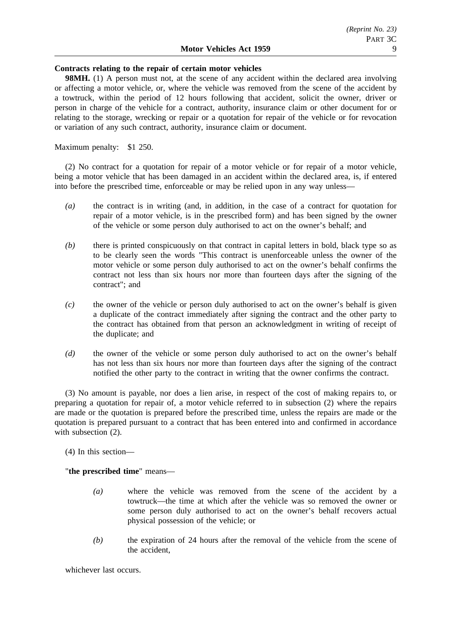## **Contracts relating to the repair of certain motor vehicles**

**98MH.** (1) A person must not, at the scene of any accident within the declared area involving or affecting a motor vehicle, or, where the vehicle was removed from the scene of the accident by a towtruck, within the period of 12 hours following that accident, solicit the owner, driver or person in charge of the vehicle for a contract, authority, insurance claim or other document for or relating to the storage, wrecking or repair or a quotation for repair of the vehicle or for revocation or variation of any such contract, authority, insurance claim or document.

Maximum penalty: \$1 250.

(2) No contract for a quotation for repair of a motor vehicle or for repair of a motor vehicle, being a motor vehicle that has been damaged in an accident within the declared area, is, if entered into before the prescribed time, enforceable or may be relied upon in any way unless—

- *(a)* the contract is in writing (and, in addition, in the case of a contract for quotation for repair of a motor vehicle, is in the prescribed form) and has been signed by the owner of the vehicle or some person duly authorised to act on the owner's behalf; and
- *(b)* there is printed conspicuously on that contract in capital letters in bold, black type so as to be clearly seen the words "This contract is unenforceable unless the owner of the motor vehicle or some person duly authorised to act on the owner's behalf confirms the contract not less than six hours nor more than fourteen days after the signing of the contract"; and
- *(c)* the owner of the vehicle or person duly authorised to act on the owner's behalf is given a duplicate of the contract immediately after signing the contract and the other party to the contract has obtained from that person an acknowledgment in writing of receipt of the duplicate; and
- *(d)* the owner of the vehicle or some person duly authorised to act on the owner's behalf has not less than six hours nor more than fourteen days after the signing of the contract notified the other party to the contract in writing that the owner confirms the contract.

(3) No amount is payable, nor does a lien arise, in respect of the cost of making repairs to, or preparing a quotation for repair of, a motor vehicle referred to in subsection (2) where the repairs are made or the quotation is prepared before the prescribed time, unless the repairs are made or the quotation is prepared pursuant to a contract that has been entered into and confirmed in accordance with subsection  $(2)$ .

(4) In this section—

"**the prescribed time**" means—

- *(a)* where the vehicle was removed from the scene of the accident by a towtruck—the time at which after the vehicle was so removed the owner or some person duly authorised to act on the owner's behalf recovers actual physical possession of the vehicle; or
- *(b)* the expiration of 24 hours after the removal of the vehicle from the scene of the accident,

whichever last occurs.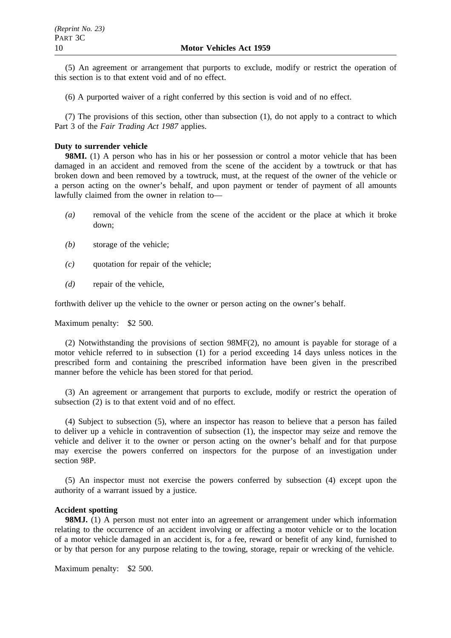(5) An agreement or arrangement that purports to exclude, modify or restrict the operation of this section is to that extent void and of no effect.

(6) A purported waiver of a right conferred by this section is void and of no effect.

(7) The provisions of this section, other than subsection (1), do not apply to a contract to which Part 3 of the *Fair Trading Act 1987* applies.

## **Duty to surrender vehicle**

**98MI.** (1) A person who has in his or her possession or control a motor vehicle that has been damaged in an accident and removed from the scene of the accident by a towtruck or that has broken down and been removed by a towtruck, must, at the request of the owner of the vehicle or a person acting on the owner's behalf, and upon payment or tender of payment of all amounts lawfully claimed from the owner in relation to—

- *(a)* removal of the vehicle from the scene of the accident or the place at which it broke down;
- *(b)* storage of the vehicle;
- *(c)* quotation for repair of the vehicle;
- *(d)* repair of the vehicle,

forthwith deliver up the vehicle to the owner or person acting on the owner's behalf.

Maximum penalty: \$2 500.

(2) Notwithstanding the provisions of section 98MF(2), no amount is payable for storage of a motor vehicle referred to in subsection (1) for a period exceeding 14 days unless notices in the prescribed form and containing the prescribed information have been given in the prescribed manner before the vehicle has been stored for that period.

(3) An agreement or arrangement that purports to exclude, modify or restrict the operation of subsection (2) is to that extent void and of no effect.

(4) Subject to subsection (5), where an inspector has reason to believe that a person has failed to deliver up a vehicle in contravention of subsection (1), the inspector may seize and remove the vehicle and deliver it to the owner or person acting on the owner's behalf and for that purpose may exercise the powers conferred on inspectors for the purpose of an investigation under section 98P.

(5) An inspector must not exercise the powers conferred by subsection (4) except upon the authority of a warrant issued by a justice.

## **Accident spotting**

**98MJ.** (1) A person must not enter into an agreement or arrangement under which information relating to the occurrence of an accident involving or affecting a motor vehicle or to the location of a motor vehicle damaged in an accident is, for a fee, reward or benefit of any kind, furnished to or by that person for any purpose relating to the towing, storage, repair or wrecking of the vehicle.

Maximum penalty: \$2 500.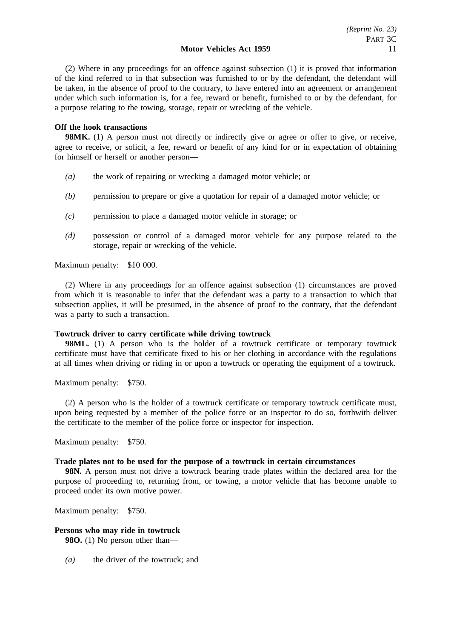(2) Where in any proceedings for an offence against subsection (1) it is proved that information of the kind referred to in that subsection was furnished to or by the defendant, the defendant will be taken, in the absence of proof to the contrary, to have entered into an agreement or arrangement under which such information is, for a fee, reward or benefit, furnished to or by the defendant, for a purpose relating to the towing, storage, repair or wrecking of the vehicle.

# **Off the hook transactions**

**98MK.** (1) A person must not directly or indirectly give or agree or offer to give, or receive, agree to receive, or solicit, a fee, reward or benefit of any kind for or in expectation of obtaining for himself or herself or another person—

- *(a)* the work of repairing or wrecking a damaged motor vehicle; or
- *(b)* permission to prepare or give a quotation for repair of a damaged motor vehicle; or
- *(c)* permission to place a damaged motor vehicle in storage; or
- *(d)* possession or control of a damaged motor vehicle for any purpose related to the storage, repair or wrecking of the vehicle.

Maximum penalty: \$10 000.

(2) Where in any proceedings for an offence against subsection (1) circumstances are proved from which it is reasonable to infer that the defendant was a party to a transaction to which that subsection applies, it will be presumed, in the absence of proof to the contrary, that the defendant was a party to such a transaction.

# **Towtruck driver to carry certificate while driving towtruck**

**98ML.** (1) A person who is the holder of a towtruck certificate or temporary towtruck certificate must have that certificate fixed to his or her clothing in accordance with the regulations at all times when driving or riding in or upon a towtruck or operating the equipment of a towtruck.

Maximum penalty: \$750.

(2) A person who is the holder of a towtruck certificate or temporary towtruck certificate must, upon being requested by a member of the police force or an inspector to do so, forthwith deliver the certificate to the member of the police force or inspector for inspection.

Maximum penalty: \$750.

# **Trade plates not to be used for the purpose of a towtruck in certain circumstances**

**98N.** A person must not drive a towtruck bearing trade plates within the declared area for the purpose of proceeding to, returning from, or towing, a motor vehicle that has become unable to proceed under its own motive power.

Maximum penalty: \$750.

# **Persons who may ride in towtruck**

**980.** (1) No person other than—

*(a)* the driver of the towtruck; and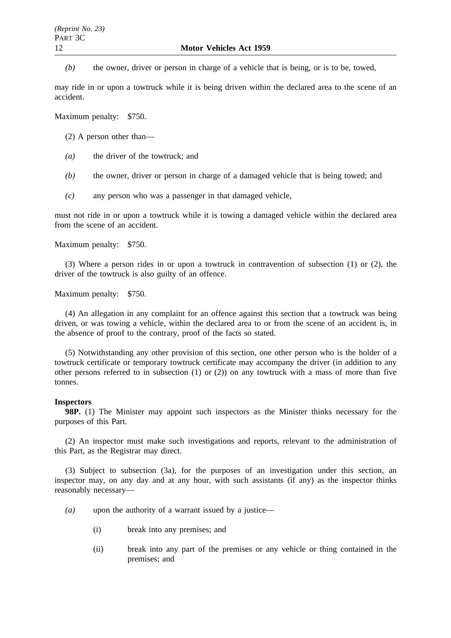*(b)* the owner, driver or person in charge of a vehicle that is being, or is to be, towed,

may ride in or upon a towtruck while it is being driven within the declared area to the scene of an accident.

Maximum penalty: \$750.

(2) A person other than—

- *(a)* the driver of the towtruck; and
- *(b)* the owner, driver or person in charge of a damaged vehicle that is being towed; and
- *(c)* any person who was a passenger in that damaged vehicle,

must not ride in or upon a towtruck while it is towing a damaged vehicle within the declared area from the scene of an accident.

Maximum penalty: \$750.

(3) Where a person rides in or upon a towtruck in contravention of subsection (1) or (2), the driver of the towtruck is also guilty of an offence.

Maximum penalty: \$750.

(4) An allegation in any complaint for an offence against this section that a towtruck was being driven, or was towing a vehicle, within the declared area to or from the scene of an accident is, in the absence of proof to the contrary, proof of the facts so stated.

(5) Notwithstanding any other provision of this section, one other person who is the holder of a towtruck certificate or temporary towtruck certificate may accompany the driver (in addition to any other persons referred to in subsection  $(1)$  or  $(2)$ ) on any towtruck with a mass of more than five tonnes.

## **Inspectors**

**98P.** (1) The Minister may appoint such inspectors as the Minister thinks necessary for the purposes of this Part.

(2) An inspector must make such investigations and reports, relevant to the administration of this Part, as the Registrar may direct.

(3) Subject to subsection (3a), for the purposes of an investigation under this section, an inspector may, on any day and at any hour, with such assistants (if any) as the inspector thinks reasonably necessary—

- *(a)* upon the authority of a warrant issued by a justice—
	- (i) break into any premises; and
	- (ii) break into any part of the premises or any vehicle or thing contained in the premises; and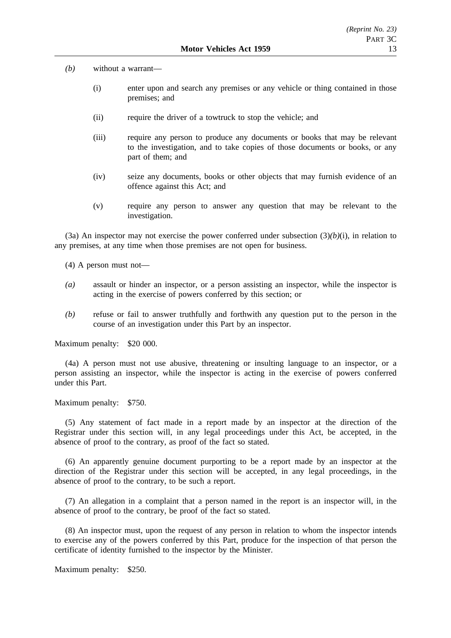- *(b)* without a warrant—
	- (i) enter upon and search any premises or any vehicle or thing contained in those premises; and
	- (ii) require the driver of a towtruck to stop the vehicle; and
	- (iii) require any person to produce any documents or books that may be relevant to the investigation, and to take copies of those documents or books, or any part of them; and
	- (iv) seize any documents, books or other objects that may furnish evidence of an offence against this Act; and
	- (v) require any person to answer any question that may be relevant to the investigation.

(3a) An inspector may not exercise the power conferred under subsection  $(3)(b)(i)$ , in relation to any premises, at any time when those premises are not open for business.

(4) A person must not—

- *(a)* assault or hinder an inspector, or a person assisting an inspector, while the inspector is acting in the exercise of powers conferred by this section; or
- *(b)* refuse or fail to answer truthfully and forthwith any question put to the person in the course of an investigation under this Part by an inspector.

Maximum penalty: \$20 000.

(4a) A person must not use abusive, threatening or insulting language to an inspector, or a person assisting an inspector, while the inspector is acting in the exercise of powers conferred under this Part.

Maximum penalty: \$750.

(5) Any statement of fact made in a report made by an inspector at the direction of the Registrar under this section will, in any legal proceedings under this Act, be accepted, in the absence of proof to the contrary, as proof of the fact so stated.

(6) An apparently genuine document purporting to be a report made by an inspector at the direction of the Registrar under this section will be accepted, in any legal proceedings, in the absence of proof to the contrary, to be such a report.

(7) An allegation in a complaint that a person named in the report is an inspector will, in the absence of proof to the contrary, be proof of the fact so stated.

(8) An inspector must, upon the request of any person in relation to whom the inspector intends to exercise any of the powers conferred by this Part, produce for the inspection of that person the certificate of identity furnished to the inspector by the Minister.

Maximum penalty: \$250.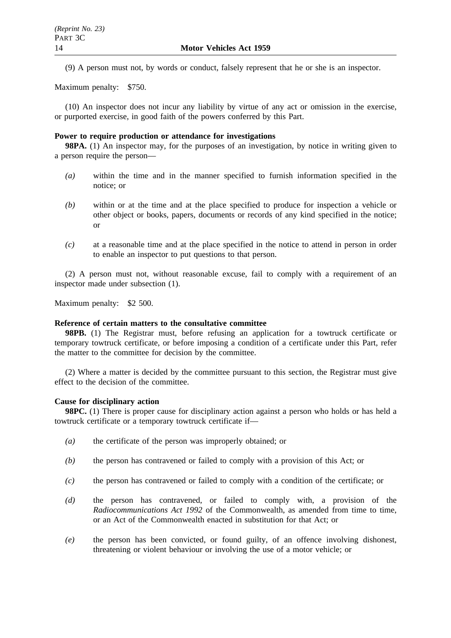(9) A person must not, by words or conduct, falsely represent that he or she is an inspector.

Maximum penalty: \$750.

(10) An inspector does not incur any liability by virtue of any act or omission in the exercise, or purported exercise, in good faith of the powers conferred by this Part.

## **Power to require production or attendance for investigations**

**98PA.** (1) An inspector may, for the purposes of an investigation, by notice in writing given to a person require the person—

- *(a)* within the time and in the manner specified to furnish information specified in the notice; or
- *(b)* within or at the time and at the place specified to produce for inspection a vehicle or other object or books, papers, documents or records of any kind specified in the notice; or
- *(c)* at a reasonable time and at the place specified in the notice to attend in person in order to enable an inspector to put questions to that person.

(2) A person must not, without reasonable excuse, fail to comply with a requirement of an inspector made under subsection (1).

Maximum penalty: \$2 500.

#### **Reference of certain matters to the consultative committee**

**98PB.** (1) The Registrar must, before refusing an application for a towtruck certificate or temporary towtruck certificate, or before imposing a condition of a certificate under this Part, refer the matter to the committee for decision by the committee.

(2) Where a matter is decided by the committee pursuant to this section, the Registrar must give effect to the decision of the committee.

# **Cause for disciplinary action**

**98PC.** (1) There is proper cause for disciplinary action against a person who holds or has held a towtruck certificate or a temporary towtruck certificate if—

- *(a)* the certificate of the person was improperly obtained; or
- *(b)* the person has contravened or failed to comply with a provision of this Act; or
- *(c)* the person has contravened or failed to comply with a condition of the certificate; or
- *(d)* the person has contravened, or failed to comply with, a provision of the *Radiocommunications Act 1992* of the Commonwealth, as amended from time to time, or an Act of the Commonwealth enacted in substitution for that Act; or
- *(e)* the person has been convicted, or found guilty, of an offence involving dishonest, threatening or violent behaviour or involving the use of a motor vehicle; or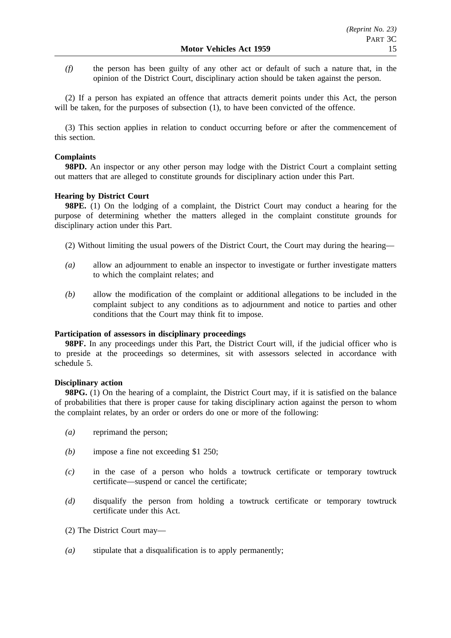*(f)* the person has been guilty of any other act or default of such a nature that, in the opinion of the District Court, disciplinary action should be taken against the person.

(2) If a person has expiated an offence that attracts demerit points under this Act, the person will be taken, for the purposes of subsection  $(1)$ , to have been convicted of the offence.

(3) This section applies in relation to conduct occurring before or after the commencement of this section.

# **Complaints**

**98PD.** An inspector or any other person may lodge with the District Court a complaint setting out matters that are alleged to constitute grounds for disciplinary action under this Part.

## **Hearing by District Court**

**98PE.** (1) On the lodging of a complaint, the District Court may conduct a hearing for the purpose of determining whether the matters alleged in the complaint constitute grounds for disciplinary action under this Part.

(2) Without limiting the usual powers of the District Court, the Court may during the hearing—

- *(a)* allow an adjournment to enable an inspector to investigate or further investigate matters to which the complaint relates; and
- *(b)* allow the modification of the complaint or additional allegations to be included in the complaint subject to any conditions as to adjournment and notice to parties and other conditions that the Court may think fit to impose.

## **Participation of assessors in disciplinary proceedings**

98PF. In any proceedings under this Part, the District Court will, if the judicial officer who is to preside at the proceedings so determines, sit with assessors selected in accordance with schedule 5.

## **Disciplinary action**

**98PG.** (1) On the hearing of a complaint, the District Court may, if it is satisfied on the balance of probabilities that there is proper cause for taking disciplinary action against the person to whom the complaint relates, by an order or orders do one or more of the following:

- *(a)* reprimand the person;
- *(b)* impose a fine not exceeding \$1 250;
- *(c)* in the case of a person who holds a towtruck certificate or temporary towtruck certificate—suspend or cancel the certificate;
- *(d)* disqualify the person from holding a towtruck certificate or temporary towtruck certificate under this Act.
- (2) The District Court may—
- *(a)* stipulate that a disqualification is to apply permanently;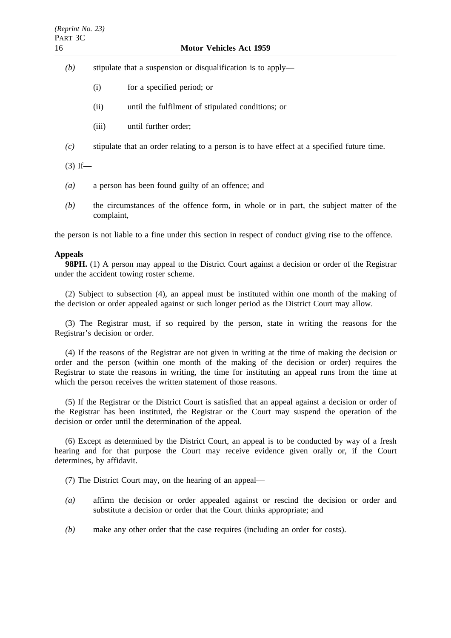# 16 **Motor Vehicles Act 1959**

- *(b)* stipulate that a suspension or disqualification is to apply—
	- (i) for a specified period; or
	- (ii) until the fulfilment of stipulated conditions; or
	- (iii) until further order;
- *(c)* stipulate that an order relating to a person is to have effect at a specified future time.

 $(3)$  If—

- *(a)* a person has been found guilty of an offence; and
- *(b)* the circumstances of the offence form, in whole or in part, the subject matter of the complaint,

the person is not liable to a fine under this section in respect of conduct giving rise to the offence.

## **Appeals**

**98PH.** (1) A person may appeal to the District Court against a decision or order of the Registrar under the accident towing roster scheme.

(2) Subject to subsection (4), an appeal must be instituted within one month of the making of the decision or order appealed against or such longer period as the District Court may allow.

(3) The Registrar must, if so required by the person, state in writing the reasons for the Registrar's decision or order.

(4) If the reasons of the Registrar are not given in writing at the time of making the decision or order and the person (within one month of the making of the decision or order) requires the Registrar to state the reasons in writing, the time for instituting an appeal runs from the time at which the person receives the written statement of those reasons.

(5) If the Registrar or the District Court is satisfied that an appeal against a decision or order of the Registrar has been instituted, the Registrar or the Court may suspend the operation of the decision or order until the determination of the appeal.

(6) Except as determined by the District Court, an appeal is to be conducted by way of a fresh hearing and for that purpose the Court may receive evidence given orally or, if the Court determines, by affidavit.

(7) The District Court may, on the hearing of an appeal—

- *(a)* affirm the decision or order appealed against or rescind the decision or order and substitute a decision or order that the Court thinks appropriate; and
- *(b)* make any other order that the case requires (including an order for costs).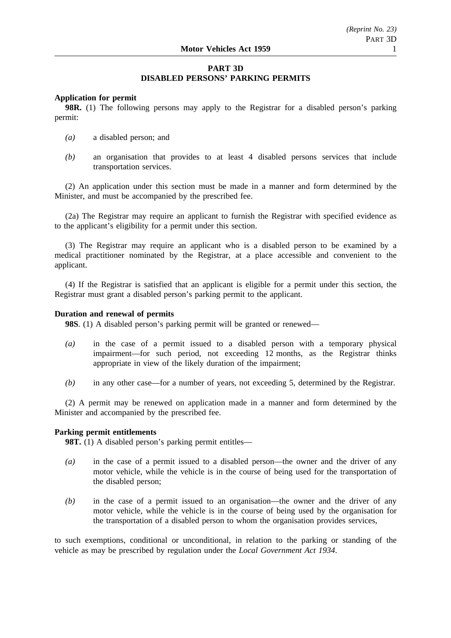# **PART 3D DISABLED PERSONS' PARKING PERMITS**

# **Application for permit**

**98R.** (1) The following persons may apply to the Registrar for a disabled person's parking permit:

- *(a)* a disabled person; and
- *(b)* an organisation that provides to at least 4 disabled persons services that include transportation services.

(2) An application under this section must be made in a manner and form determined by the Minister, and must be accompanied by the prescribed fee.

(2a) The Registrar may require an applicant to furnish the Registrar with specified evidence as to the applicant's eligibility for a permit under this section.

(3) The Registrar may require an applicant who is a disabled person to be examined by a medical practitioner nominated by the Registrar, at a place accessible and convenient to the applicant.

(4) If the Registrar is satisfied that an applicant is eligible for a permit under this section, the Registrar must grant a disabled person's parking permit to the applicant.

## **Duration and renewal of permits**

**98S**. (1) A disabled person's parking permit will be granted or renewed—

- *(a)* in the case of a permit issued to a disabled person with a temporary physical impairment—for such period, not exceeding 12 months, as the Registrar thinks appropriate in view of the likely duration of the impairment;
- *(b)* in any other case—for a number of years, not exceeding 5, determined by the Registrar.

(2) A permit may be renewed on application made in a manner and form determined by the Minister and accompanied by the prescribed fee.

# **Parking permit entitlements**

**98T.** (1) A disabled person's parking permit entitles—

- *(a)* in the case of a permit issued to a disabled person—the owner and the driver of any motor vehicle, while the vehicle is in the course of being used for the transportation of the disabled person;
- *(b)* in the case of a permit issued to an organisation—the owner and the driver of any motor vehicle, while the vehicle is in the course of being used by the organisation for the transportation of a disabled person to whom the organisation provides services,

to such exemptions, conditional or unconditional, in relation to the parking or standing of the vehicle as may be prescribed by regulation under the *Local Government Act 1934*.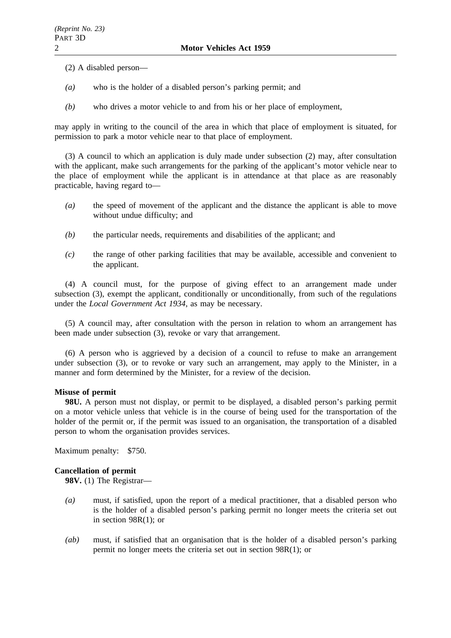(2) A disabled person—

- *(a)* who is the holder of a disabled person's parking permit; and
- *(b)* who drives a motor vehicle to and from his or her place of employment,

may apply in writing to the council of the area in which that place of employment is situated, for permission to park a motor vehicle near to that place of employment.

(3) A council to which an application is duly made under subsection (2) may, after consultation with the applicant, make such arrangements for the parking of the applicant's motor vehicle near to the place of employment while the applicant is in attendance at that place as are reasonably practicable, having regard to—

- *(a)* the speed of movement of the applicant and the distance the applicant is able to move without undue difficulty; and
- *(b)* the particular needs, requirements and disabilities of the applicant; and
- *(c)* the range of other parking facilities that may be available, accessible and convenient to the applicant.

(4) A council must, for the purpose of giving effect to an arrangement made under subsection (3), exempt the applicant, conditionally or unconditionally, from such of the regulations under the *Local Government Act 1934*, as may be necessary.

(5) A council may, after consultation with the person in relation to whom an arrangement has been made under subsection (3), revoke or vary that arrangement.

(6) A person who is aggrieved by a decision of a council to refuse to make an arrangement under subsection (3), or to revoke or vary such an arrangement, may apply to the Minister, in a manner and form determined by the Minister, for a review of the decision.

# **Misuse of permit**

**98U.** A person must not display, or permit to be displayed, a disabled person's parking permit on a motor vehicle unless that vehicle is in the course of being used for the transportation of the holder of the permit or, if the permit was issued to an organisation, the transportation of a disabled person to whom the organisation provides services.

Maximum penalty: \$750.

# **Cancellation of permit**

**98V.** (1) The Registrar—

- *(a)* must, if satisfied, upon the report of a medical practitioner, that a disabled person who is the holder of a disabled person's parking permit no longer meets the criteria set out in section 98R(1); or
- *(ab)* must, if satisfied that an organisation that is the holder of a disabled person's parking permit no longer meets the criteria set out in section 98R(1); or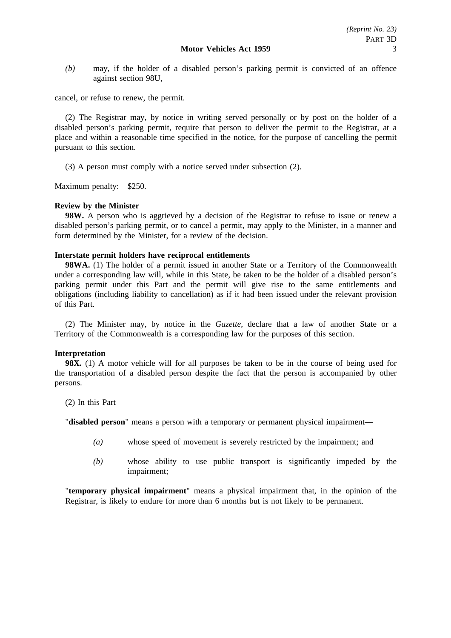*(b)* may, if the holder of a disabled person's parking permit is convicted of an offence against section 98U,

cancel, or refuse to renew, the permit.

(2) The Registrar may, by notice in writing served personally or by post on the holder of a disabled person's parking permit, require that person to deliver the permit to the Registrar, at a place and within a reasonable time specified in the notice, for the purpose of cancelling the permit pursuant to this section.

(3) A person must comply with a notice served under subsection (2).

Maximum penalty: \$250.

## **Review by the Minister**

**98W.** A person who is aggrieved by a decision of the Registrar to refuse to issue or renew a disabled person's parking permit, or to cancel a permit, may apply to the Minister, in a manner and form determined by the Minister, for a review of the decision.

## **Interstate permit holders have reciprocal entitlements**

**98WA.** (1) The holder of a permit issued in another State or a Territory of the Commonwealth under a corresponding law will, while in this State, be taken to be the holder of a disabled person's parking permit under this Part and the permit will give rise to the same entitlements and obligations (including liability to cancellation) as if it had been issued under the relevant provision of this Part.

(2) The Minister may, by notice in the *Gazette*, declare that a law of another State or a Territory of the Commonwealth is a corresponding law for the purposes of this section.

## **Interpretation**

**98X.** (1) A motor vehicle will for all purposes be taken to be in the course of being used for the transportation of a disabled person despite the fact that the person is accompanied by other persons.

(2) In this Part—

"**disabled person**" means a person with a temporary or permanent physical impairment—

- *(a)* whose speed of movement is severely restricted by the impairment; and
- *(b)* whose ability to use public transport is significantly impeded by the impairment;

"**temporary physical impairment**" means a physical impairment that, in the opinion of the Registrar, is likely to endure for more than 6 months but is not likely to be permanent.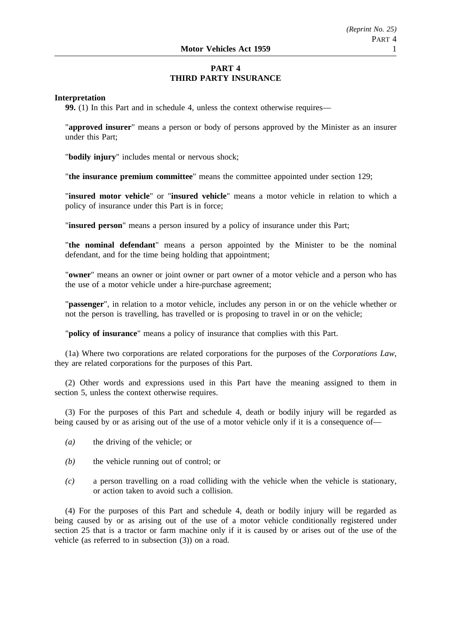# **PART 4 THIRD PARTY INSURANCE**

## **Interpretation**

**99.** (1) In this Part and in schedule 4, unless the context otherwise requires—

"**approved insurer**" means a person or body of persons approved by the Minister as an insurer under this Part;

"**bodily injury**" includes mental or nervous shock;

"**the insurance premium committee**" means the committee appointed under section 129;

"**insured motor vehicle**" or "**insured vehicle**" means a motor vehicle in relation to which a policy of insurance under this Part is in force;

"**insured person**" means a person insured by a policy of insurance under this Part;

"**the nominal defendant**" means a person appointed by the Minister to be the nominal defendant, and for the time being holding that appointment;

"**owner**" means an owner or joint owner or part owner of a motor vehicle and a person who has the use of a motor vehicle under a hire-purchase agreement;

"**passenger**", in relation to a motor vehicle, includes any person in or on the vehicle whether or not the person is travelling, has travelled or is proposing to travel in or on the vehicle;

"**policy of insurance**" means a policy of insurance that complies with this Part.

(1a) Where two corporations are related corporations for the purposes of the *Corporations Law*, they are related corporations for the purposes of this Part.

(2) Other words and expressions used in this Part have the meaning assigned to them in section 5, unless the context otherwise requires.

(3) For the purposes of this Part and schedule 4, death or bodily injury will be regarded as being caused by or as arising out of the use of a motor vehicle only if it is a consequence of—

- *(a)* the driving of the vehicle; or
- *(b)* the vehicle running out of control; or
- *(c)* a person travelling on a road colliding with the vehicle when the vehicle is stationary, or action taken to avoid such a collision.

(4) For the purposes of this Part and schedule 4, death or bodily injury will be regarded as being caused by or as arising out of the use of a motor vehicle conditionally registered under section 25 that is a tractor or farm machine only if it is caused by or arises out of the use of the vehicle (as referred to in subsection (3)) on a road.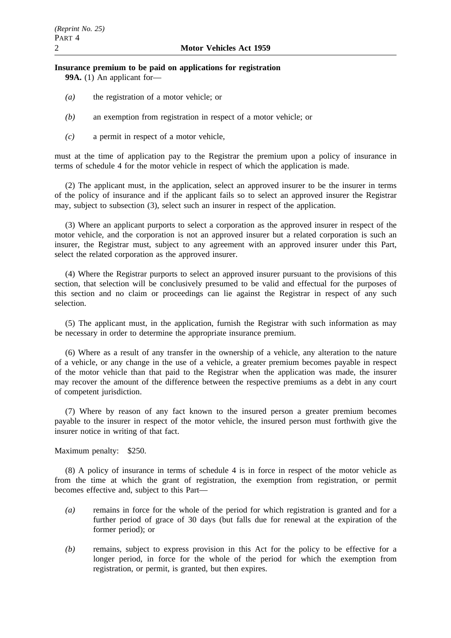## **Insurance premium to be paid on applications for registration 99A.** (1) An applicant for—

- *(a)* the registration of a motor vehicle; or
- *(b)* an exemption from registration in respect of a motor vehicle; or
- *(c)* a permit in respect of a motor vehicle,

must at the time of application pay to the Registrar the premium upon a policy of insurance in terms of schedule 4 for the motor vehicle in respect of which the application is made.

(2) The applicant must, in the application, select an approved insurer to be the insurer in terms of the policy of insurance and if the applicant fails so to select an approved insurer the Registrar may, subject to subsection (3), select such an insurer in respect of the application.

(3) Where an applicant purports to select a corporation as the approved insurer in respect of the motor vehicle, and the corporation is not an approved insurer but a related corporation is such an insurer, the Registrar must, subject to any agreement with an approved insurer under this Part, select the related corporation as the approved insurer.

(4) Where the Registrar purports to select an approved insurer pursuant to the provisions of this section, that selection will be conclusively presumed to be valid and effectual for the purposes of this section and no claim or proceedings can lie against the Registrar in respect of any such selection.

(5) The applicant must, in the application, furnish the Registrar with such information as may be necessary in order to determine the appropriate insurance premium.

(6) Where as a result of any transfer in the ownership of a vehicle, any alteration to the nature of a vehicle, or any change in the use of a vehicle, a greater premium becomes payable in respect of the motor vehicle than that paid to the Registrar when the application was made, the insurer may recover the amount of the difference between the respective premiums as a debt in any court of competent jurisdiction.

(7) Where by reason of any fact known to the insured person a greater premium becomes payable to the insurer in respect of the motor vehicle, the insured person must forthwith give the insurer notice in writing of that fact.

Maximum penalty: \$250.

(8) A policy of insurance in terms of schedule 4 is in force in respect of the motor vehicle as from the time at which the grant of registration, the exemption from registration, or permit becomes effective and, subject to this Part—

- *(a)* remains in force for the whole of the period for which registration is granted and for a further period of grace of 30 days (but falls due for renewal at the expiration of the former period); or
- *(b)* remains, subject to express provision in this Act for the policy to be effective for a longer period, in force for the whole of the period for which the exemption from registration, or permit, is granted, but then expires.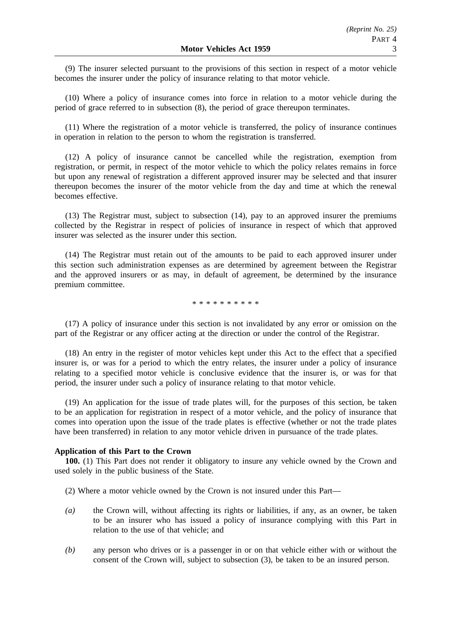(9) The insurer selected pursuant to the provisions of this section in respect of a motor vehicle becomes the insurer under the policy of insurance relating to that motor vehicle.

(10) Where a policy of insurance comes into force in relation to a motor vehicle during the period of grace referred to in subsection (8), the period of grace thereupon terminates.

(11) Where the registration of a motor vehicle is transferred, the policy of insurance continues in operation in relation to the person to whom the registration is transferred.

(12) A policy of insurance cannot be cancelled while the registration, exemption from registration, or permit, in respect of the motor vehicle to which the policy relates remains in force but upon any renewal of registration a different approved insurer may be selected and that insurer thereupon becomes the insurer of the motor vehicle from the day and time at which the renewal becomes effective.

(13) The Registrar must, subject to subsection (14), pay to an approved insurer the premiums collected by the Registrar in respect of policies of insurance in respect of which that approved insurer was selected as the insurer under this section.

(14) The Registrar must retain out of the amounts to be paid to each approved insurer under this section such administration expenses as are determined by agreement between the Registrar and the approved insurers or as may, in default of agreement, be determined by the insurance premium committee.

\*\*\*\*\*\*\*\*\*\*

(17) A policy of insurance under this section is not invalidated by any error or omission on the part of the Registrar or any officer acting at the direction or under the control of the Registrar.

(18) An entry in the register of motor vehicles kept under this Act to the effect that a specified insurer is, or was for a period to which the entry relates, the insurer under a policy of insurance relating to a specified motor vehicle is conclusive evidence that the insurer is, or was for that period, the insurer under such a policy of insurance relating to that motor vehicle.

(19) An application for the issue of trade plates will, for the purposes of this section, be taken to be an application for registration in respect of a motor vehicle, and the policy of insurance that comes into operation upon the issue of the trade plates is effective (whether or not the trade plates have been transferred) in relation to any motor vehicle driven in pursuance of the trade plates.

#### **Application of this Part to the Crown**

**100.** (1) This Part does not render it obligatory to insure any vehicle owned by the Crown and used solely in the public business of the State.

- (2) Where a motor vehicle owned by the Crown is not insured under this Part—
- *(a)* the Crown will, without affecting its rights or liabilities, if any, as an owner, be taken to be an insurer who has issued a policy of insurance complying with this Part in relation to the use of that vehicle; and
- *(b)* any person who drives or is a passenger in or on that vehicle either with or without the consent of the Crown will, subject to subsection (3), be taken to be an insured person.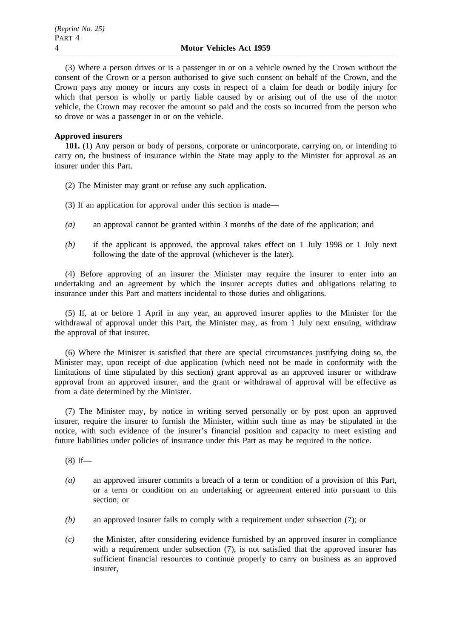(3) Where a person drives or is a passenger in or on a vehicle owned by the Crown without the consent of the Crown or a person authorised to give such consent on behalf of the Crown, and the Crown pays any money or incurs any costs in respect of a claim for death or bodily injury for which that person is wholly or partly liable caused by or arising out of the use of the motor vehicle, the Crown may recover the amount so paid and the costs so incurred from the person who so drove or was a passenger in or on the vehicle.

# **Approved insurers**

**101.** (1) Any person or body of persons, corporate or unincorporate, carrying on, or intending to carry on, the business of insurance within the State may apply to the Minister for approval as an insurer under this Part.

- (2) The Minister may grant or refuse any such application.
- (3) If an application for approval under this section is made—
- *(a)* an approval cannot be granted within 3 months of the date of the application; and
- *(b)* if the applicant is approved, the approval takes effect on 1 July 1998 or 1 July next following the date of the approval (whichever is the later).

(4) Before approving of an insurer the Minister may require the insurer to enter into an undertaking and an agreement by which the insurer accepts duties and obligations relating to insurance under this Part and matters incidental to those duties and obligations.

(5) If, at or before 1 April in any year, an approved insurer applies to the Minister for the withdrawal of approval under this Part, the Minister may, as from 1 July next ensuing, withdraw the approval of that insurer.

(6) Where the Minister is satisfied that there are special circumstances justifying doing so, the Minister may, upon receipt of due application (which need not be made in conformity with the limitations of time stipulated by this section) grant approval as an approved insurer or withdraw approval from an approved insurer, and the grant or withdrawal of approval will be effective as from a date determined by the Minister.

(7) The Minister may, by notice in writing served personally or by post upon an approved insurer, require the insurer to furnish the Minister, within such time as may be stipulated in the notice, with such evidence of the insurer's financial position and capacity to meet existing and future liabilities under policies of insurance under this Part as may be required in the notice.

 $(8)$  If—

- *(a)* an approved insurer commits a breach of a term or condition of a provision of this Part, or a term or condition on an undertaking or agreement entered into pursuant to this section; or
- *(b)* an approved insurer fails to comply with a requirement under subsection (7); or
- *(c)* the Minister, after considering evidence furnished by an approved insurer in compliance with a requirement under subsection (7), is not satisfied that the approved insurer has sufficient financial resources to continue properly to carry on business as an approved insurer,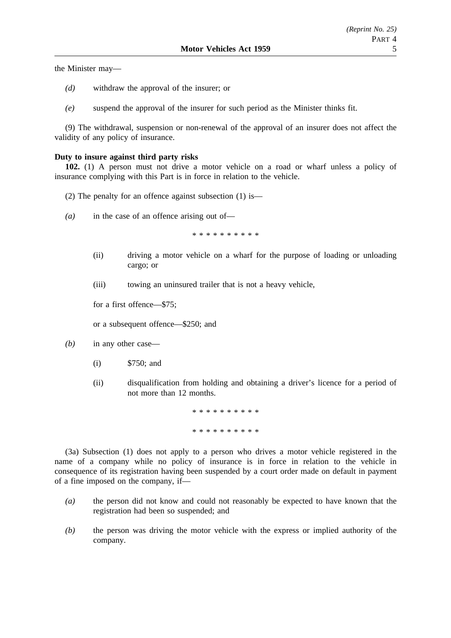the Minister may—

- *(d)* withdraw the approval of the insurer; or
- *(e)* suspend the approval of the insurer for such period as the Minister thinks fit.

(9) The withdrawal, suspension or non-renewal of the approval of an insurer does not affect the validity of any policy of insurance.

## **Duty to insure against third party risks**

**102.** (1) A person must not drive a motor vehicle on a road or wharf unless a policy of insurance complying with this Part is in force in relation to the vehicle.

- (2) The penalty for an offence against subsection (1) is—
- *(a)* in the case of an offence arising out of—

\*\*\*\*\*\*\*\*\*\*

- (ii) driving a motor vehicle on a wharf for the purpose of loading or unloading cargo; or
- (iii) towing an uninsured trailer that is not a heavy vehicle,

for a first offence—\$75;

or a subsequent offence—\$250; and

- *(b)* in any other case—
	- (i) \$750; and
	- (ii) disqualification from holding and obtaining a driver's licence for a period of not more than 12 months.

\*\*\*\*\*\*\*\*\*\* \*\*\*\*\*\*\*\*\*\*\*\*\*

(3a) Subsection (1) does not apply to a person who drives a motor vehicle registered in the name of a company while no policy of insurance is in force in relation to the vehicle in consequence of its registration having been suspended by a court order made on default in payment of a fine imposed on the company, if—

- *(a)* the person did not know and could not reasonably be expected to have known that the registration had been so suspended; and
- *(b)* the person was driving the motor vehicle with the express or implied authority of the company.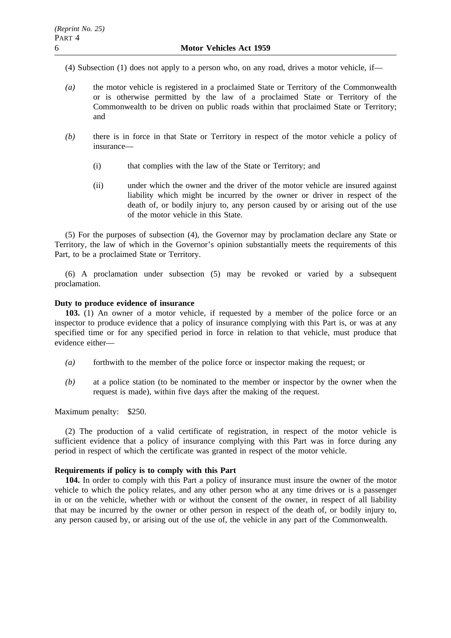(4) Subsection (1) does not apply to a person who, on any road, drives a motor vehicle, if—

- *(a)* the motor vehicle is registered in a proclaimed State or Territory of the Commonwealth or is otherwise permitted by the law of a proclaimed State or Territory of the Commonwealth to be driven on public roads within that proclaimed State or Territory; and
- *(b)* there is in force in that State or Territory in respect of the motor vehicle a policy of insurance—
	- (i) that complies with the law of the State or Territory; and
	- (ii) under which the owner and the driver of the motor vehicle are insured against liability which might be incurred by the owner or driver in respect of the death of, or bodily injury to, any person caused by or arising out of the use of the motor vehicle in this State.

(5) For the purposes of subsection (4), the Governor may by proclamation declare any State or Territory, the law of which in the Governor's opinion substantially meets the requirements of this Part, to be a proclaimed State or Territory.

(6) A proclamation under subsection (5) may be revoked or varied by a subsequent proclamation.

## **Duty to produce evidence of insurance**

**103.** (1) An owner of a motor vehicle, if requested by a member of the police force or an inspector to produce evidence that a policy of insurance complying with this Part is, or was at any specified time or for any specified period in force in relation to that vehicle, must produce that evidence either—

- *(a)* forthwith to the member of the police force or inspector making the request; or
- *(b)* at a police station (to be nominated to the member or inspector by the owner when the request is made), within five days after the making of the request.

Maximum penalty: \$250.

(2) The production of a valid certificate of registration, in respect of the motor vehicle is sufficient evidence that a policy of insurance complying with this Part was in force during any period in respect of which the certificate was granted in respect of the motor vehicle.

## **Requirements if policy is to comply with this Part**

**104.** In order to comply with this Part a policy of insurance must insure the owner of the motor vehicle to which the policy relates, and any other person who at any time drives or is a passenger in or on the vehicle, whether with or without the consent of the owner, in respect of all liability that may be incurred by the owner or other person in respect of the death of, or bodily injury to, any person caused by, or arising out of the use of, the vehicle in any part of the Commonwealth.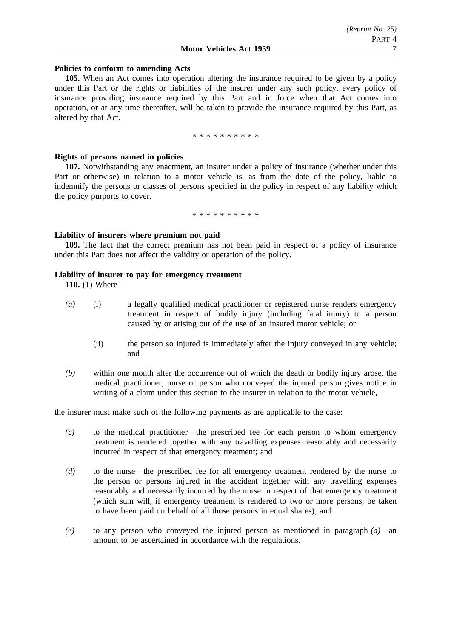## **Policies to conform to amending Acts**

**105.** When an Act comes into operation altering the insurance required to be given by a policy under this Part or the rights or liabilities of the insurer under any such policy, every policy of insurance providing insurance required by this Part and in force when that Act comes into operation, or at any time thereafter, will be taken to provide the insurance required by this Part, as altered by that Act.

\*\*\*\*\*\*\*\*\*\*

## **Rights of persons named in policies**

**107.** Notwithstanding any enactment, an insurer under a policy of insurance (whether under this Part or otherwise) in relation to a motor vehicle is, as from the date of the policy, liable to indemnify the persons or classes of persons specified in the policy in respect of any liability which the policy purports to cover.

\*\*\*\*\*\*\*\*\*\*

## **Liability of insurers where premium not paid**

**109.** The fact that the correct premium has not been paid in respect of a policy of insurance under this Part does not affect the validity or operation of the policy.

## **Liability of insurer to pay for emergency treatment**

**110.** (1) Where—

- *(a)* (i) a legally qualified medical practitioner or registered nurse renders emergency treatment in respect of bodily injury (including fatal injury) to a person caused by or arising out of the use of an insured motor vehicle; or
	- (ii) the person so injured is immediately after the injury conveyed in any vehicle; and
- *(b)* within one month after the occurrence out of which the death or bodily injury arose, the medical practitioner, nurse or person who conveyed the injured person gives notice in writing of a claim under this section to the insurer in relation to the motor vehicle,

the insurer must make such of the following payments as are applicable to the case:

- *(c)* to the medical practitioner—the prescribed fee for each person to whom emergency treatment is rendered together with any travelling expenses reasonably and necessarily incurred in respect of that emergency treatment; and
- *(d)* to the nurse—the prescribed fee for all emergency treatment rendered by the nurse to the person or persons injured in the accident together with any travelling expenses reasonably and necessarily incurred by the nurse in respect of that emergency treatment (which sum will, if emergency treatment is rendered to two or more persons, be taken to have been paid on behalf of all those persons in equal shares); and
- *(e)* to any person who conveyed the injured person as mentioned in paragraph *(a)*—an amount to be ascertained in accordance with the regulations.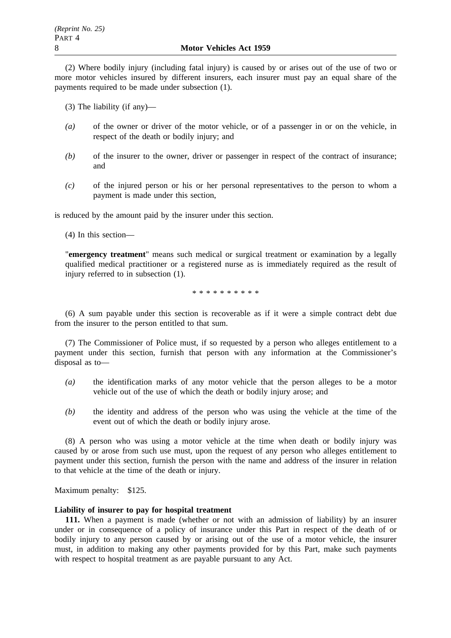(2) Where bodily injury (including fatal injury) is caused by or arises out of the use of two or more motor vehicles insured by different insurers, each insurer must pay an equal share of the payments required to be made under subsection (1).

(3) The liability (if any)—

- *(a)* of the owner or driver of the motor vehicle, or of a passenger in or on the vehicle, in respect of the death or bodily injury; and
- *(b)* of the insurer to the owner, driver or passenger in respect of the contract of insurance; and
- *(c)* of the injured person or his or her personal representatives to the person to whom a payment is made under this section,

is reduced by the amount paid by the insurer under this section.

(4) In this section—

"**emergency treatment**" means such medical or surgical treatment or examination by a legally qualified medical practitioner or a registered nurse as is immediately required as the result of injury referred to in subsection (1).

\*\*\*\*\*\*\*\*\*\*

(6) A sum payable under this section is recoverable as if it were a simple contract debt due from the insurer to the person entitled to that sum.

(7) The Commissioner of Police must, if so requested by a person who alleges entitlement to a payment under this section, furnish that person with any information at the Commissioner's disposal as to—

- *(a)* the identification marks of any motor vehicle that the person alleges to be a motor vehicle out of the use of which the death or bodily injury arose; and
- *(b)* the identity and address of the person who was using the vehicle at the time of the event out of which the death or bodily injury arose.

(8) A person who was using a motor vehicle at the time when death or bodily injury was caused by or arose from such use must, upon the request of any person who alleges entitlement to payment under this section, furnish the person with the name and address of the insurer in relation to that vehicle at the time of the death or injury.

Maximum penalty: \$125.

## **Liability of insurer to pay for hospital treatment**

**111.** When a payment is made (whether or not with an admission of liability) by an insurer under or in consequence of a policy of insurance under this Part in respect of the death of or bodily injury to any person caused by or arising out of the use of a motor vehicle, the insurer must, in addition to making any other payments provided for by this Part, make such payments with respect to hospital treatment as are payable pursuant to any Act.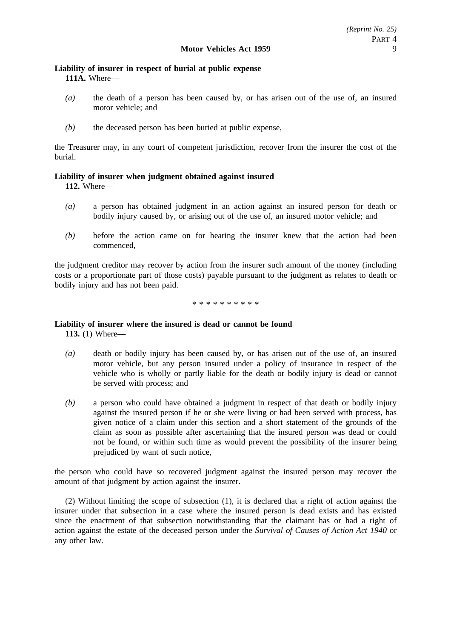# **Liability of insurer in respect of burial at public expense 111A.** Where—

- *(a)* the death of a person has been caused by, or has arisen out of the use of, an insured motor vehicle; and
- *(b)* the deceased person has been buried at public expense,

the Treasurer may, in any court of competent jurisdiction, recover from the insurer the cost of the burial.

# **Liability of insurer when judgment obtained against insured**

**112.** Where—

- *(a)* a person has obtained judgment in an action against an insured person for death or bodily injury caused by, or arising out of the use of, an insured motor vehicle; and
- *(b)* before the action came on for hearing the insurer knew that the action had been commenced,

the judgment creditor may recover by action from the insurer such amount of the money (including costs or a proportionate part of those costs) payable pursuant to the judgment as relates to death or bodily injury and has not been paid.

\*\*\*\*\*\*\*\*\*\*

# **Liability of insurer where the insured is dead or cannot be found**

**113.** (1) Where—

- *(a)* death or bodily injury has been caused by, or has arisen out of the use of, an insured motor vehicle, but any person insured under a policy of insurance in respect of the vehicle who is wholly or partly liable for the death or bodily injury is dead or cannot be served with process; and
- *(b)* a person who could have obtained a judgment in respect of that death or bodily injury against the insured person if he or she were living or had been served with process, has given notice of a claim under this section and a short statement of the grounds of the claim as soon as possible after ascertaining that the insured person was dead or could not be found, or within such time as would prevent the possibility of the insurer being prejudiced by want of such notice,

the person who could have so recovered judgment against the insured person may recover the amount of that judgment by action against the insurer.

(2) Without limiting the scope of subsection (1), it is declared that a right of action against the insurer under that subsection in a case where the insured person is dead exists and has existed since the enactment of that subsection notwithstanding that the claimant has or had a right of action against the estate of the deceased person under the *Survival of Causes of Action Act 1940* or any other law.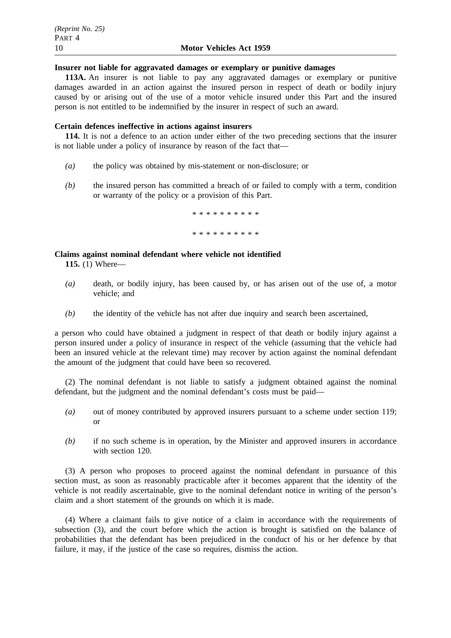#### **Insurer not liable for aggravated damages or exemplary or punitive damages**

**113A.** An insurer is not liable to pay any aggravated damages or exemplary or punitive damages awarded in an action against the insured person in respect of death or bodily injury caused by or arising out of the use of a motor vehicle insured under this Part and the insured person is not entitled to be indemnified by the insurer in respect of such an award.

#### **Certain defences ineffective in actions against insurers**

**114.** It is not a defence to an action under either of the two preceding sections that the insurer is not liable under a policy of insurance by reason of the fact that—

- *(a)* the policy was obtained by mis-statement or non-disclosure; or
- *(b)* the insured person has committed a breach of or failed to comply with a term, condition or warranty of the policy or a provision of this Part.

\*\*\*\*\*\*\*\*\*\*

\*\*\*\*\*\*\*\*\*\*

# **Claims against nominal defendant where vehicle not identified**

**115.** (1) Where—

- *(a)* death, or bodily injury, has been caused by, or has arisen out of the use of, a motor vehicle; and
- *(b)* the identity of the vehicle has not after due inquiry and search been ascertained,

a person who could have obtained a judgment in respect of that death or bodily injury against a person insured under a policy of insurance in respect of the vehicle (assuming that the vehicle had been an insured vehicle at the relevant time) may recover by action against the nominal defendant the amount of the judgment that could have been so recovered.

(2) The nominal defendant is not liable to satisfy a judgment obtained against the nominal defendant, but the judgment and the nominal defendant's costs must be paid—

- *(a)* out of money contributed by approved insurers pursuant to a scheme under section 119; or
- *(b)* if no such scheme is in operation, by the Minister and approved insurers in accordance with section 120.

(3) A person who proposes to proceed against the nominal defendant in pursuance of this section must, as soon as reasonably practicable after it becomes apparent that the identity of the vehicle is not readily ascertainable, give to the nominal defendant notice in writing of the person's claim and a short statement of the grounds on which it is made.

(4) Where a claimant fails to give notice of a claim in accordance with the requirements of subsection (3), and the court before which the action is brought is satisfied on the balance of probabilities that the defendant has been prejudiced in the conduct of his or her defence by that failure, it may, if the justice of the case so requires, dismiss the action.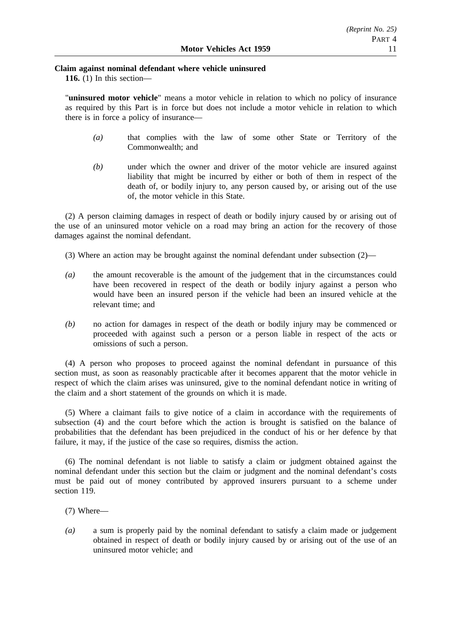# **Claim against nominal defendant where vehicle uninsured**

**116.** (1) In this section—

"**uninsured motor vehicle**" means a motor vehicle in relation to which no policy of insurance as required by this Part is in force but does not include a motor vehicle in relation to which there is in force a policy of insurance—

- *(a)* that complies with the law of some other State or Territory of the Commonwealth; and
- *(b)* under which the owner and driver of the motor vehicle are insured against liability that might be incurred by either or both of them in respect of the death of, or bodily injury to, any person caused by, or arising out of the use of, the motor vehicle in this State.

(2) A person claiming damages in respect of death or bodily injury caused by or arising out of the use of an uninsured motor vehicle on a road may bring an action for the recovery of those damages against the nominal defendant.

(3) Where an action may be brought against the nominal defendant under subsection  $(2)$ —

- *(a)* the amount recoverable is the amount of the judgement that in the circumstances could have been recovered in respect of the death or bodily injury against a person who would have been an insured person if the vehicle had been an insured vehicle at the relevant time; and
- *(b)* no action for damages in respect of the death or bodily injury may be commenced or proceeded with against such a person or a person liable in respect of the acts or omissions of such a person.

(4) A person who proposes to proceed against the nominal defendant in pursuance of this section must, as soon as reasonably practicable after it becomes apparent that the motor vehicle in respect of which the claim arises was uninsured, give to the nominal defendant notice in writing of the claim and a short statement of the grounds on which it is made.

(5) Where a claimant fails to give notice of a claim in accordance with the requirements of subsection (4) and the court before which the action is brought is satisfied on the balance of probabilities that the defendant has been prejudiced in the conduct of his or her defence by that failure, it may, if the justice of the case so requires, dismiss the action.

(6) The nominal defendant is not liable to satisfy a claim or judgment obtained against the nominal defendant under this section but the claim or judgment and the nominal defendant's costs must be paid out of money contributed by approved insurers pursuant to a scheme under section 119.

- (7) Where—
- *(a)* a sum is properly paid by the nominal defendant to satisfy a claim made or judgement obtained in respect of death or bodily injury caused by or arising out of the use of an uninsured motor vehicle; and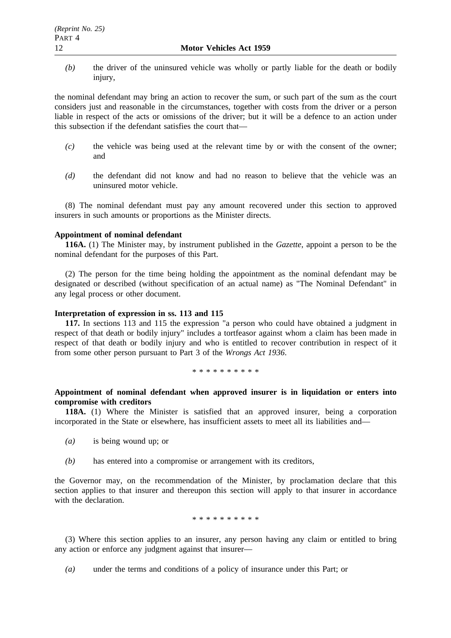*(b)* the driver of the uninsured vehicle was wholly or partly liable for the death or bodily injury,

the nominal defendant may bring an action to recover the sum, or such part of the sum as the court considers just and reasonable in the circumstances, together with costs from the driver or a person liable in respect of the acts or omissions of the driver; but it will be a defence to an action under this subsection if the defendant satisfies the court that—

- *(c)* the vehicle was being used at the relevant time by or with the consent of the owner; and
- *(d)* the defendant did not know and had no reason to believe that the vehicle was an uninsured motor vehicle.

(8) The nominal defendant must pay any amount recovered under this section to approved insurers in such amounts or proportions as the Minister directs.

# **Appointment of nominal defendant**

**116A.** (1) The Minister may, by instrument published in the *Gazette*, appoint a person to be the nominal defendant for the purposes of this Part.

(2) The person for the time being holding the appointment as the nominal defendant may be designated or described (without specification of an actual name) as "The Nominal Defendant" in any legal process or other document.

# **Interpretation of expression in ss. 113 and 115**

**117.** In sections 113 and 115 the expression "a person who could have obtained a judgment in respect of that death or bodily injury" includes a tortfeasor against whom a claim has been made in respect of that death or bodily injury and who is entitled to recover contribution in respect of it from some other person pursuant to Part 3 of the *Wrongs Act 1936*.

\*\*\*\*\*\*\*\*\*\*

# **Appointment of nominal defendant when approved insurer is in liquidation or enters into compromise with creditors**

**118A.** (1) Where the Minister is satisfied that an approved insurer, being a corporation incorporated in the State or elsewhere, has insufficient assets to meet all its liabilities and—

- *(a)* is being wound up; or
- *(b)* has entered into a compromise or arrangement with its creditors,

the Governor may, on the recommendation of the Minister, by proclamation declare that this section applies to that insurer and thereupon this section will apply to that insurer in accordance with the declaration.

#### \*\*\*\*\*\*\*\*\*\*

(3) Where this section applies to an insurer, any person having any claim or entitled to bring any action or enforce any judgment against that insurer—

*(a)* under the terms and conditions of a policy of insurance under this Part; or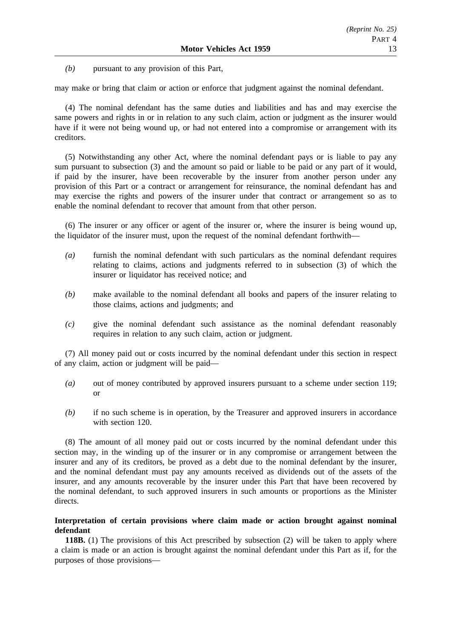*(b)* pursuant to any provision of this Part,

may make or bring that claim or action or enforce that judgment against the nominal defendant.

(4) The nominal defendant has the same duties and liabilities and has and may exercise the same powers and rights in or in relation to any such claim, action or judgment as the insurer would have if it were not being wound up, or had not entered into a compromise or arrangement with its creditors.

(5) Notwithstanding any other Act, where the nominal defendant pays or is liable to pay any sum pursuant to subsection (3) and the amount so paid or liable to be paid or any part of it would, if paid by the insurer, have been recoverable by the insurer from another person under any provision of this Part or a contract or arrangement for reinsurance, the nominal defendant has and may exercise the rights and powers of the insurer under that contract or arrangement so as to enable the nominal defendant to recover that amount from that other person.

(6) The insurer or any officer or agent of the insurer or, where the insurer is being wound up, the liquidator of the insurer must, upon the request of the nominal defendant forthwith—

- *(a)* furnish the nominal defendant with such particulars as the nominal defendant requires relating to claims, actions and judgments referred to in subsection (3) of which the insurer or liquidator has received notice; and
- *(b)* make available to the nominal defendant all books and papers of the insurer relating to those claims, actions and judgments; and
- *(c)* give the nominal defendant such assistance as the nominal defendant reasonably requires in relation to any such claim, action or judgment.

(7) All money paid out or costs incurred by the nominal defendant under this section in respect of any claim, action or judgment will be paid—

- *(a)* out of money contributed by approved insurers pursuant to a scheme under section 119; or
- *(b)* if no such scheme is in operation, by the Treasurer and approved insurers in accordance with section 120.

(8) The amount of all money paid out or costs incurred by the nominal defendant under this section may, in the winding up of the insurer or in any compromise or arrangement between the insurer and any of its creditors, be proved as a debt due to the nominal defendant by the insurer, and the nominal defendant must pay any amounts received as dividends out of the assets of the insurer, and any amounts recoverable by the insurer under this Part that have been recovered by the nominal defendant, to such approved insurers in such amounts or proportions as the Minister directs.

# **Interpretation of certain provisions where claim made or action brought against nominal defendant**

**118B.** (1) The provisions of this Act prescribed by subsection (2) will be taken to apply where a claim is made or an action is brought against the nominal defendant under this Part as if, for the purposes of those provisions—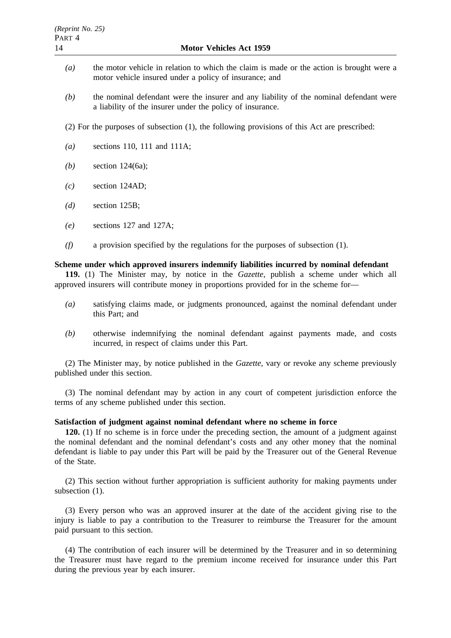- *(a)* the motor vehicle in relation to which the claim is made or the action is brought were a motor vehicle insured under a policy of insurance; and
- *(b)* the nominal defendant were the insurer and any liability of the nominal defendant were a liability of the insurer under the policy of insurance.
- (2) For the purposes of subsection (1), the following provisions of this Act are prescribed:
- *(a)* sections 110, 111 and 111A;
- *(b)* section 124(6a);
- *(c)* section 124AD;
- *(d)* section 125B;
- *(e)* sections 127 and 127A;
- *(f)* a provision specified by the regulations for the purposes of subsection (1).

# **Scheme under which approved insurers indemnify liabilities incurred by nominal defendant**

**119.** (1) The Minister may, by notice in the *Gazette*, publish a scheme under which all approved insurers will contribute money in proportions provided for in the scheme for—

- *(a)* satisfying claims made, or judgments pronounced, against the nominal defendant under this Part; and
- *(b)* otherwise indemnifying the nominal defendant against payments made, and costs incurred, in respect of claims under this Part.

(2) The Minister may, by notice published in the *Gazette*, vary or revoke any scheme previously published under this section.

(3) The nominal defendant may by action in any court of competent jurisdiction enforce the terms of any scheme published under this section.

# **Satisfaction of judgment against nominal defendant where no scheme in force**

**120.** (1) If no scheme is in force under the preceding section, the amount of a judgment against the nominal defendant and the nominal defendant's costs and any other money that the nominal defendant is liable to pay under this Part will be paid by the Treasurer out of the General Revenue of the State.

(2) This section without further appropriation is sufficient authority for making payments under subsection (1).

(3) Every person who was an approved insurer at the date of the accident giving rise to the injury is liable to pay a contribution to the Treasurer to reimburse the Treasurer for the amount paid pursuant to this section.

(4) The contribution of each insurer will be determined by the Treasurer and in so determining the Treasurer must have regard to the premium income received for insurance under this Part during the previous year by each insurer.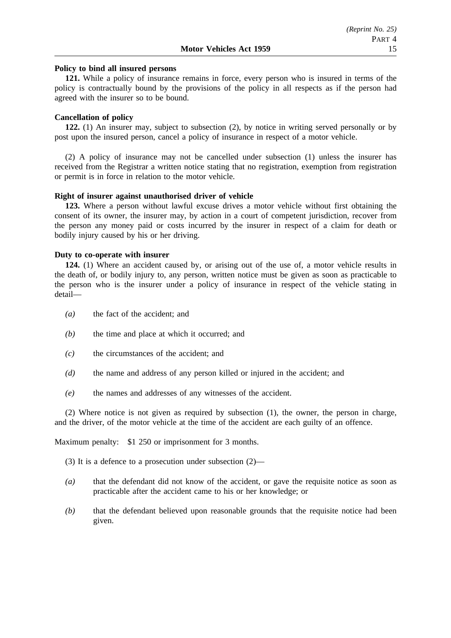#### **Policy to bind all insured persons**

**121.** While a policy of insurance remains in force, every person who is insured in terms of the policy is contractually bound by the provisions of the policy in all respects as if the person had agreed with the insurer so to be bound.

# **Cancellation of policy**

**122.** (1) An insurer may, subject to subsection (2), by notice in writing served personally or by post upon the insured person, cancel a policy of insurance in respect of a motor vehicle.

(2) A policy of insurance may not be cancelled under subsection (1) unless the insurer has received from the Registrar a written notice stating that no registration, exemption from registration or permit is in force in relation to the motor vehicle.

# **Right of insurer against unauthorised driver of vehicle**

**123.** Where a person without lawful excuse drives a motor vehicle without first obtaining the consent of its owner, the insurer may, by action in a court of competent jurisdiction, recover from the person any money paid or costs incurred by the insurer in respect of a claim for death or bodily injury caused by his or her driving.

### **Duty to co-operate with insurer**

**124.** (1) Where an accident caused by, or arising out of the use of, a motor vehicle results in the death of, or bodily injury to, any person, written notice must be given as soon as practicable to the person who is the insurer under a policy of insurance in respect of the vehicle stating in detail—

- *(a)* the fact of the accident; and
- *(b)* the time and place at which it occurred; and
- *(c)* the circumstances of the accident; and
- *(d)* the name and address of any person killed or injured in the accident; and
- *(e)* the names and addresses of any witnesses of the accident.

(2) Where notice is not given as required by subsection (1), the owner, the person in charge, and the driver, of the motor vehicle at the time of the accident are each guilty of an offence.

Maximum penalty: \$1 250 or imprisonment for 3 months.

- (3) It is a defence to a prosecution under subsection (2)—
- *(a)* that the defendant did not know of the accident, or gave the requisite notice as soon as practicable after the accident came to his or her knowledge; or
- *(b)* that the defendant believed upon reasonable grounds that the requisite notice had been given.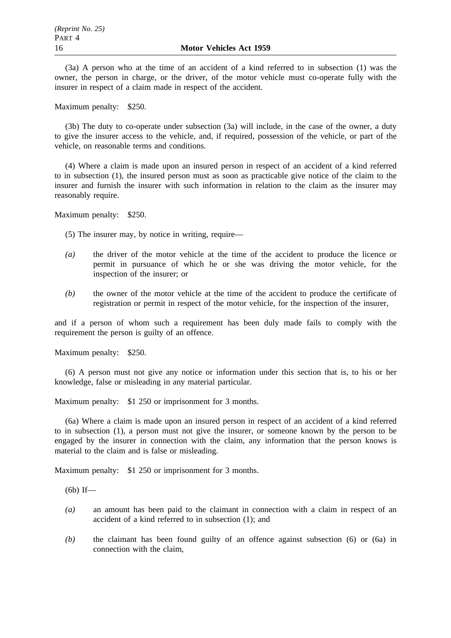(3a) A person who at the time of an accident of a kind referred to in subsection (1) was the owner, the person in charge, or the driver, of the motor vehicle must co-operate fully with the insurer in respect of a claim made in respect of the accident.

Maximum penalty: \$250.

(3b) The duty to co-operate under subsection (3a) will include, in the case of the owner, a duty to give the insurer access to the vehicle, and, if required, possession of the vehicle, or part of the vehicle, on reasonable terms and conditions.

(4) Where a claim is made upon an insured person in respect of an accident of a kind referred to in subsection (1), the insured person must as soon as practicable give notice of the claim to the insurer and furnish the insurer with such information in relation to the claim as the insurer may reasonably require.

Maximum penalty: \$250.

(5) The insurer may, by notice in writing, require—

- *(a)* the driver of the motor vehicle at the time of the accident to produce the licence or permit in pursuance of which he or she was driving the motor vehicle, for the inspection of the insurer; or
- *(b)* the owner of the motor vehicle at the time of the accident to produce the certificate of registration or permit in respect of the motor vehicle, for the inspection of the insurer,

and if a person of whom such a requirement has been duly made fails to comply with the requirement the person is guilty of an offence.

Maximum penalty: \$250.

(6) A person must not give any notice or information under this section that is, to his or her knowledge, false or misleading in any material particular.

Maximum penalty: \$1 250 or imprisonment for 3 months.

(6a) Where a claim is made upon an insured person in respect of an accident of a kind referred to in subsection (1), a person must not give the insurer, or someone known by the person to be engaged by the insurer in connection with the claim, any information that the person knows is material to the claim and is false or misleading.

Maximum penalty: \$1 250 or imprisonment for 3 months.

(6b) If—

- *(a)* an amount has been paid to the claimant in connection with a claim in respect of an accident of a kind referred to in subsection (1); and
- *(b)* the claimant has been found guilty of an offence against subsection (6) or (6a) in connection with the claim,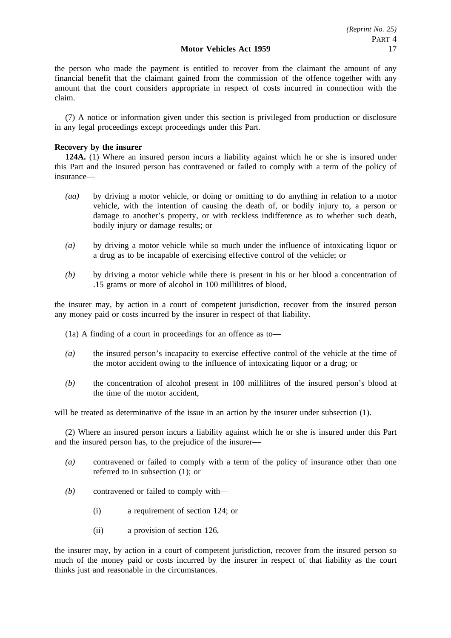the person who made the payment is entitled to recover from the claimant the amount of any financial benefit that the claimant gained from the commission of the offence together with any amount that the court considers appropriate in respect of costs incurred in connection with the claim.

(7) A notice or information given under this section is privileged from production or disclosure in any legal proceedings except proceedings under this Part.

# **Recovery by the insurer**

**124A.** (1) Where an insured person incurs a liability against which he or she is insured under this Part and the insured person has contravened or failed to comply with a term of the policy of insurance—

- *(aa)* by driving a motor vehicle, or doing or omitting to do anything in relation to a motor vehicle, with the intention of causing the death of, or bodily injury to, a person or damage to another's property, or with reckless indifference as to whether such death, bodily injury or damage results; or
- *(a)* by driving a motor vehicle while so much under the influence of intoxicating liquor or a drug as to be incapable of exercising effective control of the vehicle; or
- *(b)* by driving a motor vehicle while there is present in his or her blood a concentration of .15 grams or more of alcohol in 100 millilitres of blood,

the insurer may, by action in a court of competent jurisdiction, recover from the insured person any money paid or costs incurred by the insurer in respect of that liability.

(1a) A finding of a court in proceedings for an offence as to—

- *(a)* the insured person's incapacity to exercise effective control of the vehicle at the time of the motor accident owing to the influence of intoxicating liquor or a drug; or
- *(b)* the concentration of alcohol present in 100 millilitres of the insured person's blood at the time of the motor accident,

will be treated as determinative of the issue in an action by the insurer under subsection (1).

(2) Where an insured person incurs a liability against which he or she is insured under this Part and the insured person has, to the prejudice of the insurer—

- *(a)* contravened or failed to comply with a term of the policy of insurance other than one referred to in subsection (1); or
- *(b)* contravened or failed to comply with—
	- (i) a requirement of section 124; or
	- (ii) a provision of section 126,

the insurer may, by action in a court of competent jurisdiction, recover from the insured person so much of the money paid or costs incurred by the insurer in respect of that liability as the court thinks just and reasonable in the circumstances.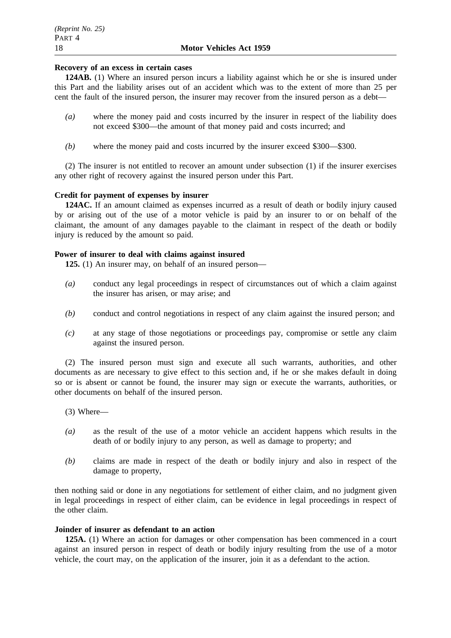# **Recovery of an excess in certain cases**

**124AB.** (1) Where an insured person incurs a liability against which he or she is insured under this Part and the liability arises out of an accident which was to the extent of more than 25 per cent the fault of the insured person, the insurer may recover from the insured person as a debt—

- *(a)* where the money paid and costs incurred by the insurer in respect of the liability does not exceed \$300—the amount of that money paid and costs incurred; and
- *(b)* where the money paid and costs incurred by the insurer exceed \$300—\$300.

(2) The insurer is not entitled to recover an amount under subsection (1) if the insurer exercises any other right of recovery against the insured person under this Part.

# **Credit for payment of expenses by insurer**

**124AC.** If an amount claimed as expenses incurred as a result of death or bodily injury caused by or arising out of the use of a motor vehicle is paid by an insurer to or on behalf of the claimant, the amount of any damages payable to the claimant in respect of the death or bodily injury is reduced by the amount so paid.

# **Power of insurer to deal with claims against insured**

**125.** (1) An insurer may, on behalf of an insured person—

- *(a)* conduct any legal proceedings in respect of circumstances out of which a claim against the insurer has arisen, or may arise; and
- *(b)* conduct and control negotiations in respect of any claim against the insured person; and
- *(c)* at any stage of those negotiations or proceedings pay, compromise or settle any claim against the insured person.

(2) The insured person must sign and execute all such warrants, authorities, and other documents as are necessary to give effect to this section and, if he or she makes default in doing so or is absent or cannot be found, the insurer may sign or execute the warrants, authorities, or other documents on behalf of the insured person.

- (3) Where—
- *(a)* as the result of the use of a motor vehicle an accident happens which results in the death of or bodily injury to any person, as well as damage to property; and
- *(b)* claims are made in respect of the death or bodily injury and also in respect of the damage to property,

then nothing said or done in any negotiations for settlement of either claim, and no judgment given in legal proceedings in respect of either claim, can be evidence in legal proceedings in respect of the other claim.

### **Joinder of insurer as defendant to an action**

**125A.** (1) Where an action for damages or other compensation has been commenced in a court against an insured person in respect of death or bodily injury resulting from the use of a motor vehicle, the court may, on the application of the insurer, join it as a defendant to the action.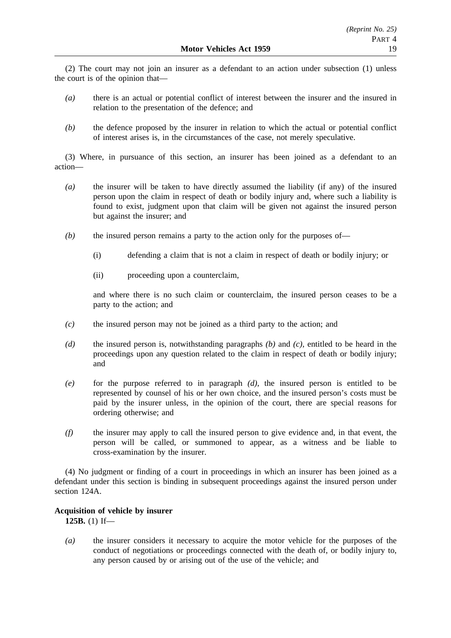(2) The court may not join an insurer as a defendant to an action under subsection (1) unless the court is of the opinion that—

- *(a)* there is an actual or potential conflict of interest between the insurer and the insured in relation to the presentation of the defence; and
- *(b)* the defence proposed by the insurer in relation to which the actual or potential conflict of interest arises is, in the circumstances of the case, not merely speculative.

(3) Where, in pursuance of this section, an insurer has been joined as a defendant to an action—

- *(a)* the insurer will be taken to have directly assumed the liability (if any) of the insured person upon the claim in respect of death or bodily injury and, where such a liability is found to exist, judgment upon that claim will be given not against the insured person but against the insurer; and
- *(b)* the insured person remains a party to the action only for the purposes of—
	- (i) defending a claim that is not a claim in respect of death or bodily injury; or
	- (ii) proceeding upon a counterclaim,

and where there is no such claim or counterclaim, the insured person ceases to be a party to the action; and

- *(c)* the insured person may not be joined as a third party to the action; and
- *(d)* the insured person is, notwithstanding paragraphs *(b)* and *(c)*, entitled to be heard in the proceedings upon any question related to the claim in respect of death or bodily injury; and
- *(e)* for the purpose referred to in paragraph *(d)*, the insured person is entitled to be represented by counsel of his or her own choice, and the insured person's costs must be paid by the insurer unless, in the opinion of the court, there are special reasons for ordering otherwise; and
- *(f)* the insurer may apply to call the insured person to give evidence and, in that event, the person will be called, or summoned to appear, as a witness and be liable to cross-examination by the insurer.

(4) No judgment or finding of a court in proceedings in which an insurer has been joined as a defendant under this section is binding in subsequent proceedings against the insured person under section 124A.

# **Acquisition of vehicle by insurer**

**125B.** (1) If—

*(a)* the insurer considers it necessary to acquire the motor vehicle for the purposes of the conduct of negotiations or proceedings connected with the death of, or bodily injury to, any person caused by or arising out of the use of the vehicle; and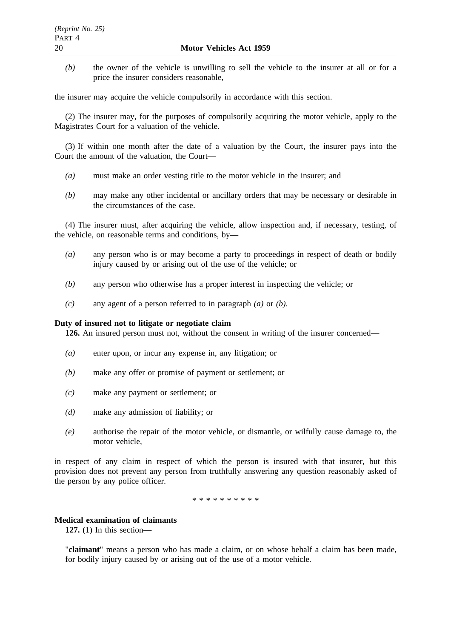*(b)* the owner of the vehicle is unwilling to sell the vehicle to the insurer at all or for a price the insurer considers reasonable,

the insurer may acquire the vehicle compulsorily in accordance with this section.

(2) The insurer may, for the purposes of compulsorily acquiring the motor vehicle, apply to the Magistrates Court for a valuation of the vehicle.

(3) If within one month after the date of a valuation by the Court, the insurer pays into the Court the amount of the valuation, the Court—

- *(a)* must make an order vesting title to the motor vehicle in the insurer; and
- *(b)* may make any other incidental or ancillary orders that may be necessary or desirable in the circumstances of the case.

(4) The insurer must, after acquiring the vehicle, allow inspection and, if necessary, testing, of the vehicle, on reasonable terms and conditions, by—

- *(a)* any person who is or may become a party to proceedings in respect of death or bodily injury caused by or arising out of the use of the vehicle; or
- *(b)* any person who otherwise has a proper interest in inspecting the vehicle; or
- *(c)* any agent of a person referred to in paragraph *(a)* or *(b)*.

#### **Duty of insured not to litigate or negotiate claim**

**126.** An insured person must not, without the consent in writing of the insurer concerned—

- *(a)* enter upon, or incur any expense in, any litigation; or
- *(b)* make any offer or promise of payment or settlement; or
- *(c)* make any payment or settlement; or
- *(d)* make any admission of liability; or
- *(e)* authorise the repair of the motor vehicle, or dismantle, or wilfully cause damage to, the motor vehicle,

in respect of any claim in respect of which the person is insured with that insurer, but this provision does not prevent any person from truthfully answering any question reasonably asked of the person by any police officer.

\*\*\*\*\*\*\*\*\*\*

#### **Medical examination of claimants**

**127.** (1) In this section—

"**claimant**" means a person who has made a claim, or on whose behalf a claim has been made, for bodily injury caused by or arising out of the use of a motor vehicle.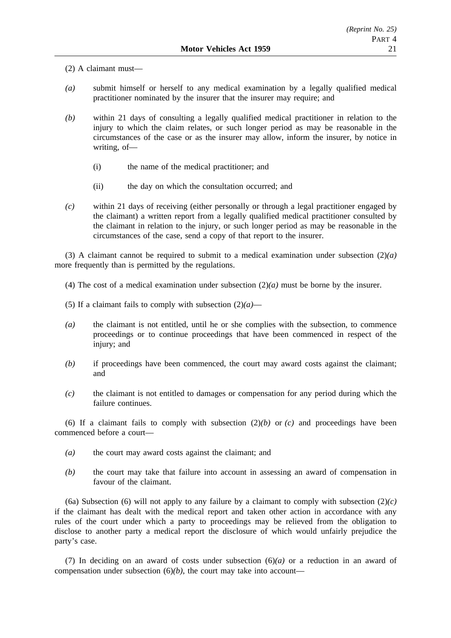(2) A claimant must—

- *(a)* submit himself or herself to any medical examination by a legally qualified medical practitioner nominated by the insurer that the insurer may require; and
- *(b)* within 21 days of consulting a legally qualified medical practitioner in relation to the injury to which the claim relates, or such longer period as may be reasonable in the circumstances of the case or as the insurer may allow, inform the insurer, by notice in writing, of—
	- (i) the name of the medical practitioner; and
	- (ii) the day on which the consultation occurred; and
- *(c)* within 21 days of receiving (either personally or through a legal practitioner engaged by the claimant) a written report from a legally qualified medical practitioner consulted by the claimant in relation to the injury, or such longer period as may be reasonable in the circumstances of the case, send a copy of that report to the insurer.

(3) A claimant cannot be required to submit to a medical examination under subsection (2)*(a)* more frequently than is permitted by the regulations.

- (4) The cost of a medical examination under subsection (2)*(a)* must be borne by the insurer.
- (5) If a claimant fails to comply with subsection  $(2)(a)$ —
- *(a)* the claimant is not entitled, until he or she complies with the subsection, to commence proceedings or to continue proceedings that have been commenced in respect of the injury; and
- *(b)* if proceedings have been commenced, the court may award costs against the claimant; and
- *(c)* the claimant is not entitled to damages or compensation for any period during which the failure continues.

(6) If a claimant fails to comply with subsection  $(2)(b)$  or  $(c)$  and proceedings have been commenced before a court—

- *(a)* the court may award costs against the claimant; and
- *(b)* the court may take that failure into account in assessing an award of compensation in favour of the claimant.

(6a) Subsection (6) will not apply to any failure by a claimant to comply with subsection  $(2)(c)$ if the claimant has dealt with the medical report and taken other action in accordance with any rules of the court under which a party to proceedings may be relieved from the obligation to disclose to another party a medical report the disclosure of which would unfairly prejudice the party's case.

(7) In deciding on an award of costs under subsection (6)*(a)* or a reduction in an award of compensation under subsection  $(6)(b)$ , the court may take into account—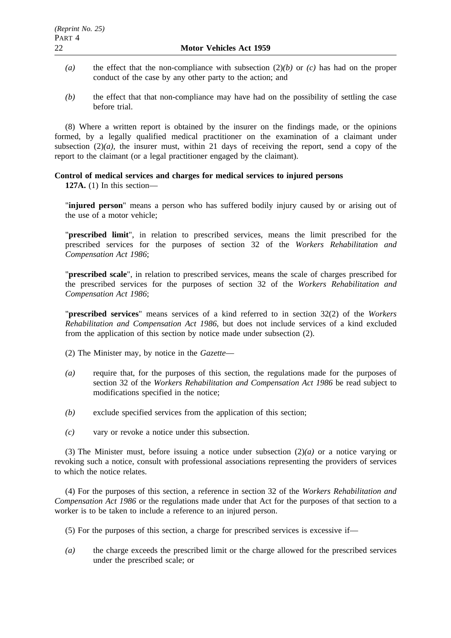- *(a)* the effect that the non-compliance with subsection (2)*(b)* or *(c)* has had on the proper conduct of the case by any other party to the action; and
- *(b)* the effect that that non-compliance may have had on the possibility of settling the case before trial.

(8) Where a written report is obtained by the insurer on the findings made, or the opinions formed, by a legally qualified medical practitioner on the examination of a claimant under subsection  $(2)(a)$ , the insurer must, within 21 days of receiving the report, send a copy of the report to the claimant (or a legal practitioner engaged by the claimant).

# **Control of medical services and charges for medical services to injured persons**

**127A.** (1) In this section—

"**injured person**" means a person who has suffered bodily injury caused by or arising out of the use of a motor vehicle;

"**prescribed limit**", in relation to prescribed services, means the limit prescribed for the prescribed services for the purposes of section 32 of the *Workers Rehabilitation and Compensation Act 1986*;

"**prescribed scale**", in relation to prescribed services, means the scale of charges prescribed for the prescribed services for the purposes of section 32 of the *Workers Rehabilitation and Compensation Act 1986*;

"**prescribed services**" means services of a kind referred to in section 32(2) of the *Workers Rehabilitation and Compensation Act 1986*, but does not include services of a kind excluded from the application of this section by notice made under subsection (2).

(2) The Minister may, by notice in the *Gazette*—

- *(a)* require that, for the purposes of this section, the regulations made for the purposes of section 32 of the *Workers Rehabilitation and Compensation Act 1986* be read subject to modifications specified in the notice;
- *(b)* exclude specified services from the application of this section;
- *(c)* vary or revoke a notice under this subsection.

(3) The Minister must, before issuing a notice under subsection (2)*(a)* or a notice varying or revoking such a notice, consult with professional associations representing the providers of services to which the notice relates.

(4) For the purposes of this section, a reference in section 32 of the *Workers Rehabilitation and Compensation Act 1986* or the regulations made under that Act for the purposes of that section to a worker is to be taken to include a reference to an injured person.

- (5) For the purposes of this section, a charge for prescribed services is excessive if—
- *(a)* the charge exceeds the prescribed limit or the charge allowed for the prescribed services under the prescribed scale; or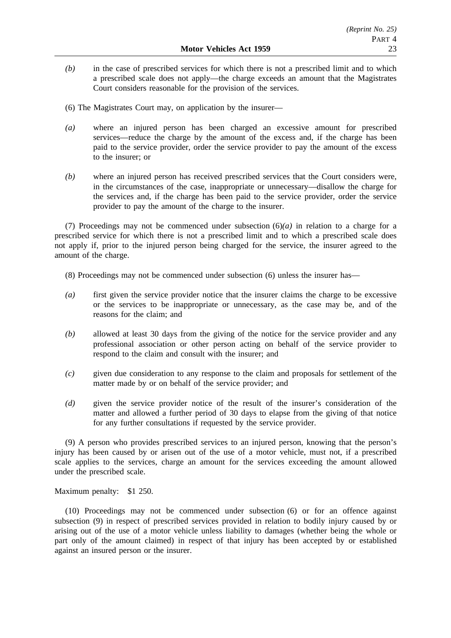- *(b)* in the case of prescribed services for which there is not a prescribed limit and to which a prescribed scale does not apply—the charge exceeds an amount that the Magistrates Court considers reasonable for the provision of the services.
- (6) The Magistrates Court may, on application by the insurer—
- *(a)* where an injured person has been charged an excessive amount for prescribed services—reduce the charge by the amount of the excess and, if the charge has been paid to the service provider, order the service provider to pay the amount of the excess to the insurer; or
- *(b)* where an injured person has received prescribed services that the Court considers were, in the circumstances of the case, inappropriate or unnecessary—disallow the charge for the services and, if the charge has been paid to the service provider, order the service provider to pay the amount of the charge to the insurer.

(7) Proceedings may not be commenced under subsection  $(6)(a)$  in relation to a charge for a prescribed service for which there is not a prescribed limit and to which a prescribed scale does not apply if, prior to the injured person being charged for the service, the insurer agreed to the amount of the charge.

- (8) Proceedings may not be commenced under subsection (6) unless the insurer has—
- *(a)* first given the service provider notice that the insurer claims the charge to be excessive or the services to be inappropriate or unnecessary, as the case may be, and of the reasons for the claim; and
- *(b)* allowed at least 30 days from the giving of the notice for the service provider and any professional association or other person acting on behalf of the service provider to respond to the claim and consult with the insurer; and
- *(c)* given due consideration to any response to the claim and proposals for settlement of the matter made by or on behalf of the service provider; and
- *(d)* given the service provider notice of the result of the insurer's consideration of the matter and allowed a further period of 30 days to elapse from the giving of that notice for any further consultations if requested by the service provider.

(9) A person who provides prescribed services to an injured person, knowing that the person's injury has been caused by or arisen out of the use of a motor vehicle, must not, if a prescribed scale applies to the services, charge an amount for the services exceeding the amount allowed under the prescribed scale.

Maximum penalty: \$1 250.

(10) Proceedings may not be commenced under subsection (6) or for an offence against subsection (9) in respect of prescribed services provided in relation to bodily injury caused by or arising out of the use of a motor vehicle unless liability to damages (whether being the whole or part only of the amount claimed) in respect of that injury has been accepted by or established against an insured person or the insurer.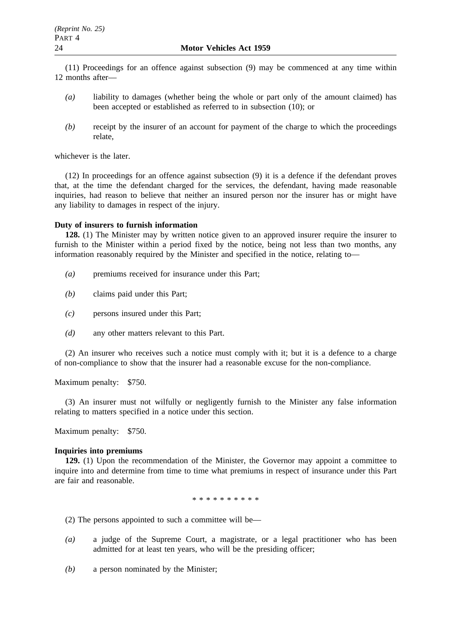(11) Proceedings for an offence against subsection (9) may be commenced at any time within 12 months after—

- *(a)* liability to damages (whether being the whole or part only of the amount claimed) has been accepted or established as referred to in subsection (10); or
- *(b)* receipt by the insurer of an account for payment of the charge to which the proceedings relate,

whichever is the later.

(12) In proceedings for an offence against subsection (9) it is a defence if the defendant proves that, at the time the defendant charged for the services, the defendant, having made reasonable inquiries, had reason to believe that neither an insured person nor the insurer has or might have any liability to damages in respect of the injury.

# **Duty of insurers to furnish information**

**128.** (1) The Minister may by written notice given to an approved insurer require the insurer to furnish to the Minister within a period fixed by the notice, being not less than two months, any information reasonably required by the Minister and specified in the notice, relating to—

- *(a)* premiums received for insurance under this Part;
- *(b)* claims paid under this Part;
- *(c)* persons insured under this Part;
- *(d)* any other matters relevant to this Part.

(2) An insurer who receives such a notice must comply with it; but it is a defence to a charge of non-compliance to show that the insurer had a reasonable excuse for the non-compliance.

Maximum penalty: \$750.

(3) An insurer must not wilfully or negligently furnish to the Minister any false information relating to matters specified in a notice under this section.

Maximum penalty: \$750.

# **Inquiries into premiums**

**129.** (1) Upon the recommendation of the Minister, the Governor may appoint a committee to inquire into and determine from time to time what premiums in respect of insurance under this Part are fair and reasonable.

\*\*\*\*\*\*\*\*\*\*

(2) The persons appointed to such a committee will be—

- *(a)* a judge of the Supreme Court, a magistrate, or a legal practitioner who has been admitted for at least ten years, who will be the presiding officer;
- *(b)* a person nominated by the Minister;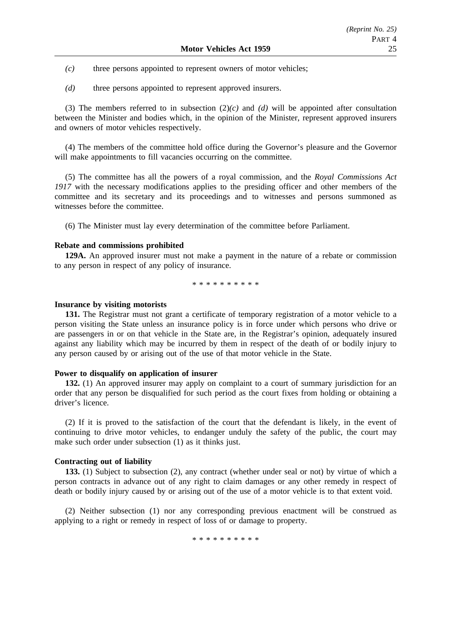- *(c)* three persons appointed to represent owners of motor vehicles;
- *(d)* three persons appointed to represent approved insurers.

(3) The members referred to in subsection (2)*(c)* and *(d)* will be appointed after consultation between the Minister and bodies which, in the opinion of the Minister, represent approved insurers and owners of motor vehicles respectively.

(4) The members of the committee hold office during the Governor's pleasure and the Governor will make appointments to fill vacancies occurring on the committee.

(5) The committee has all the powers of a royal commission, and the *Royal Commissions Act* 1917 with the necessary modifications applies to the presiding officer and other members of the committee and its secretary and its proceedings and to witnesses and persons summoned as witnesses before the committee.

(6) The Minister must lay every determination of the committee before Parliament.

# **Rebate and commissions prohibited**

**129A.** An approved insurer must not make a payment in the nature of a rebate or commission to any person in respect of any policy of insurance.

\*\*\*\*\*\*\*\*\*\*

#### **Insurance by visiting motorists**

**131.** The Registrar must not grant a certificate of temporary registration of a motor vehicle to a person visiting the State unless an insurance policy is in force under which persons who drive or are passengers in or on that vehicle in the State are, in the Registrar's opinion, adequately insured against any liability which may be incurred by them in respect of the death of or bodily injury to any person caused by or arising out of the use of that motor vehicle in the State.

#### **Power to disqualify on application of insurer**

**132.** (1) An approved insurer may apply on complaint to a court of summary jurisdiction for an order that any person be disqualified for such period as the court fixes from holding or obtaining a driver's licence.

(2) If it is proved to the satisfaction of the court that the defendant is likely, in the event of continuing to drive motor vehicles, to endanger unduly the safety of the public, the court may make such order under subsection (1) as it thinks just.

#### **Contracting out of liability**

**133.** (1) Subject to subsection (2), any contract (whether under seal or not) by virtue of which a person contracts in advance out of any right to claim damages or any other remedy in respect of death or bodily injury caused by or arising out of the use of a motor vehicle is to that extent void.

(2) Neither subsection (1) nor any corresponding previous enactment will be construed as applying to a right or remedy in respect of loss of or damage to property.

\*\*\*\*\*\*\*\*\*\*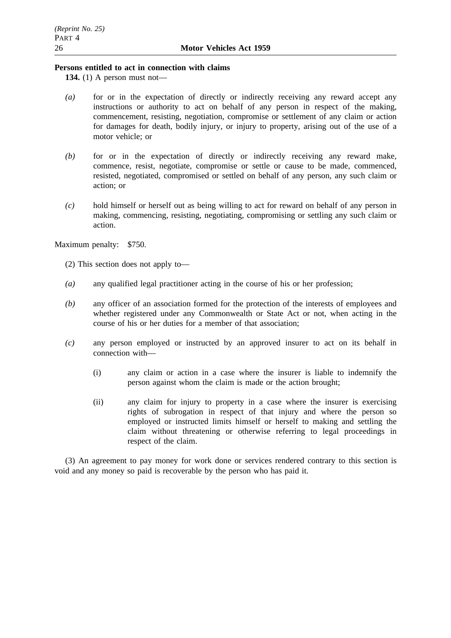# **Persons entitled to act in connection with claims**

**134.** (1) A person must not—

- *(a)* for or in the expectation of directly or indirectly receiving any reward accept any instructions or authority to act on behalf of any person in respect of the making, commencement, resisting, negotiation, compromise or settlement of any claim or action for damages for death, bodily injury, or injury to property, arising out of the use of a motor vehicle; or
- *(b)* for or in the expectation of directly or indirectly receiving any reward make, commence, resist, negotiate, compromise or settle or cause to be made, commenced, resisted, negotiated, compromised or settled on behalf of any person, any such claim or action; or
- *(c)* hold himself or herself out as being willing to act for reward on behalf of any person in making, commencing, resisting, negotiating, compromising or settling any such claim or action.

Maximum penalty: \$750.

- (2) This section does not apply to—
- *(a)* any qualified legal practitioner acting in the course of his or her profession;
- *(b)* any officer of an association formed for the protection of the interests of employees and whether registered under any Commonwealth or State Act or not, when acting in the course of his or her duties for a member of that association;
- *(c)* any person employed or instructed by an approved insurer to act on its behalf in connection with—
	- (i) any claim or action in a case where the insurer is liable to indemnify the person against whom the claim is made or the action brought;
	- (ii) any claim for injury to property in a case where the insurer is exercising rights of subrogation in respect of that injury and where the person so employed or instructed limits himself or herself to making and settling the claim without threatening or otherwise referring to legal proceedings in respect of the claim.

(3) An agreement to pay money for work done or services rendered contrary to this section is void and any money so paid is recoverable by the person who has paid it.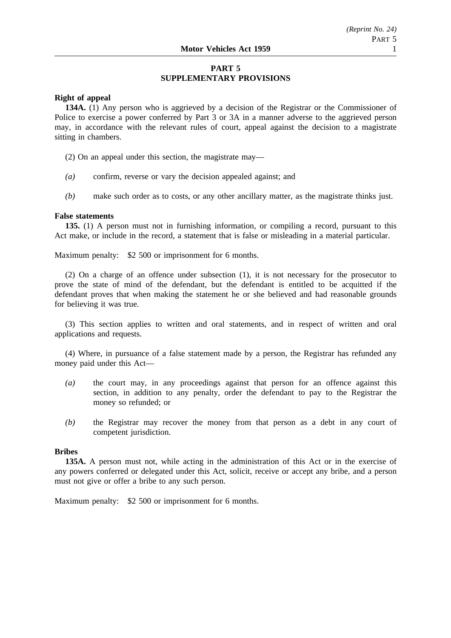# **PART 5 SUPPLEMENTARY PROVISIONS**

# **Right of appeal**

**134A.** (1) Any person who is aggrieved by a decision of the Registrar or the Commissioner of Police to exercise a power conferred by Part 3 or 3A in a manner adverse to the aggrieved person may, in accordance with the relevant rules of court, appeal against the decision to a magistrate sitting in chambers.

(2) On an appeal under this section, the magistrate may—

- *(a)* confirm, reverse or vary the decision appealed against; and
- *(b)* make such order as to costs, or any other ancillary matter, as the magistrate thinks just.

#### **False statements**

**135.** (1) A person must not in furnishing information, or compiling a record, pursuant to this Act make, or include in the record, a statement that is false or misleading in a material particular.

Maximum penalty: \$2 500 or imprisonment for 6 months.

(2) On a charge of an offence under subsection (1), it is not necessary for the prosecutor to prove the state of mind of the defendant, but the defendant is entitled to be acquitted if the defendant proves that when making the statement he or she believed and had reasonable grounds for believing it was true.

(3) This section applies to written and oral statements, and in respect of written and oral applications and requests.

(4) Where, in pursuance of a false statement made by a person, the Registrar has refunded any money paid under this Act—

- *(a)* the court may, in any proceedings against that person for an offence against this section, in addition to any penalty, order the defendant to pay to the Registrar the money so refunded; or
- *(b)* the Registrar may recover the money from that person as a debt in any court of competent jurisdiction.

#### **Bribes**

**135A.** A person must not, while acting in the administration of this Act or in the exercise of any powers conferred or delegated under this Act, solicit, receive or accept any bribe, and a person must not give or offer a bribe to any such person.

Maximum penalty: \$2 500 or imprisonment for 6 months.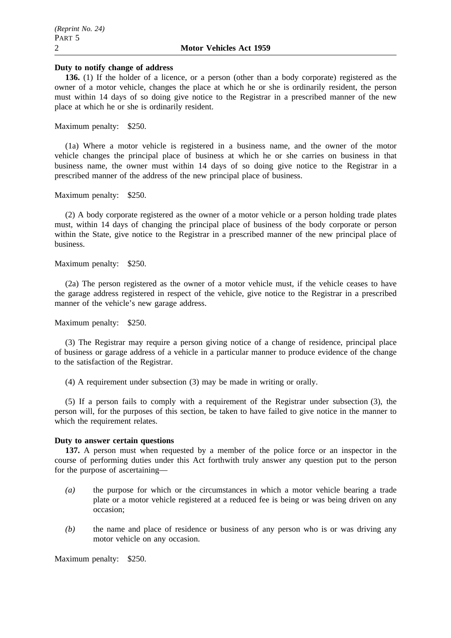#### **Duty to notify change of address**

**136.** (1) If the holder of a licence, or a person (other than a body corporate) registered as the owner of a motor vehicle, changes the place at which he or she is ordinarily resident, the person must within 14 days of so doing give notice to the Registrar in a prescribed manner of the new place at which he or she is ordinarily resident.

Maximum penalty: \$250.

(1a) Where a motor vehicle is registered in a business name, and the owner of the motor vehicle changes the principal place of business at which he or she carries on business in that business name, the owner must within 14 days of so doing give notice to the Registrar in a prescribed manner of the address of the new principal place of business.

Maximum penalty: \$250.

(2) A body corporate registered as the owner of a motor vehicle or a person holding trade plates must, within 14 days of changing the principal place of business of the body corporate or person within the State, give notice to the Registrar in a prescribed manner of the new principal place of business.

Maximum penalty: \$250.

(2a) The person registered as the owner of a motor vehicle must, if the vehicle ceases to have the garage address registered in respect of the vehicle, give notice to the Registrar in a prescribed manner of the vehicle's new garage address.

Maximum penalty: \$250.

(3) The Registrar may require a person giving notice of a change of residence, principal place of business or garage address of a vehicle in a particular manner to produce evidence of the change to the satisfaction of the Registrar.

(4) A requirement under subsection (3) may be made in writing or orally.

(5) If a person fails to comply with a requirement of the Registrar under subsection (3), the person will, for the purposes of this section, be taken to have failed to give notice in the manner to which the requirement relates.

### **Duty to answer certain questions**

**137.** A person must when requested by a member of the police force or an inspector in the course of performing duties under this Act forthwith truly answer any question put to the person for the purpose of ascertaining—

- *(a)* the purpose for which or the circumstances in which a motor vehicle bearing a trade plate or a motor vehicle registered at a reduced fee is being or was being driven on any occasion;
- *(b)* the name and place of residence or business of any person who is or was driving any motor vehicle on any occasion.

Maximum penalty: \$250.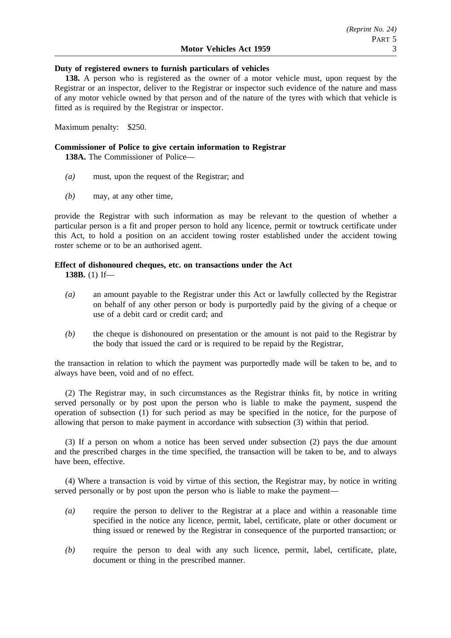### **Duty of registered owners to furnish particulars of vehicles**

**138.** A person who is registered as the owner of a motor vehicle must, upon request by the Registrar or an inspector, deliver to the Registrar or inspector such evidence of the nature and mass of any motor vehicle owned by that person and of the nature of the tyres with which that vehicle is fitted as is required by the Registrar or inspector.

Maximum penalty: \$250.

# **Commissioner of Police to give certain information to Registrar**

**138A.** The Commissioner of Police—

- *(a)* must, upon the request of the Registrar; and
- *(b)* may, at any other time,

provide the Registrar with such information as may be relevant to the question of whether a particular person is a fit and proper person to hold any licence, permit or towtruck certificate under this Act, to hold a position on an accident towing roster established under the accident towing roster scheme or to be an authorised agent.

# **Effect of dishonoured cheques, etc. on transactions under the Act**

**138B.** (1) If—

- *(a)* an amount payable to the Registrar under this Act or lawfully collected by the Registrar on behalf of any other person or body is purportedly paid by the giving of a cheque or use of a debit card or credit card; and
- *(b)* the cheque is dishonoured on presentation or the amount is not paid to the Registrar by the body that issued the card or is required to be repaid by the Registrar,

the transaction in relation to which the payment was purportedly made will be taken to be, and to always have been, void and of no effect.

(2) The Registrar may, in such circumstances as the Registrar thinks fit, by notice in writing served personally or by post upon the person who is liable to make the payment, suspend the operation of subsection (1) for such period as may be specified in the notice, for the purpose of allowing that person to make payment in accordance with subsection (3) within that period.

(3) If a person on whom a notice has been served under subsection (2) pays the due amount and the prescribed charges in the time specified, the transaction will be taken to be, and to always have been, effective.

(4) Where a transaction is void by virtue of this section, the Registrar may, by notice in writing served personally or by post upon the person who is liable to make the payment—

- *(a)* require the person to deliver to the Registrar at a place and within a reasonable time specified in the notice any licence, permit, label, certificate, plate or other document or thing issued or renewed by the Registrar in consequence of the purported transaction; or
- *(b)* require the person to deal with any such licence, permit, label, certificate, plate, document or thing in the prescribed manner.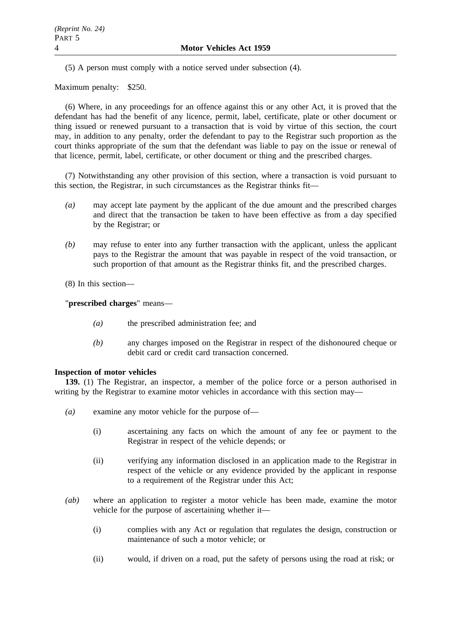(5) A person must comply with a notice served under subsection (4).

Maximum penalty: \$250.

(6) Where, in any proceedings for an offence against this or any other Act, it is proved that the defendant has had the benefit of any licence, permit, label, certificate, plate or other document or thing issued or renewed pursuant to a transaction that is void by virtue of this section, the court may, in addition to any penalty, order the defendant to pay to the Registrar such proportion as the court thinks appropriate of the sum that the defendant was liable to pay on the issue or renewal of that licence, permit, label, certificate, or other document or thing and the prescribed charges.

(7) Notwithstanding any other provision of this section, where a transaction is void pursuant to this section, the Registrar, in such circumstances as the Registrar thinks fit—

- *(a)* may accept late payment by the applicant of the due amount and the prescribed charges and direct that the transaction be taken to have been effective as from a day specified by the Registrar; or
- *(b)* may refuse to enter into any further transaction with the applicant, unless the applicant pays to the Registrar the amount that was payable in respect of the void transaction, or such proportion of that amount as the Registrar thinks fit, and the prescribed charges.

(8) In this section—

"**prescribed charges**" means—

- *(a)* the prescribed administration fee; and
- *(b)* any charges imposed on the Registrar in respect of the dishonoured cheque or debit card or credit card transaction concerned.

### **Inspection of motor vehicles**

**139.** (1) The Registrar, an inspector, a member of the police force or a person authorised in writing by the Registrar to examine motor vehicles in accordance with this section may—

- *(a)* examine any motor vehicle for the purpose of—
	- (i) ascertaining any facts on which the amount of any fee or payment to the Registrar in respect of the vehicle depends; or
	- (ii) verifying any information disclosed in an application made to the Registrar in respect of the vehicle or any evidence provided by the applicant in response to a requirement of the Registrar under this Act;
- *(ab)* where an application to register a motor vehicle has been made, examine the motor vehicle for the purpose of ascertaining whether it—
	- (i) complies with any Act or regulation that regulates the design, construction or maintenance of such a motor vehicle; or
	- (ii) would, if driven on a road, put the safety of persons using the road at risk; or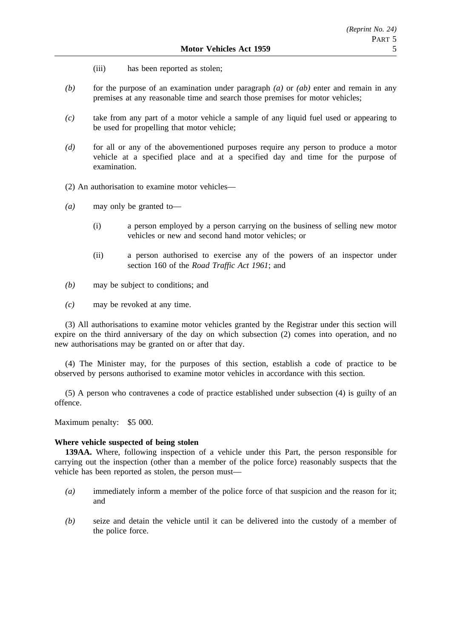- (iii) has been reported as stolen;
- *(b)* for the purpose of an examination under paragraph *(a)* or *(ab)* enter and remain in any premises at any reasonable time and search those premises for motor vehicles;
- *(c)* take from any part of a motor vehicle a sample of any liquid fuel used or appearing to be used for propelling that motor vehicle;
- *(d)* for all or any of the abovementioned purposes require any person to produce a motor vehicle at a specified place and at a specified day and time for the purpose of examination.
- (2) An authorisation to examine motor vehicles—
- *(a)* may only be granted to—
	- (i) a person employed by a person carrying on the business of selling new motor vehicles or new and second hand motor vehicles; or
	- (ii) a person authorised to exercise any of the powers of an inspector under section 160 of the *Road Traffic Act 1961*; and
- *(b)* may be subject to conditions; and
- *(c)* may be revoked at any time.

(3) All authorisations to examine motor vehicles granted by the Registrar under this section will expire on the third anniversary of the day on which subsection (2) comes into operation, and no new authorisations may be granted on or after that day.

(4) The Minister may, for the purposes of this section, establish a code of practice to be observed by persons authorised to examine motor vehicles in accordance with this section.

(5) A person who contravenes a code of practice established under subsection (4) is guilty of an offence.

Maximum penalty: \$5 000.

### **Where vehicle suspected of being stolen**

**139AA.** Where, following inspection of a vehicle under this Part, the person responsible for carrying out the inspection (other than a member of the police force) reasonably suspects that the vehicle has been reported as stolen, the person must—

- *(a)* immediately inform a member of the police force of that suspicion and the reason for it; and
- *(b)* seize and detain the vehicle until it can be delivered into the custody of a member of the police force.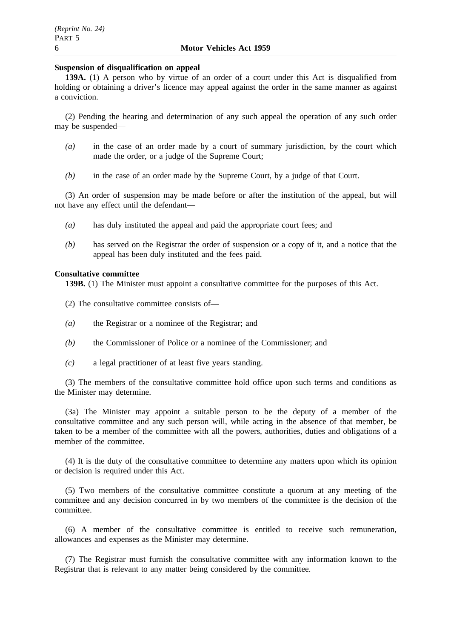#### **Suspension of disqualification on appeal**

**139A.** (1) A person who by virtue of an order of a court under this Act is disqualified from holding or obtaining a driver's licence may appeal against the order in the same manner as against a conviction.

(2) Pending the hearing and determination of any such appeal the operation of any such order may be suspended—

- *(a)* in the case of an order made by a court of summary jurisdiction, by the court which made the order, or a judge of the Supreme Court;
- *(b)* in the case of an order made by the Supreme Court, by a judge of that Court.

(3) An order of suspension may be made before or after the institution of the appeal, but will not have any effect until the defendant—

- *(a)* has duly instituted the appeal and paid the appropriate court fees; and
- *(b)* has served on the Registrar the order of suspension or a copy of it, and a notice that the appeal has been duly instituted and the fees paid.

#### **Consultative committee**

**139B.** (1) The Minister must appoint a consultative committee for the purposes of this Act.

- (2) The consultative committee consists of—
- *(a)* the Registrar or a nominee of the Registrar; and
- *(b)* the Commissioner of Police or a nominee of the Commissioner; and
- *(c)* a legal practitioner of at least five years standing.

(3) The members of the consultative committee hold office upon such terms and conditions as the Minister may determine.

(3a) The Minister may appoint a suitable person to be the deputy of a member of the consultative committee and any such person will, while acting in the absence of that member, be taken to be a member of the committee with all the powers, authorities, duties and obligations of a member of the committee.

(4) It is the duty of the consultative committee to determine any matters upon which its opinion or decision is required under this Act.

(5) Two members of the consultative committee constitute a quorum at any meeting of the committee and any decision concurred in by two members of the committee is the decision of the committee.

(6) A member of the consultative committee is entitled to receive such remuneration, allowances and expenses as the Minister may determine.

(7) The Registrar must furnish the consultative committee with any information known to the Registrar that is relevant to any matter being considered by the committee.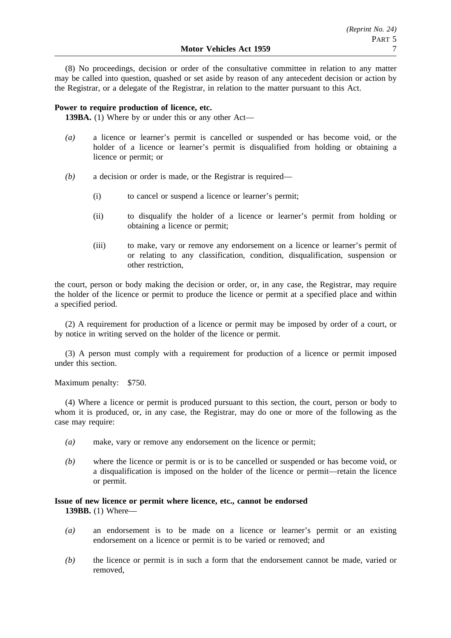(8) No proceedings, decision or order of the consultative committee in relation to any matter may be called into question, quashed or set aside by reason of any antecedent decision or action by the Registrar, or a delegate of the Registrar, in relation to the matter pursuant to this Act.

# **Power to require production of licence, etc.**

**139BA.** (1) Where by or under this or any other Act—

- *(a)* a licence or learner's permit is cancelled or suspended or has become void, or the holder of a licence or learner's permit is disqualified from holding or obtaining a licence or permit; or
- *(b)* a decision or order is made, or the Registrar is required—
	- (i) to cancel or suspend a licence or learner's permit;
	- (ii) to disqualify the holder of a licence or learner's permit from holding or obtaining a licence or permit;
	- (iii) to make, vary or remove any endorsement on a licence or learner's permit of or relating to any classification, condition, disqualification, suspension or other restriction,

the court, person or body making the decision or order, or, in any case, the Registrar, may require the holder of the licence or permit to produce the licence or permit at a specified place and within a specified period.

(2) A requirement for production of a licence or permit may be imposed by order of a court, or by notice in writing served on the holder of the licence or permit.

(3) A person must comply with a requirement for production of a licence or permit imposed under this section.

Maximum penalty: \$750.

(4) Where a licence or permit is produced pursuant to this section, the court, person or body to whom it is produced, or, in any case, the Registrar, may do one or more of the following as the case may require:

- *(a)* make, vary or remove any endorsement on the licence or permit;
- *(b)* where the licence or permit is or is to be cancelled or suspended or has become void, or a disqualification is imposed on the holder of the licence or permit—retain the licence or permit.

# **Issue of new licence or permit where licence, etc., cannot be endorsed 139BB.** (1) Where—

- *(a)* an endorsement is to be made on a licence or learner's permit or an existing endorsement on a licence or permit is to be varied or removed; and
- *(b)* the licence or permit is in such a form that the endorsement cannot be made, varied or removed,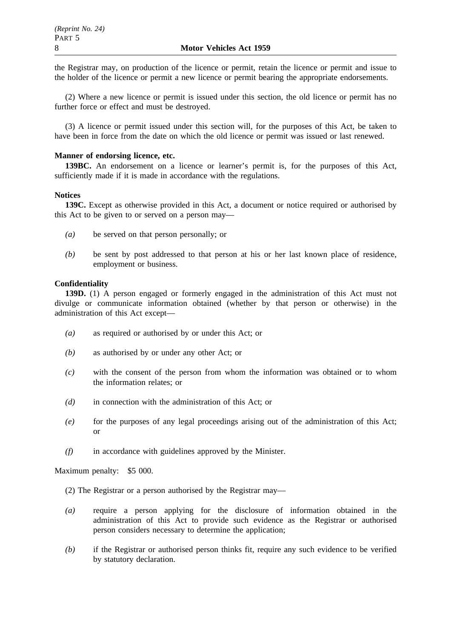the Registrar may, on production of the licence or permit, retain the licence or permit and issue to the holder of the licence or permit a new licence or permit bearing the appropriate endorsements.

(2) Where a new licence or permit is issued under this section, the old licence or permit has no further force or effect and must be destroyed.

(3) A licence or permit issued under this section will, for the purposes of this Act, be taken to have been in force from the date on which the old licence or permit was issued or last renewed.

# **Manner of endorsing licence, etc.**

**139BC.** An endorsement on a licence or learner's permit is, for the purposes of this Act, sufficiently made if it is made in accordance with the regulations.

# **Notices**

**139C.** Except as otherwise provided in this Act, a document or notice required or authorised by this Act to be given to or served on a person may—

- *(a)* be served on that person personally; or
- *(b)* be sent by post addressed to that person at his or her last known place of residence, employment or business.

# **Confidentiality**

**139D.** (1) A person engaged or formerly engaged in the administration of this Act must not divulge or communicate information obtained (whether by that person or otherwise) in the administration of this Act except—

- *(a)* as required or authorised by or under this Act; or
- *(b)* as authorised by or under any other Act; or
- *(c)* with the consent of the person from whom the information was obtained or to whom the information relates; or
- *(d)* in connection with the administration of this Act; or
- *(e)* for the purposes of any legal proceedings arising out of the administration of this Act; or
- *(f)* in accordance with guidelines approved by the Minister.

Maximum penalty: \$5 000.

- (2) The Registrar or a person authorised by the Registrar may—
- *(a)* require a person applying for the disclosure of information obtained in the administration of this Act to provide such evidence as the Registrar or authorised person considers necessary to determine the application;
- *(b)* if the Registrar or authorised person thinks fit, require any such evidence to be verified by statutory declaration.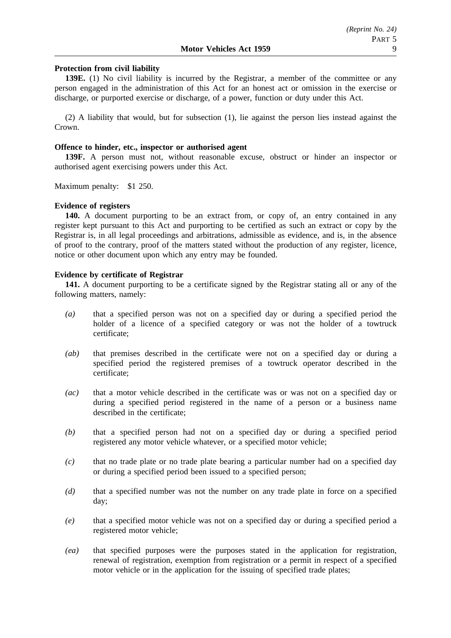# **Protection from civil liability**

**139E.** (1) No civil liability is incurred by the Registrar, a member of the committee or any person engaged in the administration of this Act for an honest act or omission in the exercise or discharge, or purported exercise or discharge, of a power, function or duty under this Act.

(2) A liability that would, but for subsection (1), lie against the person lies instead against the Crown.

# **Offence to hinder, etc., inspector or authorised agent**

**139F.** A person must not, without reasonable excuse, obstruct or hinder an inspector or authorised agent exercising powers under this Act.

Maximum penalty: \$1 250.

# **Evidence of registers**

**140.** A document purporting to be an extract from, or copy of, an entry contained in any register kept pursuant to this Act and purporting to be certified as such an extract or copy by the Registrar is, in all legal proceedings and arbitrations, admissible as evidence, and is, in the absence of proof to the contrary, proof of the matters stated without the production of any register, licence, notice or other document upon which any entry may be founded.

# **Evidence by certificate of Registrar**

**141.** A document purporting to be a certificate signed by the Registrar stating all or any of the following matters, namely:

- *(a)* that a specified person was not on a specified day or during a specified period the holder of a licence of a specified category or was not the holder of a towtruck certificate;
- *(ab)* that premises described in the certificate were not on a specified day or during a specified period the registered premises of a towtruck operator described in the certificate;
- *(ac)* that a motor vehicle described in the certificate was or was not on a specified day or during a specified period registered in the name of a person or a business name described in the certificate;
- *(b)* that a specified person had not on a specified day or during a specified period registered any motor vehicle whatever, or a specified motor vehicle;
- *(c)* that no trade plate or no trade plate bearing a particular number had on a specified day or during a specified period been issued to a specified person;
- *(d)* that a specified number was not the number on any trade plate in force on a specified day;
- *(e)* that a specified motor vehicle was not on a specified day or during a specified period a registered motor vehicle;
- *(ea)* that specified purposes were the purposes stated in the application for registration, renewal of registration, exemption from registration or a permit in respect of a specified motor vehicle or in the application for the issuing of specified trade plates;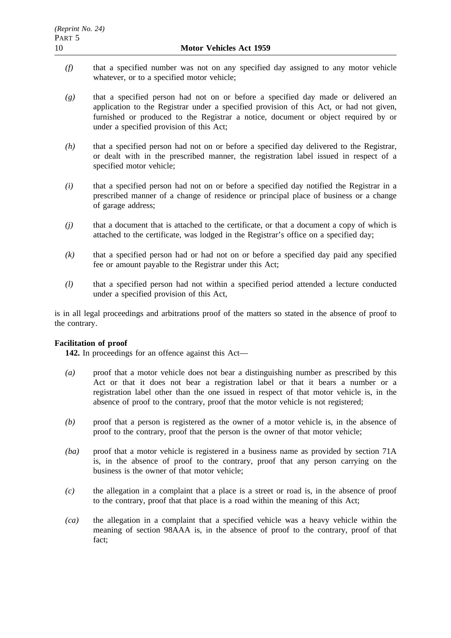- *(f)* that a specified number was not on any specified day assigned to any motor vehicle whatever, or to a specified motor vehicle;
- *(g)* that a specified person had not on or before a specified day made or delivered an application to the Registrar under a specified provision of this Act, or had not given, furnished or produced to the Registrar a notice, document or object required by or under a specified provision of this Act;
- *(h)* that a specified person had not on or before a specified day delivered to the Registrar, or dealt with in the prescribed manner, the registration label issued in respect of a specified motor vehicle;
- *(i)* that a specified person had not on or before a specified day notified the Registrar in a prescribed manner of a change of residence or principal place of business or a change of garage address;
- *(j)* that a document that is attached to the certificate, or that a document a copy of which is attached to the certificate, was lodged in the Registrar's office on a specified day;
- *(k)* that a specified person had or had not on or before a specified day paid any specified fee or amount payable to the Registrar under this Act;
- *(l)* that a specified person had not within a specified period attended a lecture conducted under a specified provision of this Act,

is in all legal proceedings and arbitrations proof of the matters so stated in the absence of proof to the contrary.

# **Facilitation of proof**

**142.** In proceedings for an offence against this Act—

- *(a)* proof that a motor vehicle does not bear a distinguishing number as prescribed by this Act or that it does not bear a registration label or that it bears a number or a registration label other than the one issued in respect of that motor vehicle is, in the absence of proof to the contrary, proof that the motor vehicle is not registered;
- *(b)* proof that a person is registered as the owner of a motor vehicle is, in the absence of proof to the contrary, proof that the person is the owner of that motor vehicle;
- *(ba)* proof that a motor vehicle is registered in a business name as provided by section 71A is, in the absence of proof to the contrary, proof that any person carrying on the business is the owner of that motor vehicle;
- *(c)* the allegation in a complaint that a place is a street or road is, in the absence of proof to the contrary, proof that that place is a road within the meaning of this Act;
- *(ca)* the allegation in a complaint that a specified vehicle was a heavy vehicle within the meaning of section 98AAA is, in the absence of proof to the contrary, proof of that fact;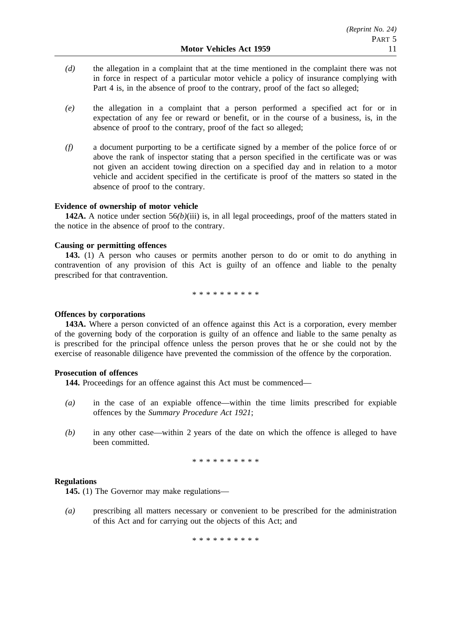- *(d)* the allegation in a complaint that at the time mentioned in the complaint there was not in force in respect of a particular motor vehicle a policy of insurance complying with Part 4 is, in the absence of proof to the contrary, proof of the fact so alleged;
- *(e)* the allegation in a complaint that a person performed a specified act for or in expectation of any fee or reward or benefit, or in the course of a business, is, in the absence of proof to the contrary, proof of the fact so alleged;
- *(f)* a document purporting to be a certificate signed by a member of the police force of or above the rank of inspector stating that a person specified in the certificate was or was not given an accident towing direction on a specified day and in relation to a motor vehicle and accident specified in the certificate is proof of the matters so stated in the absence of proof to the contrary.

# **Evidence of ownership of motor vehicle**

**142A.** A notice under section 56*(b)*(iii) is, in all legal proceedings, proof of the matters stated in the notice in the absence of proof to the contrary.

### **Causing or permitting offences**

**143.** (1) A person who causes or permits another person to do or omit to do anything in contravention of any provision of this Act is guilty of an offence and liable to the penalty prescribed for that contravention.

\*\*\*\*\*\*\*\*\*\*

#### **Offences by corporations**

**143A.** Where a person convicted of an offence against this Act is a corporation, every member of the governing body of the corporation is guilty of an offence and liable to the same penalty as is prescribed for the principal offence unless the person proves that he or she could not by the exercise of reasonable diligence have prevented the commission of the offence by the corporation.

### **Prosecution of offences**

**144.** Proceedings for an offence against this Act must be commenced—

- *(a)* in the case of an expiable offence—within the time limits prescribed for expiable offences by the *Summary Procedure Act 1921*;
- *(b)* in any other case—within 2 years of the date on which the offence is alleged to have been committed.

\*\*\*\*\*\*\*\*\*\*

### **Regulations**

**145.** (1) The Governor may make regulations—

*(a)* prescribing all matters necessary or convenient to be prescribed for the administration of this Act and for carrying out the objects of this Act; and

\*\*\*\*\*\*\*\*\*\*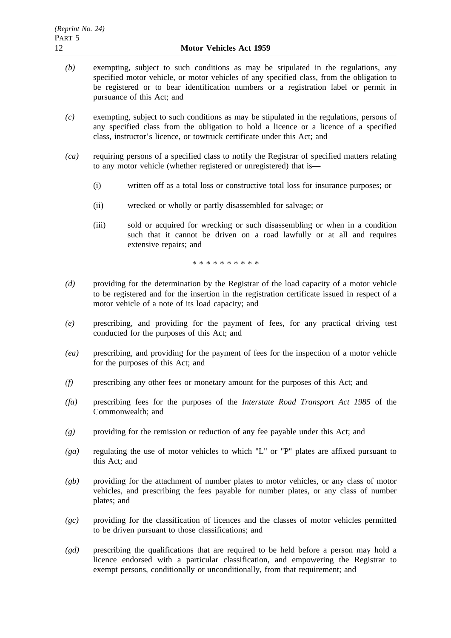- *(b)* exempting, subject to such conditions as may be stipulated in the regulations, any specified motor vehicle, or motor vehicles of any specified class, from the obligation to be registered or to bear identification numbers or a registration label or permit in pursuance of this Act; and
- *(c)* exempting, subject to such conditions as may be stipulated in the regulations, persons of any specified class from the obligation to hold a licence or a licence of a specified class, instructor's licence, or towtruck certificate under this Act; and
- *(ca)* requiring persons of a specified class to notify the Registrar of specified matters relating to any motor vehicle (whether registered or unregistered) that is—
	- (i) written off as a total loss or constructive total loss for insurance purposes; or
	- (ii) wrecked or wholly or partly disassembled for salvage; or
	- (iii) sold or acquired for wrecking or such disassembling or when in a condition such that it cannot be driven on a road lawfully or at all and requires extensive repairs; and

\*\*\*\*\*\*\*\*\*\*

- *(d)* providing for the determination by the Registrar of the load capacity of a motor vehicle to be registered and for the insertion in the registration certificate issued in respect of a motor vehicle of a note of its load capacity; and
- *(e)* prescribing, and providing for the payment of fees, for any practical driving test conducted for the purposes of this Act; and
- *(ea)* prescribing, and providing for the payment of fees for the inspection of a motor vehicle for the purposes of this Act; and
- *(f)* prescribing any other fees or monetary amount for the purposes of this Act; and
- *(fa)* prescribing fees for the purposes of the *Interstate Road Transport Act 1985* of the Commonwealth; and
- *(g)* providing for the remission or reduction of any fee payable under this Act; and
- *(ga)* regulating the use of motor vehicles to which "L" or "P" plates are affixed pursuant to this Act; and
- *(gb)* providing for the attachment of number plates to motor vehicles, or any class of motor vehicles, and prescribing the fees payable for number plates, or any class of number plates; and
- *(gc)* providing for the classification of licences and the classes of motor vehicles permitted to be driven pursuant to those classifications; and
- *(gd)* prescribing the qualifications that are required to be held before a person may hold a licence endorsed with a particular classification, and empowering the Registrar to exempt persons, conditionally or unconditionally, from that requirement; and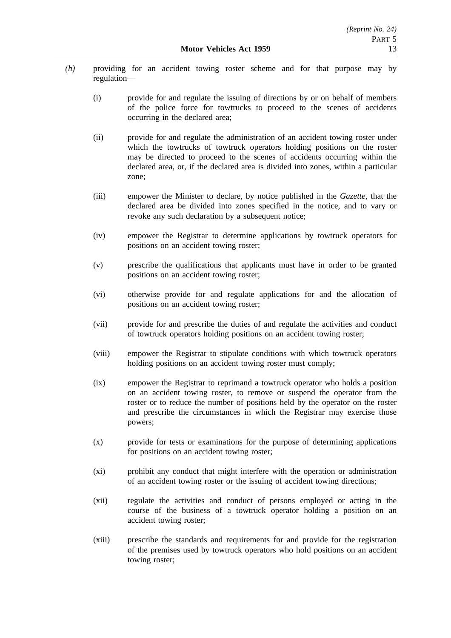- *(h)* providing for an accident towing roster scheme and for that purpose may by regulation—
	- (i) provide for and regulate the issuing of directions by or on behalf of members of the police force for towtrucks to proceed to the scenes of accidents occurring in the declared area;
	- (ii) provide for and regulate the administration of an accident towing roster under which the towtrucks of towtruck operators holding positions on the roster may be directed to proceed to the scenes of accidents occurring within the declared area, or, if the declared area is divided into zones, within a particular zone;
	- (iii) empower the Minister to declare, by notice published in the *Gazette*, that the declared area be divided into zones specified in the notice, and to vary or revoke any such declaration by a subsequent notice;
	- (iv) empower the Registrar to determine applications by towtruck operators for positions on an accident towing roster;
	- (v) prescribe the qualifications that applicants must have in order to be granted positions on an accident towing roster;
	- (vi) otherwise provide for and regulate applications for and the allocation of positions on an accident towing roster;
	- (vii) provide for and prescribe the duties of and regulate the activities and conduct of towtruck operators holding positions on an accident towing roster;
	- (viii) empower the Registrar to stipulate conditions with which towtruck operators holding positions on an accident towing roster must comply;
	- (ix) empower the Registrar to reprimand a towtruck operator who holds a position on an accident towing roster, to remove or suspend the operator from the roster or to reduce the number of positions held by the operator on the roster and prescribe the circumstances in which the Registrar may exercise those powers;
	- (x) provide for tests or examinations for the purpose of determining applications for positions on an accident towing roster;
	- (xi) prohibit any conduct that might interfere with the operation or administration of an accident towing roster or the issuing of accident towing directions;
	- (xii) regulate the activities and conduct of persons employed or acting in the course of the business of a towtruck operator holding a position on an accident towing roster;
	- (xiii) prescribe the standards and requirements for and provide for the registration of the premises used by towtruck operators who hold positions on an accident towing roster;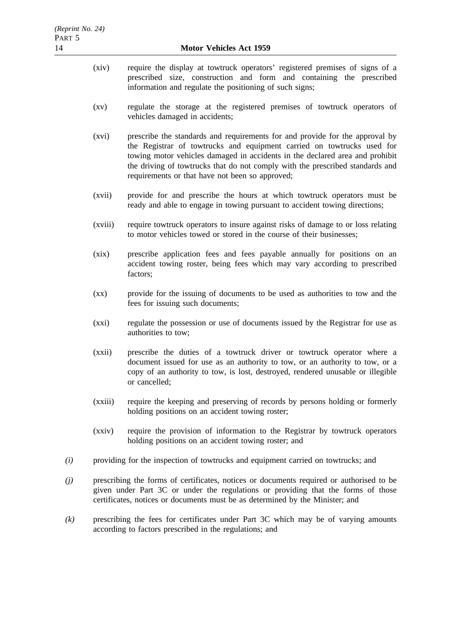- (xiv) require the display at towtruck operators' registered premises of signs of a prescribed size, construction and form and containing the prescribed information and regulate the positioning of such signs;
- (xv) regulate the storage at the registered premises of towtruck operators of vehicles damaged in accidents;
- (xvi) prescribe the standards and requirements for and provide for the approval by the Registrar of towtrucks and equipment carried on towtrucks used for towing motor vehicles damaged in accidents in the declared area and prohibit the driving of towtrucks that do not comply with the prescribed standards and requirements or that have not been so approved;
- (xvii) provide for and prescribe the hours at which towtruck operators must be ready and able to engage in towing pursuant to accident towing directions;
- (xviii) require towtruck operators to insure against risks of damage to or loss relating to motor vehicles towed or stored in the course of their businesses;
- (xix) prescribe application fees and fees payable annually for positions on an accident towing roster, being fees which may vary according to prescribed factors;
- (xx) provide for the issuing of documents to be used as authorities to tow and the fees for issuing such documents;
- (xxi) regulate the possession or use of documents issued by the Registrar for use as authorities to tow;
- (xxii) prescribe the duties of a towtruck driver or towtruck operator where a document issued for use as an authority to tow, or an authority to tow, or a copy of an authority to tow, is lost, destroyed, rendered unusable or illegible or cancelled;
- (xxiii) require the keeping and preserving of records by persons holding or formerly holding positions on an accident towing roster;
- (xxiv) require the provision of information to the Registrar by towtruck operators holding positions on an accident towing roster; and
- *(i)* providing for the inspection of towtrucks and equipment carried on towtrucks; and
- *(j)* prescribing the forms of certificates, notices or documents required or authorised to be given under Part 3C or under the regulations or providing that the forms of those certificates, notices or documents must be as determined by the Minister; and
- *(k)* prescribing the fees for certificates under Part 3C which may be of varying amounts according to factors prescribed in the regulations; and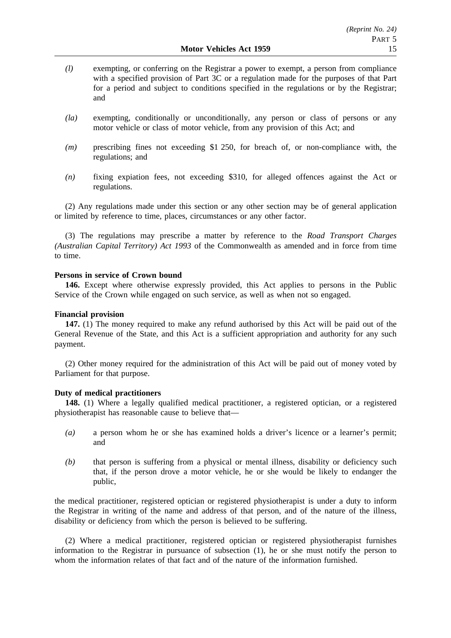- *(l)* exempting, or conferring on the Registrar a power to exempt, a person from compliance with a specified provision of Part 3C or a regulation made for the purposes of that Part for a period and subject to conditions specified in the regulations or by the Registrar; and
- *(la)* exempting, conditionally or unconditionally, any person or class of persons or any motor vehicle or class of motor vehicle, from any provision of this Act; and
- *(m)* prescribing fines not exceeding \$1 250, for breach of, or non-compliance with, the regulations; and
- *(n)* fixing expiation fees, not exceeding \$310, for alleged offences against the Act or regulations.

(2) Any regulations made under this section or any other section may be of general application or limited by reference to time, places, circumstances or any other factor.

(3) The regulations may prescribe a matter by reference to the *Road Transport Charges (Australian Capital Territory) Act 1993* of the Commonwealth as amended and in force from time to time.

# **Persons in service of Crown bound**

**146.** Except where otherwise expressly provided, this Act applies to persons in the Public Service of the Crown while engaged on such service, as well as when not so engaged.

# **Financial provision**

**147.** (1) The money required to make any refund authorised by this Act will be paid out of the General Revenue of the State, and this Act is a sufficient appropriation and authority for any such payment.

(2) Other money required for the administration of this Act will be paid out of money voted by Parliament for that purpose.

# **Duty of medical practitioners**

**148.** (1) Where a legally qualified medical practitioner, a registered optician, or a registered physiotherapist has reasonable cause to believe that—

- *(a)* a person whom he or she has examined holds a driver's licence or a learner's permit; and
- *(b)* that person is suffering from a physical or mental illness, disability or deficiency such that, if the person drove a motor vehicle, he or she would be likely to endanger the public,

the medical practitioner, registered optician or registered physiotherapist is under a duty to inform the Registrar in writing of the name and address of that person, and of the nature of the illness, disability or deficiency from which the person is believed to be suffering.

(2) Where a medical practitioner, registered optician or registered physiotherapist furnishes information to the Registrar in pursuance of subsection (1), he or she must notify the person to whom the information relates of that fact and of the nature of the information furnished.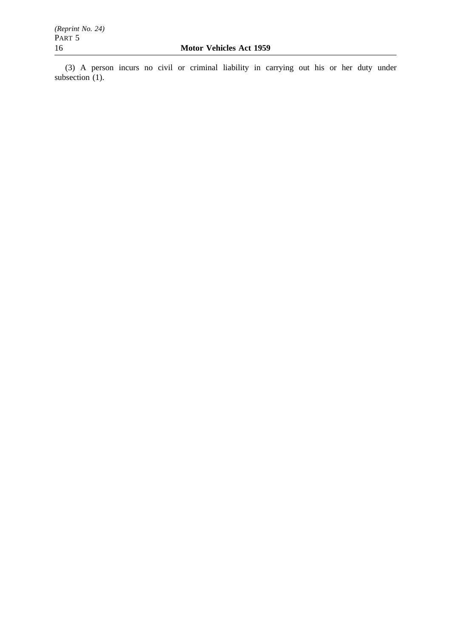(3) A person incurs no civil or criminal liability in carrying out his or her duty under subsection (1).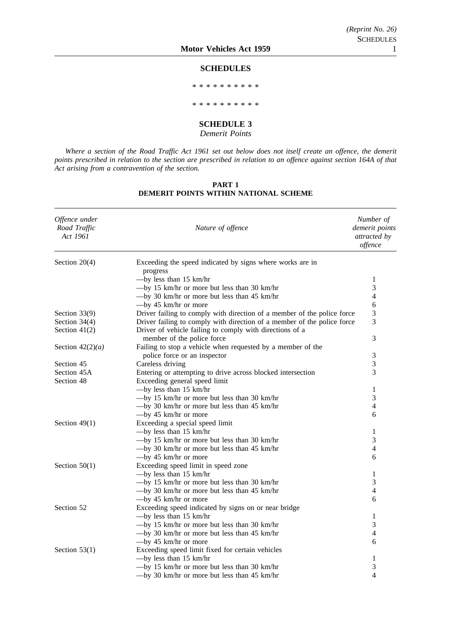#### **SCHEDULES**

\*\*\*\*\*\*\*\*\*\*

\*\*\*\*\*\*\*\*\*\*

#### **SCHEDULE 3**

#### *Demerit Points*

*Where a section of the Road Traffic Act 1961 set out below does not itself create an offence, the demerit points prescribed in relation to the section are prescribed in relation to an offence against section 164A of that Act arising from a contravention of the section.*

#### **PART 1 DEMERIT POINTS WITHIN NATIONAL SCHEME**

| Offence under<br>Road Traffic<br>Act 1961 | Nature of offence                                                       | Number of<br>demerit points<br>attracted by<br>offence |
|-------------------------------------------|-------------------------------------------------------------------------|--------------------------------------------------------|
| Section $20(4)$                           | Exceeding the speed indicated by signs where works are in               |                                                        |
|                                           | progress                                                                |                                                        |
|                                           | $-$ by less than 15 km/hr                                               | 1                                                      |
|                                           | -by 15 km/hr or more but less than 30 km/hr                             | 3                                                      |
|                                           | -by 30 km/hr or more but less than 45 km/hr                             | 4                                                      |
|                                           | $-\text{by }45$ km/hr or more                                           | 6                                                      |
| Section 33(9)                             | Driver failing to comply with direction of a member of the police force | 3                                                      |
| Section $34(4)$                           | Driver failing to comply with direction of a member of the police force | 3                                                      |
| Section $41(2)$                           | Driver of vehicle failing to comply with directions of a                |                                                        |
|                                           | member of the police force                                              | 3                                                      |
| Section $42(2)(a)$                        | Failing to stop a vehicle when requested by a member of the             |                                                        |
|                                           | police force or an inspector                                            | $\mathfrak{Z}$                                         |
| Section 45                                | Careless driving                                                        | 3                                                      |
| Section 45A                               | Entering or attempting to drive across blocked intersection             | 3                                                      |
| Section 48                                | Exceeding general speed limit                                           |                                                        |
|                                           | $-$ by less than 15 km/hr                                               | 1                                                      |
|                                           | -by 15 km/hr or more but less than 30 km/hr                             | 3                                                      |
|                                           | -by 30 km/hr or more but less than 45 km/hr                             | 4                                                      |
|                                           | $-$ by 45 km/hr or more                                                 | 6                                                      |
| Section $49(1)$                           | Exceeding a special speed limit                                         |                                                        |
|                                           | $-$ by less than 15 km/hr                                               | $\mathbf{1}$                                           |
|                                           | -by 15 km/hr or more but less than 30 km/hr                             | 3                                                      |
|                                           | -by 30 km/hr or more but less than 45 km/hr                             | 4                                                      |
|                                           | $-$ by 45 km/hr or more                                                 | 6                                                      |
| Section $50(1)$                           | Exceeding speed limit in speed zone                                     |                                                        |
|                                           | $-$ by less than 15 km/hr                                               | 1                                                      |
|                                           | -by 15 km/hr or more but less than 30 km/hr                             | 3                                                      |
|                                           | -by 30 km/hr or more but less than 45 km/hr                             | 4                                                      |
|                                           | $-\text{by }45$ km/hr or more                                           | 6                                                      |
| Section 52                                | Exceeding speed indicated by signs on or near bridge                    |                                                        |
|                                           | $-$ by less than 15 km/hr                                               | 1                                                      |
|                                           | -by 15 km/hr or more but less than 30 km/hr                             | 3                                                      |
|                                           | -by 30 km/hr or more but less than 45 km/hr                             | 4                                                      |
|                                           | $-\text{by }45$ km/hr or more                                           | 6                                                      |
| Section $53(1)$                           | Exceeding speed limit fixed for certain vehicles                        |                                                        |
|                                           | $-$ by less than 15 km/hr                                               | 1                                                      |
|                                           | -by 15 km/hr or more but less than 30 km/hr                             | 3                                                      |
|                                           | $-$ by 30 km/hr or more but less than 45 km/hr                          | $\overline{\mathcal{L}}$                               |
|                                           |                                                                         |                                                        |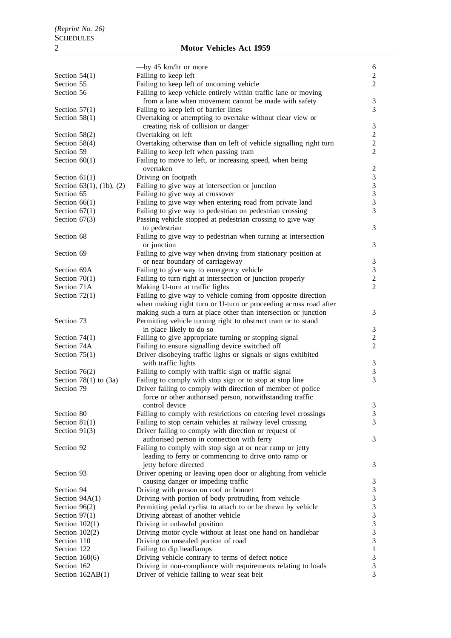# 2 **Motor Vehicles Act 1959**

|                                  | $-\text{by }45$ km/hr or more                                      | 6                            |
|----------------------------------|--------------------------------------------------------------------|------------------------------|
| Section $54(1)$                  | Failing to keep left                                               | $\overline{2}$               |
| Section 55                       | Failing to keep left of oncoming vehicle                           | $\overline{2}$               |
| Section 56                       | Failing to keep vehicle entirely within traffic lane or moving     |                              |
|                                  | from a lane when movement cannot be made with safety               | 3                            |
| Section $57(1)$                  | Failing to keep left of barrier lines                              | 3                            |
| Section $58(1)$                  | Overtaking or attempting to overtake without clear view or         |                              |
|                                  | creating risk of collision or danger                               | 3                            |
| Section $58(2)$                  | Overtaking on left                                                 | $\overline{c}$               |
| Section $58(4)$                  | Overtaking otherwise than on left of vehicle signalling right turn | $\overline{c}$               |
| Section 59                       | Failing to keep left when passing tram                             | $\overline{2}$               |
| Section $60(1)$                  | Failing to move to left, or increasing speed, when being           |                              |
|                                  | overtaken                                                          | $\overline{c}$               |
| Section $61(1)$                  | Driving on footpath                                                | $\sqrt{3}$                   |
| Section $63(1)$ , $(1b)$ , $(2)$ | Failing to give way at intersection or junction                    | $\mathfrak{Z}$               |
| Section 65                       | Failing to give way at crossover                                   | $\mathfrak{Z}$               |
| Section $66(1)$                  | Failing to give way when entering road from private land           | $\overline{\mathbf{3}}$      |
| Section $67(1)$                  | Failing to give way to pedestrian on pedestrian crossing           | 3                            |
| Section $67(3)$                  | Passing vehicle stopped at pedestrian crossing to give way         |                              |
|                                  | to pedestrian                                                      | 3                            |
| Section 68                       | Failing to give way to pedestrian when turning at intersection     |                              |
|                                  | or junction                                                        | 3                            |
| Section 69                       | Failing to give way when driving from stationary position at       |                              |
|                                  | or near boundary of carriageway                                    |                              |
|                                  |                                                                    | 3                            |
| Section 69A                      | Failing to give way to emergency vehicle                           | $\mathfrak{Z}$               |
| Section $70(1)$                  | Failing to turn right at intersection or junction properly         | $\sqrt{2}$<br>$\overline{2}$ |
| Section 71A                      | Making U-turn at traffic lights                                    |                              |
| Section $72(1)$                  | Failing to give way to vehicle coming from opposite direction      |                              |
|                                  | when making right turn or U-turn or proceeding across road after   |                              |
|                                  | making such a turn at place other than intersection or junction    | 3                            |
| Section 73                       | Permitting vehicle turning right to obstruct tram or to stand      |                              |
|                                  | in place likely to do so                                           | 3                            |
| Section $74(1)$                  | Failing to give appropriate turning or stopping signal             | $\overline{c}$               |
| Section 74A                      | Failing to ensure signalling device switched off                   | $\overline{2}$               |
| Section $75(1)$                  | Driver disobeying traffic lights or signals or signs exhibited     |                              |
|                                  | with traffic lights                                                | 3                            |
| Section $76(2)$                  | Failing to comply with traffic sign or traffic signal              | $\mathfrak{Z}$               |
| Section 78(1) to $(3a)$          | Failing to comply with stop sign or to stop at stop line           | 3                            |
| Section 79                       | Driver failing to comply with direction of member of police        |                              |
|                                  | force or other authorised person, notwithstanding traffic          |                              |
|                                  | control device                                                     | 3                            |
| Section 80                       | Failing to comply with restrictions on entering level crossings    | 3                            |
| Section $81(1)$                  | Failing to stop certain vehicles at railway level crossing         | 3                            |
| Section $91(3)$                  | Driver failing to comply with direction or request of              |                              |
|                                  | authorised person in connection with ferry                         | 3                            |
| Section 92                       | Failing to comply with stop sign at or near ramp or jetty          |                              |
|                                  | leading to ferry or commencing to drive onto ramp or               |                              |
|                                  | jetty before directed                                              | 3                            |
|                                  |                                                                    |                              |
| Section 93                       | Driver opening or leaving open door or alighting from vehicle      |                              |
|                                  | causing danger or impeding traffic                                 | 3                            |
| Section 94                       | Driving with person on roof or bonnet                              | 3                            |
| Section $94A(1)$                 | Driving with portion of body protruding from vehicle               | $\mathfrak{Z}$               |
| Section $96(2)$                  | Permitting pedal cyclist to attach to or be drawn by vehicle       | 3                            |
| Section $97(1)$                  | Driving abreast of another vehicle                                 | 3                            |
| Section $102(1)$                 | Driving in unlawful position                                       | 3                            |
| Section $102(2)$                 | Driving motor cycle without at least one hand on handlebar         | 3                            |
| Section 110                      | Driving on unsealed portion of road                                | $\mathfrak{Z}$               |
| Section 122                      | Failing to dip headlamps                                           | $\mathbf{1}$                 |
| Section $160(6)$                 | Driving vehicle contrary to terms of defect notice                 | $\mathfrak{Z}$               |
| Section 162                      | Driving in non-compliance with requirements relating to loads      | $\mathfrak{Z}$               |
| Section $162AB(1)$               | Driver of vehicle failing to wear seat belt                        | 3                            |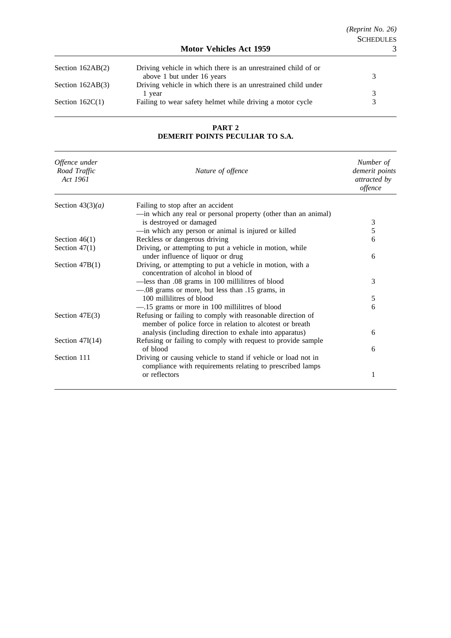| Section $162AB(2)$ | Driving vehicle in which there is an unrestrained child of or |  |
|--------------------|---------------------------------------------------------------|--|
|                    | above 1 but under 16 years                                    |  |
| Section $162AB(3)$ | Driving vehicle in which there is an unrestrained child under |  |
|                    | 1 vear                                                        |  |
| Section $162C(1)$  | Failing to wear safety helmet while driving a motor cycle     |  |

**PART 2 DEMERIT POINTS PECULIAR TO S.A.**

| Offence under<br>Road Traffic<br>Act 1961 | Nature of offence                                                                                                                                                                 | Number of<br>demerit points<br>attracted by<br>offence |
|-------------------------------------------|-----------------------------------------------------------------------------------------------------------------------------------------------------------------------------------|--------------------------------------------------------|
| Section $43(3)(a)$                        | Failing to stop after an accident                                                                                                                                                 |                                                        |
|                                           | -in which any real or personal property (other than an animal)                                                                                                                    |                                                        |
|                                           | is destroyed or damaged                                                                                                                                                           | 3                                                      |
|                                           | -in which any person or animal is injured or killed                                                                                                                               | 5                                                      |
| Section $46(1)$                           | Reckless or dangerous driving                                                                                                                                                     | 6                                                      |
| Section $47(1)$                           | Driving, or attempting to put a vehicle in motion, while                                                                                                                          |                                                        |
|                                           | under influence of liquor or drug                                                                                                                                                 | 6                                                      |
| Section $47B(1)$                          | Driving, or attempting to put a vehicle in motion, with a<br>concentration of alcohol in blood of                                                                                 |                                                        |
|                                           | -less than .08 grams in 100 millilitres of blood                                                                                                                                  | 3                                                      |
|                                           | -08 grams or more, but less than .15 grams, in                                                                                                                                    |                                                        |
|                                           | 100 millilitres of blood                                                                                                                                                          | 5                                                      |
|                                           | -15 grams or more in 100 millilitres of blood                                                                                                                                     | 6                                                      |
| Section $47E(3)$                          | Refusing or failing to comply with reasonable direction of<br>member of police force in relation to alcotest or breath<br>analysis (including direction to exhale into apparatus) | 6                                                      |
|                                           |                                                                                                                                                                                   |                                                        |
| Section $47I(14)$                         | Refusing or failing to comply with request to provide sample<br>of blood                                                                                                          | 6                                                      |
| Section 111                               | Driving or causing vehicle to stand if vehicle or load not in<br>compliance with requirements relating to prescribed lamps                                                        |                                                        |
|                                           | or reflectors                                                                                                                                                                     | 1                                                      |
|                                           |                                                                                                                                                                                   |                                                        |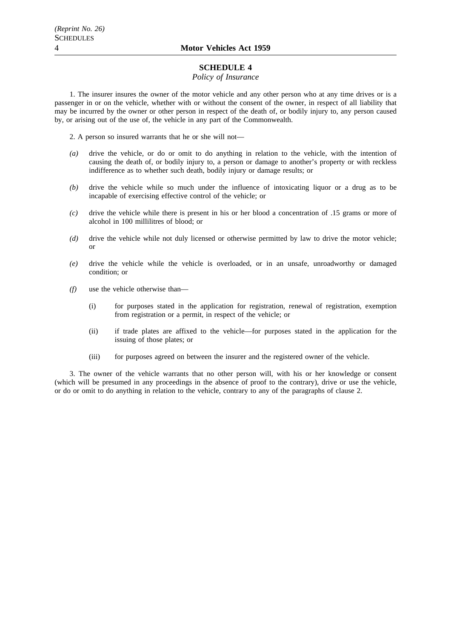# **SCHEDULE 4**

## *Policy of Insurance*

1. The insurer insures the owner of the motor vehicle and any other person who at any time drives or is a passenger in or on the vehicle, whether with or without the consent of the owner, in respect of all liability that may be incurred by the owner or other person in respect of the death of, or bodily injury to, any person caused by, or arising out of the use of, the vehicle in any part of the Commonwealth.

2. A person so insured warrants that he or she will not—

- *(a)* drive the vehicle, or do or omit to do anything in relation to the vehicle, with the intention of causing the death of, or bodily injury to, a person or damage to another's property or with reckless indifference as to whether such death, bodily injury or damage results; or
- *(b)* drive the vehicle while so much under the influence of intoxicating liquor or a drug as to be incapable of exercising effective control of the vehicle; or
- *(c)* drive the vehicle while there is present in his or her blood a concentration of .15 grams or more of alcohol in 100 millilitres of blood; or
- *(d)* drive the vehicle while not duly licensed or otherwise permitted by law to drive the motor vehicle; or
- *(e)* drive the vehicle while the vehicle is overloaded, or in an unsafe, unroadworthy or damaged condition; or
- *(f)* use the vehicle otherwise than—
	- (i) for purposes stated in the application for registration, renewal of registration, exemption from registration or a permit, in respect of the vehicle; or
	- (ii) if trade plates are affixed to the vehicle—for purposes stated in the application for the issuing of those plates; or
	- (iii) for purposes agreed on between the insurer and the registered owner of the vehicle.

3. The owner of the vehicle warrants that no other person will, with his or her knowledge or consent (which will be presumed in any proceedings in the absence of proof to the contrary), drive or use the vehicle, or do or omit to do anything in relation to the vehicle, contrary to any of the paragraphs of clause 2.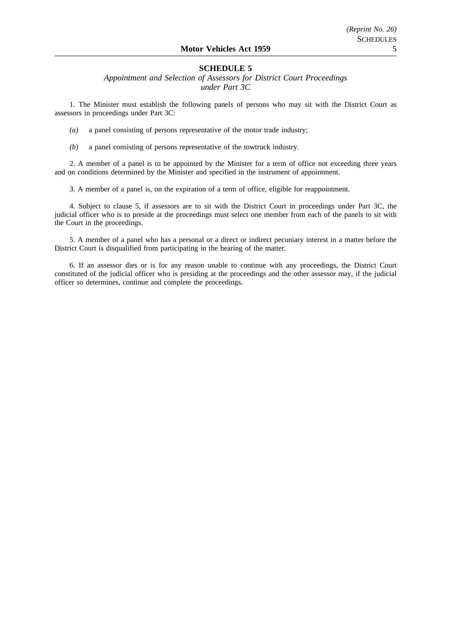# **SCHEDULE 5**

*Appointment and Selection of Assessors for District Court Proceedings under Part 3C*

1. The Minister must establish the following panels of persons who may sit with the District Court as assessors in proceedings under Part 3C:

*(a)* a panel consisting of persons representative of the motor trade industry;

*(b)* a panel consisting of persons representative of the towtruck industry.

2. A member of a panel is to be appointed by the Minister for a term of office not exceeding three years and on conditions determined by the Minister and specified in the instrument of appointment.

3. A member of a panel is, on the expiration of a term of office, eligible for reappointment.

4. Subject to clause 5, if assessors are to sit with the District Court in proceedings under Part 3C, the judicial officer who is to preside at the proceedings must select one member from each of the panels to sit with the Court in the proceedings.

5. A member of a panel who has a personal or a direct or indirect pecuniary interest in a matter before the District Court is disqualified from participating in the hearing of the matter.

6. If an assessor dies or is for any reason unable to continue with any proceedings, the District Court constituted of the judicial officer who is presiding at the proceedings and the other assessor may, if the judicial officer so determines, continue and complete the proceedings.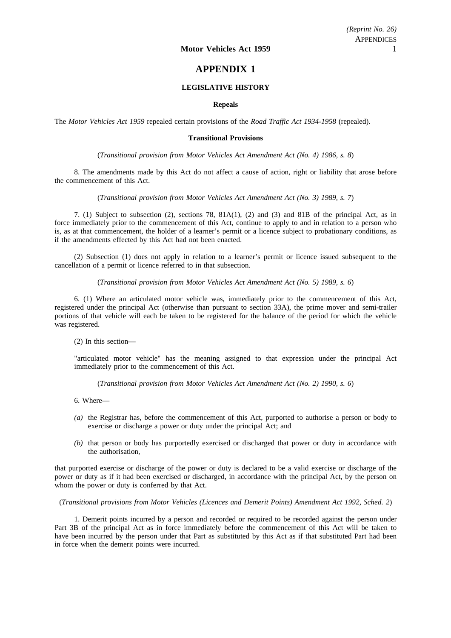# **APPENDIX 1**

### **LEGISLATIVE HISTORY**

#### **Repeals**

The *Motor Vehicles Act 1959* repealed certain provisions of the *Road Traffic Act 1934-1958* (repealed).

## **Transitional Provisions**

## (*Transitional provision from Motor Vehicles Act Amendment Act (No. 4) 1986, s. 8*)

8. The amendments made by this Act do not affect a cause of action, right or liability that arose before the commencement of this Act.

#### (*Transitional provision from Motor Vehicles Act Amendment Act (No. 3) 1989, s. 7*)

7. (1) Subject to subsection (2), sections 78, 81A(1), (2) and (3) and 81B of the principal Act, as in force immediately prior to the commencement of this Act, continue to apply to and in relation to a person who is, as at that commencement, the holder of a learner's permit or a licence subject to probationary conditions, as if the amendments effected by this Act had not been enacted.

(2) Subsection (1) does not apply in relation to a learner's permit or licence issued subsequent to the cancellation of a permit or licence referred to in that subsection.

(*Transitional provision from Motor Vehicles Act Amendment Act (No. 5) 1989, s. 6*)

6. (1) Where an articulated motor vehicle was, immediately prior to the commencement of this Act, registered under the principal Act (otherwise than pursuant to section 33A), the prime mover and semi-trailer portions of that vehicle will each be taken to be registered for the balance of the period for which the vehicle was registered.

(2) In this section—

"articulated motor vehicle" has the meaning assigned to that expression under the principal Act immediately prior to the commencement of this Act.

(*Transitional provision from Motor Vehicles Act Amendment Act (No. 2) 1990, s. 6*)

6. Where—

- *(a)* the Registrar has, before the commencement of this Act, purported to authorise a person or body to exercise or discharge a power or duty under the principal Act; and
- *(b)* that person or body has purportedly exercised or discharged that power or duty in accordance with the authorisation,

that purported exercise or discharge of the power or duty is declared to be a valid exercise or discharge of the power or duty as if it had been exercised or discharged, in accordance with the principal Act, by the person on whom the power or duty is conferred by that Act.

(*Transitional provisions from Motor Vehicles (Licences and Demerit Points) Amendment Act 1992, Sched. 2*)

1. Demerit points incurred by a person and recorded or required to be recorded against the person under Part 3B of the principal Act as in force immediately before the commencement of this Act will be taken to have been incurred by the person under that Part as substituted by this Act as if that substituted Part had been in force when the demerit points were incurred.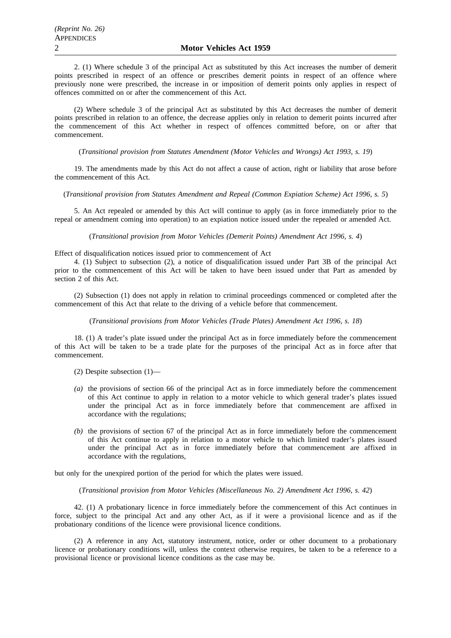2. (1) Where schedule 3 of the principal Act as substituted by this Act increases the number of demerit points prescribed in respect of an offence or prescribes demerit points in respect of an offence where previously none were prescribed, the increase in or imposition of demerit points only applies in respect of offences committed on or after the commencement of this Act.

(2) Where schedule 3 of the principal Act as substituted by this Act decreases the number of demerit points prescribed in relation to an offence, the decrease applies only in relation to demerit points incurred after the commencement of this Act whether in respect of offences committed before, on or after that commencement.

(*Transitional provision from Statutes Amendment (Motor Vehicles and Wrongs) Act 1993, s. 19*)

19. The amendments made by this Act do not affect a cause of action, right or liability that arose before the commencement of this Act.

(*Transitional provision from Statutes Amendment and Repeal (Common Expiation Scheme) Act 1996, s. 5*)

5. An Act repealed or amended by this Act will continue to apply (as in force immediately prior to the repeal or amendment coming into operation) to an expiation notice issued under the repealed or amended Act.

(*Transitional provision from Motor Vehicles (Demerit Points) Amendment Act 1996, s. 4*)

Effect of disqualification notices issued prior to commencement of Act

4. (1) Subject to subsection (2), a notice of disqualification issued under Part 3B of the principal Act prior to the commencement of this Act will be taken to have been issued under that Part as amended by section 2 of this Act.

(2) Subsection (1) does not apply in relation to criminal proceedings commenced or completed after the commencement of this Act that relate to the driving of a vehicle before that commencement.

(*Transitional provisions from Motor Vehicles (Trade Plates) Amendment Act 1996, s. 18*)

18. (1) A trader's plate issued under the principal Act as in force immediately before the commencement of this Act will be taken to be a trade plate for the purposes of the principal Act as in force after that commencement.

- (2) Despite subsection (1)—
- *(a)* the provisions of section 66 of the principal Act as in force immediately before the commencement of this Act continue to apply in relation to a motor vehicle to which general trader's plates issued under the principal Act as in force immediately before that commencement are affixed in accordance with the regulations;
- *(b)* the provisions of section 67 of the principal Act as in force immediately before the commencement of this Act continue to apply in relation to a motor vehicle to which limited trader's plates issued under the principal Act as in force immediately before that commencement are affixed in accordance with the regulations,

but only for the unexpired portion of the period for which the plates were issued.

### (*Transitional provision from Motor Vehicles (Miscellaneous No. 2) Amendment Act 1996, s. 42*)

42. (1) A probationary licence in force immediately before the commencement of this Act continues in force, subject to the principal Act and any other Act, as if it were a provisional licence and as if the probationary conditions of the licence were provisional licence conditions.

(2) A reference in any Act, statutory instrument, notice, order or other document to a probationary licence or probationary conditions will, unless the context otherwise requires, be taken to be a reference to a provisional licence or provisional licence conditions as the case may be.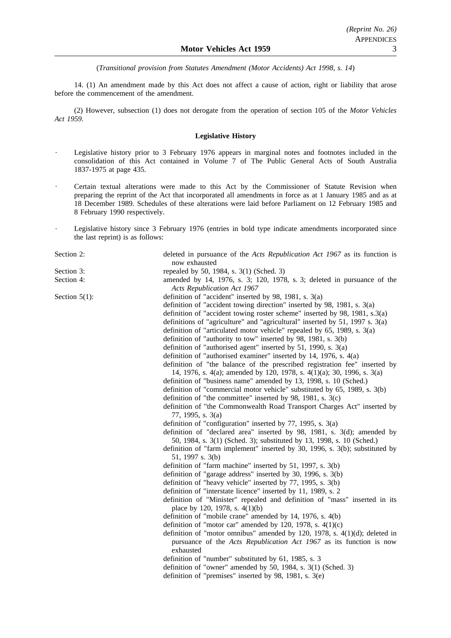(*Transitional provision from Statutes Amendment (Motor Accidents) Act 1998, s. 14*)

14. (1) An amendment made by this Act does not affect a cause of action, right or liability that arose before the commencement of the amendment.

(2) However, subsection (1) does not derogate from the operation of section 105 of the *Motor Vehicles Act 1959*.

#### **Legislative History**

- Legislative history prior to 3 February 1976 appears in marginal notes and footnotes included in the consolidation of this Act contained in Volume 7 of The Public General Acts of South Australia 1837-1975 at page 435.
- Certain textual alterations were made to this Act by the Commissioner of Statute Revision when preparing the reprint of the Act that incorporated all amendments in force as at 1 January 1985 and as at 18 December 1989. Schedules of these alterations were laid before Parliament on 12 February 1985 and 8 February 1990 respectively.
- Legislative history since 3 February 1976 (entries in bold type indicate amendments incorporated since the last reprint) is as follows:

Section 2: deleted in pursuance of the *Acts Republication Act 1967* as its function is now exhausted Section 3: repealed by 50, 1984, s. 3(1) (Sched. 3) Section 4: amended by 14, 1976, s. 3; 120, 1978, s. 3; deleted in pursuance of the *Acts Republication Act 1967* Section 5(1): definition of "accident" inserted by 98, 1981, s. 3(a) definition of "accident towing direction" inserted by 98, 1981, s. 3(a) definition of "accident towing roster scheme" inserted by 98, 1981, s.3(a) definitions of "agriculture" and "agricultural" inserted by 51, 1997 s. 3(a) definition of "articulated motor vehicle" repealed by 65, 1989, s. 3(a) definition of "authority to tow" inserted by 98, 1981, s. 3(b) definition of "authorised agent" inserted by 51, 1990, s. 3(a) definition of "authorised examiner" inserted by 14, 1976, s. 4(a) definition of "the balance of the prescribed registration fee" inserted by 14, 1976, s. 4(a); amended by 120, 1978, s. 4(1)(a); 30, 1996, s. 3(a) definition of "business name" amended by 13, 1998, s. 10 (Sched.) definition of "commercial motor vehicle" substituted by 65, 1989, s. 3(b) definition of "the committee" inserted by 98, 1981, s. 3(c) definition of "the Commonwealth Road Transport Charges Act" inserted by 77, 1995, s. 3(a) definition of "configuration" inserted by 77, 1995, s. 3(a) definition of "declared area" inserted by 98, 1981, s. 3(d); amended by 50, 1984, s. 3(1) (Sched. 3); substituted by 13, 1998, s. 10 (Sched.) definition of "farm implement" inserted by 30, 1996, s. 3(b); substituted by 51, 1997 s. 3(b) definition of "farm machine" inserted by 51, 1997, s. 3(b) definition of "garage address" inserted by 30, 1996, s. 3(b) definition of "heavy vehicle" inserted by 77, 1995, s. 3(b) definition of "interstate licence" inserted by 11, 1989, s. 2 definition of "Minister" repealed and definition of "mass" inserted in its place by 120, 1978, s. 4(1)(b) definition of "mobile crane" amended by 14, 1976, s. 4(b) definition of "motor car" amended by 120, 1978, s.  $4(1)(c)$ definition of "motor omnibus" amended by 120, 1978, s. 4(1)(d); deleted in pursuance of the *Acts Republication Act 1967* as its function is now exhausted definition of "number" substituted by 61, 1985, s. 3 definition of "owner" amended by 50, 1984, s. 3(1) (Sched. 3) definition of "premises" inserted by 98, 1981, s. 3(e)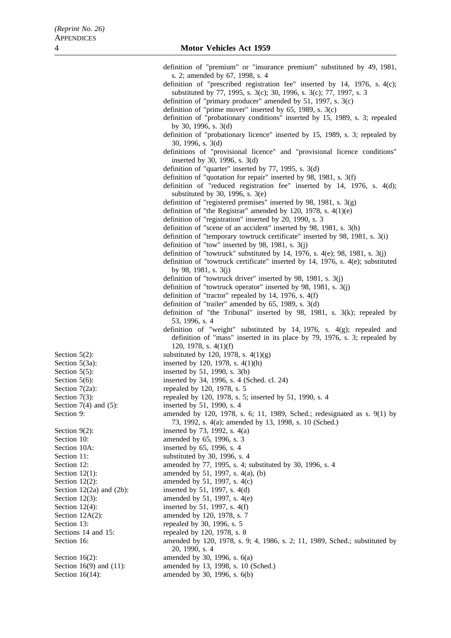|                                                | definition of "premium" or "insurance premium" substituted by 49, 1981,                                                                        |
|------------------------------------------------|------------------------------------------------------------------------------------------------------------------------------------------------|
|                                                | s. 2; amended by 67, 1998, s. 4                                                                                                                |
|                                                | definition of "prescribed registration fee" inserted by 14, 1976, s. 4(c);                                                                     |
|                                                | substituted by 77, 1995, s. 3(c); 30, 1996, s. 3(c); 77, 1997, s. 3                                                                            |
|                                                | definition of "primary producer" amended by 51, 1997, s. $3(c)$                                                                                |
|                                                | definition of "prime mover" inserted by $65$ , 1989, s. $3(c)$<br>definition of "probationary conditions" inserted by 15, 1989, s. 3; repealed |
|                                                | by 30, 1996, s. $3(d)$                                                                                                                         |
|                                                | definition of "probationary licence" inserted by 15, 1989, s. 3; repealed by                                                                   |
|                                                | 30, 1996, s. $3(d)$                                                                                                                            |
|                                                | definitions of "provisional licence" and "provisional licence conditions"                                                                      |
|                                                | inserted by 30, 1996, s. $3(d)$                                                                                                                |
|                                                | definition of "quarter" inserted by 77, 1995, s. 3(d)                                                                                          |
|                                                | definition of "quotation for repair" inserted by 98, 1981, s. $3(f)$                                                                           |
|                                                | definition of "reduced registration fee" inserted by 14, 1976, s. 4(d);                                                                        |
|                                                | substituted by 30, 1996, s. $3(e)$                                                                                                             |
|                                                | definition of "registered premises" inserted by 98, 1981, s. $3(g)$<br>definition of "the Registrar" amended by 120, 1978, s. $4(1)(e)$        |
|                                                | definition of "registration" inserted by 20, 1990, s. 3                                                                                        |
|                                                | definition of "scene of an accident" inserted by 98, 1981, s. 3(h)                                                                             |
|                                                | definition of "temporary towtruck certificate" inserted by 98, 1981, s. 3(i)                                                                   |
|                                                | definition of "tow" inserted by 98, 1981, s. $3(j)$                                                                                            |
|                                                | definition of "towtruck" substituted by 14, 1976, s. $4(e)$ ; 98, 1981, s. $3(j)$                                                              |
|                                                | definition of "towtruck certificate" inserted by 14, 1976, s. 4(e); substituted                                                                |
|                                                | by 98, 1981, s. $3(j)$                                                                                                                         |
|                                                | definition of "towtruck driver" inserted by 98, 1981, s. 3(j)                                                                                  |
|                                                | definition of "towtruck operator" inserted by 98, 1981, s. $3(j)$                                                                              |
|                                                | definition of "tractor" repealed by 14, 1976, s. 4(f)                                                                                          |
|                                                | definition of "trailer" amended by 65, 1989, s. 3(d)<br>definition of "the Tribunal" inserted by 98, 1981, s. 3(k); repealed by                |
|                                                | 53, 1996, s. 4                                                                                                                                 |
|                                                | definition of "weight" substituted by 14, 1976, s. $4(g)$ ; repealed and                                                                       |
|                                                | definition of "mass" inserted in its place by 79, 1976, s. 3; repealed by<br>120, 1978, s. $4(1)(f)$                                           |
| Section $5(2)$ :                               | substituted by 120, 1978, s. $4(1)(g)$                                                                                                         |
| Section 5(3a):                                 | inserted by 120, 1978, s. 4(1)(h)                                                                                                              |
| Section $5(5)$ :                               | inserted by 51, 1990, s. 3(b)                                                                                                                  |
| Section $5(6)$ :                               | inserted by 34, 1996, s. 4 (Sched. cl. 24)                                                                                                     |
| Section 7(2a):                                 | repealed by 120, 1978, s. 5                                                                                                                    |
| Section $7(3)$ :<br>Section $7(4)$ and $(5)$ : | repealed by 120, 1978, s. 5; inserted by 51, 1990, s. 4<br>inserted by 51, 1990, s. 4                                                          |
| Section 9:                                     | amended by 120, 1978, s. 6; 11, 1989, Sched.; redesignated as s. 9(1) by                                                                       |
|                                                | 73, 1992, s. 4(a); amended by 13, 1998, s. 10 (Sched.)                                                                                         |
| Section $9(2)$ :                               | inserted by 73, 1992, s. 4(a)                                                                                                                  |
| Section 10:                                    | amended by 65, 1996, s. 3                                                                                                                      |
| Section 10A:                                   | inserted by 65, 1996, s. 4                                                                                                                     |
| Section 11:                                    | substituted by 30, 1996, s. 4                                                                                                                  |
| Section 12:                                    | amended by 77, 1995, s. 4; substituted by 30, 1996, s. 4                                                                                       |
| Section $12(1)$ :                              | amended by 51, 1997, s. 4(a), (b)                                                                                                              |
| Section $12(2)$ :                              | amended by 51, 1997, s. 4(c)                                                                                                                   |
| Section $12(2a)$ and $(2b)$ :                  | inserted by 51, 1997, s. 4(d)<br>amended by 51, 1997, s. 4(e)                                                                                  |
| Section $12(3)$ :<br>Section $12(4)$ :         | inserted by 51, 1997, s. $4(f)$                                                                                                                |
| Section $12A(2)$ :                             | amended by 120, 1978, s. 7                                                                                                                     |
| Section 13:                                    | repealed by 30, 1996, s. 5                                                                                                                     |
| Sections 14 and 15:                            | repealed by 120, 1978, s. 8                                                                                                                    |
| Section 16:                                    | amended by 120, 1978, s. 9; 4, 1986, s. 2; 11, 1989, Sched.; substituted by                                                                    |
|                                                | 20, 1990, s. 4                                                                                                                                 |
| Section $16(2)$ :                              | amended by 30, 1996, s. 6(a)                                                                                                                   |
| Section 16(9) and $(11)$ :                     | amended by 13, 1998, s. 10 (Sched.)                                                                                                            |
| Section $16(14)$ :                             | amended by 30, 1996, s. 6(b)                                                                                                                   |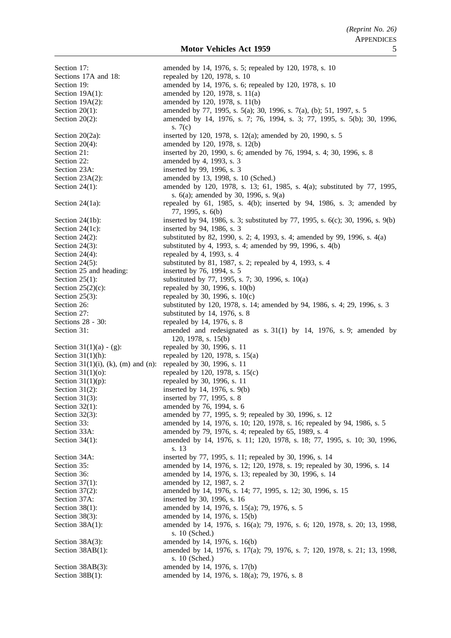Section 17: **amended** by 14, 1976, s. 5; repealed by 120, 1978, s. 10 Sections 17A and 18: repealed by 120, 1978, s. 10 Section 19: **amended** by 14, 1976, s. 6; repealed by 120, 1978, s. 10 Section 19A(1): amended by 120, 1978, s. 11(a) Section 19A(2): amended by 120, 1978, s. 11(b) Section 20(1): amended by 77, 1995, s. 5(a); 30, 1996, s. 7(a), (b); 51, 1997, s. 5 Section 20(2): amended by 14, 1976, s. 7; 76, 1994, s. 3; 77, 1995, s. 5(b); 30, 1996, s. 7(c) Section 20(2a): inserted by 120, 1978, s. 12(a); amended by 20, 1990, s. 5 Section 20(4): amended by 120, 1978, s. 12(b) Section 21: inserted by 20, 1990, s. 6; amended by 76, 1994, s. 4; 30, 1996, s. 8 Section 22: amended by 4, 1993, s. 3 Section 23A: inserted by 99, 1996, s. 3 Section 23A(2): amended by 13, 1998, s. 10 (Sched.) Section 24(1): amended by 120, 1978, s. 13; 61, 1985, s. 4(a); substituted by 77, 1995, s. 6(a); amended by 30, 1996, s. 9(a) Section 24(1a): repealed by 61, 1985, s. 4(b); inserted by 94, 1986, s. 3; amended by 77, 1995, s. 6(b) Section 24(1b): inserted by 94, 1986, s. 3; substituted by 77, 1995, s. 6(c); 30, 1996, s. 9(b) Section 24(1c): inserted by 94, 1986, s. 3 Section 24(2): substituted by 82, 1990, s. 2; 4, 1993, s. 4; amended by 99, 1996, s. 4(a) Section 24(3): substituted by 4, 1993, s. 4; amended by 99, 1996, s. 4(b) Section 24(4): repealed by 4, 1993, s. 4 Section 24(5): substituted by 81, 1987, s. 2; repealed by 4, 1993, s. 4 Section 25 and heading: inserted by 76, 1994, s. 5 Section 25(1): substituted by 77, 1995, s. 7; 30, 1996, s. 10(a) Section  $25(2)(c)$ : repealed by 30, 1996, s. 10(b) Section 25(3): repealed by 30, 1996, s.  $10(c)$ Section 26: substituted by 120, 1978, s. 14; amended by 94, 1986, s. 4; 29, 1996, s. 3 Section 27: substituted by 14, 1976, s. 8 Sections 28 - 30: repealed by 14, 1976, s. 8 Section 31: amended and redesignated as s. 31(1) by 14, 1976, s. 9; amended by 120, 1978, s. 15(b) Section 31(1)(a) - (g):<br>
repealed by 30, 1996, s. 11<br>
repealed by 120, 1978, s. 1 repealed by 120, 1978, s.  $15(a)$ Section 31(1)(i), (k), (m) and (n): repealed by 30, 1996, s. 11 Section 31(1)(o): repealed by 120, 1978, s. 15(c) Section  $31(1)(p)$ : repealed by 30, 1996, s. 11 Section 31(2): inserted by 14, 1976, s. 9(b) Section 31(3): inserted by 77, 1995, s. 8 Section 32(1): amended by 76, 1994, s. 6 Section 32(3): amended by 77, 1995, s. 9; repealed by 30, 1996, s. 12 Section 33: **amended by 14, 1976, s. 10**; 120, 1978, s. 16; repealed by 94, 1986, s. 5 Section 33A: amended by 79, 1976, s. 4; repealed by 65, 1989, s. 4 Section 34(1): amended by 14, 1976, s. 11; 120, 1978, s. 18; 77, 1995, s. 10; 30, 1996, s. 13 Section 34A: inserted by 77, 1995, s. 11; repealed by 30, 1996, s. 14 Section 35: amended by 14, 1976, s. 12; 120, 1978, s. 19; repealed by 30, 1996, s. 14 Section 36: **amended** by 14, 1976, s. 13; repealed by 30, 1996, s. 14 Section 37(1): amended by 12, 1987, s. 2 Section 37(2): amended by 14, 1976, s. 14; 77, 1995, s. 12; 30, 1996, s. 15 Section 37A: inserted by 30, 1996, s. 16 Section 38(1): amended by 14, 1976, s. 15(a); 79, 1976, s. 5 Section 38(3): amended by 14, 1976, s. 15(b) Section 38A(1): amended by 14, 1976, s. 16(a); 79, 1976, s. 6; 120, 1978, s. 20; 13, 1998, s. 10 (Sched.) Section 38A(3): amended by 14, 1976, s. 16(b) Section 38AB(1): amended by 14, 1976, s. 17(a); 79, 1976, s. 7; 120, 1978, s. 21; 13, 1998, s. 10 (Sched.) Section 38AB(3): amended by 14, 1976, s. 17(b) Section 38B(1): amended by 14, 1976, s. 18(a); 79, 1976, s. 8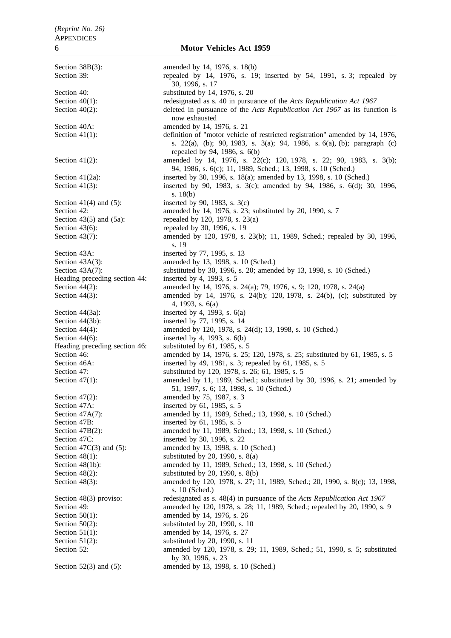Section 38B(3): amended by 14, 1976, s. 18(b) Section 39: repealed by 14, 1976, s. 19; inserted by 54, 1991, s. 3; repealed by 30, 1996, s. 17 Section 40: substituted by 14, 1976, s. 20 Section 40(1): redesignated as s. 40 in pursuance of the *Acts Republication Act 1967* Section 40(2): deleted in pursuance of the *Acts Republication Act 1967* as its function is now exhausted Section 40A: **amended** by 14, 1976, s. 21 Section 41(1): definition of "motor vehicle of restricted registration" amended by 14, 1976, s. 22(a), (b); 90, 1983, s. 3(a); 94, 1986, s. 6(a), (b); paragraph (c) repealed by 94, 1986, s. 6(b) Section 41(2): amended by 14, 1976, s. 22(c); 120, 1978, s. 22; 90, 1983, s. 3(b); 94, 1986, s. 6(c); 11, 1989, Sched.; 13, 1998, s. 10 (Sched.) Section 41(2a): inserted by 30, 1996, s. 18(a); amended by 13, 1998, s. 10 (Sched.)<br>Section 41(3): inserted by 90, 1983, s. 3(c); amended by 94, 1986, s. 6(d); 3 inserted by 90, 1983, s. 3(c); amended by 94, 1986, s. 6(d); 30, 1996, s. 18(b) Section 41(4) and (5): inserted by 90, 1983, s.  $3(c)$ Section 42: **amended** by 14, 1976, s. 23; substituted by 20, 1990, s. 7 Section 43(5) and (5a): repealed by 120, 1978, s. 23(a) Section 43(6): repealed by 30, 1996, s. 19 Section 43(7): amended by 120, 1978, s. 23(b); 11, 1989, Sched.; repealed by 30, 1996, s. 19 Section 43A: inserted by 77, 1995, s. 13 Section 43A(3): amended by 13, 1998, s. 10 (Sched.) Section 43A(7): substituted by 30, 1996, s. 20; amended by 13, 1998, s. 10 (Sched.) Heading preceding section 44: inserted by 4, 1993, s. 5 Section 44(2): amended by 14, 1976, s. 24(a); 79, 1976, s. 9; 120, 1978, s. 24(a) Section 44(3): amended by 14, 1976, s. 24(b); 120, 1978, s. 24(b), (c); substituted by 4, 1993, s. 6(a) Section  $44(3a)$ : inserted by 4, 1993, s.  $6(a)$ Section 44(3b): inserted by 77, 1995, s. 14 Section 44(4): amended by 120, 1978, s. 24(d); 13, 1998, s. 10 (Sched.) Section  $44(6)$ : inserted by 4, 1993, s.  $6(b)$ Heading preceding section 46: substituted by 61, 1985, s. 5 Section 46: amended by 14, 1976, s. 25; 120, 1978, s. 25; substituted by 61, 1985, s. 5 Section 46A: inserted by 49, 1981, s. 3; repealed by 61, 1985, s. 5 Section 47: substituted by 120, 1978, s. 26; 61, 1985, s. 5 Section 47(1): amended by 11, 1989, Sched.; substituted by 30, 1996, s. 21; amended by 51, 1997, s. 6; 13, 1998, s. 10 (Sched.) Section 47(2): amended by 75, 1987, s. 3 Section 47A: inserted by 61, 1985, s. 5 Section 47A(7): amended by 11, 1989, Sched.; 13, 1998, s. 10 (Sched.) Section 47B: inserted by 61, 1985, s. 5 Section 47B(2): amended by 11, 1989, Sched.; 13, 1998, s. 10 (Sched.) Section 47C: inserted by 30, 1996, s. 22 Section 47C(3) and (5): amended by 13, 1998, s. 10 (Sched.) Section  $48(1)$ : substituted by 20, 1990, s.  $8(a)$ Section 48(1b): amended by 11, 1989, Sched.; 13, 1998, s. 10 (Sched.) Section 48(2): substituted by 20, 1990, s. 8(b) Section 48(3): amended by 120, 1978, s. 27; 11, 1989, Sched.; 20, 1990, s. 8(c); 13, 1998, s. 10 (Sched.) Section 48(3) proviso: redesignated as s. 48(4) in pursuance of the *Acts Republication Act 1967* Section 49: **amended** by 120, 1978, s. 28; 11, 1989, Sched.; repealed by 20, 1990, s. 9 Section 50(1): amended by 14, 1976, s. 26 Section 50(2): substituted by 20, 1990, s. 10 Section 51(1): amended by 14, 1976, s. 27 Section 51(2): substituted by 20, 1990, s. 11 Section 52: amended by 120, 1978, s. 29; 11, 1989, Sched.; 51, 1990, s. 5; substituted by 30, 1996, s. 23 Section 52(3) and (5): amended by 13, 1998, s. 10 (Sched.)

## 6 **Motor Vehicles Act 1959**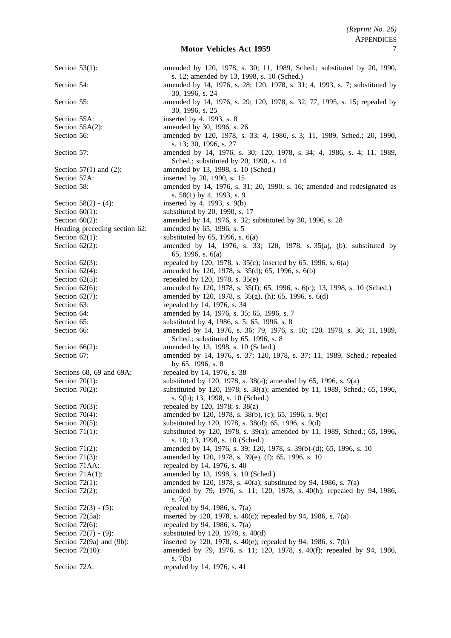Section 53(1): amended by 120, 1978, s. 30; 11, 1989, Sched.; substituted by 20, 1990, s. 12; amended by 13, 1998, s. 10 (Sched.) Section 54: **amended** by 14, 1976, s. 28; 120, 1978, s. 31; 4, 1993, s. 7; substituted by 30, 1996, s. 24 Section 55: **amended** by 14, 1976, s. 29; 120, 1978, s. 32; 77, 1995, s. 15; repealed by 30, 1996, s. 25 Section 55A: inserted by 4, 1993, s. 8 Section 55A(2): amended by 30, 1996, s. 26 Section 56: **amended** by 120, 1978, s. 33; 4, 1986, s. 3; 11, 1989, Sched.; 20, 1990, s. 13; 30, 1996, s. 27 Section 57: amended by 14, 1976, s. 30; 120, 1978, s. 34; 4, 1986, s. 4; 11, 1989, Sched.; substituted by 20, 1990, s. 14 Section 57(1) and (2): amended by 13, 1998, s. 10 (Sched.) Section 57A: inserted by 20, 1990, s. 15 Section 58: **amended by 14**, 1976, s. 31; 20, 1990, s. 16; amended and redesignated as s. 58(1) by 4, 1993, s. 9 Section 58(2) - (4): inserted by 4, 1993, s. 9(b) Section 60(1): substituted by 20, 1990, s. 17 Section 60(2): amended by 14, 1976, s. 32; substituted by 30, 1996, s. 28 Heading preceding section 62: amended by 65, 1996, s. 5 Section  $62(1)$ : substituted by  $65$ , 1996, s.  $6(a)$ Section 62(2): amended by 14, 1976, s. 33; 120, 1978, s. 35(a), (b); substituted by 65, 1996, s. 6(a) Section 62(3): repealed by 120, 1978, s. 35(c); inserted by 65, 1996, s. 6(a) Section 62(4): amended by 120, 1978, s. 35(d); 65, 1996, s. 6(b) Section  $62(5)$ : repealed by 120, 1978, s.  $35(e)$ Section 62(6): amended by 120, 1978, s. 35(f); 65, 1996, s. 6(c); 13, 1998, s. 10 (Sched.) Section 62(7): amended by 120, 1978, s. 35(g), (h); 65, 1996, s. 6(d) Section 63: repealed by 14, 1976, s. 34 Section 64: **amended** by 14, 1976, s. 35; 65, 1996, s. 7 Section 65: substituted by 4, 1986, s. 5; 65, 1996, s. 8 Section 66: amended by 14, 1976, s. 36; 79, 1976, s. 10; 120, 1978, s. 36; 11, 1989, Sched.; substituted by 65, 1996, s. 8 Section 66(2): amended by 13, 1998, s. 10 (Sched.) Section 67: **amended** by 14, 1976, s. 37; 120, 1978, s. 37; 11, 1989, Sched.; repealed by 65, 1996, s. 8 Sections 68, 69 and 69A: repealed by 14, 1976, s. 38 Section 70(1): substituted by 120, 1978, s. 38(a); amended by 65, 1996, s. 9(a) Section 70(2): substituted by 120, 1978, s. 38(a); amended by 11, 1989, Sched.; 65, 1996, s. 9(b); 13, 1998, s. 10 (Sched.) Section 70(3): repealed by 120, 1978, s. 38(a) Section 70(4): amended by 120, 1978, s. 38(b), (c); 65, 1996, s. 9(c) Section 70(5): substituted by 120, 1978, s. 38(d); 65, 1996, s. 9(d) Section 71(1): substituted by 120, 1978, s. 39(a); amended by 11, 1989, Sched.; 65, 1996, s. 10; 13, 1998, s. 10 (Sched.) Section 71(2): amended by 14, 1976, s. 39; 120, 1978, s. 39(b)-(d); 65, 1996, s. 10 Section 71(3): amended by 120, 1978, s. 39(e), (f); 65, 1996, s. 10 Section 71AA: repealed by 14, 1976, s. 40 Section 71A(1): amended by 13, 1998, s. 10 (Sched.) Section 72(1): amended by 120, 1978, s. 40(a); substituted by 94, 1986, s. 7(a) Section 72(2): amended by 79, 1976, s. 11; 120, 1978, s. 40(b); repealed by 94, 1986, s. 7(a) Section  $72(3) - (5)$ : repealed by 94, 1986, s.  $7(a)$ Section 72(5a): inserted by 120, 1978, s. 40(c); repealed by 94, 1986, s. 7(a) Section 72(6): repealed by 94, 1986, s.  $7(a)$ Section 72(7) - (9): substituted by 120, 1978, s. 40(d) Section 72(9a) and (9b): inserted by 120, 1978, s. 40(e); repealed by 94, 1986, s. 7(b) Section 72(10): amended by 79, 1976, s. 11; 120, 1978, s. 40(f); repealed by 94, 1986, s. 7(b) Section 72A: repealed by 14, 1976, s. 41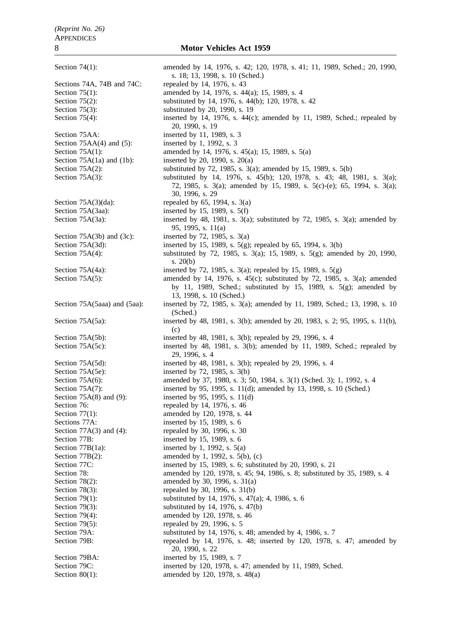Section 74(1): amended by 14, 1976, s. 42; 120, 1978, s. 41; 11, 1989, Sched.; 20, 1990, s. 18; 13, 1998, s. 10 (Sched.) Sections 74A, 74B and 74C: repealed by 14, 1976, s. 43 Section 75(1): amended by 14, 1976, s. 44(a); 15, 1989, s. 4 Section 75(2): substituted by 14, 1976, s. 44(b); 120, 1978, s. 42 Section 75(3): substituted by 20, 1990, s. 19 Section 75(4): inserted by 14, 1976, s. 44(c); amended by 11, 1989, Sched.; repealed by 20, 1990, s. 19 Section 75AA: inserted by 11, 1989, s. 3 Section  $75AA(4)$  and  $(5)$ : inserted by 1, 1992, s. 3 Section 75A(1): amended by 14, 1976, s. 45(a); 15, 1989, s. 5(a) Section 75A(1a) and (1b): inserted by 20, 1990, s. 20(a) Section 75A(2): substituted by 72, 1985, s. 3(a); amended by 15, 1989, s. 5(b) Section 75A(3): substituted by 14, 1976, s. 45(b); 120, 1978, s. 43; 48, 1981, s. 3(a); 72, 1985, s. 3(a); amended by 15, 1989, s. 5(c)-(e); 65, 1994, s. 3(a); 30, 1996, s. 29 Section  $75A(3)(da)$ : repealed by 65, 1994, s. 3(a) Section 75A(3aa): inserted by 15, 1989, s. 5(f) Section 75A(3a): inserted by 48, 1981, s. 3(a); substituted by 72, 1985, s. 3(a); amended by 95, 1995, s. 11(a) Section 75A(3b) and (3c): inserted by 72, 1985, s.  $3(a)$ Section 75A(3d): inserted by 15, 1989, s. 5(g); repealed by 65, 1994, s. 3(b) Section 75A(4): substituted by 72, 1985, s. 3(a); 15, 1989, s. 5(g); amended by 20, 1990, s. 20(b) Section 75A(4a): inserted by 72, 1985, s. 3(a); repealed by 15, 1989, s. 5(g) Section 75A(5): amended by 14, 1976, s. 45(c); substituted by 72, 1985, s. 3(a); amended by 11, 1989, Sched.; substituted by 15, 1989, s. 5(g); amended by 13, 1998, s. 10 (Sched.) Section 75A(5aaa) and (5aa): inserted by 72, 1985, s. 3(a); amended by 11, 1989, Sched.; 13, 1998, s. 10 (Sched.) Section 75A(5a): inserted by 48, 1981, s. 3(b); amended by 20, 1983, s. 2; 95, 1995, s. 11(b), (c) Section 75A(5b): inserted by 48, 1981, s. 3(b); repealed by 29, 1996, s. 4 Section 75A(5c): inserted by 48, 1981, s. 3(b); amended by 11, 1989, Sched.; repealed by 29, 1996, s. 4 Section 75A(5d): inserted by 48, 1981, s. 3(b); repealed by 29, 1996, s. 4 Section 75A(5e): inserted by 72, 1985, s. 3(b) Section 75A(6): amended by 37, 1980, s. 3; 50, 1984, s. 3(1) (Sched. 3); 1, 1992, s. 4 Section 75A(7): inserted by 95, 1995, s. 11(d); amended by 13, 1998, s. 10 (Sched.) Section 75A(8) and (9): inserted by 95, 1995, s. 11(d) Section 76: repealed by 14, 1976, s. 46 Section 77(1): amended by 120, 1978, s. 44 Sections 77A: inserted by 15, 1989, s. 6 Section 77A(3) and (4): repealed by 30, 1996, s. 30 Section 77B: inserted by 15, 1989, s. 6 Section 77B(1a): inserted by 1, 1992, s.  $5(a)$ Section 77B(2): amended by 1, 1992, s. 5(b), (c)<br>Section 77C: inserted by 15, 1989, s. 6; substi inserted by 15, 1989, s. 6; substituted by 20, 1990, s. 21 Section 78: **amended** by 120, 1978, s. 45; 94, 1986, s. 8; substituted by 35, 1989, s. 4 Section 78(2): amended by 30, 1996, s. 31(a) Section 78(3): repealed by 30, 1996, s. 31(b) Section 79(1): substituted by 14, 1976, s. 47(a); 4, 1986, s. 6 Section 79(3): substituted by 14, 1976, s. 47(b) Section 79(4): amended by 120, 1978, s. 46<br>Section 79(5): repealed by 29, 1996, s. 5 repealed by 29, 1996, s. 5 Section 79A: substituted by 14, 1976, s. 48; amended by 4, 1986, s. 7 Section 79B: repealed by 14, 1976, s. 48; inserted by 120, 1978, s. 47; amended by 20, 1990, s. 22 Section 79BA: inserted by 15, 1989, s. 7 Section 79C: inserted by 120, 1978, s. 47; amended by 11, 1989, Sched. Section 80(1): amended by 120, 1978, s. 48(a)

8 **Motor Vehicles Act 1959**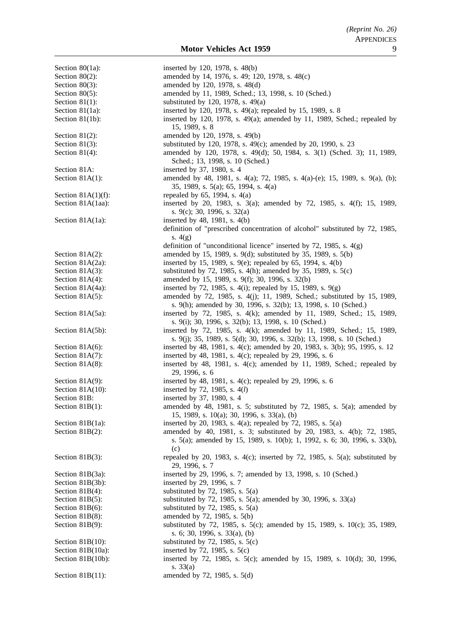Section 80(1a): inserted by 120, 1978, s. 48(b) Section 80(2): amended by 14, 1976, s. 49; 120, 1978, s. 48(c) Section 80(3): amended by 120, 1978, s. 48(d) Section 80(5): amended by 11, 1989, Sched.; 13, 1998, s. 10 (Sched.) Section 81(1): substituted by 120, 1978, s.  $49(a)$ Section 81(1a): inserted by 120, 1978, s. 49(a); repealed by 15, 1989, s. 8 Section 81(1b): inserted by 120, 1978, s. 49(a); amended by 11, 1989, Sched.; repealed by 15, 1989, s. 8 Section 81(2): amended by 120, 1978, s. 49(b) Section 81(3): substituted by 120, 1978, s. 49(c); amended by 20, 1990, s. 23 Section 81(4): amended by 120, 1978, s. 49(d); 50, 1984, s. 3(1) (Sched. 3); 11, 1989, Sched.; 13, 1998, s. 10 (Sched.) Section 81A: inserted by 37, 1980, s. 4 Section 81A(1): amended by 48, 1981, s. 4(a); 72, 1985, s. 4(a)-(e); 15, 1989, s. 9(a), (b); 35, 1989, s. 5(a); 65, 1994, s. 4(a) Section 81A(1)(f): repealed by 65, 1994, s.  $4(a)$ Section 81A(1aa): inserted by 20, 1983, s. 3(a); amended by 72, 1985, s. 4(f); 15, 1989, s. 9(c); 30, 1996, s. 32(a) Section 81A(1a): inserted by 48, 1981, s.  $4(b)$ definition of "prescribed concentration of alcohol" substituted by 72, 1985, s. 4(g) definition of "unconditional licence" inserted by 72, 1985, s. 4(g) Section 81A(2): amended by 15, 1989, s. 9(d); substituted by 35, 1989, s. 5(b) Section 81A(2a): inserted by 15, 1989, s. 9(e); repealed by 65, 1994, s. 4(b) Section 81A(3): substituted by 72, 1985, s. 4(h); amended by 35, 1989, s. 5(c) Section 81A(4): amended by 15, 1989, s. 9(f); 30, 1996, s. 32(b) Section 81A(4a): inserted by 72, 1985, s. 4(i); repealed by 15, 1989, s. 9(g) Section 81A(5): amended by 72, 1985, s. 4(j); 11, 1989, Sched.; substituted by 15, 1989, s. 9(h); amended by 30, 1996, s. 32(b); 13, 1998, s. 10 (Sched.) Section 81A(5a): inserted by 72, 1985, s. 4(k); amended by 11, 1989, Sched.; 15, 1989, s. 9(i); 30, 1996, s. 32(b); 13, 1998, s. 10 (Sched.) Section 81A(5b): inserted by 72, 1985, s. 4(k); amended by 11, 1989, Sched.; 15, 1989, s. 9(j); 35, 1989, s. 5(d); 30, 1996, s. 32(b); 13, 1998, s. 10 (Sched.) Section 81A(6): inserted by 48, 1981, s. 4(c); amended by 20, 1983, s. 3(b); 95, 1995, s. 12<br>Section 81A(7): inserted by 48, 1981, s. 4(c); repealed by 29, 1996, s. 6 inserted by 48, 1981, s. 4(c); repealed by 29, 1996, s. 6 Section 81A(8): inserted by 48, 1981, s. 4(c); amended by 11, 1989, Sched.; repealed by 29, 1996, s. 6 Section 81A(9): inserted by 48, 1981, s. 4(c); repealed by 29, 1996, s. 6 Section 81A(10): inserted by 72, 1985, s. 4(*l*) Section 81B: inserted by 37, 1980, s. 4 Section 81B(1): amended by 48, 1981, s. 5; substituted by 72, 1985, s. 5(a); amended by 15, 1989, s. 10(a); 30, 1996, s. 33(a), (b) Section 81B(1a): inserted by 20, 1983, s. 4(a); repealed by 72, 1985, s. 5(a) Section 81B(2): amended by 40, 1981, s. 3; substituted by 20, 1983, s. 4(b): 72, 1985, s. 5(a); amended by 15, 1989, s. 10(b); 1, 1992, s. 6; 30, 1996, s. 33(b), (c) Section 81B(3): repealed by 20, 1983, s.  $4(c)$ ; inserted by 72, 1985, s.  $5(a)$ ; substituted by 29, 1996, s. 7 Section 81B(3a): inserted by 29, 1996, s. 7; amended by 13, 1998, s. 10 (Sched.) Section 81B(3b): inserted by 29, 1996, s. 7 Section 81B(4): substituted by 72, 1985, s.  $5(a)$ Section 81B(5): substituted by 72, 1985, s. 5(a); amended by 30, 1996, s. 33(a) Section 81B(6): substituted by 72, 1985, s.  $5(a)$ Section 81B(8): amended by 72, 1985, s. 5(b) Section 81B(9): substituted by 72, 1985, s. 5(c); amended by 15, 1989, s. 10(c); 35, 1989, s. 6; 30, 1996, s. 33(a), (b) Section 81B(10): substituted by 72, 1985, s.  $5(c)$ Section 81B(10a): inserted by 72, 1985, s. 5(c) Section 81B(10b): inserted by 72, 1985, s. 5(c); amended by 15, 1989, s. 10(d); 30, 1996, s. 33(a) Section 81B(11): amended by 72, 1985, s. 5(d)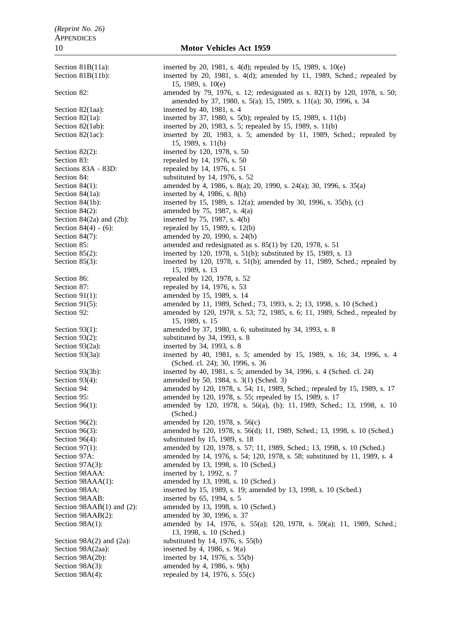Section 81B(11a): inserted by 20, 1981, s. 4(d); repealed by 15, 1989, s. 10(e) Section 81B(11b): inserted by 20, 1981, s. 4(d); amended by 11, 1989, Sched.; repealed by 15, 1989, s. 10(e) Section 82: amended by 79, 1976, s. 12; redesignated as s. 82(1) by 120, 1978, s. 50; amended by 37, 1980, s. 5(a); 15, 1989, s. 11(a); 30, 1996, s. 34 Section 82(1aa): inserted by 40, 1981, s. 4 Section 82(1a): inserted by 37, 1980, s. 5(b); repealed by 15, 1989, s. 11(b) Section 82(1ab): inserted by 20, 1983, s. 5; repealed by 15, 1989, s. 11(b) Section 82(1ac): inserted by 20, 1983, s. 5; amended by 11, 1989, Sched.; repealed by 15, 1989, s. 11(b) Section 82(2): inserted by 120, 1978, s. 50 Section 83: repealed by 14, 1976, s. 50 Sections 83A - 83D: repealed by 14, 1976, s. 51 Section 84: substituted by 14, 1976, s. 52 Section 84(1): amended by 4, 1986, s. 8(a); 20, 1990, s. 24(a); 30, 1996, s. 35(a) Section 84(1a): inserted by 4, 1986, s. 8(b) Section 84(1b): inserted by 15, 1989, s. 12(a); amended by 30, 1996, s. 35(b), (c) Section 84(2): amended by 75, 1987, s. 4(a) Section 84(2a) and (2b): inserted by 75, 1987, s.  $4(b)$ Section  $84(4) - (6)$ : repealed by 15, 1989, s. 12(b) Section 84(7): amended by 20, 1990, s. 24(b) Section 85: amended and redesignated as s. 85(1) by 120, 1978, s. 51 Section 85(2): inserted by 120, 1978, s. 51(b); substituted by 15, 1989, s. 13 Section 85(3): inserted by 120, 1978, s. 51(b); amended by 11, 1989, Sched.; repealed by 15, 1989, s. 13 Section 86: repealed by 120, 1978, s. 52 Section 87: repealed by 14, 1976, s. 53 Section 91(1): amended by 15, 1989, s. 14 Section 91(5): amended by 11, 1989, Sched.; 73, 1993, s. 2; 13, 1998, s. 10 (Sched.) Section 92: amended by 120, 1978, s. 53; 72, 1985, s. 6; 11, 1989, Sched., repealed by 15, 1989, s. 15 Section 93(1): amended by 37, 1980, s. 6; substituted by 34, 1993, s. 8 Section 93(2): substituted by 34, 1993, s. 8 Section 93(2a): inserted by 34, 1993, s. 8 Section 93(3a): inserted by 40, 1981, s. 5; amended by 15, 1989, s. 16; 34, 1996, s. 4 (Sched. cl. 24); 30, 1996, s. 36 Section 93(3b): inserted by 40, 1981, s. 5; amended by 34, 1996, s. 4 (Sched. cl. 24) Section 93(4): amended by 50, 1984, s. 3(1) (Sched. 3) Section 94: **amended** by 120, 1978, s. 54; 11, 1989, Sched.; repealed by 15, 1989, s. 17 Section 95: **amended** by 120, 1978, s. 55; repealed by 15, 1989, s. 17 Section 96(1): amended by 120, 1978, s. 56(a), (b); 11, 1989, Sched.; 13, 1998, s. 10 (Sched.) Section 96(2): amended by 120, 1978, s. 56(c) Section 96(3): amended by 120, 1978, s. 56(d); 11, 1989, Sched.; 13, 1998, s. 10 (Sched.) Section 96(4): substituted by 15, 1989, s. 18 Section 97(1): amended by 120, 1978, s. 57; 11, 1989, Sched.; 13, 1998, s. 10 (Sched.) Section 97A: amended by 14, 1976, s. 54; 120, 1978, s. 58; substituted by 11, 1989, s. 4 Section 97A(3): amended by 13, 1998, s. 10 (Sched.) Section 98AAA: inserted by 1, 1992, s. 7 Section 98AAA(1): amended by 13, 1998, s. 10 (Sched.) Section 98AA: inserted by 15, 1989, s. 19; amended by 13, 1998, s. 10 (Sched.) Section 98AAB: inserted by 65, 1994, s. 5 Section 98AAB(1) and (2): amended by 13, 1998, s. 10 (Sched.)<br>Section 98AAB(2): amended by 30, 1996, s. 37 amended by 30, 1996, s. 37 Section 98A(1): amended by 14, 1976, s. 55(a); 120, 1978, s. 59(a); 11, 1989, Sched.; 13, 1998, s. 10 (Sched.) Section  $98A(2)$  and  $(2a)$ : substituted by 14, 1976, s. 55(b) Section 98A(2aa): inserted by 4, 1986, s. 9(a) Section 98A(2b): inserted by 14, 1976, s. 55(b) Section 98A(3): amended by 4, 1986, s. 9(b) Section  $98A(4)$ : repealed by 14, 1976, s. 55(c)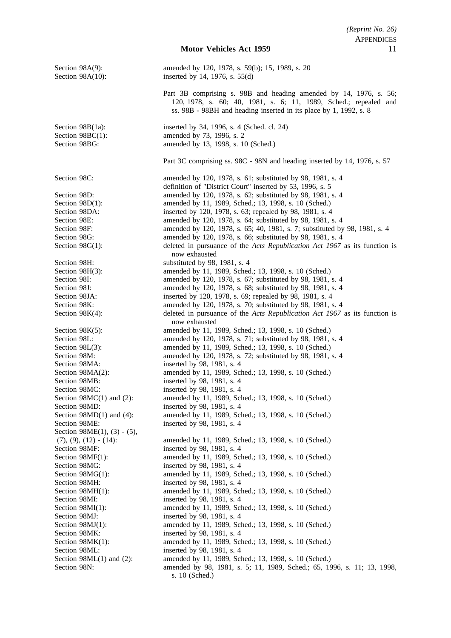| Section 98A(9):<br>Section 98A(10):                         | amended by 120, 1978, s. 59(b); 15, 1989, s. 20<br>inserted by 14, 1976, s. $55(d)$                                                                                                                        |
|-------------------------------------------------------------|------------------------------------------------------------------------------------------------------------------------------------------------------------------------------------------------------------|
|                                                             | Part 3B comprising s. 98B and heading amended by 14, 1976, s. 56;<br>120, 1978, s. 60; 40, 1981, s. 6; 11, 1989, Sched.; repealed and<br>ss. 98B - 98BH and heading inserted in its place by 1, 1992, s. 8 |
| Section $98B(1a)$ :                                         | inserted by 34, 1996, s. 4 (Sched. cl. 24)                                                                                                                                                                 |
| Section 98BC(1):<br>Section 98BG:                           | amended by 73, 1996, s. 2<br>amended by 13, 1998, s. 10 (Sched.)                                                                                                                                           |
|                                                             | Part 3C comprising ss. 98C - 98N and heading inserted by 14, 1976, s. 57                                                                                                                                   |
| Section 98C:                                                | amended by 120, 1978, s. 61; substituted by 98, 1981, s. 4<br>definition of "District Court" inserted by 53, 1996, s. 5                                                                                    |
| Section 98D:                                                | amended by 120, 1978, s. 62; substituted by 98, 1981, s. 4                                                                                                                                                 |
| Section $98D(1)$ :                                          | amended by 11, 1989, Sched.; 13, 1998, s. 10 (Sched.)                                                                                                                                                      |
| Section 98DA:                                               | inserted by 120, 1978, s. 63; repealed by 98, 1981, s. 4                                                                                                                                                   |
| Section 98E:                                                | amended by 120, 1978, s. 64; substituted by 98, 1981, s. 4                                                                                                                                                 |
| Section 98F:                                                | amended by 120, 1978, s. 65; 40, 1981, s. 7; substituted by 98, 1981, s. 4                                                                                                                                 |
| Section 98G:                                                | amended by 120, 1978, s. 66; substituted by 98, 1981, s. 4                                                                                                                                                 |
| Section $98G(1)$ :                                          | deleted in pursuance of the Acts Republication Act 1967 as its function is<br>now exhausted                                                                                                                |
| Section 98H:                                                | substituted by 98, 1981, s. 4                                                                                                                                                                              |
| Section 98H(3):                                             | amended by 11, 1989, Sched.; 13, 1998, s. 10 (Sched.)                                                                                                                                                      |
| Section 98I:                                                | amended by 120, 1978, s. 67; substituted by 98, 1981, s. 4                                                                                                                                                 |
| Section 98J:                                                | amended by 120, 1978, s. 68; substituted by 98, 1981, s. 4                                                                                                                                                 |
| Section 98JA:                                               | inserted by 120, 1978, s. 69; repealed by 98, 1981, s. 4                                                                                                                                                   |
| Section 98K:                                                | amended by 120, 1978, s. 70; substituted by 98, 1981, s. 4                                                                                                                                                 |
| Section $98K(4)$ :                                          | deleted in pursuance of the Acts Republication Act 1967 as its function is<br>now exhausted                                                                                                                |
| Section $98K(5)$ :                                          | amended by 11, 1989, Sched.; 13, 1998, s. 10 (Sched.)                                                                                                                                                      |
| Section 98L:                                                | amended by 120, 1978, s. 71; substituted by 98, 1981, s. 4                                                                                                                                                 |
| Section 98L(3):                                             | amended by 11, 1989, Sched.; 13, 1998, s. 10 (Sched.)                                                                                                                                                      |
| Section 98M:                                                | amended by 120, 1978, s. 72; substituted by 98, 1981, s. 4                                                                                                                                                 |
| Section 98MA:                                               | inserted by 98, 1981, s. 4                                                                                                                                                                                 |
| Section 98MA(2):                                            | amended by 11, 1989, Sched.; 13, 1998, s. 10 (Sched.)                                                                                                                                                      |
| Section 98MB:                                               | inserted by 98, 1981, s. 4                                                                                                                                                                                 |
| Section 98MC:                                               | inserted by 98, 1981, s. 4                                                                                                                                                                                 |
| Section $98MC(1)$ and (2):                                  | amended by 11, 1989, Sched.; 13, 1998, s. 10 (Sched.)                                                                                                                                                      |
| Section 98MD:                                               | inserted by 98, 1981, s. 4                                                                                                                                                                                 |
| Section $98MD(1)$ and $(4)$ :                               | amended by 11, 1989, Sched.; 13, 1998, s. 10 (Sched.)                                                                                                                                                      |
| Section 98ME:                                               | inserted by 98, 1981, s. 4                                                                                                                                                                                 |
| Section $98ME(1)$ , (3) - (5),<br>$(7), (9), (12) - (14)$ : | amended by 11, 1989, Sched.; 13, 1998, s. 10 (Sched.)                                                                                                                                                      |
| Section 98MF:                                               | inserted by 98, 1981, s. 4                                                                                                                                                                                 |
| Section 98MF(1):                                            | amended by 11, 1989, Sched.; 13, 1998, s. 10 (Sched.)                                                                                                                                                      |
| Section 98MG:                                               | inserted by 98, 1981, s. 4                                                                                                                                                                                 |
| Section 98MG(1):                                            | amended by 11, 1989, Sched.; 13, 1998, s. 10 (Sched.)                                                                                                                                                      |
| Section 98MH:                                               | inserted by 98, 1981, s. 4                                                                                                                                                                                 |
| Section 98MH(1):                                            | amended by 11, 1989, Sched.; 13, 1998, s. 10 (Sched.)                                                                                                                                                      |
| Section 98MI:                                               | inserted by 98, 1981, s. 4                                                                                                                                                                                 |
| Section 98MI(1):                                            | amended by 11, 1989, Sched.; 13, 1998, s. 10 (Sched.)                                                                                                                                                      |
| Section 98MJ:                                               | inserted by 98, 1981, s. 4                                                                                                                                                                                 |
| Section $98MJ(1)$ :                                         | amended by 11, 1989, Sched.; 13, 1998, s. 10 (Sched.)                                                                                                                                                      |
| Section 98MK:                                               | inserted by 98, 1981, s. 4                                                                                                                                                                                 |
| Section 98MK(1):                                            | amended by 11, 1989, Sched.; 13, 1998, s. 10 (Sched.)                                                                                                                                                      |
| Section 98ML:                                               | inserted by 98, 1981, s. 4                                                                                                                                                                                 |
| Section $98ML(1)$ and (2):                                  | amended by 11, 1989, Sched.; 13, 1998, s. 10 (Sched.)                                                                                                                                                      |
| Section 98N:                                                | amended by 98, 1981, s. 5; 11, 1989, Sched.; 65, 1996, s. 11; 13, 1998,<br>s. 10 (Sched.)                                                                                                                  |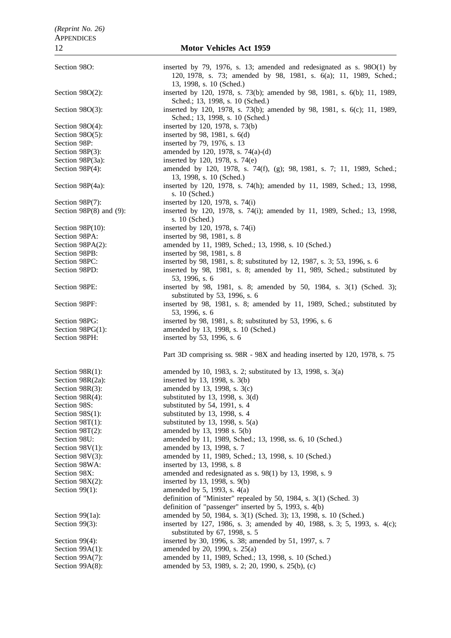Section 98O: inserted by 79, 1976, s. 13; amended and redesignated as s. 98O(1) by 120, 1978, s. 73; amended by 98, 1981, s. 6(a); 11, 1989, Sched.; 13, 1998, s. 10 (Sched.) Section 98O(2): inserted by 120, 1978, s. 73(b); amended by 98, 1981, s. 6(b); 11, 1989, Sched.; 13, 1998, s. 10 (Sched.) Section 98O(3): inserted by 120, 1978, s. 73(b); amended by 98, 1981, s. 6(c); 11, 1989, Sched.; 13, 1998, s. 10 (Sched.) Section 98O(4): inserted by 120, 1978, s. 73(b) Section 98O(5): inserted by 98, 1981, s. 6(d) Section 98P: inserted by 79, 1976, s. 13 Section 98P(3): amended by 120, 1978, s. 74(a)-(d) Section 98P(3a): inserted by 120, 1978, s. 74(e) Section 98P(4): amended by 120, 1978, s. 74(f), (g); 98, 1981, s. 7; 11, 1989, Sched.; 13, 1998, s. 10 (Sched.) Section 98P(4a): inserted by 120, 1978, s. 74(h); amended by 11, 1989, Sched.; 13, 1998, s. 10 (Sched.) Section 98P(7): inserted by 120, 1978, s. 74(i) Section 98P(8) and (9): inserted by 120, 1978, s. 74(i); amended by 11, 1989, Sched.; 13, 1998, s. 10 (Sched.) Section 98P(10): inserted by 120, 1978, s. 74(i) Section 98PA: inserted by 98, 1981, s. 8 Section 98PA(2): amended by 11, 1989, Sched.; 13, 1998, s. 10 (Sched.) Section 98PB: inserted by 98, 1981, s. 8 Section 98PC: inserted by 98, 1981, s. 8; substituted by 12, 1987, s. 3; 53, 1996, s. 6 Section 98PD: inserted by 98, 1981, s. 8; amended by 11, 989, Sched.; substituted by 53, 1996, s. 6 Section 98PE: inserted by 98, 1981, s. 8; amended by 50, 1984, s. 3(1) (Sched. 3); substituted by 53, 1996, s. 6 Section 98PF: inserted by 98, 1981, s. 8; amended by 11, 1989, Sched.; substituted by 53, 1996, s. 6 Section 98PG: inserted by 98, 1981, s. 8; substituted by 53, 1996, s. 6 Section 98PG(1): amended by 13, 1998, s. 10 (Sched.) Section 98PH: inserted by 53, 1996, s. 6 Part 3D comprising ss. 98R - 98X and heading inserted by 120, 1978, s. 75 Section 98R(1): amended by 10, 1983, s. 2; substituted by 13, 1998, s. 3(a) Section  $98R(2a)$ : inserted by 13, 1998, s. 3(b) Section 98R(3): amended by 13, 1998, s. 3(c) Section 98R(4): substituted by 13, 1998, s. 3(d) Section 98S: substituted by 54, 1991, s. 4 Section 98S(1): substituted by 13, 1998, s. 4 Section 98T(1): substituted by 13, 1998, s.  $5(a)$ Section 98T(2): amended by 13, 1998 s. 5(b) Section 98U: amended by 11, 1989, Sched.; 13, 1998, ss. 6, 10 (Sched.) Section 98V(1): amended by 13, 1998, s. 7 Section 98V(3): amended by 11, 1989, Sched.; 13, 1998, s. 10 (Sched.) Section 98WA: inserted by 13, 1998, s. 8 Section 98X: amended and redesignated as s. 98(1) by 13, 1998, s. 9 Section  $98X(2)$ : inserted by 13, 1998, s. 9(b) Section 99(1): amended by 5, 1993, s. 4(a) definition of "Minister" repealed by 50, 1984, s. 3(1) (Sched. 3) definition of "passenger" inserted by 5, 1993, s. 4(b) Section 99(1a): amended by 50, 1984, s. 3(1) (Sched. 3); 13, 1998, s. 10 (Sched.) Section 99(3): inserted by 127, 1986, s. 3; amended by 40, 1988, s. 3; 5, 1993, s. 4(c); substituted by 67, 1998, s. 5 Section 99(4): inserted by 30, 1996, s. 38; amended by 51, 1997, s. 7 Section 99A(1): amended by 20, 1990, s. 25(a) Section 99A(7): amended by 11, 1989, Sched.; 13, 1998, s. 10 (Sched.) Section 99A(8): amended by 53, 1989, s. 2; 20, 1990, s. 25(b), (c)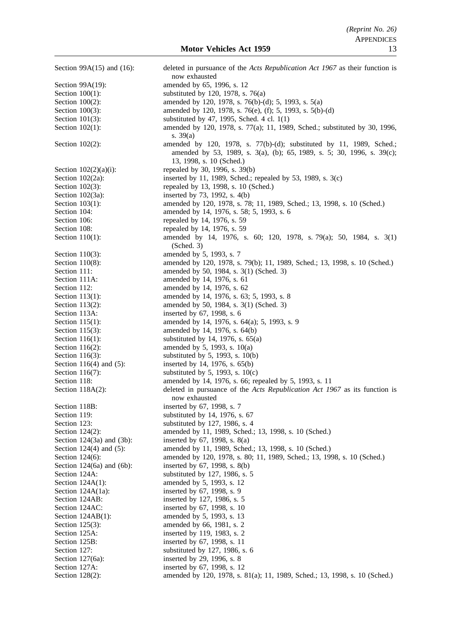Section 99A(15) and (16): deleted in pursuance of the *Acts Republication Act 1967* as their function is now exhausted Section 99A(19): amended by 65, 1996, s. 12 Section  $100(1)$ : substituted by 120, 1978, s. 76(a) Section 100(2): amended by 120, 1978, s. 76(b)-(d); 5, 1993, s. 5(a) Section 100(3): amended by 120, 1978, s. 76(e), (f); 5, 1993, s. 5(b)-(d) Section 101(3): substituted by 47, 1995, Sched. 4 cl. 1(1) Section 102(1): amended by 120, 1978, s. 77(a); 11, 1989, Sched.; substituted by 30, 1996, s. 39(a) Section 102(2): amended by 120, 1978, s. 77(b)-(d); substituted by 11, 1989, Sched.; amended by 53, 1989, s. 3(a), (b); 65, 1989, s. 5; 30, 1996, s. 39(c); 13, 1998, s. 10 (Sched.) Section  $102(2)(a)(i)$ : repealed by 30, 1996, s. 39(b) Section 102(2a): inserted by 11, 1989, Sched.; repealed by 53, 1989, s. 3(c) Section 102(3): repealed by 13, 1998, s. 10 (Sched.) Section 102(3a): inserted by 73, 1992, s. 4(b) Section 103(1): amended by 120, 1978, s. 78; 11, 1989, Sched.; 13, 1998, s. 10 (Sched.) Section 104: **amended** by 14, 1976, s. 58; 5, 1993, s. 6 Section 106: repealed by 14, 1976, s. 59 Section 108: repealed by 14, 1976, s. 59 Section 110(1): amended by 14, 1976, s. 60; 120, 1978, s. 79(a); 50, 1984, s. 3(1) (Sched. 3) Section 110(3): amended by 5, 1993, s. 7 Section 110(8): amended by 120, 1978, s. 79(b); 11, 1989, Sched.; 13, 1998, s. 10 (Sched.) Section 111: **amended by 50, 1984, s. 3(1) (Sched. 3)** Section 111A: amended by 14, 1976, s. 61 Section 112: **amended** by 14, 1976, s. 62 Section 113(1): amended by 14, 1976, s. 63; 5, 1993, s. 8 Section 113(2): amended by 50, 1984, s. 3(1) (Sched. 3) Section 113A: inserted by 67, 1998, s. 6 Section 115(1): amended by 14, 1976, s. 64(a); 5, 1993, s. 9 Section 115(3): amended by 14, 1976, s. 64(b) Section 116(1): substituted by 14, 1976, s.  $65(a)$ Section 116(2): amended by 5, 1993, s.  $10(a)$ Section 116(3): substituted by 5, 1993, s. 10(b) Section 116(4) and (5): inserted by 14, 1976, s. 65(b) Section 116(7): substituted by 5, 1993, s.  $10(c)$ Section 118: **amended** by 14, 1976, s. 66; repealed by 5, 1993, s. 11 Section 118A(2): deleted in pursuance of the *Acts Republication Act 1967* as its function is now exhausted Section 118B: inserted by 67, 1998, s. 7 Section 119: substituted by 14, 1976, s. 67 Section 123: substituted by 127, 1986, s. 4 Section 124(2): amended by 11, 1989, Sched.; 13, 1998, s. 10 (Sched.) Section 124(3a) and (3b): inserted by 67, 1998, s. 8(a) Section 124(4) and (5): amended by 11, 1989, Sched.; 13, 1998, s. 10 (Sched.) Section 124(6): amended by 120, 1978, s. 80; 11, 1989, Sched.; 13, 1998, s. 10 (Sched.) Section 124(6a) and (6b): inserted by 67, 1998, s. 8(b) Section 124A: substituted by 127, 1986, s. 5 Section 124A(1): amended by 5, 1993, s. 12 Section 124A(1a): inserted by 67, 1998, s. 9 Section 124AB: inserted by 127, 1986, s. 5 Section 124AC: inserted by 67, 1998, s. 10 Section 124AB(1): amended by 5, 1993, s. 13 Section 125(3): amended by 66, 1981, s. 2 Section 125A: inserted by 119, 1983, s. 2 Section 125B: inserted by 67, 1998, s. 11 Section 127: substituted by 127, 1986, s. 6 Section 127(6a): inserted by 29, 1996, s. 8 Section 127A: inserted by 67, 1998, s. 12 Section 128(2): amended by 120, 1978, s. 81(a); 11, 1989, Sched.; 13, 1998, s. 10 (Sched.)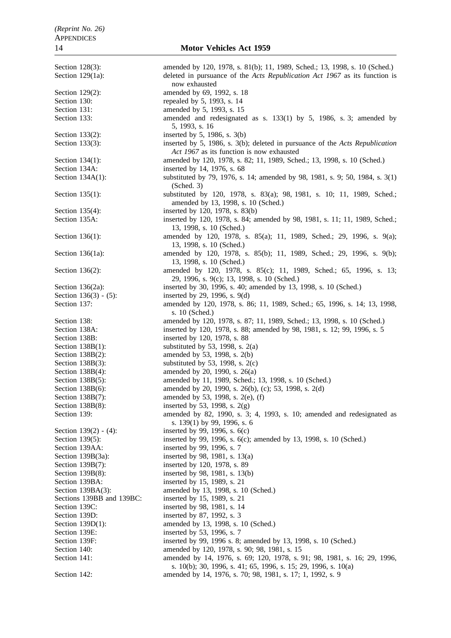Section 128(3): amended by 120, 1978, s. 81(b); 11, 1989, Sched.; 13, 1998, s. 10 (Sched.) Section 129(1a): deleted in pursuance of the *Acts Republication Act 1967* as its function is now exhausted Section 129(2): amended by 69, 1992, s. 18 Section 130: repealed by 5, 1993, s. 14 Section 131: **amended** by 5, 1993, s. 15 Section 133: **amended** and redesignated as s. 133(1) by 5, 1986, s. 3; amended by 5, 1993, s. 16 Section 133(2): inserted by 5, 1986, s. 3(b) Section 133(3): inserted by 5, 1986, s. 3(b); deleted in pursuance of the *Acts Republication Act 1967* as its function is now exhausted Section 134(1): amended by 120, 1978, s. 82; 11, 1989, Sched.; 13, 1998, s. 10 (Sched.) Section 134A: inserted by 14, 1976, s. 68 Section 134A(1): substituted by 79, 1976, s. 14; amended by 98, 1981, s. 9; 50, 1984, s. 3(1) (Sched. 3) Section 135(1): substituted by 120, 1978, s. 83(a); 98, 1981, s. 10; 11, 1989, Sched.; amended by 13, 1998, s. 10 (Sched.) Section 135(4): inserted by 120, 1978, s. 83(b) Section 135A: inserted by 120, 1978, s. 84; amended by 98, 1981, s. 11; 11, 1989, Sched.; 13, 1998, s. 10 (Sched.) Section 136(1): amended by 120, 1978, s. 85(a); 11, 1989, Sched.; 29, 1996, s. 9(a); 13, 1998, s. 10 (Sched.) Section 136(1a): amended by 120, 1978, s. 85(b); 11, 1989, Sched.; 29, 1996, s. 9(b); 13, 1998, s. 10 (Sched.) Section 136(2): amended by 120, 1978, s. 85(c); 11, 1989, Sched.; 65, 1996, s. 13; 29, 1996, s. 9(c); 13, 1998, s. 10 (Sched.) Section 136(2a): inserted by 30, 1996, s. 40; amended by 13, 1998, s. 10 (Sched.) Section 136(3) - (5): inserted by 29, 1996, s. 9(d) Section 137: **amended by 120, 1978, s. 86; 11, 1989, Sched.**; 65, 1996, s. 14; 13, 1998, Sched.; 65, 1996, s. 14; 13, 1998, s. 10 (Sched.) Section 138: **amended by 120, 1978, s. 87**; 11, 1989, Sched.; 13, 1998, s. 10 (Sched.) Section 138A: inserted by 120, 1978, s. 88; amended by 98, 1981, s. 12; 99, 1996, s. 5 Section 138B: inserted by 120, 1978, s. 88 Section 138B(1): substituted by 53, 1998, s.  $2(a)$ Section 138B(2): amended by 53, 1998, s. 2(b) Section 138B(3): substituted by 53, 1998, s.  $2(c)$ Section 138B(4): amended by 20, 1990, s. 26(a) Section 138B(5): amended by 11, 1989, Sched.; 13, 1998, s. 10 (Sched.) Section 138B(6): amended by 20, 1990, s. 26(b), (c); 53, 1998, s. 2(d) Section 138B(7): amended by 53, 1998, s. 2(e), (f) Section 138B(8): inserted by 53, 1998, s.  $2(g)$ Section 139: amended by 82, 1990, s. 3; 4, 1993, s. 10; amended and redesignated as s. 139(1) by 99, 1996, s. 6 Section 139(2) - (4): inserted by 99, 1996, s. 6(c) Section 139(5): inserted by 99, 1996, s. 6(c); amended by 13, 1998, s. 10 (Sched.) Section 139AA: inserted by 99, 1996, s. 7 Section 139B(3a): inserted by 98, 1981, s. 13(a) Section 139B(7): inserted by 120, 1978, s. 89 Section 139B(8): inserted by 98, 1981, s. 13(b) Section 139BA: inserted by 15, 1989, s. 21 Section 139BA(3): amended by 13, 1998, s. 10 (Sched.) Sections 139BB and 139BC: inserted by 15, 1989, s. 21 Section 139C: inserted by 98, 1981, s. 14 Section 139D: inserted by 87, 1992, s. 3 Section 139D(1): amended by 13, 1998, s. 10 (Sched.) Section 139E: inserted by 53, 1996, s. 7 Section 139F: inserted by 99, 1996 s. 8; amended by 13, 1998, s. 10 (Sched.)<br>Section 140: amended by 120, 1978, s. 90; 98, 1981, s. 15 amended by 120, 1978, s. 90; 98, 1981, s. 15 Section 141: **amended** by 14, 1976, s. 69; 120, 1978, s. 91; 98, 1981, s. 16; 29, 1996, s. 10(b); 30, 1996, s. 41; 65, 1996, s. 15; 29, 1996, s. 10(a) Section 142: **amended by 14, 1976, s. 70; 98, 1981, s. 17; 1, 1992, s. 9**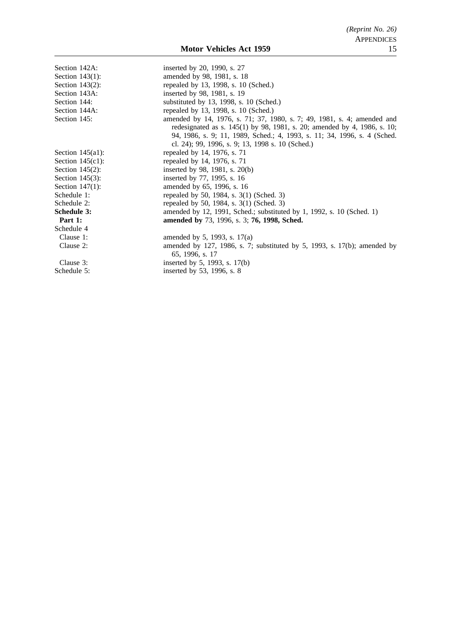| Section 142A:       | inserted by 20, 1990, s. 27                                                |
|---------------------|----------------------------------------------------------------------------|
| Section $143(1)$ :  | amended by 98, 1981, s. 18                                                 |
| Section $143(2)$ :  | repealed by 13, 1998, s. 10 (Sched.)                                       |
| Section 143A:       | inserted by 98, 1981, s. 19                                                |
| Section 144:        | substituted by 13, 1998, s. 10 (Sched.)                                    |
| Section 144A:       | repealed by 13, 1998, s. 10 (Sched.)                                       |
| Section 145:        | amended by 14, 1976, s. 71; 37, 1980, s. 7; 49, 1981, s. 4; amended and    |
|                     | redesignated as s. $145(1)$ by 98, 1981, s. 20; amended by 4, 1986, s. 10; |
|                     | 94, 1986, s. 9; 11, 1989, Sched.; 4, 1993, s. 11; 34, 1996, s. 4 (Sched.)  |
|                     | cl. 24); 99, 1996, s. 9; 13, 1998 s. 10 (Sched.)                           |
| Section $145(a1)$ : | repealed by 14, 1976, s. 71                                                |
| Section $145(c1)$ : | repealed by 14, 1976, s. 71                                                |
| Section $145(2)$ :  | inserted by 98, 1981, s. $20(b)$                                           |
| Section $145(3)$ :  | inserted by 77, 1995, s. 16                                                |
| Section $147(1)$ :  | amended by 65, 1996, s. 16                                                 |
| Schedule 1:         | repealed by 50, 1984, s. 3(1) (Sched. 3)                                   |
| Schedule 2:         | repealed by 50, 1984, s. 3(1) (Sched. 3)                                   |
| Schedule 3:         | amended by 12, 1991, Sched.; substituted by 1, 1992, s. 10 (Sched. 1)      |
| Part 1:             | amended by 73, 1996, s. 3; 76, 1998, Sched.                                |
| Schedule 4          |                                                                            |
| Clause 1:           | amended by 5, 1993, s. $17(a)$                                             |
| Clause 2:           | amended by 127, 1986, s. 7; substituted by 5, 1993, s. 17(b); amended by   |
|                     | 65, 1996, s. 17                                                            |
| Clause 3:           | inserted by 5, 1993, s. 17(b)                                              |
| Schedule 5:         | inserted by 53, 1996, s. 8                                                 |
|                     |                                                                            |